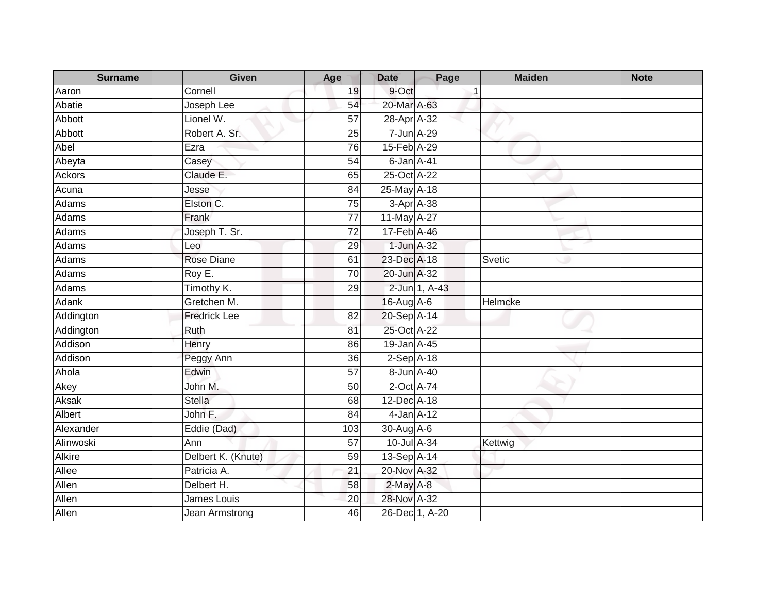| <b>Surname</b> | Given                 | Age             | <b>Date</b>     | Page           | <b>Maiden</b> | <b>Note</b> |
|----------------|-----------------------|-----------------|-----------------|----------------|---------------|-------------|
| Aaron          | Cornell               | 19              | 9-Oct           |                | -1            |             |
| Abatie         | Joseph Lee            | 54              | 20-Mar A-63     |                |               |             |
| Abbott         | Lionel W.             | $\overline{57}$ | 28-Apr A-32     |                |               |             |
| Abbott         | Robert A. Sr.         | 25              | 7-Jun A-29      |                |               |             |
| Abel           | Ezra                  | 76              | 15-Feb A-29     |                |               |             |
| Abeyta         | Casey                 | 54              | 6-Jan A-41      |                |               |             |
| Ackors         | Claude E.             | 65              | 25-Oct A-22     |                |               |             |
| Acuna          | Jesse                 | 84              | 25-May A-18     |                |               |             |
| <b>Adams</b>   | Elston C.             | 75              | 3-Apr A-38      |                |               |             |
| Adams          | Frank                 | $\overline{77}$ | 11-May A-27     |                |               |             |
| Adams          | Joseph T. Sr.         | $\overline{72}$ | 17-Feb A-46     |                |               |             |
| Adams          | Leo                   | 29              | 1-Jun A-32      |                |               |             |
| Adams          | <b>Rose Diane</b>     | 61              | 23-Dec A-18     |                | Svetic        |             |
| Adams          | Roy E.                | 70              | 20-Jun A-32     |                |               |             |
| Adams          | Timothy K.            | 29              |                 | 2-Jun 1, A-43  |               |             |
| <b>Adank</b>   | Gretchen M.           |                 | 16-Aug A-6      |                | Helmcke       |             |
| Addington      | <b>Fredrick Lee</b>   | 82              | 20-Sep A-14     |                |               |             |
| Addington      | Ruth                  | 81              | 25-Oct A-22     |                |               |             |
| Addison        | Henry                 | 86              | 19-Jan A-45     |                |               |             |
| Addison        | Peggy Ann             | 36              | $2-Sep$ A-18    |                |               |             |
| Ahola          | Edwin                 | 57              | 8-Jun A-40      |                |               |             |
| Akey           | John M.               | 50              | 2-Oct A-74      |                |               |             |
| <b>Aksak</b>   | <b>Stella</b>         | 68              | 12-Dec A-18     |                |               |             |
| Albert         | John F.               | 84              | $4$ -Jan $A-12$ |                |               |             |
| Alexander      | Eddie (Dad)           | 103             | 30-Aug A-6      |                |               |             |
| Alinwoski      | Ann                   | $\overline{57}$ | 10-Jul A-34     |                | Kettwig       |             |
| <b>Alkire</b>  | Delbert K. (Knute)    | 59              | 13-Sep A-14     |                |               |             |
| Allee          | Patricia A.           | 21              | 20-Nov A-32     |                |               |             |
| Allen          | Delbert H.            | 58              | $2$ -May $A-8$  |                |               |             |
| Allen          | James Louis           | 20              | 28-Nov A-32     |                |               |             |
| Allen          | <b>Jean Armstrong</b> | 46              |                 | 26-Dec 1, A-20 |               |             |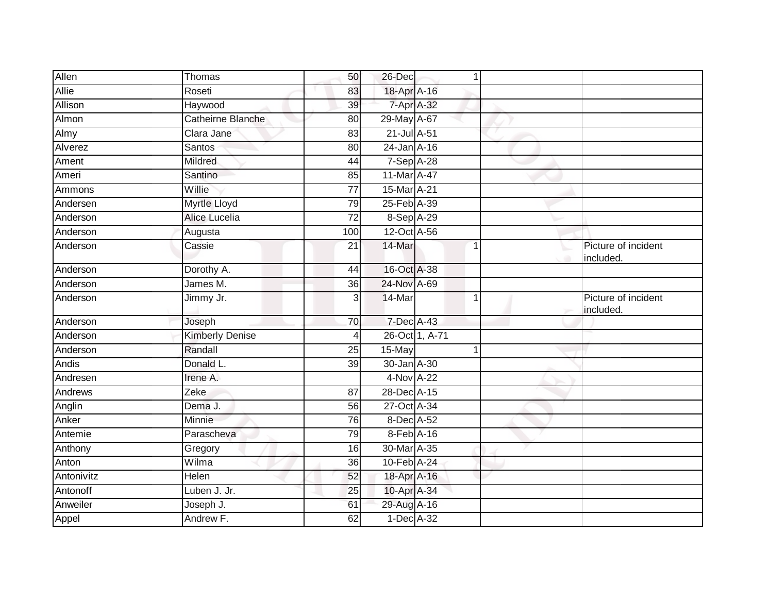| Allen      | Thomas                 | 50              | 26-Dec           |                | $\mathbf 1$    |                                  |
|------------|------------------------|-----------------|------------------|----------------|----------------|----------------------------------|
| Allie      | Roseti                 | 83              | 18-Apr A-16      |                |                |                                  |
| Allison    | Haywood                | 39              | 7-Apr A-32       |                |                |                                  |
| Almon      | Catheirne Blanche      | 80              | 29-May A-67      |                |                |                                  |
| Almy       | Clara Jane             | 83              | $21$ -Jul $A-51$ |                |                |                                  |
| Alverez    | <b>Santos</b>          | 80              | 24-Jan A-16      |                |                |                                  |
| Ament      | Mildred                | 44              | 7-Sep A-28       |                |                |                                  |
| Ameri      | Santino                | 85              | 11-Mar A-47      |                |                |                                  |
| Ammons     | Willie                 | 77              | 15-Mar A-21      |                |                |                                  |
| Andersen   | Myrtle Lloyd           | 79              | 25-Feb A-39      |                |                |                                  |
| Anderson   | Alice Lucelia          | $\overline{72}$ | 8-Sep A-29       |                |                |                                  |
| Anderson   | Augusta                | 100             | 12-Oct A-56      |                |                |                                  |
| Anderson   | Cassie                 | $\overline{21}$ | 14-Mar           |                | $\overline{1}$ | Picture of incident<br>included. |
| Anderson   | Dorothy A.             | 44              | 16-Oct A-38      |                |                |                                  |
| Anderson   | James M.               | $\overline{36}$ | 24-Nov A-69      |                |                |                                  |
| Anderson   | Jimmy Jr.              | 3               | 14-Mar           |                |                | Picture of incident<br>included. |
| Anderson   | Joseph                 | 70              | 7-Dec A-43       |                |                |                                  |
| Anderson   | <b>Kimberly Denise</b> | 4               |                  | 26-Oct 1, A-71 |                |                                  |
| Anderson   | Randall                | 25              | 15-May           |                |                |                                  |
| Andis      | Donald L.              | 39              | 30-Jan A-30      |                |                |                                  |
| Andresen   | Irene A.               |                 | 4-Nov A-22       |                |                |                                  |
| Andrews    | Zeke                   | 87              | 28-Dec A-15      |                |                |                                  |
| Anglin     | Dema J.                | 56              | 27-Oct A-34      |                |                |                                  |
| Anker      | Minnie                 | 76              | 8-Dec A-52       |                |                |                                  |
| Antemie    | Parascheva             | 79              | 8-Feb A-16       |                |                |                                  |
| Anthony    | Gregory                | 16              | 30-Mar A-35      |                |                |                                  |
| Anton      | Wilma                  | 36              | 10-Feb A-24      |                |                |                                  |
| Antonivitz | Helen                  | 52              | 18-Apr A-16      |                |                |                                  |
| Antonoff   | Luben J. Jr.           | 25              | 10-Apr A-34      |                |                |                                  |
| Anweiler   | Joseph J.              | 61              | 29-Aug A-16      |                |                |                                  |
| Appel      | Andrew F.              | 62              | $1$ -Dec $A$ -32 |                |                |                                  |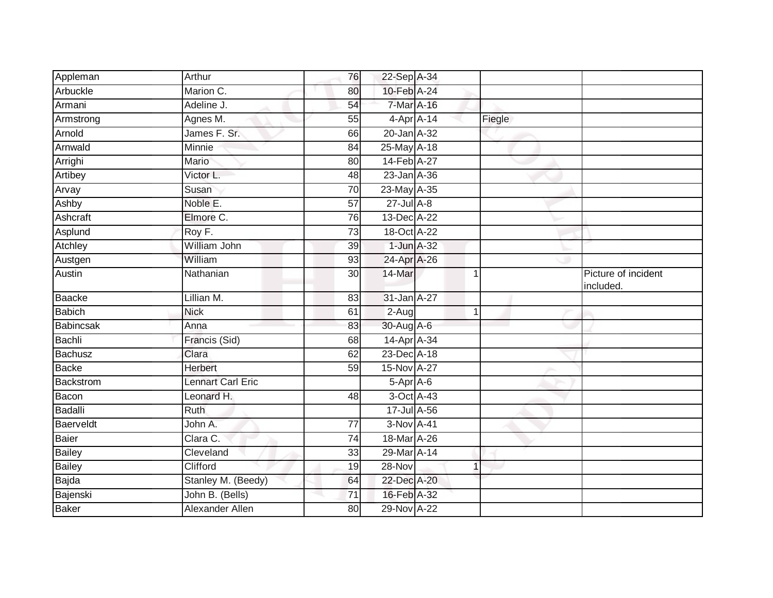| Appleman         | Arthur             | 76              | 22-Sep A-34      |              |                                  |
|------------------|--------------------|-----------------|------------------|--------------|----------------------------------|
| Arbuckle         | Marion C.          | 80              | 10-Feb A-24      |              |                                  |
| Armani           | Adeline J.         | 54              | 7-Mar A-16       |              |                                  |
| Armstrong        | Agnes M.           | 55              | $4$ -Apr $A$ -14 | Fiegle       |                                  |
| Arnold           | James F. Sr.       | 66              | 20-Jan A-32      |              |                                  |
| Arnwald          | Minnie             | 84              | 25-May A-18      |              |                                  |
| Arrighi          | Mario              | 80              | 14-Feb A-27      |              |                                  |
| Artibey          | Victor L.          | 48              | 23-Jan A-36      |              |                                  |
| Arvay            | Susan              | 70              | 23-May A-35      |              |                                  |
| Ashby            | Noble E.           | 57              | $27$ -Jul $A-8$  |              |                                  |
| Ashcraft         | Elmore C.          | $\overline{76}$ | 13-Dec A-22      |              |                                  |
| Asplund          | Roy F.             | 73              | 18-Oct A-22      |              |                                  |
| Atchley          | William John       | 39              | 1-Jun A-32       |              |                                  |
| Austgen          | William            | 93              | 24-Apr A-26      |              |                                  |
| Austin           | Nathanian          | $\overline{30}$ | 14-Mar           | 1            | Picture of incident<br>included. |
| Baacke           | Lillian M.         | 83              | 31-Jan A-27      |              |                                  |
| <b>Babich</b>    | <b>Nick</b>        | 61              | $2-Auq$          | $\mathbf{1}$ |                                  |
| <b>Babincsak</b> | Anna               | 83              | 30-Aug A-6       |              |                                  |
| Bachli           | Francis (Sid)      | 68              | 14-Apr A-34      |              |                                  |
| <b>Bachusz</b>   | Clara              | 62              | 23-Dec A-18      |              |                                  |
| <b>Backe</b>     | Herbert            | 59              | 15-Nov A-27      |              |                                  |
| Backstrom        | Lennart Carl Eric  |                 | 5-Apr A-6        |              |                                  |
| Bacon            | Leonard H.         | 48              | 3-Oct A-43       |              |                                  |
| Badalli          | <b>Ruth</b>        |                 | 17-Jul A-56      |              |                                  |
| Baerveldt        | John A.            | $\overline{77}$ | 3-Nov A-41       |              |                                  |
| Baier            | Clara C.           | 74              | 18-Mar A-26      |              |                                  |
| <b>Bailey</b>    | Cleveland          | 33              | 29-Mar A-14      |              |                                  |
| <b>Bailey</b>    | Clifford           | 19              | 28-Nov           | 1            |                                  |
| Bajda            | Stanley M. (Beedy) | 64              | 22-Dec A-20      |              |                                  |
| Bajenski         | John B. (Bells)    | 71              | 16-Feb A-32      |              |                                  |
| <b>Baker</b>     | Alexander Allen    | 80              | 29-Nov A-22      |              |                                  |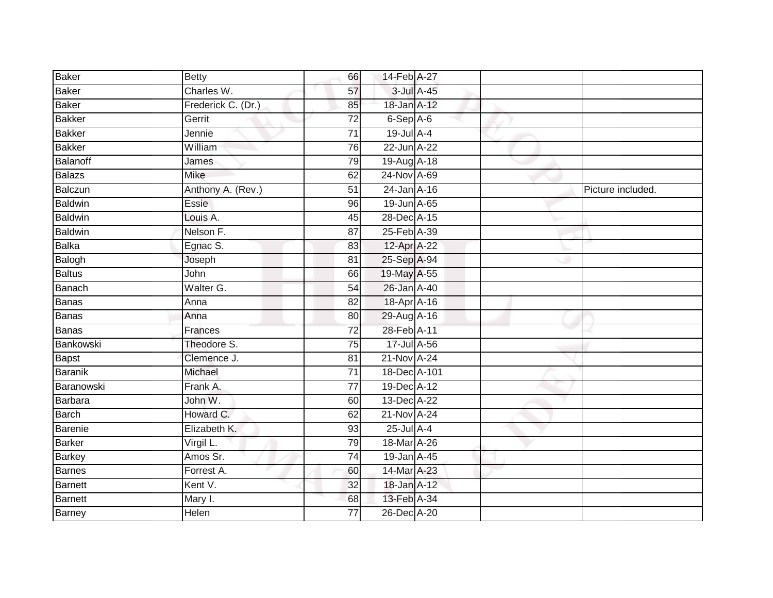| <b>Baker</b>   | <b>Betty</b>       | 66              | 14-Feb A-27  |            |                   |
|----------------|--------------------|-----------------|--------------|------------|-------------------|
| Baker          | Charles W.         | 57              |              | 3-Jul A-45 |                   |
| <b>Baker</b>   | Frederick C. (Dr.) | 85              | 18-Jan A-12  |            |                   |
| Bakker         | Gerrit             | $\overline{72}$ | 6-Sep A-6    |            |                   |
| <b>Bakker</b>  | Jennie             | $\overline{71}$ | 19-Jul A-4   |            |                   |
| <b>Bakker</b>  | William            | 76              | 22-Jun A-22  |            |                   |
| Balanoff       | James              | 79              | 19-Aug A-18  |            |                   |
| Balazs         | Mike               | 62              | 24-Nov A-69  |            |                   |
| Balczun        | Anthony A. (Rev.)  | $\overline{51}$ | 24-Jan A-16  |            | Picture included. |
| <b>Baldwin</b> | Essie              | 96              | 19-Jun A-65  |            |                   |
| <b>Baldwin</b> | Louis A.           | 45              | 28-Dec A-15  |            |                   |
| Baldwin        | Nelson F.          | 87              | 25-Feb A-39  |            |                   |
| Balka          | Egnac S.           | 83              | 12-Apr A-22  |            |                   |
| Balogh         | Joseph             | 81              | 25-Sep A-94  |            |                   |
| Baltus         | John               | 66              | 19-May A-55  |            |                   |
| Banach         | Walter G.          | 54              | 26-Jan A-40  |            |                   |
| Banas          | Anna               | 82              | 18-Apr A-16  |            |                   |
| <b>Banas</b>   | Anna               | 80              | 29-Aug A-16  |            |                   |
| <b>Banas</b>   | Frances            | 72              | 28-Feb A-11  |            |                   |
| Bankowski      | Theodore S.        | 75              | 17-Jul A-56  |            |                   |
| Bapst          | Clemence J.        | 81              | 21-Nov A-24  |            |                   |
| <b>Baranik</b> | Michael            | $\overline{71}$ | 18-Dec A-101 |            |                   |
| Baranowski     | Frank A.           | 77              | 19-Dec A-12  |            |                   |
| Barbara        | John W.            | 60              | 13-Dec A-22  |            |                   |
| Barch          | Howard C.          | 62              | 21-Nov A-24  |            |                   |
| Barenie        | Elizabeth K.       | 93              | 25-Jul A-4   |            |                   |
| Barker         | Virgil L.          | 79              | 18-Mar A-26  |            |                   |
| Barkey         | Amos Sr.           | 74              | 19-Jan A-45  |            |                   |
| <b>Barnes</b>  | Forrest A.         | 60              | 14-Mar A-23  |            |                   |
| Barnett        | Kent V.            | 32              | 18-Jan A-12  |            |                   |
| Barnett        | Mary I.            | 68              | 13-Feb A-34  |            |                   |
| <b>Barney</b>  | Helen              | $\overline{77}$ | 26-Dec A-20  |            |                   |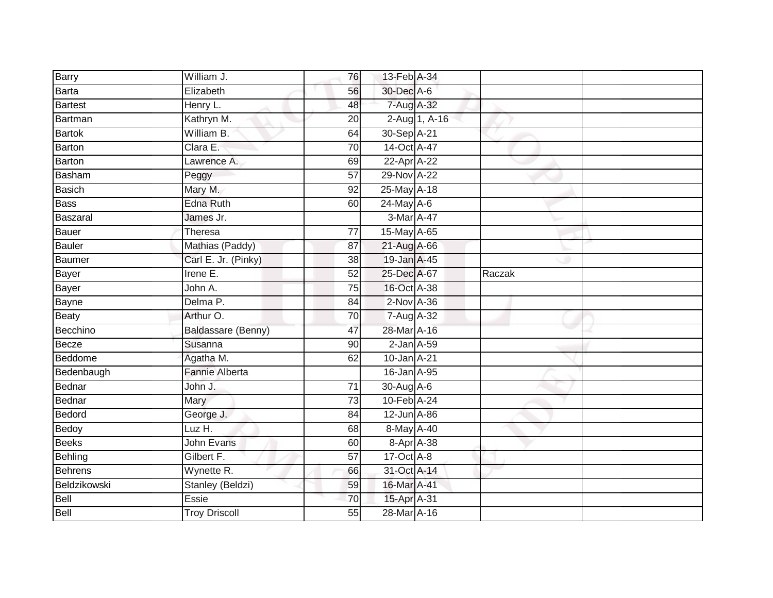| Barry          | William J.              | 76              | 13-Feb A-34      |               |        |  |
|----------------|-------------------------|-----------------|------------------|---------------|--------|--|
| <b>Barta</b>   | Elizabeth               | 56              | 30-Dec A-6       |               |        |  |
| <b>Bartest</b> | Henry L.                | 48              | 7-Aug A-32       |               |        |  |
| Bartman        | Kathryn M.              | 20              |                  | 2-Aug 1, A-16 |        |  |
| <b>Bartok</b>  | William B.              | 64              | 30-Sep A-21      |               |        |  |
| Barton         | Clara E.                | 70              | 14-Oct A-47      |               |        |  |
| <b>Barton</b>  | Lawrence A.             | 69              | 22-Apr A-22      |               |        |  |
| <b>Basham</b>  | Peggy                   | 57              | 29-Nov A-22      |               |        |  |
| <b>Basich</b>  | Mary M.                 | 92              | 25-May A-18      |               |        |  |
| <b>Bass</b>    | <b>Edna Ruth</b>        | 60              | 24-May A-6       |               |        |  |
| Baszaral       | James Jr.               |                 | 3-Mar A-47       |               |        |  |
| <b>Bauer</b>   | Theresa                 | $\overline{77}$ | 15-May A-65      |               |        |  |
| <b>Bauler</b>  | Mathias (Paddy)         | 87              | 21-Aug A-66      |               |        |  |
| Baumer         | Carl E. Jr. (Pinky)     | 38              | 19-Jan A-45      |               |        |  |
| <b>Bayer</b>   | Irene E.                | 52              | 25-Dec A-67      |               | Raczak |  |
| Bayer          | John A.                 | 75              | 16-Oct A-38      |               |        |  |
| <b>Bayne</b>   | Delma P.                | 84              | $2$ -Nov $A-36$  |               |        |  |
| <b>Beaty</b>   | Arthur O.               | 70              | 7-Aug A-32       |               |        |  |
| Becchino       | Baldassare (Benny)      | 47              | 28-Mar A-16      |               |        |  |
| Becze          | Susanna                 | 90              | $2$ -Jan $A$ -59 |               |        |  |
| Beddome        | Agatha M.               | 62              | 10-Jan A-21      |               |        |  |
| Bedenbaugh     | <b>Fannie Alberta</b>   |                 | 16-Jan A-95      |               |        |  |
| Bednar         | John J.                 | 71              | 30-Aug A-6       |               |        |  |
| Bednar         | Mary                    | $\overline{73}$ | 10-Feb A-24      |               |        |  |
| Bedord         | George J.               | 84              | 12-Jun A-86      |               |        |  |
| Bedoy          | $LuzH$ .                | 68              | 8-May A-40       |               |        |  |
| <b>Beeks</b>   | <b>John Evans</b>       | 60              | 8-Apr A-38       |               |        |  |
| Behling        | Gilbert F.              | 57              | $17-Oct$ A-8     |               |        |  |
| <b>Behrens</b> | Wynette R.              | 66              | 31-Oct A-14      |               |        |  |
| Beldzikowski   | <b>Stanley (Beldzi)</b> | 59              | 16-Mar A-41      |               |        |  |
| Bell           | Essie                   | 70              | 15-Apr A-31      |               |        |  |
| Bell           | <b>Troy Driscoll</b>    | 55              | 28-Mar A-16      |               |        |  |
|                |                         |                 |                  |               |        |  |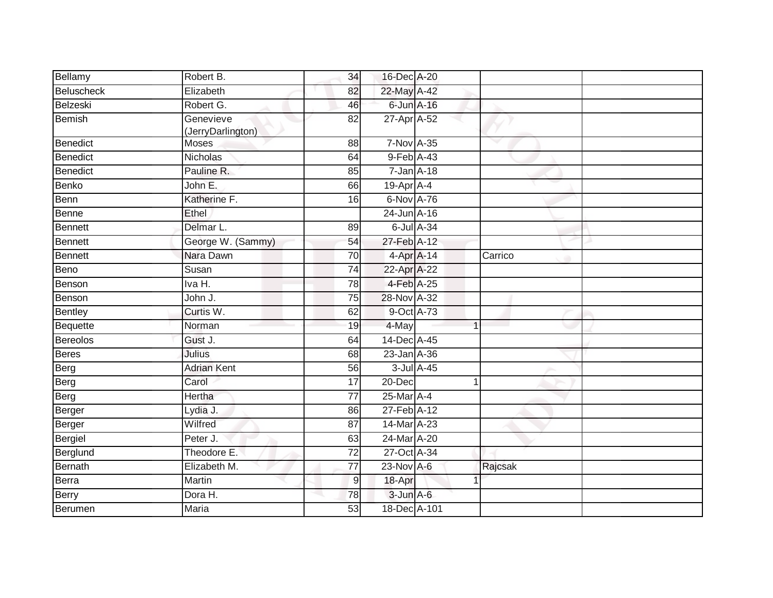| Bellamy         | Robert B.                      | 34              | 16-Dec A-20      |                |         |  |
|-----------------|--------------------------------|-----------------|------------------|----------------|---------|--|
| Beluscheck      | Elizabeth                      | 82              | 22-May A-42      |                |         |  |
| Belzeski        | Robert G.                      | 46              | 6-Jun A-16       |                |         |  |
| <b>Bemish</b>   | Genevieve<br>(JerryDarlington) | 82              | 27-Apr A-52      |                |         |  |
| Benedict        | Moses                          | 88              | 7-Nov A-35       |                |         |  |
| <b>Benedict</b> | <b>Nicholas</b>                | 64              | 9-Feb A-43       |                |         |  |
| Benedict        | Pauline R.                     | 85              | $7 - Jan A - 18$ |                |         |  |
| <b>Benko</b>    | John E.                        | 66              | $19$ -Apr $A$ -4 |                |         |  |
| Benn            | Katherine F.                   | 16              | 6-Nov A-76       |                |         |  |
| Benne           | Ethel                          |                 | 24-Jun A-16      |                |         |  |
| <b>Bennett</b>  | Delmar L.                      | 89              | 6-Jul A-34       |                |         |  |
| <b>Bennett</b>  | George W. (Sammy)              | 54              | 27-Feb A-12      |                |         |  |
| <b>Bennett</b>  | Nara Dawn                      | $\overline{70}$ | 4-Apr A-14       |                | Carrico |  |
| Beno            | Susan                          | 74              | 22-Apr A-22      |                |         |  |
| Benson          | Iva H.                         | 78              | 4-Feb A-25       |                |         |  |
| Benson          | John J.                        | 75              | 28-Nov A-32      |                |         |  |
| <b>Bentley</b>  | Curtis W.                      | 62              | 9-Oct A-73       |                |         |  |
| Bequette        | Norman                         | 19              | 4-May            | $\overline{ }$ |         |  |
| <b>Bereolos</b> | Gust J.                        | 64              | 14-Dec A-45      |                |         |  |
| <b>Beres</b>    | Julius                         | 68              | 23-Jan A-36      |                |         |  |
| Berg            | <b>Adrian Kent</b>             | 56              | 3-Jul A-45       |                |         |  |
| Berg            | Carol                          | $\overline{17}$ | 20-Dec           | 1              |         |  |
| Berg            | Hertha                         | $\overline{77}$ | 25-Mar A-4       |                |         |  |
| Berger          | Lydia J.                       | 86              | 27-Feb A-12      |                |         |  |
| Berger          | Wilfred                        | 87              | 14-Mar A-23      |                |         |  |
| Bergiel         | Peter J.                       | 63              | 24-Mar A-20      |                |         |  |
| Berglund        | Theodore E.                    | $\overline{72}$ | 27-Oct A-34      |                |         |  |
| Bernath         | Elizabeth M.                   | $\overline{77}$ | 23-Nov A-6       |                | Rajcsak |  |
| Berra           | Martin                         | $\overline{9}$  | 18-Apr           |                |         |  |
| Berry           | Dora H.                        | 78              | $3$ -Jun $A$ -6  |                |         |  |
| Berumen         | Maria                          | 53              | 18-Dec A-101     |                |         |  |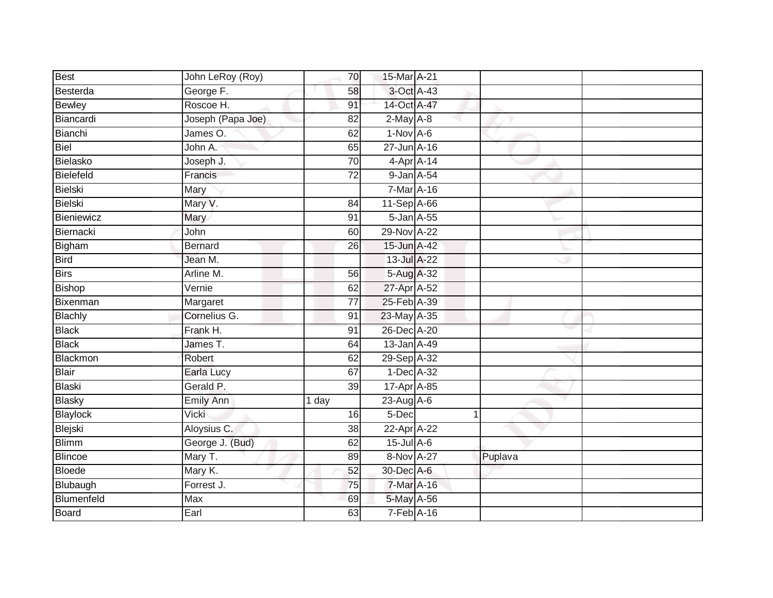| Best           | John LeRoy (Roy)       | 70              | 15-Mar A-21      |         |  |
|----------------|------------------------|-----------------|------------------|---------|--|
| Besterda       | George F.              | 58              | 3-Oct A-43       |         |  |
| <b>Bewley</b>  | Roscoe H.              | 91              | 14-Oct A-47      |         |  |
| Biancardi      | Joseph (Papa Joe)      | 82              | $2$ -May $A-8$   |         |  |
| Bianchi        | James $\overline{O}$ . | 62              | $1-Nov$ A-6      |         |  |
| Biel           | John A.                | 65              | 27-Jun A-16      |         |  |
| Bielasko       | Joseph J.              | $\overline{70}$ | $4$ -Apr $A$ -14 |         |  |
| Bielefeld      | Francis                | 72              | 9-Jan A-54       |         |  |
| <b>Bielski</b> | Mary                   |                 | 7-Mar A-16       |         |  |
| <b>Bielski</b> | Mary V.                | 84              | 11-Sep A-66      |         |  |
| Bieniewicz     | Mary                   | 91              | 5-Jan A-55       |         |  |
| Biernacki      | John                   | 60              | 29-Nov A-22      |         |  |
| Bigham         | <b>Bernard</b>         | 26              | 15-Jun A-42      |         |  |
| <b>Bird</b>    | Jean M.                |                 | 13-Jul A-22      |         |  |
| <b>Birs</b>    | Arline M.              | 56              | 5-Aug A-32       |         |  |
| <b>Bishop</b>  | Vernie                 | 62              | 27-Apr A-52      |         |  |
| Bixenman       | Margaret               | $\overline{77}$ | 25-Feb A-39      |         |  |
| <b>Blachly</b> | Cornelius G.           | 91              | 23-May A-35      |         |  |
| <b>Black</b>   | Frank H.               | 91              | 26-Dec A-20      |         |  |
| <b>Black</b>   | James T.               | 64              | 13-Jan A-49      |         |  |
| Blackmon       | Robert                 | 62              | 29-Sep A-32      |         |  |
| <b>Blair</b>   | Earla Lucy             | 67              | 1-Dec A-32       |         |  |
| <b>Blaski</b>  | Gerald P.              | 39              | 17-Apr A-85      |         |  |
| <b>Blasky</b>  | <b>Emily Ann</b>       | 1 day           | 23-Aug A-6       |         |  |
| Blaylock       | Vicki                  | 16              | $5 - Dec$        |         |  |
| Blejski        | Aloysius C.            | 38              | 22-Apr A-22      |         |  |
| <b>Blimm</b>   | George J. (Bud)        | 62              | $15$ -Jul $A$ -6 |         |  |
| <b>Blincoe</b> | Mary T.                | 89              | 8-Nov A-27       | Puplava |  |
| <b>Bloede</b>  | Mary K.                | 52              | 30-Dec A-6       |         |  |
| Blubaugh       | Forrest J.             | 75              | 7-Mar A-16       |         |  |
| Blumenfeld     | Max                    | 69              | 5-May A-56       |         |  |
| <b>Board</b>   | Earl                   | 63              | $7-Feb$ A-16     |         |  |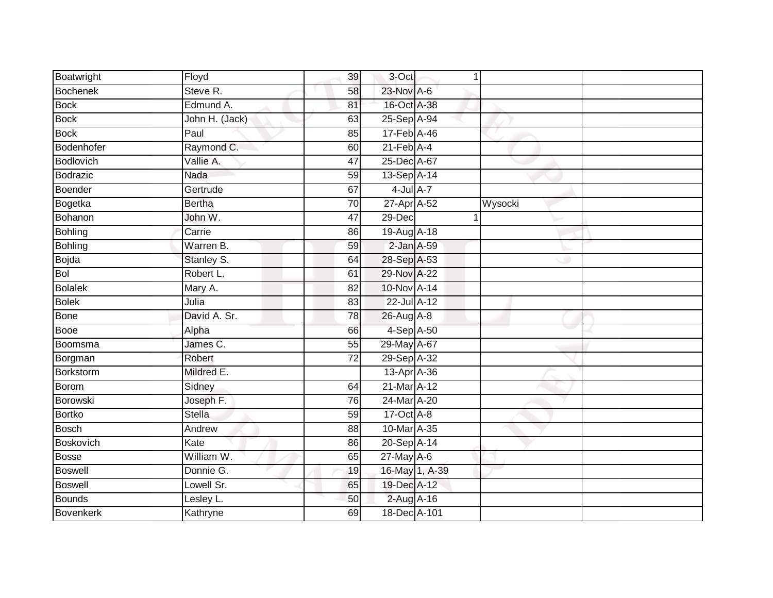| Boatwright       | Floyd          | 39 | 3-Oct            | $\mathbf{1}$ |         |  |
|------------------|----------------|----|------------------|--------------|---------|--|
| <b>Bochenek</b>  | Steve R.       | 58 | 23-Nov A-6       |              |         |  |
| <b>Bock</b>      | Edmund A.      | 81 | 16-Oct A-38      |              |         |  |
| <b>Bock</b>      | John H. (Jack) | 63 | 25-Sep A-94      |              |         |  |
| <b>Bock</b>      | Paul           | 85 | 17-Feb A-46      |              |         |  |
| Bodenhofer       | Raymond C.     | 60 | $21$ -Feb $A$ -4 |              |         |  |
| Bodlovich        | Vallie A.      | 47 | 25-Dec A-67      |              |         |  |
| Bodrazic         | Nada           | 59 | 13-Sep A-14      |              |         |  |
| Boender          | Gertrude       | 67 | $4$ -Jul $A$ -7  |              |         |  |
| Bogetka          | <b>Bertha</b>  | 70 | 27-Apr A-52      |              | Wysocki |  |
| Bohanon          | John W.        | 47 | 29-Dec           | $\mathbf 1$  |         |  |
| Bohling          | Carrie         | 86 | 19-Aug A-18      |              |         |  |
| Bohling          | Warren B.      | 59 | $2$ -Jan $A$ -59 |              |         |  |
| Bojda            | Stanley S.     | 64 | 28-Sep A-53      |              |         |  |
| Bol              | Robert L.      | 61 | 29-Nov A-22      |              |         |  |
| <b>Bolalek</b>   | Mary A.        | 82 | 10-Nov A-14      |              |         |  |
| <b>Bolek</b>     | Julia          | 83 | 22-Jul A-12      |              |         |  |
| <b>Bone</b>      | David A. Sr.   | 78 | 26-Aug A-8       |              |         |  |
| Booe             | Alpha          | 66 | 4-Sep A-50       |              |         |  |
| Boomsma          | James C.       | 55 | 29-May A-67      |              |         |  |
| Borgman          | Robert         | 72 | 29-Sep A-32      |              |         |  |
| Borkstorm        | Mildred E.     |    | 13-Apr A-36      |              |         |  |
| Borom            | Sidney         | 64 | 21-Mar A-12      |              |         |  |
| <b>Borowski</b>  | Joseph F.      | 76 | 24-Mar A-20      |              |         |  |
| Bortko           | <b>Stella</b>  | 59 | 17-Oct A-8       |              |         |  |
| <b>Bosch</b>     | Andrew         | 88 | 10-Mar A-35      |              |         |  |
| <b>Boskovich</b> | Kate           | 86 | 20-Sep A-14      |              |         |  |
| Bosse            | William W.     | 65 | 27-May A-6       |              |         |  |
| <b>Boswell</b>   | Donnie G.      | 19 | 16-May 1, A-39   |              |         |  |
| <b>Boswell</b>   | Lowell Sr.     | 65 | 19-Dec A-12      |              |         |  |
| <b>Bounds</b>    | Lesley L.      | 50 | 2-Aug A-16       |              |         |  |
| <b>Bovenkerk</b> | Kathryne       | 69 | 18-Dec A-101     |              |         |  |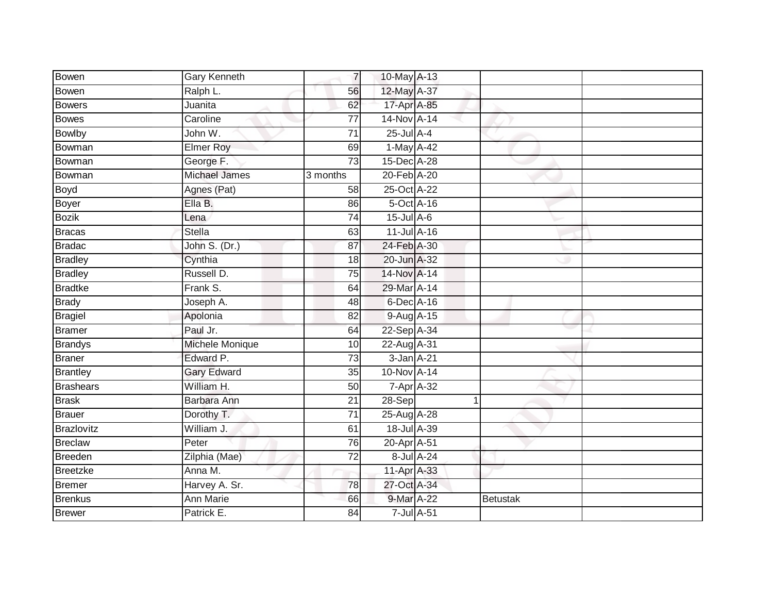| Bowen            | Gary Kenneth         | $\overline{7}$  | 10-May A-13                 |              |                 |  |
|------------------|----------------------|-----------------|-----------------------------|--------------|-----------------|--|
| Bowen            | Ralph L.             | 56              | 12-May A-37                 |              |                 |  |
| <b>Bowers</b>    | Juanita              | 62              | 17-Apr A-85                 |              |                 |  |
| Bowes            | Caroline             | 77              | 14-Nov A-14                 |              |                 |  |
| <b>Bowlby</b>    | John W.              | $\overline{71}$ | $25$ -Jul $A-4$             |              |                 |  |
| Bowman           | <b>Elmer Roy</b>     | 69              | 1-May A-42                  |              |                 |  |
| Bowman           | George F.            | $\overline{73}$ | 15-Dec A-28                 |              |                 |  |
| Bowman           | <b>Michael James</b> | 3 months        | 20-Feb A-20                 |              |                 |  |
| Boyd             | Agnes (Pat)          | 58              | 25-Oct A-22                 |              |                 |  |
| Boyer            | Ella B.              | 86              | 5-Oct A-16                  |              |                 |  |
| <b>Bozik</b>     | Lena                 | 74              | 15-Jul A-6                  |              |                 |  |
| <b>Bracas</b>    | <b>Stella</b>        | 63              | 11-Jul A-16                 |              |                 |  |
| <b>Bradac</b>    | John S. (Dr.)        | 87              | 24-Feb A-30                 |              |                 |  |
| <b>Bradley</b>   | Cynthia              | 18              | 20-Jun A-32                 |              |                 |  |
| <b>Bradley</b>   | Russell D.           | 75              | 14-Nov A-14                 |              |                 |  |
| <b>Bradtke</b>   | Frank S.             | 64              | 29-Mar A-14                 |              |                 |  |
| <b>Brady</b>     | Joseph A.            | 48              | 6-Dec A-16                  |              |                 |  |
| <b>Bragiel</b>   | Apolonia             | 82              | 9-Aug A-15                  |              |                 |  |
| <b>Bramer</b>    | Paul Jr.             | 64              | 22-Sep A-34                 |              |                 |  |
| <b>Brandys</b>   | Michele Monique      | 10              | 22-Aug A-31                 |              |                 |  |
| <b>Braner</b>    | Edward P.            | $\overline{73}$ | 3-Jan A-21                  |              |                 |  |
| <b>Brantley</b>  | <b>Gary Edward</b>   | 35              | 10-Nov A-14                 |              |                 |  |
| <b>Brashears</b> | William H.           | 50              | $7 - Apr$ $A - 32$          |              |                 |  |
| <b>Brask</b>     | Barbara Ann          | 21              | 28-Sep                      | $\mathbf{1}$ |                 |  |
| Brauer           | Dorothy T.           | $\overline{71}$ | 25-Aug A-28                 |              |                 |  |
| Brazlovitz       | William J.           | 61              | 18-Jul A-39                 |              |                 |  |
| <b>Breclaw</b>   | Peter                | 76              | 20-Apr A-51                 |              |                 |  |
| Breeden          | Zilphia (Mae)        | $\overline{72}$ | 8-Jul A-24                  |              |                 |  |
| Breetzke         | Anna M.              |                 | 11-Apr A-33                 |              |                 |  |
| Bremer           | Harvey A. Sr.        | 78              | 27-Oct A-34                 |              |                 |  |
| <b>Brenkus</b>   | <b>Ann Marie</b>     | 66              | 9-Mar A-22                  |              | <b>Betustak</b> |  |
| <b>Brewer</b>    | Patrick E.           | $\overline{84}$ | $7$ -Jul $\overline{A}$ -51 |              |                 |  |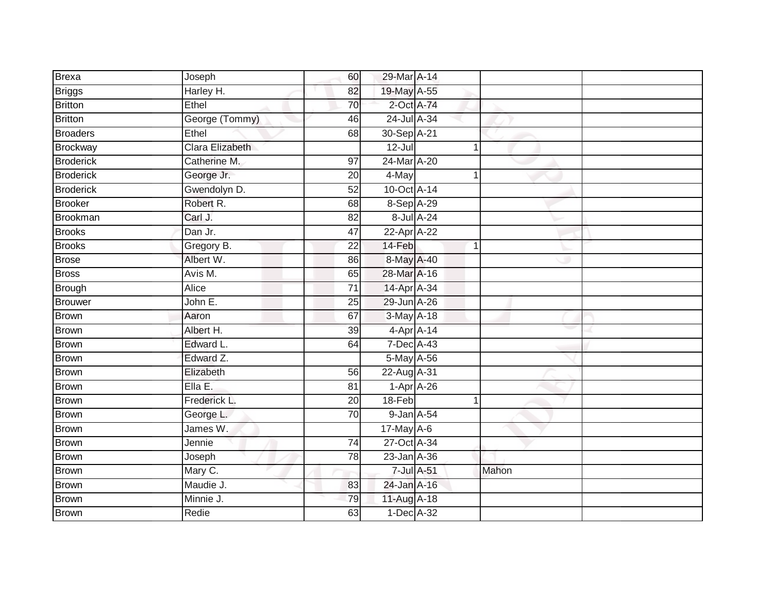| <b>Brexa</b>     | Joseph          | 60              | 29-Mar A-14 |             |   |       |  |
|------------------|-----------------|-----------------|-------------|-------------|---|-------|--|
| <b>Briggs</b>    | Harley H.       | 82              | 19-May A-55 |             |   |       |  |
| Britton          | Ethel           | 70              | 2-Oct A-74  |             |   |       |  |
| <b>Britton</b>   | George (Tommy)  | 46              | 24-Jul A-34 |             |   |       |  |
| <b>Broaders</b>  | Ethel           | $\overline{68}$ | 30-Sep A-21 |             |   |       |  |
| Brockway         | Clara Elizabeth |                 | $12 -$ Jul  |             |   |       |  |
| <b>Broderick</b> | Catherine M.    | 97              | 24-Mar A-20 |             |   |       |  |
| <b>Broderick</b> | George Jr.      | 20              | 4-May       |             |   |       |  |
| <b>Broderick</b> | Gwendolyn D.    | 52              | 10-Oct A-14 |             |   |       |  |
| <b>Brooker</b>   | Robert R.       | $\overline{68}$ | 8-Sep A-29  |             |   |       |  |
| <b>Brookman</b>  | Carl J.         | 82              |             | 8-Jul A-24  |   |       |  |
| <b>Brooks</b>    | Dan Jr.         | $\overline{47}$ | 22-Apr A-22 |             |   |       |  |
| <b>Brooks</b>    | Gregory B.      | 22              | 14-Feb      |             | 1 |       |  |
| <b>Brose</b>     | Albert W.       | 86              | 8-May A-40  |             |   |       |  |
| <b>Bross</b>     | Avis M.         | 65              | 28-Mar A-16 |             |   |       |  |
| Brough           | Alice           | $\overline{71}$ | 14-Apr A-34 |             |   |       |  |
| Brouwer          | John E.         | 25              | 29-Jun A-26 |             |   |       |  |
| <b>Brown</b>     | Aaron           | 67              | 3-May A-18  |             |   |       |  |
| <b>Brown</b>     | Albert H.       | 39              | 4-Apr A-14  |             |   |       |  |
| <b>Brown</b>     | Edward L.       | 64              | 7-Dec A-43  |             |   |       |  |
| Brown            | Edward Z.       |                 | 5-May A-56  |             |   |       |  |
| <b>Brown</b>     | Elizabeth       | 56              | 22-Aug A-31 |             |   |       |  |
| <b>Brown</b>     | Ella E.         | 81              |             | $1-AprA-26$ |   |       |  |
| Brown            | Frederick L.    | 20              | 18-Feb      |             |   |       |  |
| Brown            | George L.       | 70              | 9-Jan A-54  |             |   |       |  |
| <b>Brown</b>     | James W.        |                 | 17-May A-6  |             |   |       |  |
| Brown            | Jennie          | 74              | 27-Oct A-34 |             |   |       |  |
| <b>Brown</b>     | Joseph          | 78              | 23-Jan A-36 |             |   |       |  |
| <b>Brown</b>     | Mary C.         |                 |             | 7-Jul A-51  |   | Mahon |  |
| Brown            | Maudie J.       | 83              | 24-Jan A-16 |             |   |       |  |
| Brown            | Minnie J.       | 79              | 11-Aug A-18 |             |   |       |  |
| <b>Brown</b>     | Redie           | 63              | 1-Dec A-32  |             |   |       |  |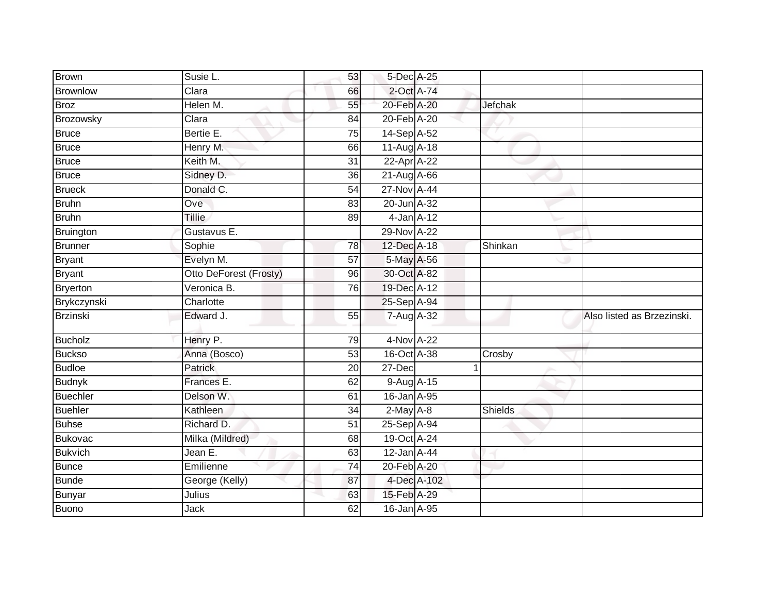| Brown           | Susie L.               | 53              | 5-Dec A-25      |         |                            |
|-----------------|------------------------|-----------------|-----------------|---------|----------------------------|
| <b>Brownlow</b> | Clara                  | 66              | 2-Oct A-74      |         |                            |
| <b>Broz</b>     | Helen M.               | 55              | 20-Feb A-20     | Jefchak |                            |
| Brozowsky       | Clara                  | 84              | 20-Feb A-20     |         |                            |
| <b>Bruce</b>    | Bertie E.              | $\overline{75}$ | 14-Sep A-52     |         |                            |
| <b>Bruce</b>    | Henry M.               | 66              | 11-Aug A-18     |         |                            |
| <b>Bruce</b>    | Keith M.               | 31              | 22-Apr A-22     |         |                            |
| Bruce           | Sidney D.              | 36              | 21-Aug A-66     |         |                            |
| <b>Brueck</b>   | Donald C.              | 54              | 27-Nov A-44     |         |                            |
| <b>Bruhn</b>    | Ove                    | 83              | 20-Jun A-32     |         |                            |
| Bruhn           | <b>Tillie</b>          | 89              | $4$ -Jan $A-12$ |         |                            |
| Bruington       | Gustavus E.            |                 | 29-Nov A-22     |         |                            |
| Brunner         | Sophie                 | 78              | 12-Dec A-18     | Shinkan |                            |
| <b>Bryant</b>   | Evelyn M.              | 57              | 5-May A-56      |         |                            |
| <b>Bryant</b>   | Otto DeForest (Frosty) | 96              | 30-Oct A-82     |         |                            |
| Bryerton        | Veronica B.            | 76              | 19-Dec A-12     |         |                            |
| Brykczynski     | Charlotte              |                 | 25-Sep A-94     |         |                            |
| <b>Brzinski</b> | Edward J.              | 55              | 7-Aug A-32      |         | Also listed as Brzezinski. |
| Bucholz         | Henry P.               | 79              | 4-Nov A-22      |         |                            |
| <b>Buckso</b>   | Anna (Bosco)           | 53              | 16-Oct A-38     | Crosby  |                            |
| <b>Budloe</b>   | Patrick                | 20              | 27-Dec          | 1       |                            |
| <b>Budnyk</b>   | Frances E.             | 62              | 9-Aug A-15      |         |                            |
| Buechler        | Delson W.              | 61              | 16-Jan A-95     |         |                            |
| Buehler         | Kathleen               | 34              | $2-May$ A-8     | Shields |                            |
| <b>Buhse</b>    | Richard D.             | $\overline{51}$ | 25-Sep A-94     |         |                            |
| Bukovac         | Milka (Mildred)        | 68              | 19-Oct A-24     |         |                            |
| <b>Bukvich</b>  | Jean E.                | 63              | 12-Jan A-44     |         |                            |
| <b>Bunce</b>    | Emilienne              | $\overline{74}$ | 20-Feb A-20     |         |                            |
| <b>Bunde</b>    | George (Kelly)         | 87              | 4-Dec A-102     |         |                            |
| <b>Bunyar</b>   | Julius                 | 63              | 15-Feb A-29     |         |                            |
| Buono           | Jack                   | 62              | 16-Jan A-95     |         |                            |
|                 |                        |                 |                 |         |                            |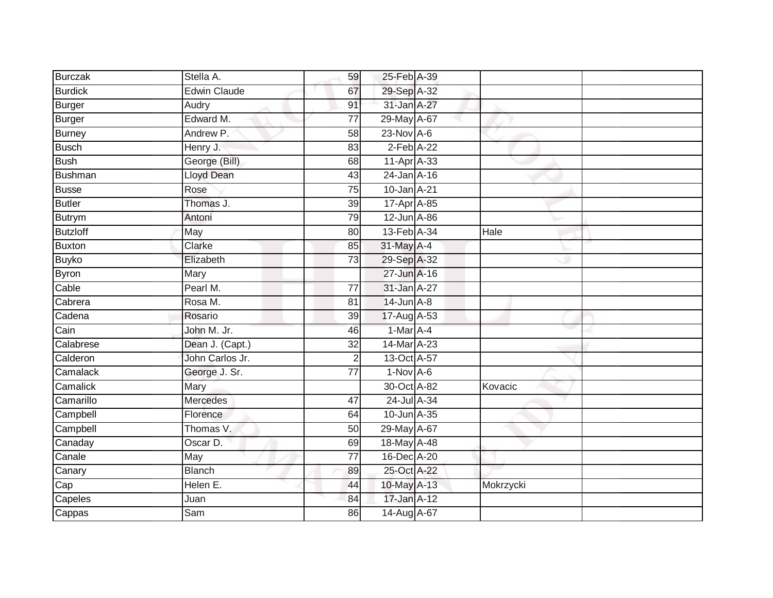| Burczak         | Stella A.           | 59              | 25-Feb A-39       |           |
|-----------------|---------------------|-----------------|-------------------|-----------|
| <b>Burdick</b>  | <b>Edwin Claude</b> | 67              | 29-Sep A-32       |           |
| <b>Burger</b>   | Audry               | 91              | 31-Jan A-27       |           |
| <b>Burger</b>   | Edward M.           | 77              | 29-May A-67       |           |
| <b>Burney</b>   | Andrew P.           | $\overline{58}$ | $23-Nov$ A-6      |           |
| <b>Busch</b>    | Henry J.            | 83              | $2-Feb$ A-22      |           |
| <b>Bush</b>     | George (Bill)       | 68              | 11-Apr A-33       |           |
| Bushman         | Lloyd Dean          | 43              | 24-Jan A-16       |           |
| <b>Busse</b>    | Rose                | 75              | 10-Jan A-21       |           |
| Butler          | Thomas J.           | 39              | 17-Apr A-85       |           |
| Butrym          | Antoni              | 79              | $12$ -Jun $A$ -86 |           |
| <b>Butzloff</b> | May                 | 80              | 13-Feb A-34       | Hale      |
| Buxton          | Clarke              | 85              | 31-May A-4        |           |
| Buyko           | Elizabeth           | 73              | 29-Sep A-32       |           |
| Byron           | Mary                |                 | 27-Jun A-16       |           |
| Cable           | Pearl M.            | 77              | 31-Jan A-27       |           |
| Cabrera         | Rosa M.             | 81              | $14$ -Jun $A-8$   |           |
| Cadena          | Rosario             | 39              | 17-Aug A-53       |           |
| Cain            | John M. Jr.         | 46              | $1-Mar$ A-4       |           |
| Calabrese       | Dean J. (Capt.)     | 32              | 14-Mar A-23       |           |
| Calderon        | John Carlos Jr.     | $\overline{2}$  | 13-Oct A-57       |           |
| Camalack        | George J. Sr.       | $\overline{77}$ | $1-Nov$ A-6       |           |
| Camalick        | Mary                |                 | 30-Oct A-82       | Kovacic   |
| Camarillo       | <b>Mercedes</b>     | 47              | 24-Jul A-34       |           |
| Campbell        | Florence            | 64              | 10-Jun A-35       |           |
| Campbell        | Thomas V.           | 50              | 29-May A-67       |           |
| Canaday         | Oscar D.            | 69              | 18-May A-48       |           |
| Canale          | May                 | 77              | 16-Dec A-20       |           |
| Canary          | <b>Blanch</b>       | 89              | 25-Oct A-22       |           |
| Cap             | Helen E.            | 44              | 10-May A-13       | Mokrzycki |
| Capeles         | Juan                | 84              | 17-Jan A-12       |           |
| Cappas          | Sam                 | 86              | 14-Aug A-67       |           |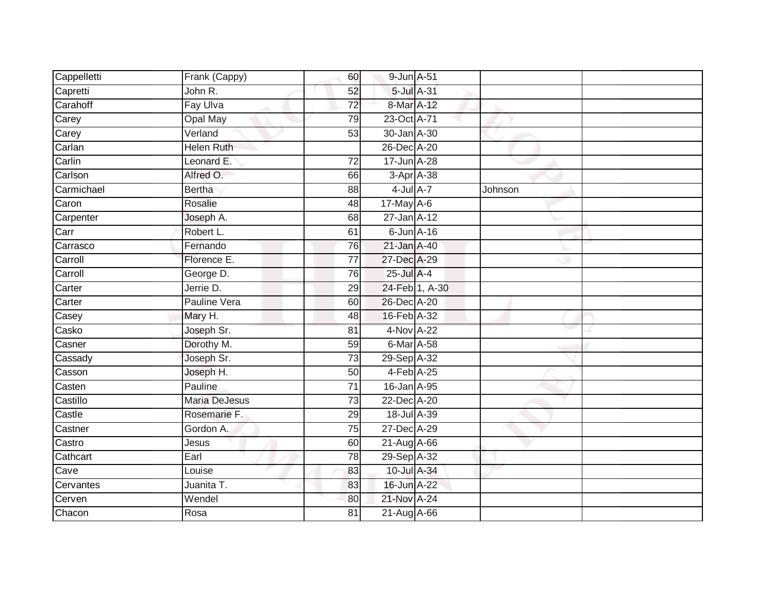| Cappelletti | Frank (Cappy)        | 60              | 9-Jun A-51        |         |  |
|-------------|----------------------|-----------------|-------------------|---------|--|
| Capretti    | John R.              | 52              | 5-Jul A-31        |         |  |
| Carahoff    | Fay Ulva             | $\overline{72}$ | 8-Mar A-12        |         |  |
| Carey       | Opal May             | 79              | 23-Oct A-71       |         |  |
| Carey       | Verland              | $\overline{53}$ | 30-Jan A-30       |         |  |
| Carlan      | <b>Helen Ruth</b>    |                 | 26-Dec A-20       |         |  |
| Carlin      | Leonard E.           | 72              | 17-Jun A-28       |         |  |
| Carlson     | Alfred O.            | 66              | 3-Apr A-38        |         |  |
| Carmichael  | <b>Bertha</b>        | 88              | $4$ -Jul $A-7$    | Johnson |  |
| Caron       | Rosalie              | 48              | 17-May A-6        |         |  |
| Carpenter   | Joseph A.            | 68              | $27$ -Jan $A$ -12 |         |  |
| Carr        | Robert L.            | 61              | $6$ -Jun $A$ -16  |         |  |
| Carrasco    | Fernando             | 76              | 21-Jan A-40       |         |  |
| Carroll     | Florence E.          | 77              | 27-Dec A-29       |         |  |
| Carroll     | George D.            | 76              | $25$ -Jul $A-4$   |         |  |
| Carter      | Jerrie D.            | 29              | 24-Feb 1, A-30    |         |  |
| Carter      | Pauline Vera         | 60              | 26-Dec A-20       |         |  |
| Casey       | Mary H.              | 48              | 16-Feb A-32       |         |  |
| Casko       | Joseph Sr.           | 81              | 4-Nov A-22        |         |  |
| Casner      | Dorothy M.           | 59              | 6-Mar A-58        |         |  |
| Cassady     | Joseph Sr.           | $\overline{73}$ | 29-Sep A-32       |         |  |
| Casson      | Joseph H.            | 50              | 4-Feb A-25        |         |  |
| Casten      | Pauline              | 71              | $16$ -Jan $A$ -95 |         |  |
| Castillo    | <b>Maria DeJesus</b> | 73              | 22-Dec A-20       |         |  |
| Castle      | Rosemarie F.         | 29              | 18-Jul A-39       |         |  |
| Castner     | Gordon A.            | 75              | 27-Dec A-29       |         |  |
| Castro      | Jesus                | 60              | 21-Aug A-66       |         |  |
| Cathcart    | Earl                 | 78              | 29-Sep A-32       |         |  |
| Cave        | Louise               | 83              | 10-Jul A-34       |         |  |
| Cervantes   | Juanita T.           | 83              | 16-Jun A-22       |         |  |
| Cerven      | Wendel               | 80              | 21-Nov A-24       |         |  |
| Chacon      | Rosa                 | $\overline{81}$ | 21-Aug A-66       |         |  |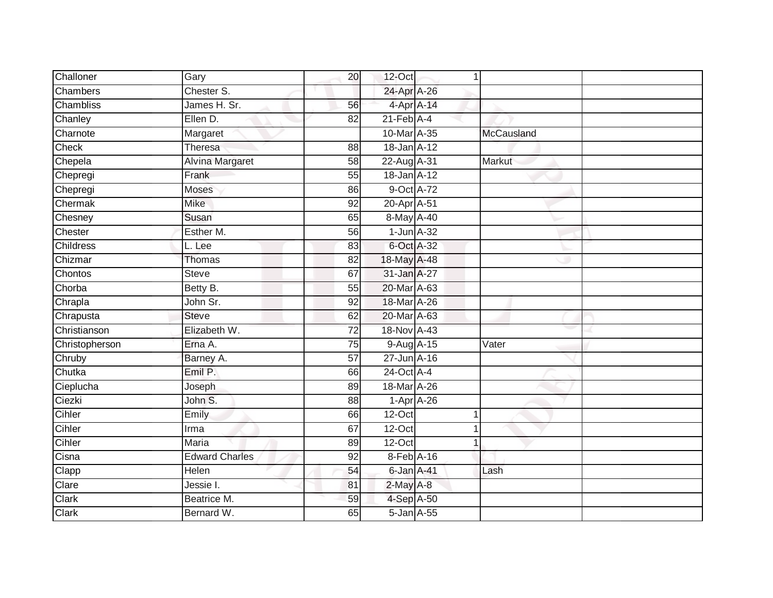| Challoner      | Gary                   | 20              | $12$ -Oct        |              | 1          |  |
|----------------|------------------------|-----------------|------------------|--------------|------------|--|
| Chambers       | Chester S.             |                 | 24-Apr A-26      |              |            |  |
| Chambliss      | James H. Sr.           | 56              |                  | 4-Apr A-14   |            |  |
| Chanley        | Ellen D.               | 82              | $21$ -Feb $A$ -4 |              |            |  |
| Charnote       | Margaret               |                 | 10-Mar A-35      |              | McCausland |  |
| Check          | <b>Theresa</b>         | 88              | 18-Jan A-12      |              |            |  |
| Chepela        | <b>Alvina Margaret</b> | 58              | 22-Aug A-31      |              | Markut     |  |
| Chepregi       | Frank                  | 55              | 18-Jan A-12      |              |            |  |
| Chepregi       | Moses                  | 86              | 9-Oct A-72       |              |            |  |
| Chermak        | <b>Mike</b>            | 92              | 20-Apr A-51      |              |            |  |
| Chesney        | Susan                  | 65              | 8-May A-40       |              |            |  |
| Chester        | Esther M.              | 56              | $1$ -Jun $A$ -32 |              |            |  |
| Childress      | L. Lee                 | 83              | 6-Oct A-32       |              |            |  |
| Chizmar        | Thomas                 | 82              | 18-May A-48      |              |            |  |
| Chontos        | <b>Steve</b>           | 67              | 31-Jan A-27      |              |            |  |
| Chorba         | Betty B.               | 55              | 20-Mar A-63      |              |            |  |
| Chrapla        | John Sr.               | $\overline{92}$ | 18-Mar A-26      |              |            |  |
| Chrapusta      | <b>Steve</b>           | 62              | 20-Mar A-63      |              |            |  |
| Christianson   | Elizabeth W.           | 72              | 18-Nov A-43      |              |            |  |
| Christopherson | Erna A.                | 75              | 9-Aug A-15       |              | Vater      |  |
| Chruby         | Barney A.              | 57              | 27-Jun A-16      |              |            |  |
| Chutka         | Emil P.                | 66              | 24-Oct A-4       |              |            |  |
| Cieplucha      | Joseph                 | 89              | 18-Mar A-26      |              |            |  |
| Ciezki         | John S.                | 88              |                  | $1-Apr$ A-26 |            |  |
| Cihler         | Emily                  | 66              | 12-Oct           |              | 1          |  |
| Cihler         | Irma                   | 67              | $12$ -Oct        |              |            |  |
| Cihler         | Maria                  | 89              | 12-Oct           |              |            |  |
| Cisna          | <b>Edward Charles</b>  | 92              | 8-Feb A-16       |              |            |  |
| Clapp          | Helen                  | 54              | 6-Jan A-41       |              | Lash       |  |
| Clare          | Jessie I.              | 81              | 2-May A-8        |              |            |  |
| Clark          | Beatrice M.            | 59              | 4-Sep A-50       |              |            |  |
| Clark          | Bernard W.             | 65              | 5-Jan A-55       |              |            |  |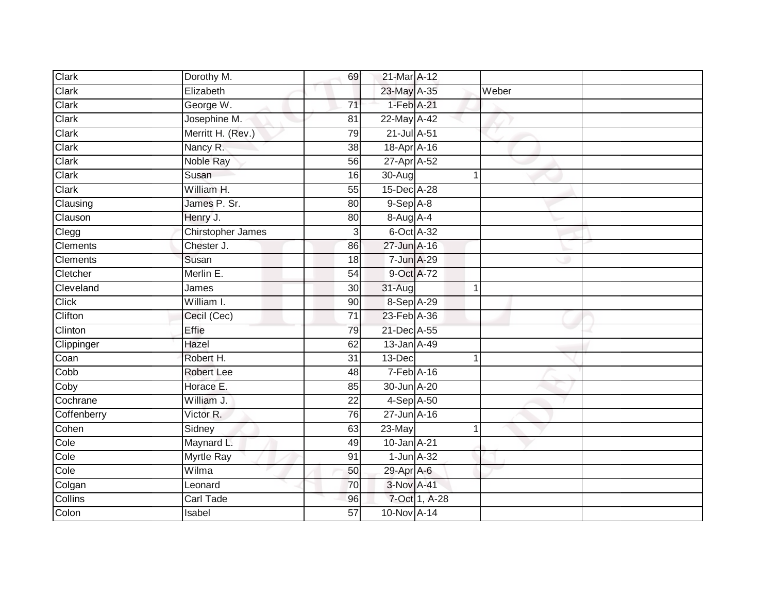| Clark           | Dorothy M.        | 69              | 21-Mar A-12      |               |       |  |
|-----------------|-------------------|-----------------|------------------|---------------|-------|--|
| Clark           | Elizabeth         |                 | 23-May A-35      |               | Weber |  |
| Clark           | George W.         | $\overline{71}$ | 1-Feb A-21       |               |       |  |
| Clark           | Josephine M.      | 81              | 22-May A-42      |               |       |  |
| Clark           | Merritt H. (Rev.) | 79              | 21-Jul A-51      |               |       |  |
| Clark           | Nancy R.          | 38              | 18-Apr A-16      |               |       |  |
| Clark           | Noble Ray         | 56              | 27-Apr A-52      |               |       |  |
| Clark           | Susan             | 16              | 30-Aug           | 1             |       |  |
| Clark           | William H.        | 55              | 15-Dec A-28      |               |       |  |
| Clausing        | James P. Sr.      | 80              | $9-$ Sep $A-8$   |               |       |  |
| Clauson         | Henry J.          | 80              | 8-Aug A-4        |               |       |  |
| Clegg           | Chirstopher James | 3               | 6-Oct A-32       |               |       |  |
| <b>Clements</b> | Chester J.        | 86              | 27-Jun A-16      |               |       |  |
| Clements        | Susan             | 18              | 7-Jun A-29       |               |       |  |
| Cletcher        | Merlin E.         | $\overline{54}$ | 9-Oct A-72       |               |       |  |
| Cleveland       | James             | 30              | 31-Aug           | 1             |       |  |
| <b>Click</b>    | William I.        | 90              | 8-Sep A-29       |               |       |  |
| Clifton         | Cecil (Cec)       | 71              | 23-Feb A-36      |               |       |  |
| Clinton         | Effie             | 79              | 21-Dec A-55      |               |       |  |
| Clippinger      | Hazel             | 62              | 13-Jan A-49      |               |       |  |
| Coan            | Robert H.         | 31              | 13-Dec           | 1             |       |  |
| Cobb            | <b>Robert Lee</b> | 48              | $7-Feb$ A-16     |               |       |  |
| Coby            | Horace E.         | 85              | 30-Jun A-20      |               |       |  |
| Cochrane        | William J.        | $\overline{22}$ | 4-Sep A-50       |               |       |  |
| Coffenberry     | Victor R.         | 76              | 27-Jun A-16      |               |       |  |
| Cohen           | Sidney            | 63              | 23-May           | 1             |       |  |
| Cole            | Maynard L.        | 49              | 10-Jan A-21      |               |       |  |
| Cole            | <b>Myrtle Ray</b> | 91              | $1$ -Jun $A$ -32 |               |       |  |
| Cole            | Wilma             | 50              | 29-Apr A-6       |               |       |  |
| Colgan          | Leonard           | 70              | 3-Nov A-41       |               |       |  |
| Collins         | <b>Carl Tade</b>  | 96              |                  | 7-Oct 1, A-28 |       |  |
| Colon           | Isabel            | $\overline{57}$ | 10-Nov A-14      |               |       |  |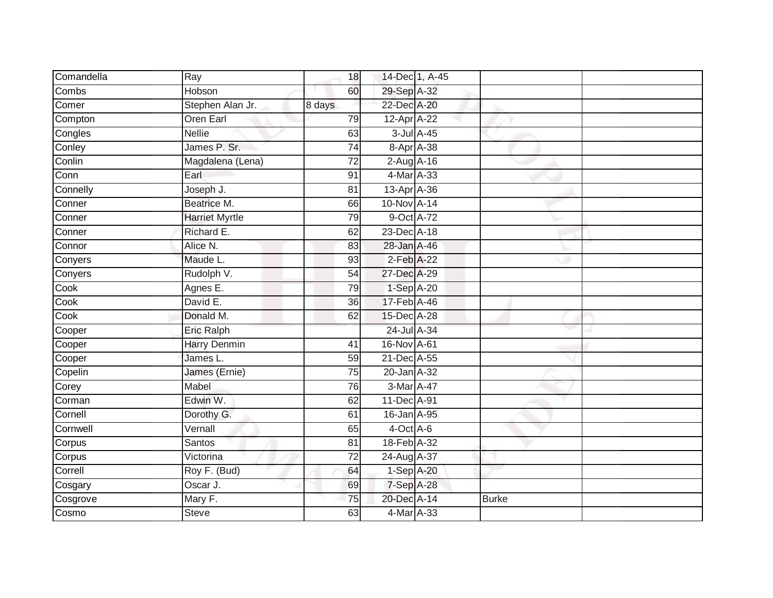| Comandella | Ray                   | 18              |                 | 14-Dec 1, A-45 |              |  |
|------------|-----------------------|-----------------|-----------------|----------------|--------------|--|
| Combs      | Hobson                | 60              | 29-Sep A-32     |                |              |  |
| Comer      | Stephen Alan Jr.      | 8 days          | 22-Dec A-20     |                |              |  |
| Compton    | Oren Earl             | 79              | 12-Apr A-22     |                |              |  |
| Congles    | <b>Nellie</b>         | 63              |                 | 3-Jul A-45     |              |  |
| Conley     | James P. Sr.          | $\overline{74}$ |                 | 8-Apr A-38     |              |  |
| Conlin     | Magdalena (Lena)      | $\overline{72}$ | $2-AugA-16$     |                |              |  |
| Conn       | Earl                  | 91              | 4-Mar A-33      |                |              |  |
| Connelly   | Joseph J.             | 81              | 13-Apr A-36     |                |              |  |
| Conner     | Beatrice M.           | 66              | 10-Nov A-14     |                |              |  |
| Conner     | <b>Harriet Myrtle</b> | 79              | 9-Oct A-72      |                |              |  |
| Conner     | Richard E.            | 62              | 23-Dec A-18     |                |              |  |
| Connor     | Alice N.              | 83              | 28-Jan A-46     |                |              |  |
| Conyers    | Maude L.              | 93              | $2$ -Feb $A-22$ |                |              |  |
| Conyers    | Rudolph V.            | $\overline{54}$ | 27-Dec A-29     |                |              |  |
| Cook       | Agnes E.              | 79              | 1-Sep A-20      |                |              |  |
| Cook       | David E.              | 36              | 17-Feb A-46     |                |              |  |
| Cook       | Donald M.             | 62              | 15-Dec A-28     |                |              |  |
| Cooper     | <b>Eric Ralph</b>     |                 | 24-Jul A-34     |                |              |  |
| Cooper     | <b>Harry Denmin</b>   | 41              | 16-Nov A-61     |                |              |  |
| Cooper     | James L.              | 59              | 21-Dec A-55     |                |              |  |
| Copelin    | James (Ernie)         | 75              | 20-Jan A-32     |                |              |  |
| Corey      | Mabel                 | 76              | 3-Mar A-47      |                |              |  |
| Corman     | Edwin W.              | 62              | 11-Dec A-91     |                |              |  |
| Cornell    | Dorothy G.            | 61              | 16-Jan A-95     |                |              |  |
| Cornwell   | Vernall               | 65              | $4$ -Oct $A$ -6 |                |              |  |
| Corpus     | Santos                | $\overline{81}$ | 18-Feb A-32     |                |              |  |
| Corpus     | Victorina             | 72              | 24-Aug A-37     |                |              |  |
| Correll    | Roy F. (Bud)          | 64              | 1-Sep A-20      |                |              |  |
| Cosgary    | Oscar J.              | 69              | 7-Sep A-28      |                |              |  |
| Cosgrove   | Mary F.               | 75              | 20-Dec A-14     |                | <b>Burke</b> |  |
| Cosmo      | <b>Steve</b>          | 63              | 4-Mar A-33      |                |              |  |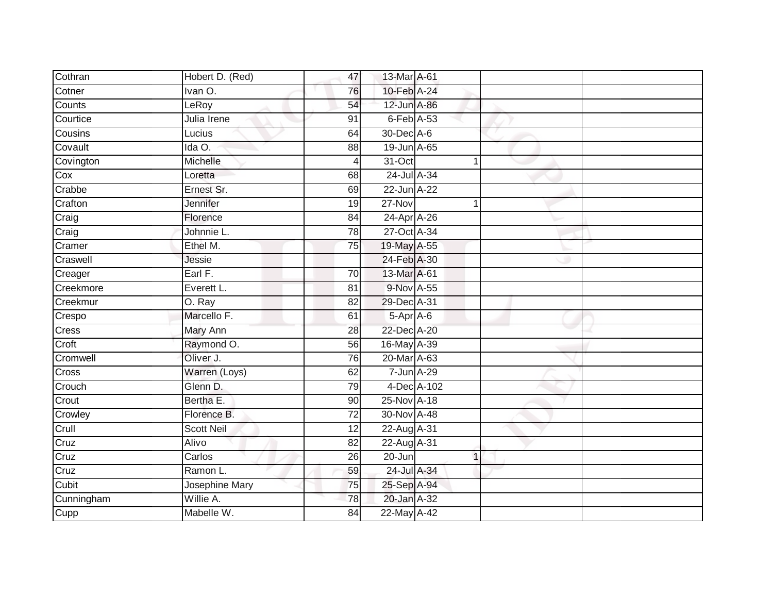| Cothran    | Hobert D. (Red)   | 47             | 13-Mar A-61 |             |  |
|------------|-------------------|----------------|-------------|-------------|--|
| Cotner     | Ivan O.           | 76             | 10-Feb A-24 |             |  |
| Counts     | LeRoy             | 54             | 12-Jun A-86 |             |  |
| Courtice   | Julia Irene       | 91             | 6-Feb A-53  |             |  |
| Cousins    | Lucius            | 64             | 30-Dec A-6  |             |  |
| Covault    | Ida O.            | 88             | 19-Jun A-65 |             |  |
| Covington  | Michelle          | $\overline{4}$ | 31-Oct      |             |  |
| Cox        | Loretta           | 68             | 24-Jul A-34 |             |  |
| Crabbe     | Ernest Sr.        | 69             | 22-Jun A-22 |             |  |
| Crafton    | Jennifer          | 19             | $27 - Nov$  |             |  |
| Craig      | Florence          | 84             | 24-Apr A-26 |             |  |
| Craig      | Johnnie L.        | 78             | 27-Oct A-34 |             |  |
| Cramer     | Ethel M.          | 75             | 19-May A-55 |             |  |
| Craswell   | Jessie            |                | 24-Feb A-30 |             |  |
| Creager    | Earl F.           | 70             | 13-Mar A-61 |             |  |
| Creekmore  | Everett L.        | 81             | 9-Nov A-55  |             |  |
| Creekmur   | O. Ray            | 82             | 29-Dec A-31 |             |  |
| Crespo     | Marcello F.       | 61             | 5-Apr A-6   |             |  |
| Cress      | Mary Ann          | 28             | 22-Dec A-20 |             |  |
| Croft      | Raymond O.        | 56             | 16-May A-39 |             |  |
| Cromwell   | Oliver J.         | 76             | 20-Mar A-63 |             |  |
| Cross      | Warren (Loys)     | 62             | 7-Jun A-29  |             |  |
| Crouch     | Glenn D.          | 79             |             | 4-Dec A-102 |  |
| Crout      | Bertha E.         | 90             | 25-Nov A-18 |             |  |
| Crowley    | Florence B.       | 72             | 30-Nov A-48 |             |  |
| Crull      | <b>Scott Neil</b> | 12             | 22-Aug A-31 |             |  |
| Cruz       | Alivo             | 82             | 22-Aug A-31 |             |  |
| Cruz       | Carlos            | 26             | 20-Jun      |             |  |
| Cruz       | Ramon L.          | 59             | 24-Jul A-34 |             |  |
| Cubit      | Josephine Mary    | 75             | 25-Sep A-94 |             |  |
| Cunningham | Willie A.         | 78             | 20-Jan A-32 |             |  |
| Cupp       | Mabelle W.        | 84             | 22-May A-42 |             |  |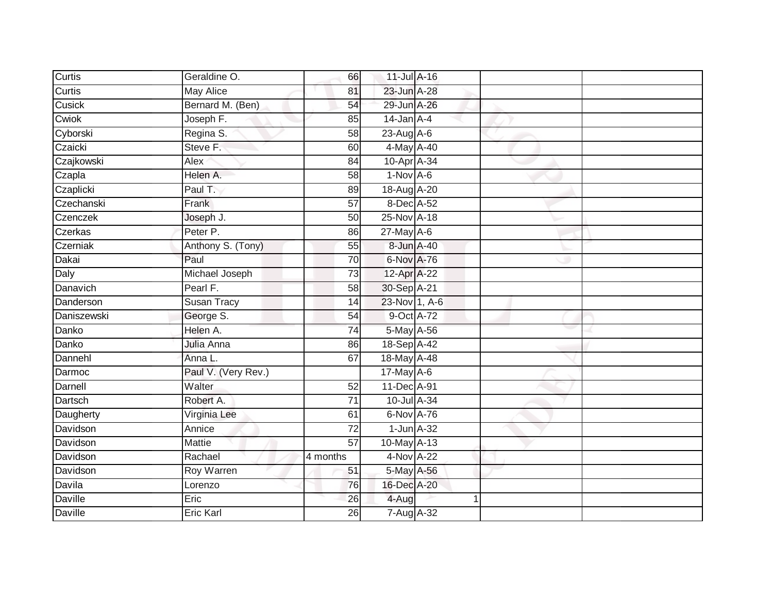| Curtis         | Geraldine O.        | 66              | 11-Jul A-16            |  |  |
|----------------|---------------------|-----------------|------------------------|--|--|
| Curtis         | <b>May Alice</b>    | 81              | 23-Jun A-28            |  |  |
| Cusick         | Bernard M. (Ben)    | 54              | 29-Jun A-26            |  |  |
| Cwiok          | Joseph F.           | 85              | $14$ -Jan $A-4$        |  |  |
| Cyborski       | Regina S.           | $\overline{58}$ | 23-Aug A-6             |  |  |
| Czaicki        | Steve F.            | 60              | 4-May A-40             |  |  |
| Czajkowski     | Alex                | 84              | 10-Apr <sup>A-34</sup> |  |  |
| Czapla         | Helen A.            | 58              | $1-Nov$ A-6            |  |  |
| Czaplicki      | Paul T.             | 89              | 18-Aug A-20            |  |  |
| Czechanski     | Frank               | $\overline{57}$ | 8-Dec A-52             |  |  |
| Czenczek       | Joseph J.           | 50              | 25-Nov A-18            |  |  |
| Czerkas        | Peter P.            | 86              | $27$ -May A-6          |  |  |
| Czerniak       | Anthony S. (Tony)   | 55              | 8-Jun A-40             |  |  |
| Dakai          | Paul                | 70              | 6-Nov A-76             |  |  |
| Daly           | Michael Joseph      | $\overline{73}$ | 12-Apr A-22            |  |  |
| Danavich       | Pearl F.            | 58              | 30-Sep A-21            |  |  |
| Danderson      | <b>Susan Tracy</b>  | 14              | 23-Nov 1, A-6          |  |  |
| Daniszewski    | George S.           | 54              | 9-Oct A-72             |  |  |
| Danko          | Helen A.            | 74              | 5-May A-56             |  |  |
| Danko          | Julia Anna          | 86              | 18-Sep A-42            |  |  |
| Dannehl        | Anna L.             | 67              | 18-May A-48            |  |  |
| Darmoc         | Paul V. (Very Rev.) |                 | 17-May A-6             |  |  |
| Darnell        | Walter              | 52              | 11-Dec A-91            |  |  |
| Dartsch        | Robert A.           | $\overline{71}$ | 10-Jul A-34            |  |  |
| Daugherty      | Virginia Lee        | 61              | 6-Nov A-76             |  |  |
| Davidson       | Annice              | $\overline{72}$ | $1$ -Jun $A-32$        |  |  |
| Davidson       | Mattie              | $\overline{57}$ | 10-May A-13            |  |  |
| Davidson       | Rachael             | 4 months        | 4-Nov A-22             |  |  |
| Davidson       | <b>Roy Warren</b>   | 51              | 5-May A-56             |  |  |
| Davila         | Lorenzo             | 76              | 16-Dec A-20            |  |  |
| <b>Daville</b> | Eric                | 26              | 4-Aug                  |  |  |
| Daville        | <b>Eric Karl</b>    | 26              | 7-Aug A-32             |  |  |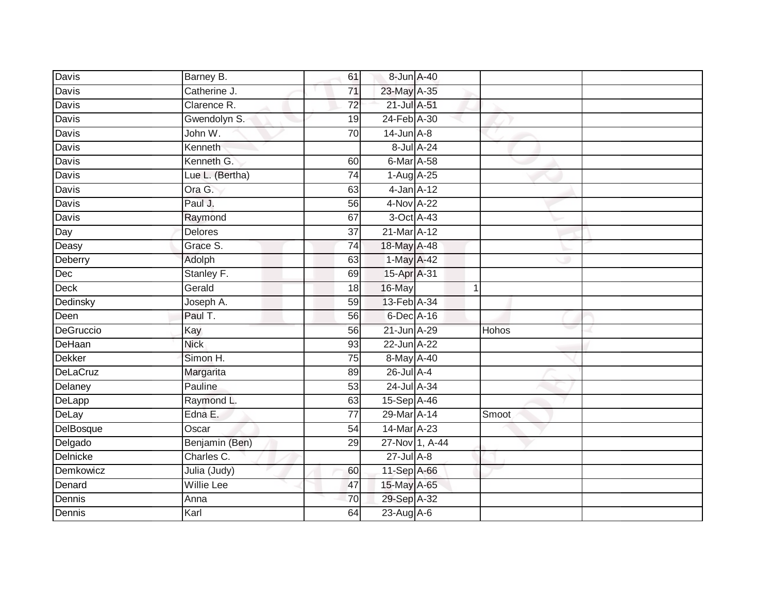| Davis           | Barney B.       | 61              |                    | 8-Jun A-40     |              |  |
|-----------------|-----------------|-----------------|--------------------|----------------|--------------|--|
| Davis           | Catherine J.    | 71              | 23-May A-35        |                |              |  |
| Davis           | Clarence R.     | $\overline{72}$ | 21-Jul A-51        |                |              |  |
| Davis           | Gwendolyn S.    | 19              | 24-Feb A-30        |                |              |  |
| Davis           | John W.         | 70              | $14$ -Jun $A-8$    |                |              |  |
| <b>Davis</b>    | Kenneth         |                 |                    | 8-Jul A-24     |              |  |
| Davis           | Kenneth G.      | 60              | 6-Mar A-58         |                |              |  |
| Davis           | Lue L. (Bertha) | 74              | $1-Aug$ $A-25$     |                |              |  |
| <b>Davis</b>    | Ora G.          | 63              | $4$ -Jan $A-12$    |                |              |  |
| <b>Davis</b>    | Paul J.         | 56              | 4-Nov A-22         |                |              |  |
| Davis           | Raymond         | 67              |                    | 3-Oct A-43     |              |  |
| Day             | <b>Delores</b>  | $\overline{37}$ | 21-Mar A-12        |                |              |  |
| Deasy           | Grace S.        | 74              | 18-May A-48        |                |              |  |
| Deberry         | Adolph          | 63              | 1-May A-42         |                |              |  |
| Dec             | Stanley F.      | 69              | 15-Apr A-31        |                |              |  |
| Deck            | Gerald          | 18              | 16-May             |                |              |  |
| Dedinsky        | Joseph A.       | 59              | 13-Feb A-34        |                |              |  |
| Deen            | Paul T.         | 56              | 6-Dec A-16         |                |              |  |
| DeGruccio       | Kay             | 56              | 21-Jun A-29        |                | <b>Hohos</b> |  |
| DeHaan          | <b>Nick</b>     | 93              | 22-Jun A-22        |                |              |  |
| <b>Dekker</b>   | Simon H.        | 75              | 8-May A-40         |                |              |  |
| DeLaCruz        | Margarita       | 89              | 26-Jul A-4         |                |              |  |
| Delaney         | Pauline         | 53              | 24-Jul A-34        |                |              |  |
| DeLapp          | Raymond L.      | 63              | 15-Sep A-46        |                |              |  |
| DeLay           | Edna E.         | $\overline{77}$ | 29-Mar A-14        |                | Smoot        |  |
| DelBosque       | Oscar           | 54              | 14-Mar A-23        |                |              |  |
| Delgado         | Benjamin (Ben)  | 29              |                    | 27-Nov 1, A-44 |              |  |
| <b>Delnicke</b> | Charles C.      |                 | $27 -$ Jul $A - 8$ |                |              |  |
| Demkowicz       | Julia (Judy)    | 60              | 11-Sep A-66        |                |              |  |
| Denard          | Willie Lee      | 47              | 15-May A-65        |                |              |  |
| Dennis          | Anna            | 70              | 29-Sep A-32        |                |              |  |
| Dennis          | Karl            | 64              | 23-Aug A-6         |                |              |  |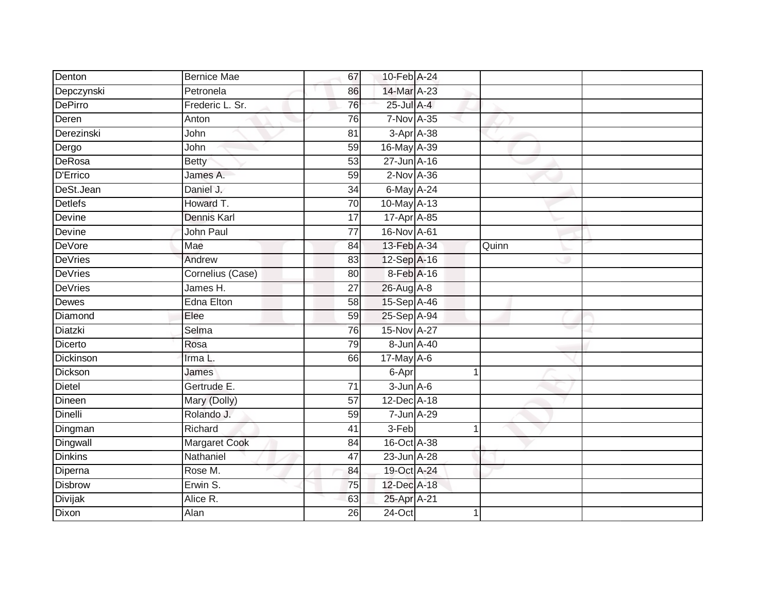| Denton         | <b>Bernice Mae</b>   | 67              | 10-Feb A-24       |       |  |
|----------------|----------------------|-----------------|-------------------|-------|--|
| Depczynski     | Petronela            | 86              | 14-Mar A-23       |       |  |
| DePirro        | Frederic L. Sr.      | 76              | 25-Jul A-4        |       |  |
| Deren          | Anton                | 76              | 7-Nov A-35        |       |  |
| Derezinski     | John                 | $\overline{81}$ | 3-Apr A-38        |       |  |
| Dergo          | John                 | 59              | 16-May A-39       |       |  |
| DeRosa         | <b>Betty</b>         | 53              | $27 - Jun$ A-16   |       |  |
| D'Errico       | James A.             | 59              | 2-Nov A-36        |       |  |
| DeSt.Jean      | Daniel J.            | 34              | 6-May A-24        |       |  |
| Detlefs        | Howard T.            | 70              | 10-May A-13       |       |  |
| Devine         | Dennis Karl          | 17              | 17-Apr A-85       |       |  |
| Devine         | John Paul            | 77              | 16-Nov A-61       |       |  |
| DeVore         | Mae                  | 84              | 13-Feb A-34       | Quinn |  |
| DeVries        | Andrew               | 83              | 12-Sep A-16       |       |  |
| <b>DeVries</b> | Cornelius (Case)     | $\overline{80}$ | 8-Feb A-16        |       |  |
| <b>DeVries</b> | James H.             | 27              | 26-Aug A-8        |       |  |
| Dewes          | <b>Edna Elton</b>    | $\overline{58}$ | 15-Sep A-46       |       |  |
| Diamond        | Elee                 | 59              | 25-Sep A-94       |       |  |
| Diatzki        | Selma                | 76              | 15-Nov A-27       |       |  |
| Dicerto        | Rosa                 | 79              | 8-Jun A-40        |       |  |
| Dickinson      | Irma L.              | 66              | $17$ -May A-6     |       |  |
| Dickson        | James                |                 | 6-Apr             |       |  |
| Dietel         | Gertrude E.          | 71              | $3 - Jun$ $A - 6$ |       |  |
| Dineen         | Mary (Dolly)         | 57              | 12-Dec A-18       |       |  |
| Dinelli        | Rolando J.           | 59              | $7$ -Jun $A-29$   |       |  |
| Dingman        | Richard              | 41              | 3-Feb             |       |  |
| Dingwall       | <b>Margaret Cook</b> | 84              | 16-Oct A-38       |       |  |
| <b>Dinkins</b> | Nathaniel            | 47              | 23-Jun A-28       |       |  |
| Diperna        | Rose M.              | 84              | 19-Oct A-24       |       |  |
| Disbrow        | Erwin S.             | 75              | 12-Dec A-18       |       |  |
| Divijak        | Alice R.             | 63              | 25-Apr A-21       |       |  |
| Dixon          | Alan                 | 26              | $24$ -Oct         |       |  |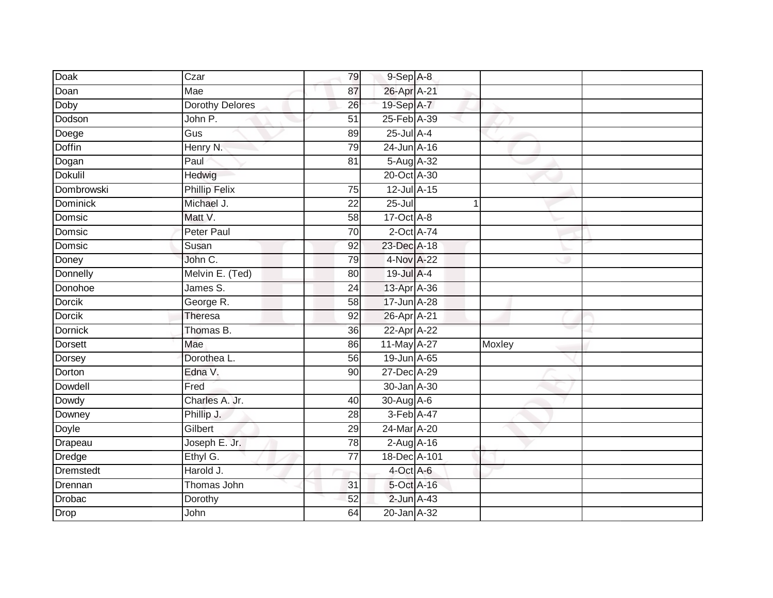| <b>Doak</b>    | Czar                   | 79              | $9-$ Sep $A-8$  |    |        |  |
|----------------|------------------------|-----------------|-----------------|----|--------|--|
| Doan           | Mae                    | 87              | 26-Apr A-21     |    |        |  |
| Doby           | <b>Dorothy Delores</b> | 26              | 19-Sep A-7      |    |        |  |
| Dodson         | John P.                | 51              | 25-Feb A-39     |    |        |  |
| Doege          | $\overline{Gus}$       | 89              | $25$ -Jul $A-4$ |    |        |  |
| Doffin         | Henry N.               | 79              | 24-Jun A-16     |    |        |  |
| Dogan          | Paul                   | 81              | 5-Aug A-32      |    |        |  |
| <b>Dokulil</b> | Hedwig                 |                 | 20-Oct A-30     |    |        |  |
| Dombrowski     | <b>Phillip Felix</b>   | $\overline{75}$ | 12-Jul A-15     |    |        |  |
| Dominick       | Michael J.             | 22              | 25-Jul          | -1 |        |  |
| Domsic         | Matt V.                | 58              | 17-Oct A-8      |    |        |  |
| Domsic         | Peter Paul             | 70              | 2-Oct A-74      |    |        |  |
| Domsic         | Susan                  | 92              | 23-Dec A-18     |    |        |  |
| Doney          | John C.                | 79              | 4-Nov A-22      |    |        |  |
| Donnelly       | Melvin E. (Ted)        | 80              | 19-Jul A-4      |    |        |  |
| Donohoe        | James S.               | 24              | 13-Apr A-36     |    |        |  |
| <b>Dorcik</b>  | George R.              | $\overline{58}$ | 17-Jun A-28     |    |        |  |
| <b>Dorcik</b>  | Theresa                | 92              | 26-Apr A-21     |    |        |  |
| <b>Dornick</b> | Thomas B.              | 36              | 22-Apr A-22     |    |        |  |
| <b>Dorsett</b> | Mae                    | 86              | 11-May A-27     |    | Moxley |  |
| Dorsey         | Dorothea L.            | 56              | 19-Jun A-65     |    |        |  |
| Dorton         | Edna V.                | 90              | 27-Dec A-29     |    |        |  |
| Dowdell        | Fred                   |                 | 30-Jan A-30     |    |        |  |
| Dowdy          | Charles A. Jr.         | 40              | 30-Aug A-6      |    |        |  |
| Downey         | Phillip J.             | 28              | 3-Feb A-47      |    |        |  |
| Doyle          | Gilbert                | 29              | 24-Mar A-20     |    |        |  |
| Drapeau        | Joseph E. Jr.          | 78              | $2$ -Aug A-16   |    |        |  |
| Dredge         | Ethyl G.               | $\overline{77}$ | 18-Dec A-101    |    |        |  |
| Dremstedt      | Harold J.              |                 | 4-Oct A-6       |    |        |  |
| Drennan        | Thomas John            | 31              | 5-Oct A-16      |    |        |  |
| Drobac         | Dorothy                | 52              | 2-Jun A-43      |    |        |  |
| Drop           | John                   | 64              | 20-Jan A-32     |    |        |  |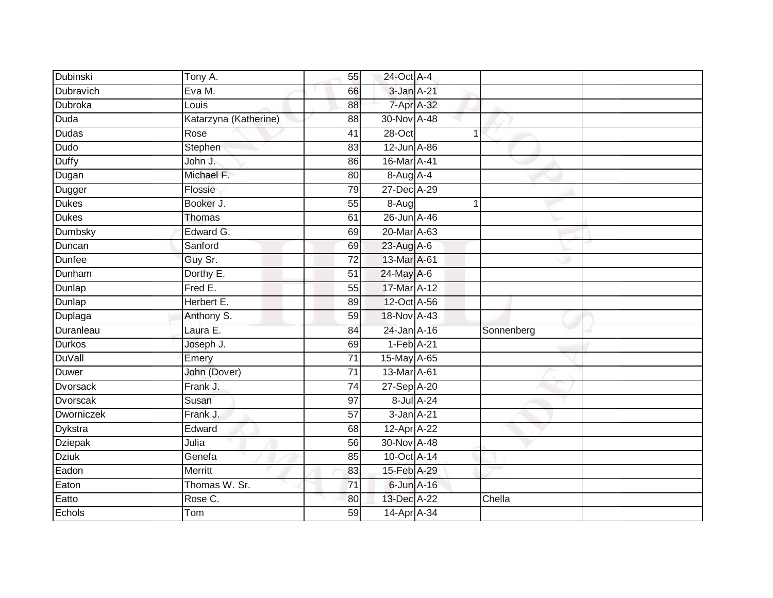| Dubinski          | $\overline{T}$ ony A. | 55              | 24-Oct A-4                   |            |            |  |
|-------------------|-----------------------|-----------------|------------------------------|------------|------------|--|
| Dubravich         | Eva M.                | 66              | 3-Jan A-21                   |            |            |  |
| Dubroka           | Louis                 | $\overline{88}$ | 7-Apr A-32                   |            |            |  |
| Duda              | Katarzyna (Katherine) | 88              | 30-Nov A-48                  |            |            |  |
| Dudas             | Rose                  | 41              | 28-Oct                       |            | 4          |  |
| Dudo              | Stephen               | 83              | 12-Jun A-86                  |            |            |  |
| <b>Duffy</b>      | John J.               | 86              | 16-Mar A-41                  |            |            |  |
| Dugan             | Michael F.            | 80              | 8-Aug A-4                    |            |            |  |
| Dugger            | Flossie               | 79              | 27-Dec A-29                  |            |            |  |
| <b>Dukes</b>      | Booker J.             | 55              | $8-Aug$                      |            |            |  |
| <b>Dukes</b>      | Thomas                | 61              | 26-Jun A-46                  |            |            |  |
| <b>Dumbsky</b>    | Edward G.             | 69              | 20-Mar A-63                  |            |            |  |
| Duncan            | Sanford               | 69              | 23-Aug A-6                   |            |            |  |
| <b>Dunfee</b>     | Guy Sr.               | $\overline{72}$ | 13-Mar A-61                  |            |            |  |
| Dunham            | Dorthy E.             | $\overline{51}$ | 24-May A-6                   |            |            |  |
| Dunlap            | Fred E.               | $\overline{55}$ | 17-Mar A-12                  |            |            |  |
| Dunlap            | Herbert E.            | 89              | 12-Oct A-56                  |            |            |  |
| Duplaga           | Anthony S.            | 59              | 18-Nov A-43                  |            |            |  |
| Duranleau         | Laura E.              | 84              | 24-Jan A-16                  |            | Sonnenberg |  |
| Durkos            | Joseph J.             | 69              | $1-Feb$ A-21                 |            |            |  |
| <b>DuVall</b>     | Emery                 | $\overline{71}$ | 15-May A-65                  |            |            |  |
| Duwer             | John (Dover)          | $\overline{71}$ | 13-Mar A-61                  |            |            |  |
| Dvorsack          | Frank J.              | 74              | 27-Sep A-20                  |            |            |  |
| Dvorscak          | Susan                 | 97              |                              | 8-Jul A-24 |            |  |
| <b>Dworniczek</b> | Frank J.              | 57              | $3 - Jan$ $A-21$             |            |            |  |
| Dykstra           | Edward                | 68              | $12$ -Apr $\overline{A}$ -22 |            |            |  |
| <b>Dziepak</b>    | Julia                 | 56              | 30-Nov A-48                  |            |            |  |
| <b>Dziuk</b>      | Genefa                | 85              | 10-Oct A-14                  |            |            |  |
| Eadon             | Merritt               | 83              | 15-Feb A-29                  |            |            |  |
| Eaton             | Thomas W. Sr.         | 71              | 6-Jun A-16                   |            |            |  |
| Eatto             | Rose C.               | 80              | 13-Dec A-22                  |            | Chella     |  |
| Echols            | Tom                   | 59              | 14-Apr A-34                  |            |            |  |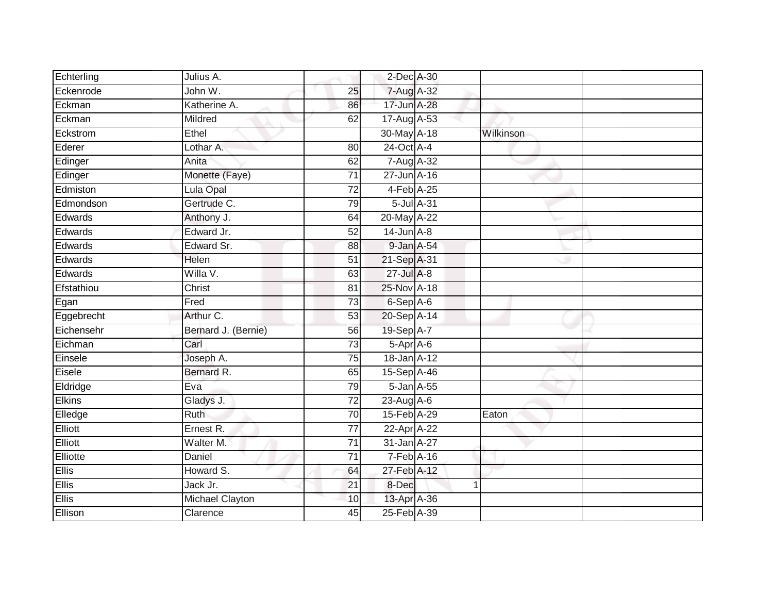| Echterling    | Julius A.            |                 | 2-Dec A-30      |            |           |  |
|---------------|----------------------|-----------------|-----------------|------------|-----------|--|
| Eckenrode     | John W.              | 25              | 7-Aug A-32      |            |           |  |
| Eckman        | Katherine A.         | 86              | 17-Jun A-28     |            |           |  |
| Eckman        | Mildred              | 62              | 17-Aug A-53     |            |           |  |
| Eckstrom      | Ethel                |                 | 30-May A-18     |            | Wilkinson |  |
| Ederer        | Lothar A.            | 80              | 24-Oct A-4      |            |           |  |
| Edinger       | Anita                | 62              | 7-Aug A-32      |            |           |  |
| Edinger       | Monette (Faye)       | $\overline{71}$ | 27-Jun A-16     |            |           |  |
| Edmiston      | Lula Opal            | $\overline{72}$ | 4-Feb A-25      |            |           |  |
| Edmondson     | Gertrude C.          | 79              |                 | 5-Jul A-31 |           |  |
| Edwards       | Anthony J.           | 64              | 20-May A-22     |            |           |  |
| Edwards       | Edward Jr.           | $\overline{52}$ | $14$ -Jun $A-8$ |            |           |  |
| Edwards       | Edward Sr.           | 88              | 9-Jan A-54      |            |           |  |
| Edwards       | Helen                | $\overline{51}$ | 21-Sep A-31     |            |           |  |
| Edwards       | Willa V.             | 63              | 27-Jul A-8      |            |           |  |
| Efstathiou    | Christ               | $\overline{81}$ | 25-Nov A-18     |            |           |  |
| Egan          | Fred                 | 73              | 6-Sep A-6       |            |           |  |
| Eggebrecht    | Arthur C.            | $\overline{53}$ | 20-Sep A-14     |            |           |  |
| Eichensehr    | Bernard J. (Bernie)  | 56              | 19-Sep A-7      |            |           |  |
| Eichman       | Carl                 | 73              | 5-Apr A-6       |            |           |  |
| Einsele       | Joseph A.            | 75              | 18-Jan A-12     |            |           |  |
| Eisele        | Bernard R.           | 65              | 15-Sep A-46     |            |           |  |
| Eldridge      | Eva                  | 79              | 5-Jan A-55      |            |           |  |
| <b>Elkins</b> | Gladys J.            | $\overline{72}$ | $23$ -Aug A-6   |            |           |  |
| Elledge       | Ruth                 | 70              | 15-Feb A-29     |            | Eaton     |  |
| Elliott       | Ernest <sub>R.</sub> | $\overline{77}$ | 22-Apr A-22     |            |           |  |
| Elliott       | Walter M.            | $\overline{71}$ | 31-Jan A-27     |            |           |  |
| Elliotte      | Daniel               | 71              | $7-Feb$ A-16    |            |           |  |
| Ellis         | Howard S.            | 64              | 27-Feb A-12     |            |           |  |
| Ellis         | Jack Jr.             | 21              | 8-Dec           |            | 1         |  |
| Ellis         | Michael Clayton      | 10              | 13-Apr A-36     |            |           |  |
| Ellison       | Clarence             | 45              | 25-Feb A-39     |            |           |  |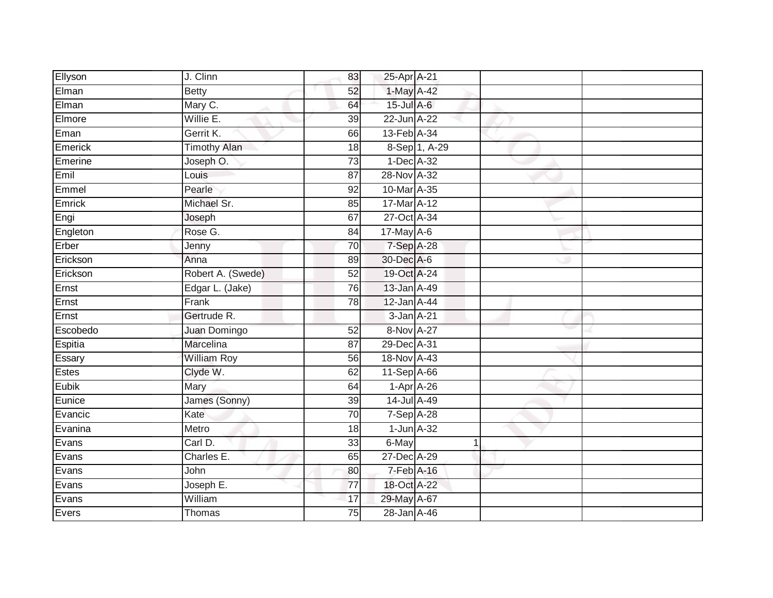| Ellyson  | J. Clinn           | 83              | 25-Apr A-21     |               |  |
|----------|--------------------|-----------------|-----------------|---------------|--|
| Elman    | <b>Betty</b>       | 52              | 1-May A-42      |               |  |
| Elman    | Mary C.            | 64              | 15-Jul A-6      |               |  |
| Elmore   | Willie E.          | 39              | 22-Jun A-22     |               |  |
| Eman     | Gerrit K.          | 66              | 13-Feb A-34     |               |  |
| Emerick  | Timothy Alan       | 18              |                 | 8-Sep 1, A-29 |  |
| Emerine  | Joseph O.          | 73              | 1-Dec A-32      |               |  |
| Emil     | Louis              | 87              | 28-Nov A-32     |               |  |
| Emmel    | Pearle             | 92              | 10-Mar A-35     |               |  |
| Emrick   | Michael Sr.        | 85              | 17-Mar A-12     |               |  |
| Engi     | Joseph             | 67              | 27-Oct A-34     |               |  |
| Engleton | Rose G.            | 84              | 17-May A-6      |               |  |
| Erber    | Jenny              | 70              | 7-Sep A-28      |               |  |
| Erickson | Anna               | 89              | 30-Dec A-6      |               |  |
| Erickson | Robert A. (Swede)  | 52              | 19-Oct A-24     |               |  |
| Ernst    | Edgar L. (Jake)    | 76              | 13-Jan A-49     |               |  |
| Ernst    | Frank              | $\overline{78}$ | 12-Jan A-44     |               |  |
| Ernst    | Gertrude R.        |                 | 3-Jan A-21      |               |  |
| Escobedo | Juan Domingo       | 52              | 8-Nov A-27      |               |  |
| Espitia  | <b>Marcelina</b>   | $\overline{87}$ | 29-Dec A-31     |               |  |
| Essary   | <b>William Roy</b> | 56              | 18-Nov A-43     |               |  |
| Estes    | Clyde W.           | 62              | 11-Sep A-66     |               |  |
| Eubik    | Mary               | 64              | $1-Apr$ A-26    |               |  |
| Eunice   | James (Sonny)      | 39              | 14-Jul A-49     |               |  |
| Evancic  | Kate               | 70              | 7-Sep A-28      |               |  |
| Evanina  | Metro              | 18              | $1$ -Jun $A-32$ |               |  |
| Evans    | Carl D.            | 33              | 6-May           |               |  |
| Evans    | Charles E.         | 65              | 27-Dec A-29     |               |  |
| Evans    | John               | 80              | 7-Feb A-16      |               |  |
| Evans    | Joseph E.          | 77              | 18-Oct A-22     |               |  |
| Evans    | William            | 17              | 29-May A-67     |               |  |
| Evers    | Thomas             | 75              | 28-Jan A-46     |               |  |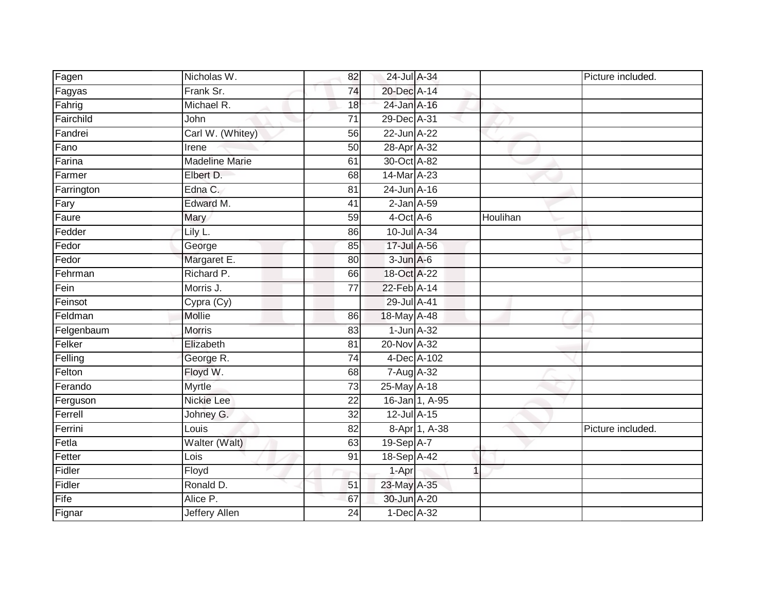| Fagen      | Nicholas W.           | 82 | 24-Jul A-34      |                |          | Picture included. |
|------------|-----------------------|----|------------------|----------------|----------|-------------------|
| Fagyas     | Frank Sr.             | 74 | 20-Dec A-14      |                |          |                   |
| Fahrig     | Michael R.            | 18 | 24-Jan A-16      |                |          |                   |
| Fairchild  | John                  | 71 | 29-Dec A-31      |                |          |                   |
| Fandrei    | Carl W. (Whitey)      | 56 | 22-Jun A-22      |                |          |                   |
| Fano       | Irene                 | 50 | 28-Apr A-32      |                |          |                   |
| Farina     | <b>Madeline Marie</b> | 61 | 30-Oct A-82      |                |          |                   |
| Farmer     | Elbert D.             | 68 | 14-Mar A-23      |                |          |                   |
| Farrington | Edna C.               | 81 | 24-Jun A-16      |                |          |                   |
| Fary       | Edward M.             | 41 | $2$ -Jan $A$ -59 |                |          |                   |
| Faure      | Mary                  | 59 | $4$ -Oct $A$ -6  |                | Houlihan |                   |
| Fedder     | Lily L.               | 86 | 10-Jul A-34      |                |          |                   |
| Fedor      | George                | 85 | 17-Jul A-56      |                |          |                   |
| Fedor      | Margaret E.           | 80 | $3 - Jun A - 6$  |                |          |                   |
| Fehrman    | Richard P.            | 66 | 18-Oct A-22      |                |          |                   |
| Fein       | Morris J.             | 77 | 22-Feb A-14      |                |          |                   |
| Feinsot    | Cypra (Cy)            |    | 29-Jul A-41      |                |          |                   |
| Feldman    | Mollie                | 86 | 18-May A-48      |                |          |                   |
| Felgenbaum | Morris                | 83 | $1$ -Jun $A$ -32 |                |          |                   |
| Felker     | Elizabeth             | 81 | 20-Nov A-32      |                |          |                   |
| Felling    | George R.             | 74 | 4-Dec A-102      |                |          |                   |
| Felton     | Floyd W.              | 68 | 7-Aug A-32       |                |          |                   |
| Ferando    | Myrtle                | 73 | 25-May A-18      |                |          |                   |
| Ferguson   | Nickie Lee            | 22 |                  | 16-Jan 1, A-95 |          |                   |
| Ferrell    | Johney G.             | 32 | 12-Jul A-15      |                |          |                   |
| Ferrini    | Louis                 | 82 |                  | 8-Apr 1, A-38  |          | Picture included. |
| Fetla      | Walter (Walt)         | 63 | 19-Sep A-7       |                |          |                   |
| Fetter     | Lois                  | 91 | 18-Sep A-42      |                |          |                   |
| Fidler     | Floyd                 |    | 1-Apr            | 1              |          |                   |
| Fidler     | Ronald D.             | 51 | 23-May A-35      |                |          |                   |
| Fife       | Alice P.              | 67 | 30-Jun A-20      |                |          |                   |
| Fignar     | <b>Jeffery Allen</b>  | 24 | 1-Dec A-32       |                |          |                   |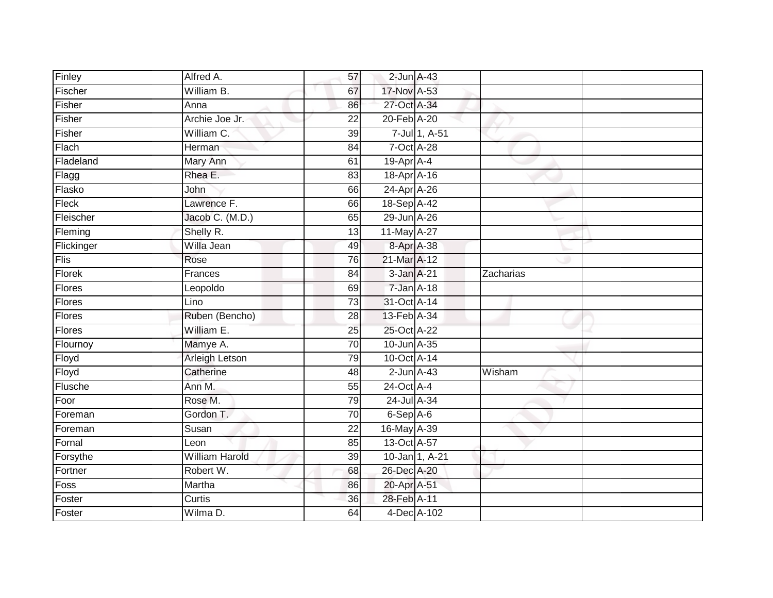| Finley        | Alfred A.             | 57              | $2$ -Jun $A$ -43 |                |           |  |
|---------------|-----------------------|-----------------|------------------|----------------|-----------|--|
| Fischer       | William B.            | 67              | 17-Nov A-53      |                |           |  |
| Fisher        | Anna                  | 86              | 27-Oct A-34      |                |           |  |
| Fisher        | Archie Joe Jr.        | $\overline{22}$ | 20-Feb A-20      |                |           |  |
| Fisher        | William C.            | $\overline{39}$ |                  | 7-Jul 1, A-51  |           |  |
| Flach         | Herman                | 84              | 7-Oct A-28       |                |           |  |
| Fladeland     | Mary Ann              | 61              | $19-AprA-4$      |                |           |  |
| Flagg         | Rhea E.               | 83              | 18-Apr A-16      |                |           |  |
| Flasko        | John                  | 66              | 24-Apr A-26      |                |           |  |
| Fleck         | Lawrence F.           | 66              | 18-Sep A-42      |                |           |  |
| Fleischer     | Jacob C. (M.D.)       | 65              | 29-Jun A-26      |                |           |  |
| Fleming       | Shelly R.             | 13              | 11-May A-27      |                |           |  |
| Flickinger    | Willa Jean            | 49              | 8-Apr A-38       |                |           |  |
| Flis          | Rose                  | 76              | 21-Mar A-12      |                |           |  |
| Florek        | Frances               | $\overline{84}$ | 3-Jan A-21       |                | Zacharias |  |
| Flores        | Leopoldo              | 69              | 7-Jan A-18       |                |           |  |
| Flores        | Lino                  | 73              | 31-Oct A-14      |                |           |  |
| Flores        | Ruben (Bencho)        | 28              | 13-Feb A-34      |                |           |  |
| <b>Flores</b> | William E.            | 25              | 25-Oct A-22      |                |           |  |
| Flournoy      | Mamye A.              | 70              | 10-Jun A-35      |                |           |  |
| Floyd         | Arleigh Letson        | 79              | 10-Oct A-14      |                |           |  |
| Floyd         | Catherine             | 48              | $2$ -Jun $A-43$  |                | Wisham    |  |
| Flusche       | Ann M.                | 55              | 24-Oct A-4       |                |           |  |
| Foor          | Rose M.               | 79              | 24-Jul A-34      |                |           |  |
| Foreman       | Gordon T.             | 70              | 6-Sep A-6        |                |           |  |
| Foreman       | Susan                 | $\overline{22}$ | 16-May A-39      |                |           |  |
| Fornal        | Leon                  | 85              | 13-Oct A-57      |                |           |  |
| Forsythe      | <b>William Harold</b> | 39              |                  | 10-Jan 1, A-21 |           |  |
| Fortner       | Robert W.             | 68              | 26-Dec A-20      |                |           |  |
| Foss          | Martha                | 86              | 20-Apr A-51      |                |           |  |
| Foster        | Curtis                | 36              | 28-Feb A-11      |                |           |  |
| Foster        | Wilma D.              | 64              |                  | 4-Dec A-102    |           |  |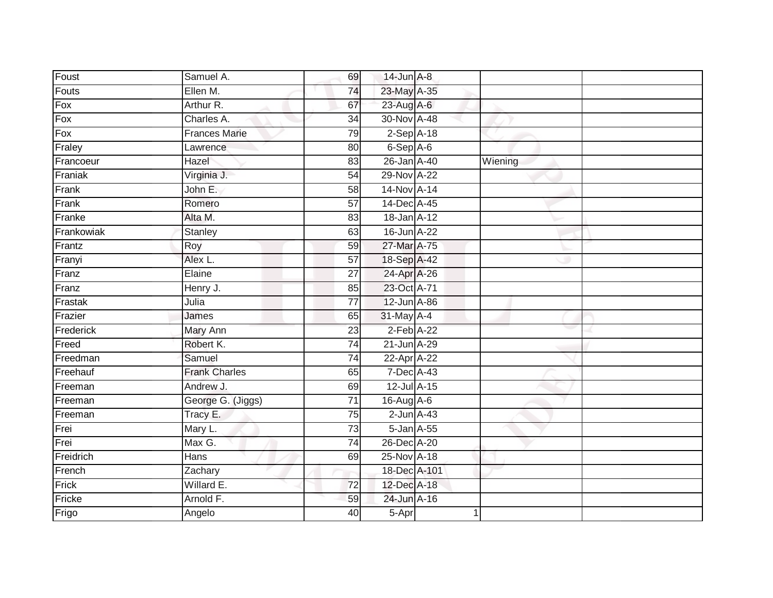| Foust      | Samuel A.            | 69              | $14$ -Jun $A-8$  |         |  |
|------------|----------------------|-----------------|------------------|---------|--|
| Fouts      | Ellen M.             | 74              | 23-May A-35      |         |  |
| $F$ ox     | Arthur R.            | 67              | 23-Aug A-6       |         |  |
| Fox        | Charles A.           | 34              | 30-Nov A-48      |         |  |
| $F$ ox     | <b>Frances Marie</b> | 79              | $2-Sep$ A-18     |         |  |
| Fraley     | Lawrence             | 80              | 6-Sep A-6        |         |  |
| Francoeur  | Hazel                | 83              | 26-Jan A-40      | Wiening |  |
| Franiak    | Virginia J.          | 54              | 29-Nov A-22      |         |  |
| Frank      | John E.              | 58              | 14-Nov A-14      |         |  |
| Frank      | Romero               | 57              | 14-Dec A-45      |         |  |
| Franke     | Alta M.              | 83              | 18-Jan A-12      |         |  |
| Frankowiak | Stanley              | 63              | 16-Jun A-22      |         |  |
| Frantz     | Roy                  | 59              | 27-Mar A-75      |         |  |
| Franyi     | Alex L.              | 57              | 18-Sep A-42      |         |  |
| Franz      | Elaine               | $\overline{27}$ | 24-Apr A-26      |         |  |
| Franz      | Henry J.             | 85              | 23-Oct A-71      |         |  |
| Frastak    | Julia                | $\overline{77}$ | 12-Jun A-86      |         |  |
| Frazier    | James                | 65              | 31-May A-4       |         |  |
| Frederick  | Mary Ann             | 23              | $2$ -Feb $A-22$  |         |  |
| Freed      | Robert K.            | $\overline{74}$ | 21-Jun A-29      |         |  |
| Freedman   | Samuel               | 74              | 22-Apr A-22      |         |  |
| Freehauf   | <b>Frank Charles</b> | 65              | 7-Dec A-43       |         |  |
| Freeman    | Andrew J.            | 69              | 12-Jul A-15      |         |  |
| Freeman    | George G. (Jiggs)    | 71              | 16-Aug A-6       |         |  |
| Freeman    | Tracy E.             | 75              | $2$ -Jun $A$ -43 |         |  |
| Frei       | Mary L.              | 73              | 5-Jan A-55       |         |  |
| Frei       | Max G.               | 74              | 26-Dec A-20      |         |  |
| Freidrich  | Hans                 | 69              | 25-Nov A-18      |         |  |
| French     | Zachary              |                 | 18-Dec A-101     |         |  |
| Frick      | Willard E.           | $\overline{72}$ | 12-Dec A-18      |         |  |
| Fricke     | Arnold F.            | 59              | 24-Jun A-16      |         |  |
| Frigo      | Angelo               | 40              | $5 -$ Apr        | 1       |  |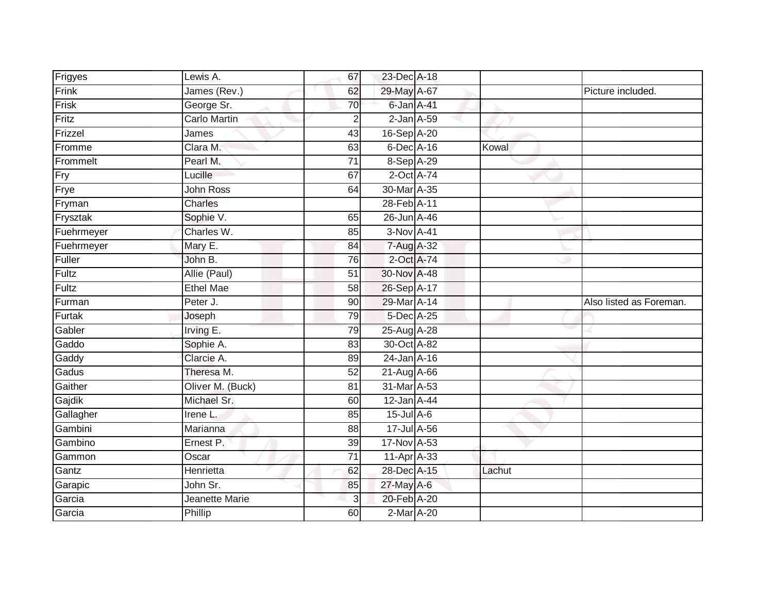| Frigyes    | Lewis A.              | 67              | 23-Dec A-18      |        |                         |
|------------|-----------------------|-----------------|------------------|--------|-------------------------|
| Frink      | James (Rev.)          | 62              | 29-May A-67      |        | Picture included.       |
| Frisk      | George Sr.            | 70              | 6-Jan A-41       |        |                         |
| Fritz      | <b>Carlo Martin</b>   | $\overline{2}$  | $2$ -Jan $A$ -59 |        |                         |
| Frizzel    | James                 | 43              | 16-Sep A-20      |        |                         |
| Fromme     | Clara M.              | 63              | 6-Dec A-16       | Kowal  |                         |
| Frommelt   | Pearl M.              | 71              | $8-Sep$ $A-29$   |        |                         |
| Fry        | Lucille               | 67              | 2-Oct A-74       |        |                         |
| Frye       | <b>John Ross</b>      | 64              | 30-Mar A-35      |        |                         |
| Fryman     | Charles               |                 | 28-Feb A-11      |        |                         |
| Frysztak   | Sophie V.             | 65              | 26-Jun A-46      |        |                         |
| Fuehrmeyer | Charles W.            | 85              | 3-Nov A-41       |        |                         |
| Fuehrmeyer | Mary E.               | 84              | 7-Aug A-32       |        |                         |
| Fuller     | John B.               | 76              | 2-Oct A-74       |        |                         |
| Fultz      | Allie (Paul)          | $\overline{51}$ | 30-Nov A-48      |        |                         |
| Fultz      | <b>Ethel Mae</b>      | 58              | 26-Sep A-17      |        |                         |
| Furman     | Peter J.              | 90              | 29-Mar A-14      |        | Also listed as Foreman. |
| Furtak     | Joseph                | 79              | 5-Dec A-25       |        |                         |
| Gabler     | Irving E.             | 79              | 25-Aug A-28      |        |                         |
| Gaddo      | Sophie A.             | 83              | 30-Oct A-82      |        |                         |
| Gaddy      | Clarcie A.            | 89              | $24$ -Jan $A-16$ |        |                         |
| Gadus      | Theresa M.            | 52              | 21-Aug A-66      |        |                         |
| Gaither    | Oliver M. (Buck)      | 81              | 31-Mar A-53      |        |                         |
| Gajdik     | Michael Sr.           | 60              | 12-Jan A-44      |        |                         |
| Gallagher  | Irene L.              | 85              | 15-Jul A-6       |        |                         |
| Gambini    | Marianna              | 88              | 17-Jul A-56      |        |                         |
| Gambino    | Ernest P.             | 39              | 17-Nov A-53      |        |                         |
| Gammon     | Oscar                 | 71              | 11-Apr A-33      |        |                         |
| Gantz      | Henrietta             | 62              | 28-Dec A-15      | Lachut |                         |
| Garapic    | John Sr.              | 85              | 27-May A-6       |        |                         |
| Garcia     | <b>Jeanette Marie</b> | $\mathbf{3}$    | 20-Feb A-20      |        |                         |
| Garcia     | Phillip               | 60              | 2-Mar A-20       |        |                         |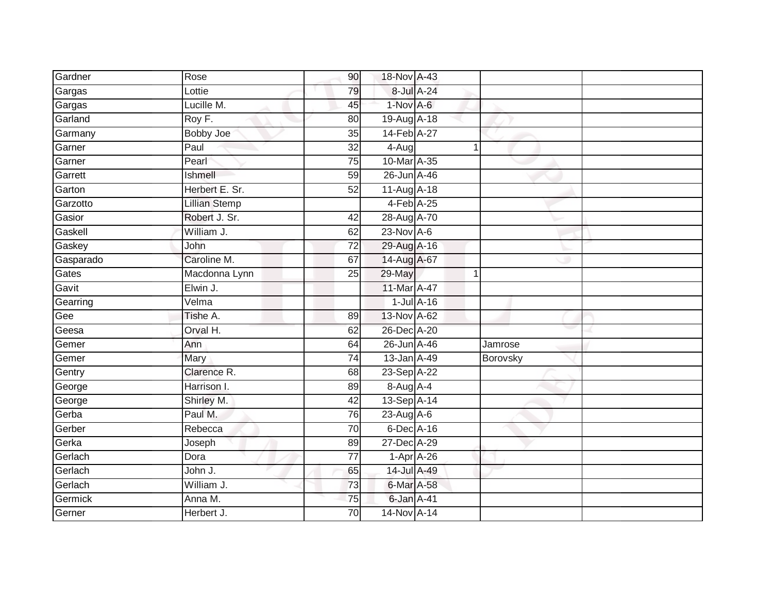| Gardner   | Rose                 | 90              | 18-Nov A-43     |             |          |  |
|-----------|----------------------|-----------------|-----------------|-------------|----------|--|
| Gargas    | Lottie               | 79              | 8-Jul A-24      |             |          |  |
| Gargas    | Lucille M.           | 45              | 1-Nov A-6       |             |          |  |
| Garland   | Roy F.               | 80              | 19-Aug A-18     |             |          |  |
| Garmany   | <b>Bobby Joe</b>     | 35              | 14-Feb A-27     |             |          |  |
| Garner    | Paul                 | $\overline{32}$ | $4-Aug$         | $\mathbf 1$ |          |  |
| Garner    | Pearl                | 75              | 10-Mar A-35     |             |          |  |
| Garrett   | Ishmell              | 59              | 26-Jun A-46     |             |          |  |
| Garton    | Herbert E. Sr.       | 52              | 11-Aug A-18     |             |          |  |
| Garzotto  | <b>Lillian Stemp</b> |                 | $4-Feb$ A-25    |             |          |  |
| Gasior    | Robert J. Sr.        | 42              | 28-Aug A-70     |             |          |  |
| Gaskell   | William J.           | 62              | $23-Nov$ A-6    |             |          |  |
| Gaskey    | John                 | $\overline{72}$ | 29-Aug A-16     |             |          |  |
| Gasparado | Caroline M.          | 67              | 14-Aug A-67     |             |          |  |
| Gates     | Macdonna Lynn        | $\overline{25}$ | 29-May          | 1           |          |  |
| Gavit     | Elwin J.             |                 | 11-Mar A-47     |             |          |  |
| Gearring  | Velma                |                 | $1$ -Jul $A-16$ |             |          |  |
| Gee       | Tishe A.             | 89              | 13-Nov A-62     |             |          |  |
| Geesa     | Orval H.             | 62              | 26-Dec A-20     |             |          |  |
| Gemer     | Ann                  | 64              | 26-Jun A-46     |             | Jamrose  |  |
| Gemer     | Mary                 | 74              | 13-Jan A-49     |             | Borovsky |  |
| Gentry    | Clarence R.          | 68              | 23-Sep A-22     |             |          |  |
| George    | Harrison I.          | 89              | 8-Aug A-4       |             |          |  |
| George    | Shirley M.           | 42              | 13-Sep A-14     |             |          |  |
| Gerba     | Paul M.              | 76              | 23-Aug $A-6$    |             |          |  |
| Gerber    | Rebecca              | 70              | 6-Dec A-16      |             |          |  |
| Gerka     | Joseph               | 89              | 27-Dec A-29     |             |          |  |
| Gerlach   | Dora                 | 77              | $1-Apr$ A-26    |             |          |  |
| Gerlach   | John J.              | 65              | 14-Jul A-49     |             |          |  |
| Gerlach   | William J.           | 73              | 6-Mar A-58      |             |          |  |
| Germick   | Anna M.              | 75              | 6-Jan A-41      |             |          |  |
| Gerner    | Herbert J.           | $\overline{70}$ | 14-Nov A-14     |             |          |  |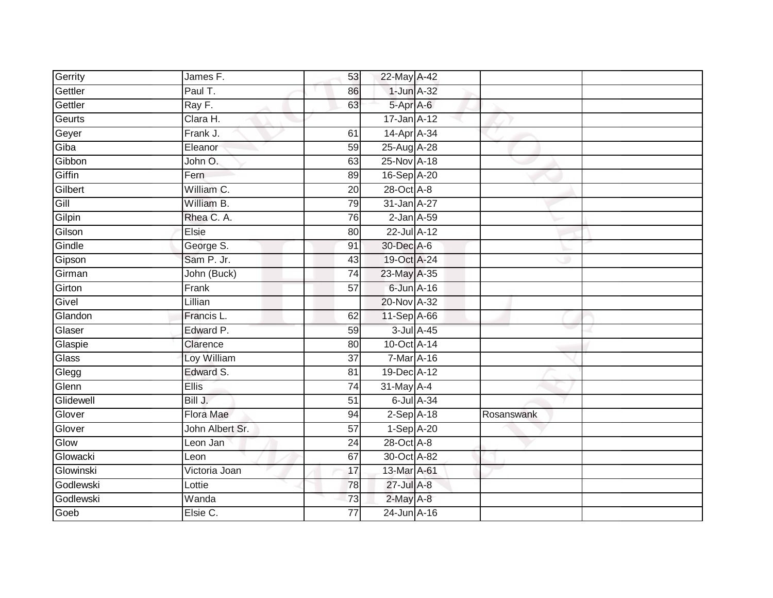| Gerrity   | James F.        | 53              | 22-May A-42      |            |
|-----------|-----------------|-----------------|------------------|------------|
| Gettler   | Paul T.         | 86              | 1-Jun A-32       |            |
| Gettler   | Ray F.          | 63              | 5-Apr A-6        |            |
| Geurts    | Clara H.        |                 | $17 - Jan$ A-12  |            |
| Geyer     | Frank J.        | 61              | 14-Apr A-34      |            |
| Giba      | Eleanor         | 59              | 25-Aug A-28      |            |
| Gibbon    | John O.         | 63              | 25-Nov A-18      |            |
| Giffin    | Fern            | 89              | 16-Sep A-20      |            |
| Gilbert   | William C.      | 20              | 28-Oct A-8       |            |
| Gill      | William B.      | 79              | 31-Jan A-27      |            |
| Gilpin    | Rhea C. A.      | 76              | $2$ -Jan $A$ -59 |            |
| Gilson    | Elsie           | 80              | 22-Jul A-12      |            |
| Gindle    | George S.       | 91              | 30-Dec A-6       |            |
| Gipson    | Sam P. Jr.      | 43              | 19-Oct A-24      |            |
| Girman    | John (Buck)     | $\overline{74}$ | 23-May A-35      |            |
| Girton    | Frank           | 57              | 6-Jun A-16       |            |
| Givel     | Lillian         |                 | 20-Nov A-32      |            |
| Glandon   | Francis L.      | 62              | 11-Sep A-66      |            |
| Glaser    | Edward P.       | 59              | 3-Jul A-45       |            |
| Glaspie   | Clarence        | 80              | 10-Oct A-14      |            |
| Glass     | Loy William     | $\overline{37}$ | 7-Mar A-16       |            |
| Glegg     | Edward S.       | 81              | 19-Dec A-12      |            |
| Glenn     | Ellis           | 74              | $31$ -May A-4    |            |
| Glidewell | Bill J.         | 51              | 6-Jul A-34       |            |
| Glover    | Flora Mae       | 94              | $2-Sep$ A-18     | Rosanswank |
| Glover    | John Albert Sr. | 57              | 1-Sep A-20       |            |
| Glow      | Leon Jan        | $\overline{24}$ | 28-Oct A-8       |            |
| Glowacki  | Leon            | 67              | 30-Oct A-82      |            |
| Glowinski | Victoria Joan   | 17              | 13-Mar A-61      |            |
| Godlewski | Lottie          | 78              | 27-Jul A-8       |            |
| Godlewski | Wanda           | $\overline{73}$ | 2-May A-8        |            |
| Goeb      | Elsie C.        | $\overline{77}$ | 24-Jun A-16      |            |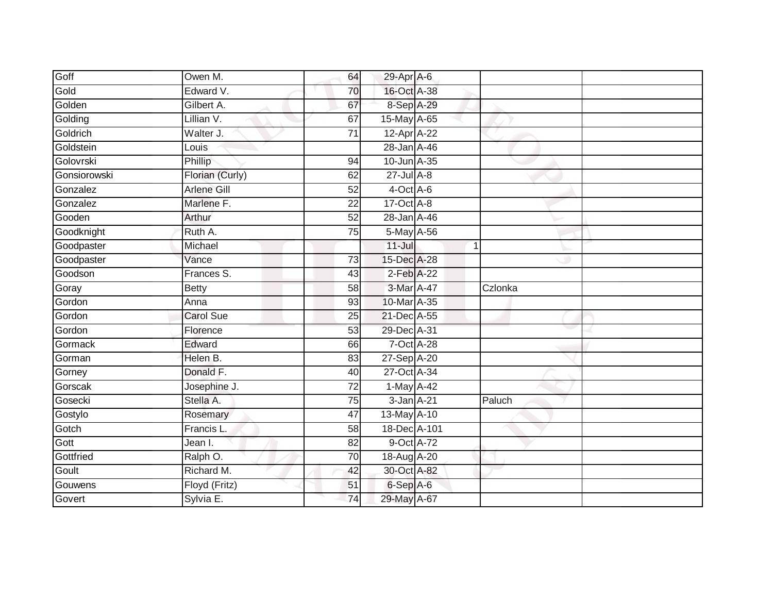| Goff           | Owen M.            | 64              | 29-Apr A-6        |                |  |
|----------------|--------------------|-----------------|-------------------|----------------|--|
| Gold           | Edward V.          | 70              | 16-Oct A-38       |                |  |
| Golden         | Gilbert A.         | 67              | 8-Sep A-29        |                |  |
| Golding        | Lillian V.         | 67              | 15-May A-65       |                |  |
| Goldrich       | Walter J.          | $\overline{71}$ | 12-Apr A-22       |                |  |
| Goldstein      | Louis              |                 | 28-Jan A-46       |                |  |
| Golovrski      | Phillip            | 94              | 10-Jun A-35       |                |  |
| Gonsiorowski   | Florian (Curly)    | 62              | $27 -$ Jul A-8    |                |  |
| Gonzalez       | <b>Arlene Gill</b> | 52              | 4-Oct A-6         |                |  |
| Gonzalez       | Marlene F.         | $\overline{22}$ | 17-Oct A-8        |                |  |
| Gooden         | Arthur             | 52              | 28-Jan A-46       |                |  |
| Goodknight     | Ruth A.            | 75              | 5-May A-56        |                |  |
| Goodpaster     | Michael            |                 | $11 -$ Jul        | $\overline{1}$ |  |
| Goodpaster     | Vance              | 73              | 15-Dec A-28       |                |  |
| Goodson        | Frances S.         | 43              | $2$ -Feb $A-22$   |                |  |
| Goray          | <b>Betty</b>       | 58              | 3-Mar A-47        | Czlonka        |  |
| Gordon         | Anna               | 93              | 10-Mar A-35       |                |  |
| Gordon         | <b>Carol Sue</b>   | $\overline{25}$ | 21-Dec A-55       |                |  |
| Gordon         | Florence           | 53              | 29-Dec A-31       |                |  |
| <b>Gormack</b> | Edward             | 66              | 7-Oct A-28        |                |  |
| Gorman         | Helen B.           | 83              | 27-Sep A-20       |                |  |
| Gorney         | Donald F.          | 40              | 27-Oct A-34       |                |  |
| Gorscak        | Josephine J.       | 72              | 1-May A-42        |                |  |
| Gosecki        | Stella A.          | 75              | 3-Jan A-21        | Paluch         |  |
| Gostylo        | Rosemary           | 47              | $13$ -May $A$ -10 |                |  |
| Gotch          | Francis L          | 58              | 18-Dec A-101      |                |  |
| Gott           | Jean I.            | 82              | 9-Oct A-72        |                |  |
| Gottfried      | Ralph O.           | 70              | 18-Aug A-20       |                |  |
| Goult          | Richard M.         | 42              | 30-Oct A-82       |                |  |
| Gouwens        | Floyd (Fritz)      | 51              | 6-Sep A-6         |                |  |
| Govert         | Sylvia E.          | $\overline{74}$ | 29-May A-67       |                |  |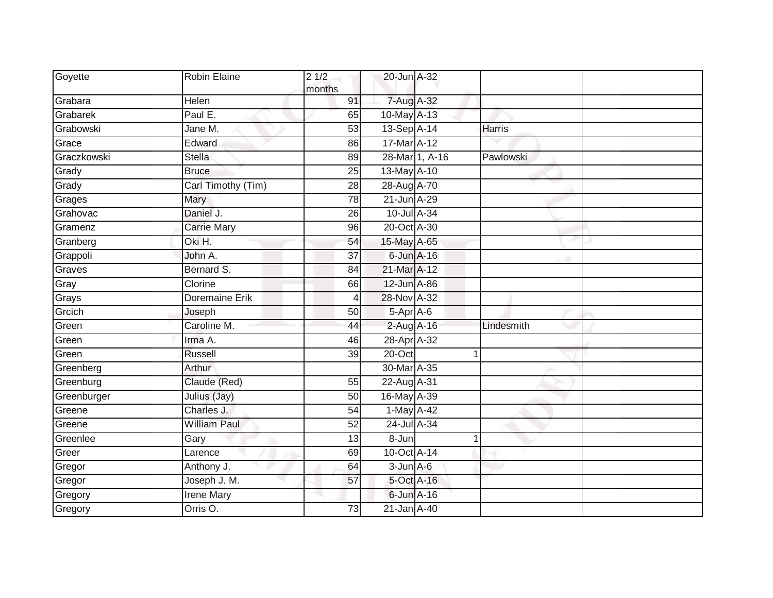| Goyette     | Robin Elaine          | 21/2<br>months  | 20-Jun A-32     |                |               |  |
|-------------|-----------------------|-----------------|-----------------|----------------|---------------|--|
| Grabara     | Helen                 | 91              | 7-Aug A-32      |                |               |  |
| Grabarek    | Paul E.               | 65              | 10-May A-13     |                |               |  |
| Grabowski   | Jane M.               | 53              | 13-Sep A-14     |                | <b>Harris</b> |  |
| Grace       | Edward                | 86              | 17-Mar A-12     |                |               |  |
| Graczkowski | Stella                | 89              |                 | 28-Mar 1, A-16 | Pawlowski     |  |
| Grady       | <b>Bruce</b>          | 25              | 13-May A-10     |                |               |  |
| Grady       | Carl Timothy (Tim)    | $\overline{28}$ | 28-Aug A-70     |                |               |  |
| Grages      | Mary                  | 78              | 21-Jun A-29     |                |               |  |
| Grahovac    | Daniel J.             | 26              | 10-Jul A-34     |                |               |  |
| Gramenz     | <b>Carrie Mary</b>    | 96              | 20-Oct A-30     |                |               |  |
| Granberg    | Oki H.                | 54              | 15-May A-65     |                |               |  |
| Grappoli    | John A.               | $\overline{37}$ | $6$ -Jun $A-16$ |                |               |  |
| Graves      | Bernard S.            | 84              | 21-Mar A-12     |                |               |  |
| Gray        | Clorine               | 66              | 12-Jun A-86     |                |               |  |
| Grays       | <b>Doremaine Erik</b> | 4               | 28-Nov A-32     |                |               |  |
| Grcich      | Joseph                | 50              | 5-Apr A-6       |                |               |  |
| Green       | Caroline M.           | 44              | 2-Aug A-16      |                | Lindesmith    |  |
| Green       | Irma A.               | 46              | 28-Apr A-32     |                |               |  |
| Green       | <b>Russell</b>        | $\overline{39}$ | $20$ -Oct       |                |               |  |
| Greenberg   | Arthur                |                 | 30-Mar A-35     |                |               |  |
| Greenburg   | Claude (Red)          | 55              | 22-Aug A-31     |                |               |  |
| Greenburger | Julius (Jay)          | 50              | 16-May A-39     |                |               |  |
| Greene      | Charles J.            | 54              | 1-May A-42      |                |               |  |
| Greene      | <b>William Paul</b>   | 52              | 24-Jul A-34     |                |               |  |
| Greenlee    | Gary                  | 13              | 8-Jun           |                | 1             |  |
| Greer       | Larence               | 69              | 10-Oct A-14     |                |               |  |
| Gregor      | Anthony J.            | 64              | $3$ -Jun $A$ -6 |                |               |  |
| Gregor      | Joseph J. M.          | 57              | 5-Oct A-16      |                |               |  |
| Gregory     | <b>Irene Mary</b>     |                 | $6$ -Jun $A-16$ |                |               |  |
| Gregory     | Orris <sub>O.</sub>   | 73              | 21-Jan A-40     |                |               |  |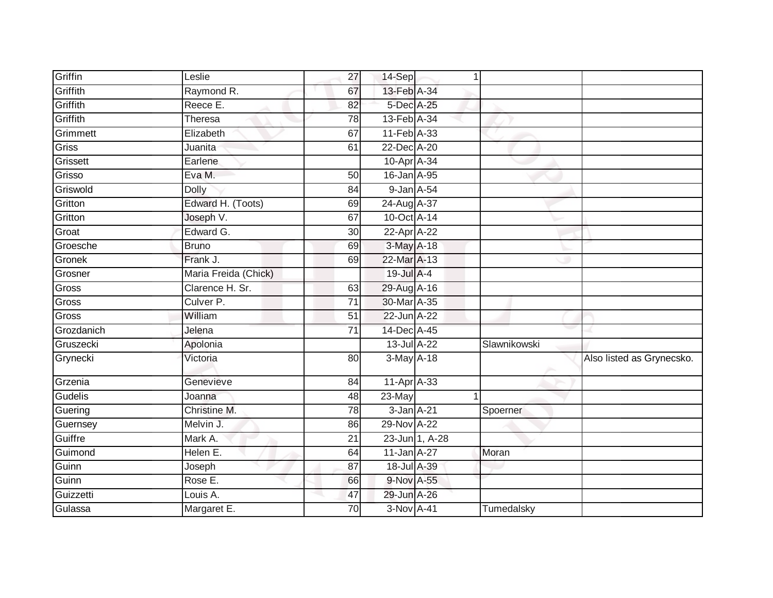| Griffin    | Leslie               | 27              | 14-Sep           | 1              |              |                           |
|------------|----------------------|-----------------|------------------|----------------|--------------|---------------------------|
| Griffith   | Raymond R.           | 67              | 13-Feb A-34      |                |              |                           |
| Griffith   | Reece E.             | 82              | 5-Dec A-25       |                |              |                           |
| Griffith   | Theresa              | 78              | 13-Feb A-34      |                |              |                           |
| Grimmett   | Elizabeth            | 67              | 11-Feb A-33      |                |              |                           |
| Griss      | Juanita              | 61              | 22-Dec A-20      |                |              |                           |
| Grissett   | Earlene              |                 | 10-Apr A-34      |                |              |                           |
| Grisso     | Eva M.               | 50              | 16-Jan A-95      |                |              |                           |
| Griswold   | Dolly                | 84              | 9-Jan A-54       |                |              |                           |
| Gritton    | Edward H. (Toots)    | 69              | 24-Aug A-37      |                |              |                           |
| Gritton    | Joseph V.            | 67              | 10-Oct A-14      |                |              |                           |
| Groat      | Edward G.            | 30              | 22-Apr A-22      |                |              |                           |
| Groesche   | <b>Bruno</b>         | 69              | 3-May A-18       |                |              |                           |
| Gronek     | Frank J.             | 69              | 22-Mar A-13      |                |              |                           |
| Grosner    | Maria Freida (Chick) |                 | 19-Jul A-4       |                |              |                           |
| Gross      | Clarence H. Sr.      | 63              | 29-Aug A-16      |                |              |                           |
| Gross      | Culver <sub>P.</sub> | $\overline{71}$ | 30-Mar A-35      |                |              |                           |
| Gross      | William              | 51              | 22-Jun A-22      |                |              |                           |
| Grozdanich | Jelena               | $\overline{71}$ | 14-Dec A-45      |                |              |                           |
| Gruszecki  | Apolonia             |                 | $13$ -Jul $A-22$ |                | Slawnikowski |                           |
| Grynecki   | Victoria             | 80              | $3-May$ A-18     |                |              | Also listed as Grynecsko. |
| Grzenia    | Genevieve            | 84              | 11-Apr A-33      |                |              |                           |
| Gudelis    | Joanna               | 48              | 23-May           | $\overline{1}$ |              |                           |
| Guering    | Christine M.         | 78              | 3-Jan A-21       |                | Spoerner     |                           |
| Guernsey   | Melvin J.            | 86              | 29-Nov A-22      |                |              |                           |
| Guiffre    | Mark A.              | 21              |                  | 23-Jun 1, A-28 |              |                           |
| Guimond    | Helen E.             | 64              | 11-Jan A-27      |                | Moran        |                           |
| Guinn      | Joseph               | 87              | 18-Jul A-39      |                |              |                           |
| Guinn      | Rose E.              | 66              | 9-Nov A-55       |                |              |                           |
| Guizzetti  | Louis A.             | 47              | 29-Jun A-26      |                |              |                           |
| Gulassa    | Margaret E.          | 70              | 3-Nov A-41       |                | Tumedalsky   |                           |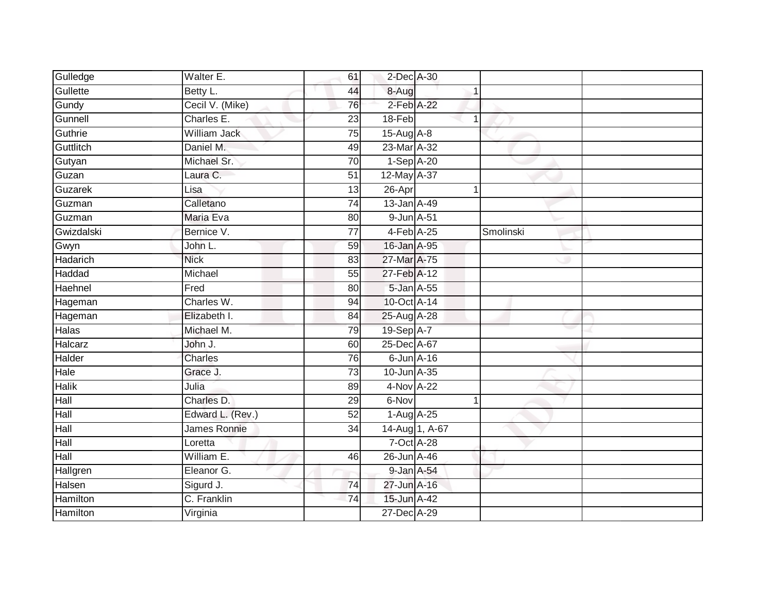| Gulledge        | Walter E.        | 61              | 2-Dec A-30      |                |           |  |
|-----------------|------------------|-----------------|-----------------|----------------|-----------|--|
| Gullette        | Betty L.         | 44              | 8-Aug           |                |           |  |
| Gundy           | Cecil V. (Mike)  | 76              | 2-Feb A-22      |                |           |  |
| Gunnell         | Charles E.       | 23              | 18-Feb          | 1              |           |  |
| Guthrie         | William Jack     | $\overline{75}$ | 15-Aug A-8      |                |           |  |
| Guttlitch       | Daniel M.        | 49              | 23-Mar A-32     |                |           |  |
| Gutyan          | Michael Sr.      | $\overline{70}$ | 1-Sep A-20      |                |           |  |
| Guzan           | Laura C.         | 51              | 12-May A-37     |                |           |  |
| Guzarek         | Lisa             | 13              | 26-Apr          | 1              |           |  |
| Guzman          | Calletano        | 74              | 13-Jan A-49     |                |           |  |
| Guzman          | Maria Eva        | 80              | 9-Jun A-51      |                |           |  |
| Gwizdalski      | Bernice V.       | 77              | 4-Feb A-25      |                | Smolinski |  |
| Gwyn            | John L.          | 59              | 16-Jan A-95     |                |           |  |
| Hadarich        | <b>Nick</b>      | 83              | 27-Mar A-75     |                |           |  |
| Haddad          | Michael          | 55              | 27-Feb A-12     |                |           |  |
| Haehnel         | Fred             | 80              | 5-Jan A-55      |                |           |  |
| Hageman         | Charles W.       | 94              | 10-Oct A-14     |                |           |  |
| Hageman         | Elizabeth I.     | 84              | 25-Aug A-28     |                |           |  |
| <b>Halas</b>    | Michael M.       | 79              | 19-Sep A-7      |                |           |  |
| Halcarz         | John J.          | 60              | 25-Dec A-67     |                |           |  |
| Halder          | Charles          | 76              | $6$ -Jun $A-16$ |                |           |  |
| Hale            | Grace J.         | 73              | 10-Jun A-35     |                |           |  |
| <b>Halik</b>    | Julia            | 89              | $4-Nov A-22$    |                |           |  |
| Hall            | Charles D.       | 29              | 6-Nov           | $\mathbf{1}$   |           |  |
| Hall            | Edward L. (Rev.) | 52              | $1-AugA-25$     |                |           |  |
| Hall            | James Ronnie     | 34              |                 | 14-Aug 1, A-67 |           |  |
| Hall            | Loretta          |                 | 7-Oct A-28      |                |           |  |
| Hall            | William E.       | 46              | 26-Jun A-46     |                |           |  |
| Hallgren        | Eleanor G.       |                 | 9-Jan A-54      |                |           |  |
| Halsen          | Sigurd J.        | 74              | 27-Jun A-16     |                |           |  |
| <b>Hamilton</b> | C. Franklin      | $\overline{74}$ | 15-Jun A-42     |                |           |  |
| Hamilton        | Virginia         |                 | 27-Dec A-29     |                |           |  |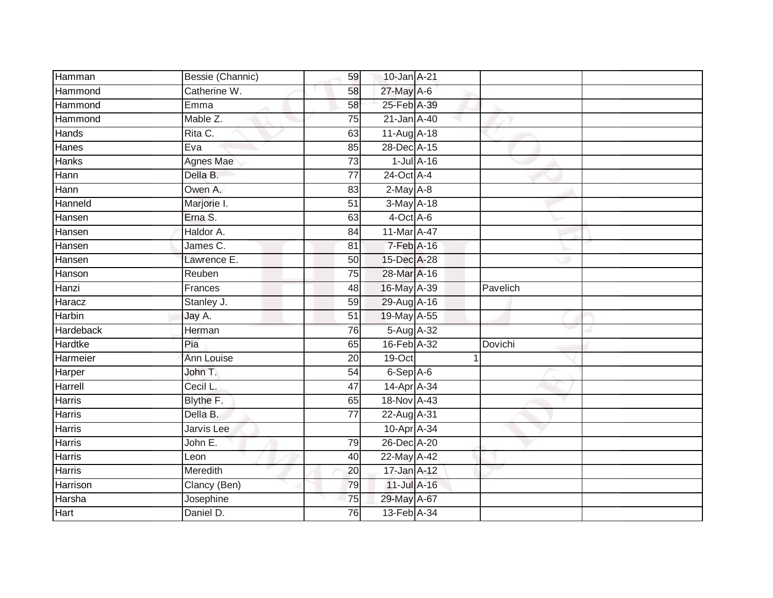| Hamman         | Bessie (Channic)  | 59              | 10-Jan A-21            |                  |          |  |
|----------------|-------------------|-----------------|------------------------|------------------|----------|--|
| Hammond        | Catherine W.      | 58              | 27-May A-6             |                  |          |  |
| Hammond        | Emma              | 58              | 25-Feb A-39            |                  |          |  |
| Hammond        | Mable Z.          | 75              | 21-Jan A-40            |                  |          |  |
| Hands          | Rita C.           | 63              | 11-Aug A-18            |                  |          |  |
| Hanes          | Eva               | 85              | 28-Dec A-15            |                  |          |  |
| <b>Hanks</b>   | Agnes Mae         | 73              |                        | $1$ -Jul $A$ -16 |          |  |
| Hann           | Della B.          | $\overline{77}$ | 24-Oct A-4             |                  |          |  |
| Hann           | Owen A.           | 83              | $2$ -May $A-8$         |                  |          |  |
| Hanneld        | Marjorie I.       | $\overline{51}$ | 3-May A-18             |                  |          |  |
| Hansen         | Erna S.           | 63              | 4-Oct A-6              |                  |          |  |
| Hansen         | Haldor A.         | $\overline{84}$ | 11-Mar A-47            |                  |          |  |
| Hansen         | James C.          | 81              | 7-Feb A-16             |                  |          |  |
| Hansen         | Lawrence E.       | 50              | 15-Dec A-28            |                  |          |  |
| Hanson         | Reuben            | $\overline{75}$ | 28-Mar A-16            |                  |          |  |
| Hanzi          | Frances           | 48              | 16-May A-39            |                  | Pavelich |  |
| Haracz         | Stanley J.        | 59              | 29-Aug A-16            |                  |          |  |
| Harbin         | Jay A.            | $\overline{51}$ | 19-May A-55            |                  |          |  |
| Hardeback      | Herman            | 76              | 5-Aug A-32             |                  |          |  |
| <b>Hardtke</b> | Pia               | 65              | 16-Feb A-32            |                  | Dovichi  |  |
| Harmeier       | Ann Louise        | 20              | 19-Oct                 |                  |          |  |
| Harper         | John T.           | 54              | 6-Sep A-6              |                  |          |  |
| Harrell        | Cecil L.          | 47              | 14-Apr A-34            |                  |          |  |
| <b>Harris</b>  | Blythe F.         | 65              | 18-Nov A-43            |                  |          |  |
| <b>Harris</b>  | Della B.          | $\overline{77}$ | 22-Aug A-31            |                  |          |  |
| <b>Harris</b>  | <b>Jarvis</b> Lee |                 | 10-Apr <sub>A-34</sub> |                  |          |  |
| <b>Harris</b>  | John E.           | 79              | 26-Dec A-20            |                  |          |  |
| Harris         | Leon              | 40              | 22-May A-42            |                  |          |  |
| Harris         | Meredith          | 20              | 17-Jan A-12            |                  |          |  |
| Harrison       | Clancy (Ben)      | 79              | 11-Jul A-16            |                  |          |  |
| Harsha         | Josephine         | 75              | 29-May A-67            |                  |          |  |
| Hart           | Daniel D.         | 76              | 13-Feb A-34            |                  |          |  |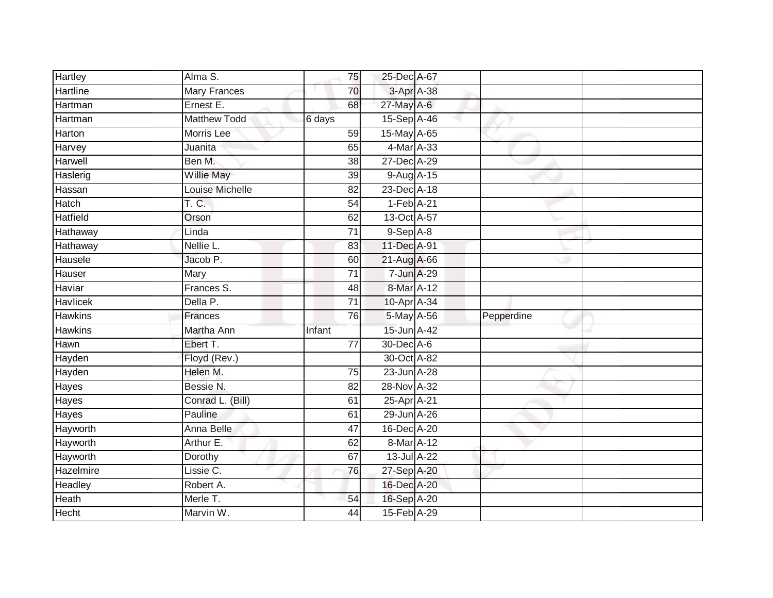| <b>Hartley</b>   | Alma S.             | 75              | 25-Dec A-67    |            |
|------------------|---------------------|-----------------|----------------|------------|
| Hartline         | <b>Mary Frances</b> | 70              | 3-Apr A-38     |            |
| Hartman          | Ernest E.           | 68              | 27-May A-6     |            |
| Hartman          | <b>Matthew Todd</b> | 6 days          | 15-Sep A-46    |            |
| Harton           | <b>Morris</b> Lee   | 59              | 15-May A-65    |            |
| Harvey           | Juanita             | 65              | 4-Mar A-33     |            |
| Harwell          | Ben M.              | 38              | 27-Dec A-29    |            |
| Haslerig         | <b>Willie May</b>   | 39              | 9-Aug A-15     |            |
| Hassan           | Louise Michelle     | 82              | 23-Dec A-18    |            |
| Hatch            | T. C.               | 54              | $1-Feb$ $A-21$ |            |
| Hatfield         | Orson               | 62              | 13-Oct A-57    |            |
| Hathaway         | Linda               | $\overline{71}$ | $9-$ Sep $A-8$ |            |
| Hathaway         | Nellie L.           | 83              | 11-Dec A-91    |            |
| Hausele          | Jacob P.            | 60              | 21-Aug A-66    |            |
| Hauser           | Mary                | $\overline{71}$ | 7-Jun A-29     |            |
| Haviar           | Frances S.          | 48              | 8-Mar A-12     |            |
| <b>Havlicek</b>  | Della P.            | $\overline{71}$ | 10-Apr A-34    |            |
| <b>Hawkins</b>   | <b>Frances</b>      | 76              | 5-May A-56     | Pepperdine |
| <b>Hawkins</b>   | Martha Ann          | Infant          | 15-Jun A-42    |            |
| Hawn             | Ebert T.            | $\overline{77}$ | 30-Dec A-6     |            |
| Hayden           | Floyd (Rev.)        |                 | 30-Oct A-82    |            |
| Hayden           | Helen M.            | 75              | 23-Jun A-28    |            |
| Hayes            | Bessie N.           | $\overline{82}$ | 28-Nov A-32    |            |
| Hayes            | Conrad L. (Bill)    | 61              | 25-Apr A-21    |            |
| Hayes            | Pauline             | 61              | 29-Jun A-26    |            |
| Hayworth         | Anna Belle          | 47              | 16-Dec A-20    |            |
| Hayworth         | Arthur E.           | 62              | 8-Mar A-12     |            |
| Hayworth         | Dorothy             | 67              | 13-Jul A-22    |            |
| <b>Hazelmire</b> | Lissie C.           | 76              | 27-Sep A-20    |            |
| Headley          | Robert A.           |                 | 16-Dec A-20    |            |
| Heath            | Merle T.            | 54              | 16-Sep A-20    |            |
| <b>Hecht</b>     | Marvin W.           | $\overline{44}$ | 15-Feb A-29    |            |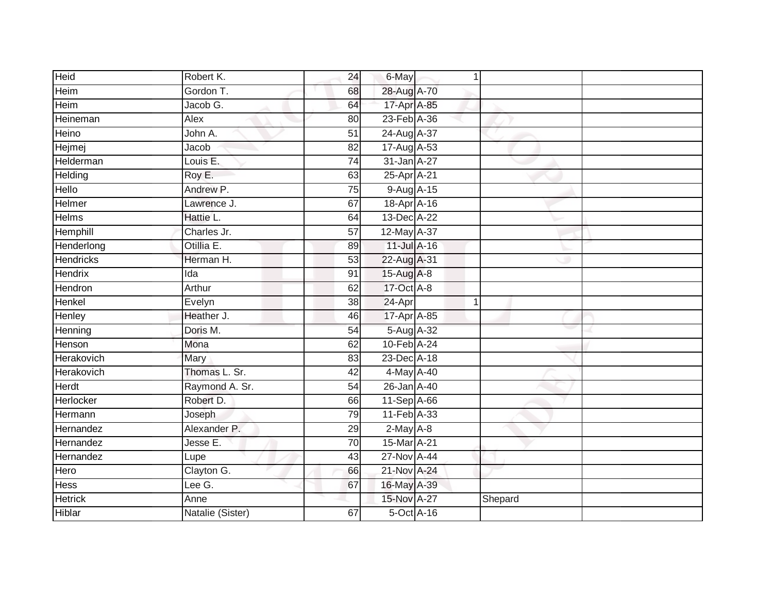| Heid             | Robert K.        | 24              | 6-May             | 1            |         |  |
|------------------|------------------|-----------------|-------------------|--------------|---------|--|
| Heim             | Gordon T.        | 68              | 28-Aug A-70       |              |         |  |
| Heim             | Jacob G.         | 64              | 17-Apr A-85       |              |         |  |
| Heineman         | Alex             | 80              | 23-Feb A-36       |              |         |  |
| Heino            | John A.          | $\overline{51}$ | 24-Aug A-37       |              |         |  |
| Hejmej           | Jacob            | 82              | 17-Aug A-53       |              |         |  |
| Helderman        | Louis E.         | $\overline{74}$ | 31-Jan A-27       |              |         |  |
| Helding          | Roy E.           | 63              | 25-Apr A-21       |              |         |  |
| Hello            | Andrew P.        | $\overline{75}$ | 9-Aug A-15        |              |         |  |
| Helmer           | Lawrence J.      | 67              | 18-Apr A-16       |              |         |  |
| Helms            | Hattie L.        | 64              | 13-Dec A-22       |              |         |  |
| Hemphill         | Charles Jr.      | 57              | $12$ -May $A-37$  |              |         |  |
| Henderlong       | Otillia E.       | 89              | 11-Jul A-16       |              |         |  |
| <b>Hendricks</b> | Herman H.        | 53              | 22-Aug A-31       |              |         |  |
| Hendrix          | Ida              | 91              | 15-Aug A-8        |              |         |  |
| Hendron          | Arthur           | 62              | 17-Oct A-8        |              |         |  |
| Henkel           | Evelyn           | $\overline{38}$ | 24-Apr            | $\mathbf{1}$ |         |  |
| Henley           | Heather J.       | 46              | 17-Apr A-85       |              |         |  |
| Henning          | Doris M.         | 54              | 5-Aug A-32        |              |         |  |
| Henson           | Mona             | 62              | 10-Feb A-24       |              |         |  |
| Herakovich       | Mary             | 83              | 23-Dec A-18       |              |         |  |
| Herakovich       | Thomas L. Sr.    | 42              | 4-May A-40        |              |         |  |
| Herdt            | Raymond A. Sr.   | 54              | 26-Jan A-40       |              |         |  |
| Herlocker        | Robert D.        | 66              | 11-Sep A-66       |              |         |  |
| Hermann          | Joseph           | 79              | 11-Feb A-33       |              |         |  |
| Hernandez        | Alexander P.     | 29              | $2$ -May $A-8$    |              |         |  |
| Hernandez        | Jesse E.         | 70              | 15-Mar A-21       |              |         |  |
| Hernandez        | Lupe             | 43              | $27$ -Nov $A$ -44 |              |         |  |
| Hero             | Clayton G.       | 66              | 21-Nov A-24       |              |         |  |
| Hess             | Lee $G$ .        | 67              | 16-May A-39       |              |         |  |
| <b>Hetrick</b>   | Anne             |                 | 15-Nov A-27       |              | Shepard |  |
| Hiblar           | Natalie (Sister) | 67              | 5-Oct A-16        |              |         |  |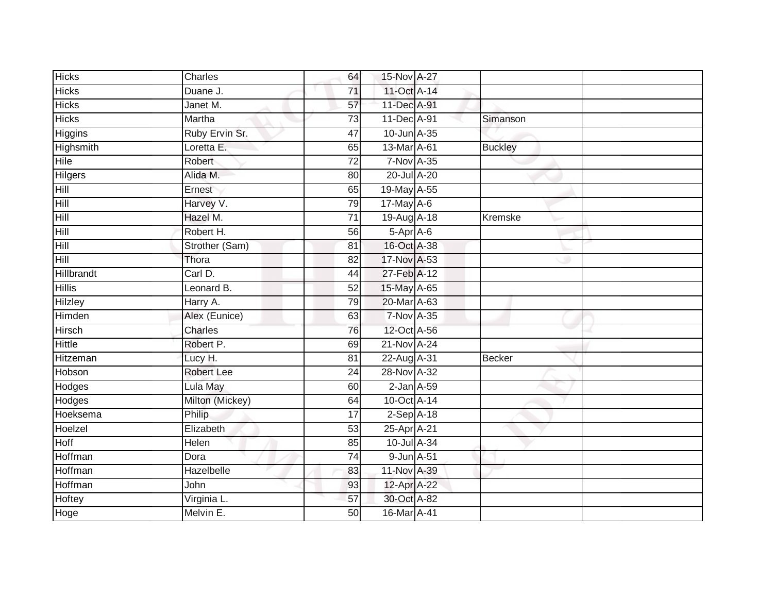| <b>Hicks</b>      | Charles           | 64              | 15-Nov A-27       |                |
|-------------------|-------------------|-----------------|-------------------|----------------|
| <b>Hicks</b>      | Duane J.          | 71              | 11-Oct A-14       |                |
| <b>Hicks</b>      | Janet M.          | 57              | 11-Dec A-91       |                |
| <b>Hicks</b>      | Martha            | $\overline{73}$ | 11-Dec A-91       | Simanson       |
| Higgins           | Ruby Ervin Sr.    | 47              | 10-Jun A-35       |                |
| Highsmith         | Loretta E.        | 65              | 13-Mar A-61       | <b>Buckley</b> |
| Hile              | Robert            | 72              | <b>7-Nov A-35</b> |                |
| Hilgers           | Alida M.          | 80              | 20-Jul A-20       |                |
| Hill              | Ernest            | 65              | 19-May A-55       |                |
| Hill              | Harvey V.         | 79              | 17-May A-6        |                |
| Hill              | Hazel M.          | 71              | 19-Aug A-18       | Kremske        |
| Hill              | Robert H.         | 56              | 5-Apr A-6         |                |
| Hill              | Strother (Sam)    | 81              | 16-Oct A-38       |                |
| Hill              | Thora             | 82              | 17-Nov A-53       |                |
| <b>Hillbrandt</b> | Carl D.           | 44              | 27-Feb A-12       |                |
| <b>Hillis</b>     | Leonard B.        | 52              | 15-May A-65       |                |
| <b>Hilzley</b>    | Harry A.          | 79              | 20-Mar A-63       |                |
| Himden            | Alex (Eunice)     | 63              | 7-Nov A-35        |                |
| Hirsch            | Charles           | 76              | 12-Oct A-56       |                |
| <b>Hittle</b>     | Robert P.         | 69              | 21-Nov A-24       |                |
| Hitzeman          | Lucy H.           | 81              | 22-Aug A-31       | Becker         |
| Hobson            | <b>Robert Lee</b> | $\overline{24}$ | 28-Nov A-32       |                |
| Hodges            | Lula May          | 60              | $2$ -Jan $A$ -59  |                |
| Hodges            | Milton (Mickey)   | 64              | 10-Oct A-14       |                |
| Hoeksema          | Philip            | 17              | $2-Sep$ A-18      |                |
| Hoelzel           | Elizabeth         | 53              | 25-Apr A-21       |                |
| <b>Hoff</b>       | Helen             | 85              | 10-Jul A-34       |                |
| Hoffman           | Dora              | 74              | 9-Jun A-51        |                |
| Hoffman           | Hazelbelle        | 83              | 11-Nov A-39       |                |
| Hoffman           | John              | 93              | 12-Apr A-22       |                |
| Hoftey            | Virginia L.       | 57              | 30-Oct A-82       |                |
| Hoge              | Melvin E.         | $\overline{50}$ | 16-Mar A-41       |                |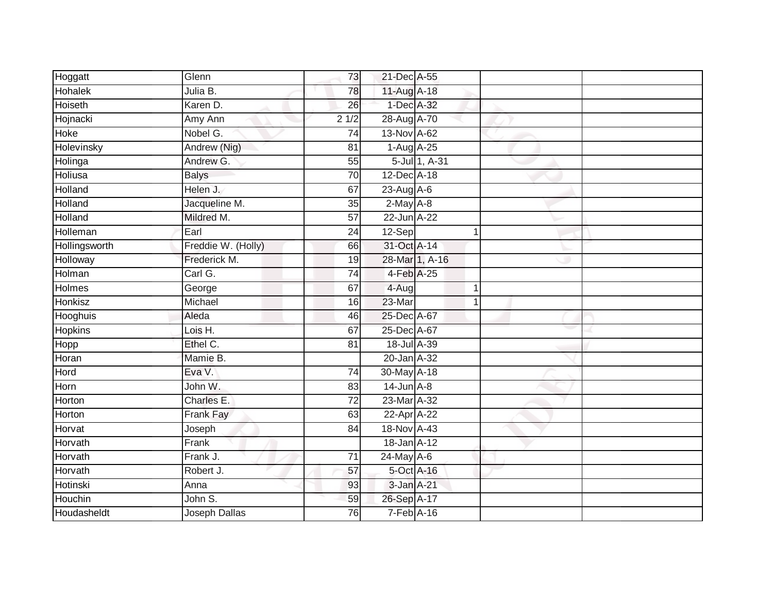| Hoggatt        | Glenn                | 73                | 21-Dec A-55      |                |  |
|----------------|----------------------|-------------------|------------------|----------------|--|
| <b>Hohalek</b> | Julia B.             | 78                | 11-Aug A-18      |                |  |
| Hoiseth        | Karen D.             | 26                | 1-Dec A-32       |                |  |
| Hojnacki       | Amy Ann              | $\frac{1}{2}$ 1/2 | 28-Aug A-70      |                |  |
| Hoke           | Nobel G.             | $\overline{74}$   | 13-Nov A-62      |                |  |
| Holevinsky     | Andrew (Nig)         | 81                | 1-Aug A-25       |                |  |
| Holinga        | Andrew G.            | 55                |                  | 5-Jul 1, A-31  |  |
| Holiusa        | <b>Balys</b>         | 70                | 12-Dec A-18      |                |  |
| Holland        | Helen J.             | 67                | $23-AugA-6$      |                |  |
| Holland        | Jacqueline M.        | 35                | $2$ -May $A-8$   |                |  |
| Holland        | Mildred M.           | 57                | $22$ -Jun $A-22$ |                |  |
| Holleman       | Earl                 | 24                | $12-Sep$         | $\mathbf{1}$   |  |
| Hollingsworth  | Freddie W. (Holly)   | 66                | 31-Oct A-14      |                |  |
| Holloway       | Frederick M.         | 19                |                  | 28-Mar 1, A-16 |  |
| Holman         | Carl G.              | $\overline{74}$   | 4-Feb A-25       |                |  |
| Holmes         | George               | 67                | 4-Aug            | 1              |  |
| Honkisz        | Michael              | 16                | $23-Mar$         | $\mathbf 1$    |  |
| Hooghuis       | Aleda                | 46                | 25-Dec A-67      |                |  |
| <b>Hopkins</b> | Lois H.              | 67                | 25-Dec A-67      |                |  |
| Hopp           | Ethel C.             | 81                | 18-Jul A-39      |                |  |
| Horan          | Mamie B.             |                   | 20-Jan A-32      |                |  |
| Hord           | Eva V.               | 74                | 30-May A-18      |                |  |
| Horn           | John W.              | 83                | $14$ -Jun $A-8$  |                |  |
| Horton         | Charles E.           | 72                | 23-Mar A-32      |                |  |
| Horton         | Frank Fay            | 63                | 22-Apr A-22      |                |  |
| Horvat         | Joseph               | 84                | 18-Nov A-43      |                |  |
| Horvath        | Frank                |                   | 18-Jan A-12      |                |  |
| Horvath        | Frank J.             | 71                | 24-May A-6       |                |  |
| Horvath        | Robert J.            | 57                | 5-Oct A-16       |                |  |
| Hotinski       | Anna                 | 93                | 3-Jan A-21       |                |  |
| Houchin        | John S.              | 59                | 26-Sep A-17      |                |  |
| Houdasheldt    | <b>Joseph Dallas</b> | $\overline{76}$   | $7-Feb$ A-16     |                |  |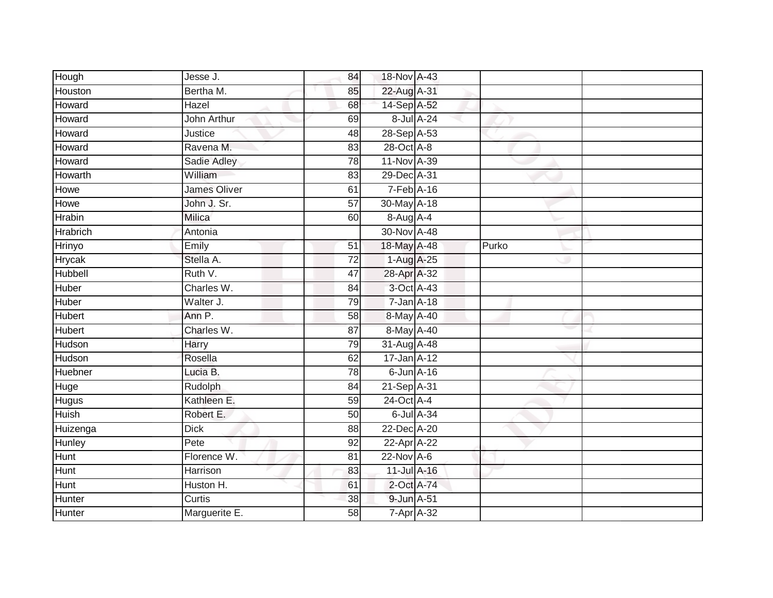| Hough           | Jesse J.      | 84              | 18-Nov A-43      |            |       |  |
|-----------------|---------------|-----------------|------------------|------------|-------|--|
| Houston         | Bertha M.     | 85              | 22-Aug A-31      |            |       |  |
| Howard          | Hazel         | 68              | 14-Sep A-52      |            |       |  |
| Howard          | John Arthur   | 69              |                  | 8-Jul A-24 |       |  |
| Howard          | Justice       | 48              | 28-Sep A-53      |            |       |  |
| Howard          | Ravena M.     | 83              | 28-Oct A-8       |            |       |  |
| Howard          | Sadie Adley   | 78              | 11-Nov A-39      |            |       |  |
| Howarth         | William       | 83              | 29-Dec A-31      |            |       |  |
| Howe            | James Oliver  | 61              | 7-Feb A-16       |            |       |  |
| Howe            | John J. Sr.   | $\overline{57}$ | 30-May A-18      |            |       |  |
| <b>Hrabin</b>   | Milica        | 60              | 8-Aug A-4        |            |       |  |
| <b>Hrabrich</b> | Antonia       |                 | 30-Nov A-48      |            |       |  |
| Hrinyo          | Emily         | 51              | 18-May A-48      |            | Purko |  |
| <b>Hrycak</b>   | Stella A.     | $\overline{72}$ | 1-Aug A-25       |            |       |  |
| <b>Hubbell</b>  | Ruth V.       | $\overline{47}$ | 28-Apr A-32      |            |       |  |
| Huber           | Charles W.    | 84              | 3-Oct A-43       |            |       |  |
| Huber           | Walter J.     | 79              | $7 - Jan A - 18$ |            |       |  |
| <b>Hubert</b>   | Ann P.        | 58              | 8-May A-40       |            |       |  |
| <b>Hubert</b>   | Charles W.    | 87              | 8-May A-40       |            |       |  |
| Hudson          | Harry         | 79              | 31-Aug A-48      |            |       |  |
| Hudson          | Rosella       | 62              | 17-Jan A-12      |            |       |  |
| <b>Huebner</b>  | Lucia B.      | 78              | $6$ -Jun $A$ -16 |            |       |  |
| Huge            | Rudolph       | 84              | 21-Sep A-31      |            |       |  |
| <b>Hugus</b>    | Kathleen E.   | 59              | 24-Oct A-4       |            |       |  |
| Huish           | Robert E.     | 50              |                  | 6-Jul A-34 |       |  |
| Huizenga        | <b>Dick</b>   | 88              | 22-Dec A-20      |            |       |  |
| Hunley          | Pete          | $\overline{92}$ | 22-Apr A-22      |            |       |  |
| <b>Hunt</b>     | Florence W.   | 81              | $22$ -Nov $A-6$  |            |       |  |
| Hunt            | Harrison      | 83              | 11-Jul A-16      |            |       |  |
| <b>Hunt</b>     | Huston H.     | 61              | 2-Oct A-74       |            |       |  |
| Hunter          | Curtis        | 38              | 9-Jun A-51       |            |       |  |
| Hunter          | Marguerite E. | 58              | $7 - Apr$ $A-32$ |            |       |  |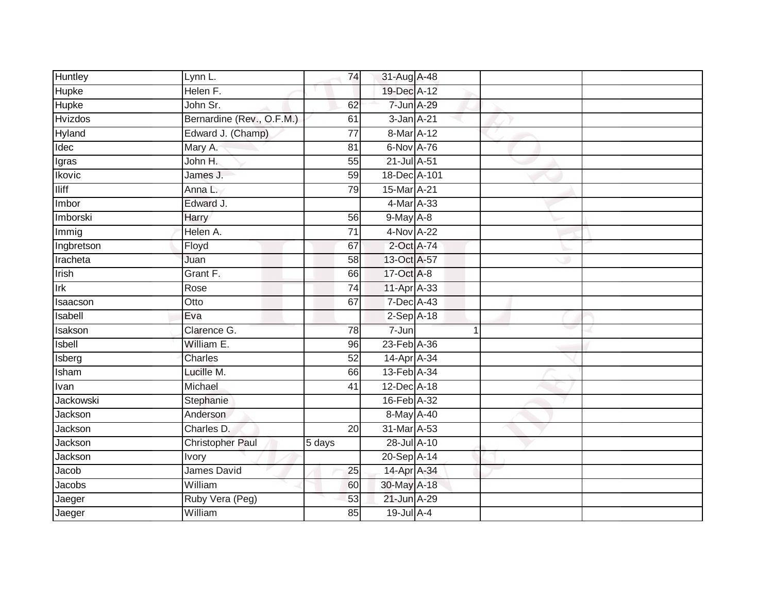| Huntley        | Lynn L.                   | 74              | 31-Aug A-48                  |  |  |
|----------------|---------------------------|-----------------|------------------------------|--|--|
| Hupke          | Helen F.                  |                 | 19-Dec A-12                  |  |  |
| <b>Hupke</b>   | John Sr.                  | 62              | 7-Jun A-29                   |  |  |
| <b>Hvizdos</b> | Bernardine (Rev., O.F.M.) | 61              | 3-Jan A-21                   |  |  |
| Hyland         | Edward J. (Champ)         | $\overline{77}$ | 8-Mar A-12                   |  |  |
| Idec           | Mary A.                   | 81              | 6-Nov A-76                   |  |  |
| Igras          | John H.                   | 55              | 21-Jul A-51                  |  |  |
| Ikovic         | James J.                  | 59              | 18-Dec A-101                 |  |  |
| <b>Iliff</b>   | Anna L.                   | 79              | 15-Mar A-21                  |  |  |
| Imbor          | Edward J.                 |                 | 4-Mar A-33                   |  |  |
| Imborski       | Harry                     | 56              | $9$ -May $A - 8$             |  |  |
| Immig          | Helen A.                  | $\overline{71}$ | 4-Nov A-22                   |  |  |
| Ingbretson     | Floyd                     | 67              | 2-Oct A-74                   |  |  |
| Iracheta       | Juan                      | 58              | 13-Oct A-57                  |  |  |
| Irish          | Grant F.                  | 66              | 17-Oct A-8                   |  |  |
| Irk            | Rose                      | 74              | 11-Apr A-33                  |  |  |
| Isaacson       | Otto                      | 67              | 7-Dec A-43                   |  |  |
| Isabell        | Eva                       |                 | $2-Sep$ A-18                 |  |  |
| Isakson        | Clarence G.               | 78              | 7-Jun                        |  |  |
| Isbell         | William E.                | 96              | 23-Feb A-36                  |  |  |
| Isberg         | <b>Charles</b>            | 52              | 14-Apr A-34                  |  |  |
| Isham          | Lucille M.                | 66              | 13-Feb A-34                  |  |  |
| Ivan           | Michael                   | $\overline{41}$ | $12$ -Dec $\overline{A}$ -18 |  |  |
| Jackowski      | Stephanie                 |                 | 16-Feb A-32                  |  |  |
| Jackson        | Anderson                  |                 | 8-May A-40                   |  |  |
| Jackson        | Charles D.                | 20              | 31-Mar A-53                  |  |  |
| Jackson        | <b>Christopher Paul</b>   | 5 days          | 28-Jul A-10                  |  |  |
| Jackson        | <b>Ivory</b>              |                 | 20-Sep A-14                  |  |  |
| Jacob          | James David               | 25              | 14-Apr A-34                  |  |  |
| Jacobs         | William                   | 60              | 30-May A-18                  |  |  |
| Jaeger         | Ruby Vera (Peg)           | $\overline{53}$ | 21-Jun A-29                  |  |  |
| Jaeger         | William                   | 85              | 19-Jul A-4                   |  |  |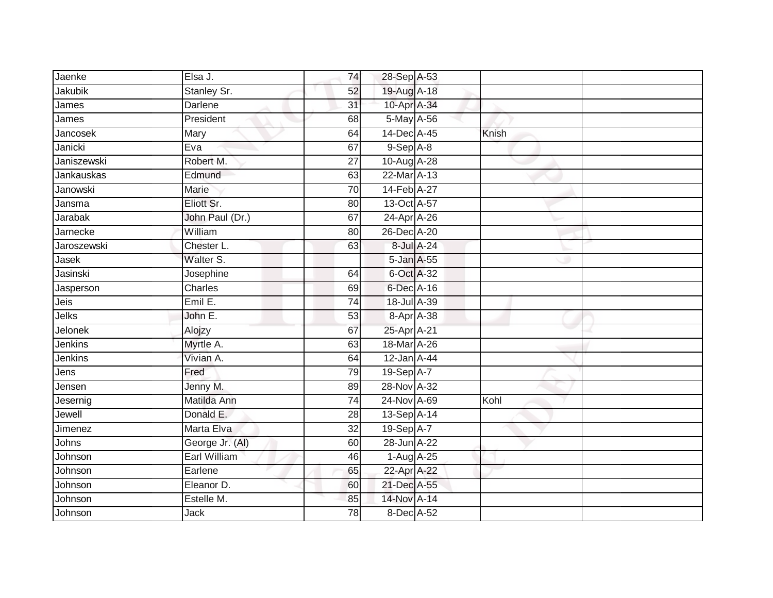| Jaenke         | Elsa J.         | 74              | 28-Sep A-53    |       |  |
|----------------|-----------------|-----------------|----------------|-------|--|
| Jakubik        | Stanley Sr.     | 52              | 19-Aug A-18    |       |  |
| James          | <b>Darlene</b>  | $\overline{31}$ | 10-Apr A-34    |       |  |
| James          | President       | 68              | 5-May A-56     |       |  |
| Jancosek       | Mary            | 64              | 14-Dec A-45    | Knish |  |
| Janicki        | Eva             | 67              | $9-$ Sep $A-8$ |       |  |
| Janiszewski    | Robert M.       | $\overline{27}$ | 10-Aug A-28    |       |  |
| Jankauskas     | Edmund          | 63              | 22-Mar A-13    |       |  |
| Janowski       | Marie           | 70              | 14-Feb A-27    |       |  |
| Jansma         | Eliott Sr.      | 80              | 13-Oct A-57    |       |  |
| <b>Jarabak</b> | John Paul (Dr.) | 67              | 24-Apr A-26    |       |  |
| Jarnecke       | William         | 80              | 26-Dec A-20    |       |  |
| Jaroszewski    | Chester L.      | 63              | 8-Jul A-24     |       |  |
| Jasek          | Walter S.       |                 | 5-Jan A-55     |       |  |
| Jasinski       | Josephine       | 64              | 6-Oct A-32     |       |  |
| Jasperson      | Charles         | 69              | 6-Dec A-16     |       |  |
| Jeis           | Emil E.         | $\overline{74}$ | 18-Jul A-39    |       |  |
| Jelks          | John E.         | 53              | 8-Apr A-38     |       |  |
| Jelonek        | Alojzy          | 67              | 25-Apr A-21    |       |  |
| Jenkins        | Myrtle A.       | 63              | 18-Mar A-26    |       |  |
| Jenkins        | Vivian A.       | 64              | 12-Jan A-44    |       |  |
| Jens           | Fred            | 79              | 19-Sep A-7     |       |  |
| Jensen         | Jenny M.        | 89              | 28-Nov A-32    |       |  |
| Jesernig       | Matilda Ann     | 74              | 24-Nov A-69    | Kohl  |  |
| Jewell         | Donald E.       | 28              | 13-Sep A-14    |       |  |
| Jimenez        | Marta Elva      | 32              | 19-Sep A-7     |       |  |
| Johns          | George Jr. (AI) | 60              | 28-Jun A-22    |       |  |
| Johnson        | Earl William    | 46              | 1-Aug A-25     |       |  |
| Johnson        | Earlene         | 65              | 22-Apr A-22    |       |  |
| Johnson        | Eleanor D.      | 60              | 21-Dec A-55    |       |  |
| Johnson        | Estelle M.      | 85              | 14-Nov A-14    |       |  |
| Johnson        | <b>Jack</b>     | $\overline{78}$ | 8-Dec A-52     |       |  |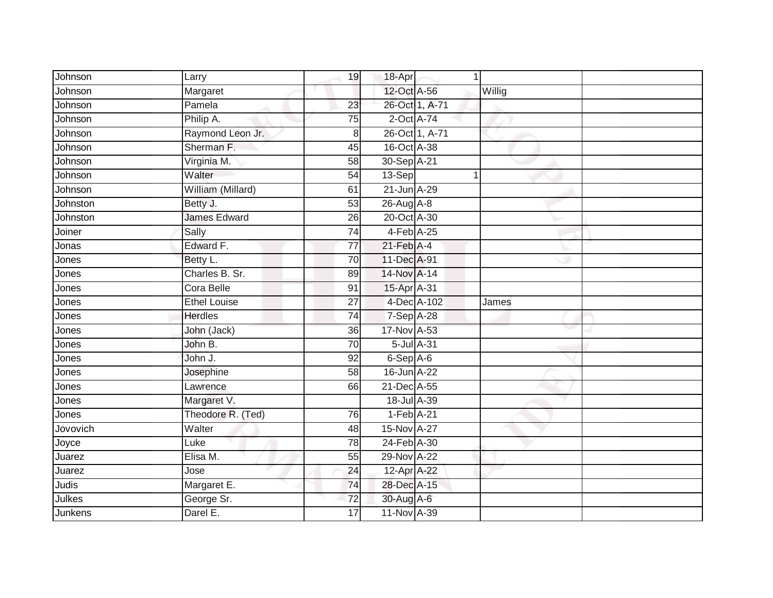| Johnson  | Larry               | 19              | 18-Apr                 |                | 1      |  |
|----------|---------------------|-----------------|------------------------|----------------|--------|--|
| Johnson  | Margaret            |                 | 12-Oct A-56            |                | Willig |  |
| Johnson  | Pamela              | $\overline{23}$ |                        | 26-Oct 1, A-71 |        |  |
| Johnson  | Philip A.           | 75              | $2$ -Oct $A-74$        |                |        |  |
| Johnson  | Raymond Leon Jr.    | 8               |                        | 26-Oct 1, A-71 |        |  |
| Johnson  | Sherman F.          | 45              | 16-Oct A-38            |                |        |  |
| Johnson  | Virginia M.         | 58              | 30-Sep A-21            |                |        |  |
| Johnson  | Walter              | $\overline{54}$ | 13-Sep                 |                |        |  |
| Johnson  | William (Millard)   | 61              | 21-Jun A-29            |                |        |  |
| Johnston | Betty J.            | 53              | 26-Aug A-8             |                |        |  |
| Johnston | <b>James Edward</b> | 26              | 20-Oct A-30            |                |        |  |
| Joiner   | Sally               | $\overline{74}$ | 4-Feb A-25             |                |        |  |
| Jonas    | Edward F.           | 77              | $21$ -Feb $A$ -4       |                |        |  |
| Jones    | Betty L.            | 70              | 11-Dec A-91            |                |        |  |
| Jones    | Charles B. Sr.      | 89              | 14-Nov A-14            |                |        |  |
| Jones    | Cora Belle          | 91              | 15-Apr A-31            |                |        |  |
| Jones    | <b>Ethel Louise</b> | $\overline{27}$ |                        | 4-Dec A-102    | James  |  |
| Jones    | <b>Herdles</b>      | $\overline{74}$ | 7-Sep A-28             |                |        |  |
| Jones    | John (Jack)         | 36              | 17-Nov A-53            |                |        |  |
| Jones    | John B.             | 70              | 5-Jul A-31             |                |        |  |
| Jones    | John J.             | 92              | 6-Sep A-6              |                |        |  |
| Jones    | Josephine           | 58              | 16-Jun A-22            |                |        |  |
| Jones    | Lawrence            | 66              | 21-Dec A-55            |                |        |  |
| Jones    | Margaret V.         |                 | 18-Jul A-39            |                |        |  |
| Jones    | Theodore R. (Ted)   | 76              | 1-Feb A-21             |                |        |  |
| Jovovich | Walter              | 48              | 15-Nov A-27            |                |        |  |
| Joyce    | Luke                | 78              | 24-Feb A-30            |                |        |  |
| Juarez   | Elisa M.            | 55              | 29-Nov A-22            |                |        |  |
| Juarez   | Jose                | 24              | 12-Apr <sup>A-22</sup> |                |        |  |
| Judis    | Margaret E.         | 74              | 28-Dec A-15            |                |        |  |
| Julkes   | George Sr.          | 72              | $30$ -Aug $A$ -6       |                |        |  |
| Junkens  | Darel E.            | 17              | 11-Nov A-39            |                |        |  |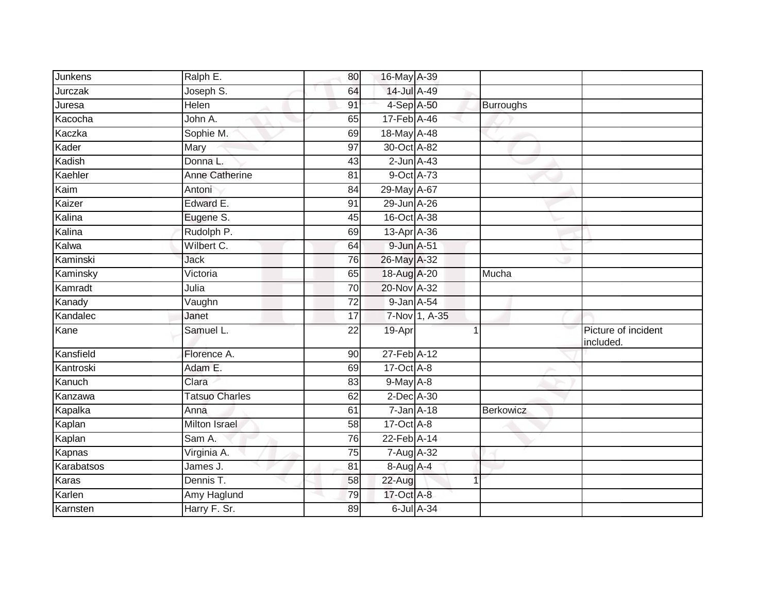| Junkens    | Ralph E.              | 80              | 16-May A-39      |               |                  |                                  |
|------------|-----------------------|-----------------|------------------|---------------|------------------|----------------------------------|
| Jurczak    | Joseph S.             | 64              | 14-Jul A-49      |               |                  |                                  |
| Juresa     | Helen                 | 91              | 4-Sep A-50       |               | <b>Burroughs</b> |                                  |
| Kacocha    | John A.               | 65              | 17-Feb A-46      |               |                  |                                  |
| Kaczka     | Sophie M.             | 69              | 18-May A-48      |               |                  |                                  |
| Kader      | Mary                  | 97              | 30-Oct A-82      |               |                  |                                  |
| Kadish     | Donna L.              | 43              | $2$ -Jun $A$ -43 |               |                  |                                  |
| Kaehler    | <b>Anne Catherine</b> | 81              | 9-Oct A-73       |               |                  |                                  |
| Kaim       | Antoni                | 84              | 29-May A-67      |               |                  |                                  |
| Kaizer     | Edward E.             | 91              | 29-Jun A-26      |               |                  |                                  |
| Kalina     | Eugene S.             | 45              | 16-Oct A-38      |               |                  |                                  |
| Kalina     | Rudolph P.            | 69              | 13-Apr A-36      |               |                  |                                  |
| Kalwa      | Wilbert C.            | 64              | 9-Jun A-51       |               |                  |                                  |
| Kaminski   | Jack                  | 76              | 26-May A-32      |               |                  |                                  |
| Kaminsky   | Victoria              | 65              | 18-Aug A-20      |               | Mucha            |                                  |
| Kamradt    | Julia                 | 70              | 20-Nov A-32      |               |                  |                                  |
| Kanady     | Vaughn                | $\overline{72}$ | 9-Jan A-54       |               |                  |                                  |
| Kandalec   | Janet                 | 17              |                  | 7-Nov 1, A-35 |                  |                                  |
| Kane       | Samuel L.             | 22              | 19-Apr           |               |                  | Picture of incident<br>included. |
| Kansfield  | Florence A.           | 90              | 27-Feb A-12      |               |                  |                                  |
| Kantroski  | Adam E.               | 69              | 17-Oct A-8       |               |                  |                                  |
| Kanuch     | Clara                 | 83              | $9$ -May $A-8$   |               |                  |                                  |
| Kanzawa    | <b>Tatsuo Charles</b> | 62              | $2$ -Dec $A$ -30 |               |                  |                                  |
| Kapalka    | Anna                  | 61              | $7 - Jan A - 18$ |               | <b>Berkowicz</b> |                                  |
| Kaplan     | <b>Milton Israel</b>  | $\overline{58}$ | 17-Oct A-8       |               |                  |                                  |
| Kaplan     | Sam A.                | 76              | 22-Feb A-14      |               |                  |                                  |
| Kapnas     | Virginia A.           | 75              | 7-Aug A-32       |               |                  |                                  |
| Karabatsos | James J.              | 81              | 8-Aug A-4        |               |                  |                                  |
| Karas      | Dennis T.             | 58              | 22-Aug           |               |                  |                                  |
| Karlen     | Amy Haglund           | 79              | 17-Oct A-8       |               |                  |                                  |
| Karnsten   | Harry F. Sr.          | 89              | 6-Jul A-34       |               |                  |                                  |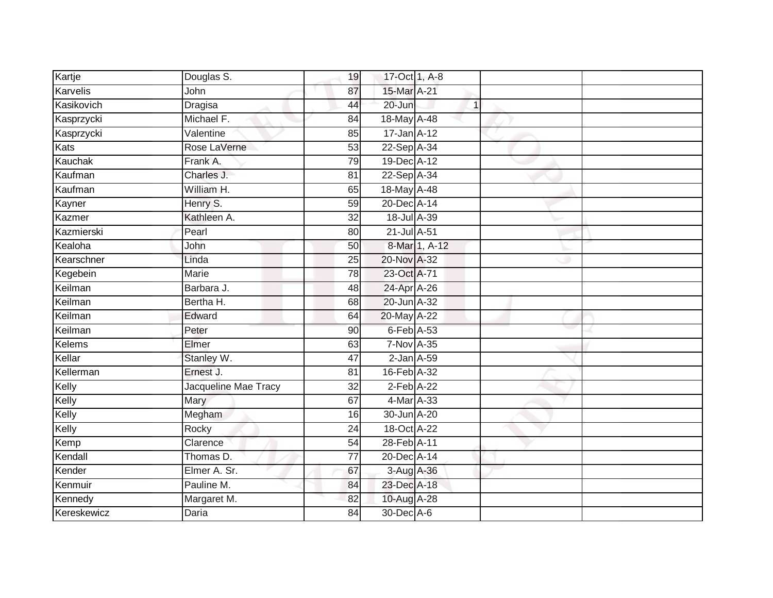| Kartje          | Douglas S.           | 19              | 17-Oct 1, A-8     |              |  |
|-----------------|----------------------|-----------------|-------------------|--------------|--|
| <b>Karvelis</b> | John                 | 87              | 15-Mar A-21       |              |  |
| Kasikovich      | <b>Dragisa</b>       | 44              | $20 - Jun$        | $\mathbf{1}$ |  |
| Kasprzycki      | Michael F.           | 84              | 18-May A-48       |              |  |
| Kasprzycki      | Valentine            | 85              | $17 - Jan A - 12$ |              |  |
| Kats            | Rose LaVerne         | 53              | 22-Sep A-34       |              |  |
| Kauchak         | Frank A.             | 79              | 19-Dec A-12       |              |  |
| Kaufman         | Charles J.           | 81              | 22-Sep A-34       |              |  |
| Kaufman         | William H.           | 65              | 18-May A-48       |              |  |
| Kayner          | Henry S.             | 59              | 20-Dec A-14       |              |  |
| Kazmer          | Kathleen A.          | 32              | $18$ -Jul $A$ -39 |              |  |
| Kazmierski      | Pearl                | 80              | 21-Jul A-51       |              |  |
| Kealoha         | John                 | 50              | 8-Mar 1, A-12     |              |  |
| Kearschner      | Linda                | 25              | 20-Nov A-32       |              |  |
| Kegebein        | <b>Marie</b>         | 78              | 23-Oct A-71       |              |  |
| Keilman         | Barbara J.           | 48              | 24-Apr A-26       |              |  |
| Keilman         | Bertha H.            | 68              | 20-Jun A-32       |              |  |
| Keilman         | Edward               | 64              | 20-May A-22       |              |  |
| Keilman         | Peter                | 90              | 6-Feb A-53        |              |  |
| <b>Kelems</b>   | Elmer                | 63              | 7-Nov A-35        |              |  |
| Kellar          | Stanley W.           | 47              | $2$ -Jan $A$ -59  |              |  |
| Kellerman       | Ernest J.            | 81              | 16-Feb A-32       |              |  |
| Kelly           | Jacqueline Mae Tracy | 32              | $2-Feb$ A-22      |              |  |
| Kelly           | Mary                 | 67              | 4-Mar A-33        |              |  |
| Kelly           | Megham               | 16              | 30-Jun A-20       |              |  |
| Kelly           | Rocky                | 24              | 18-Oct A-22       |              |  |
| Kemp            | Clarence             | 54              | 28-Feb A-11       |              |  |
| Kendall         | Thomas D.            | $\overline{77}$ | 20-Dec A-14       |              |  |
| Kender          | Elmer A. Sr.         | 67              | 3-Aug A-36        |              |  |
| Kenmuir         | Pauline M.           | 84              | 23-Dec A-18       |              |  |
| Kennedy         | Margaret M.          | 82              | 10-Aug A-28       |              |  |
| Kereskewicz     | <b>Daria</b>         | $\overline{84}$ | 30-Dec A-6        |              |  |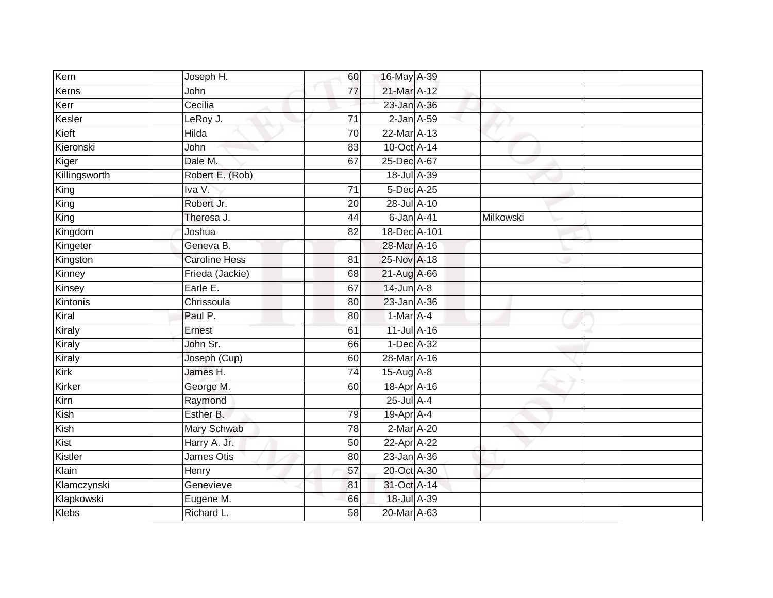| Kern          | Joseph H.            | 60              | 16-May A-39      |           |  |
|---------------|----------------------|-----------------|------------------|-----------|--|
| Kerns         | John                 | 77              | 21-Mar A-12      |           |  |
| Kerr          | Cecilia              |                 | 23-Jan A-36      |           |  |
| Kesler        | LeRoy J.             | 71              | $2$ -Jan $A$ -59 |           |  |
| Kieft         | Hilda                | $\overline{70}$ | 22-Mar A-13      |           |  |
| Kieronski     | John                 | 83              | 10-Oct A-14      |           |  |
| Kiger         | Dale M.              | 67              | 25-Dec A-67      |           |  |
| Killingsworth | Robert E. (Rob)      |                 | 18-Jul A-39      |           |  |
| King          | Iva V.               | $\overline{71}$ | 5-Dec A-25       |           |  |
| King          | Robert Jr.           | 20              | 28-Jul A-10      |           |  |
| King          | Theresa J.           | 44              | $6$ -Jan $A$ -41 | Milkowski |  |
| Kingdom       | Joshua               | 82              | 18-Dec A-101     |           |  |
| Kingeter      | Geneva B.            |                 | 28-Mar A-16      |           |  |
| Kingston      | <b>Caroline Hess</b> | 81              | 25-Nov A-18      |           |  |
| Kinney        | Frieda (Jackie)      | 68              | 21-Aug A-66      |           |  |
| Kinsey        | Earle E.             | 67              | $14$ -Jun $A-8$  |           |  |
| Kintonis      | Chrissoula           | 80              | 23-Jan A-36      |           |  |
| Kiral         | Paul P.              | 80              | 1-Mar A-4        |           |  |
| Kiraly        | Ernest               | 61              | 11-Jul A-16      |           |  |
| Kiraly        | John Sr.             | 66              | 1-Dec A-32       |           |  |
| Kiraly        | Joseph (Cup)         | 60              | 28-Mar A-16      |           |  |
| Kirk          | James H.             | 74              | 15-Aug A-8       |           |  |
| Kirker        | George M.            | 60              | 18-Apr A-16      |           |  |
| Kirn          | Raymond              |                 | $25$ -Jul $A-4$  |           |  |
| Kish          | Esther B.            | 79              | $19$ -Apr $A$ -4 |           |  |
| Kish          | Mary Schwab          | 78              | $2-Mar A-20$     |           |  |
| Kist          | Harry A. Jr.         | 50              | 22-Apr A-22      |           |  |
| Kistler       | James Otis           | 80              | 23-Jan A-36      |           |  |
| Klain         | Henry                | 57              | 20-Oct A-30      |           |  |
| Klamczynski   | Genevieve            | 81              | 31-Oct A-14      |           |  |
| Klapkowski    | Eugene M.            | 66              | 18-Jul A-39      |           |  |
| <b>Klebs</b>  | Richard L.           | $\overline{58}$ | 20-Mar A-63      |           |  |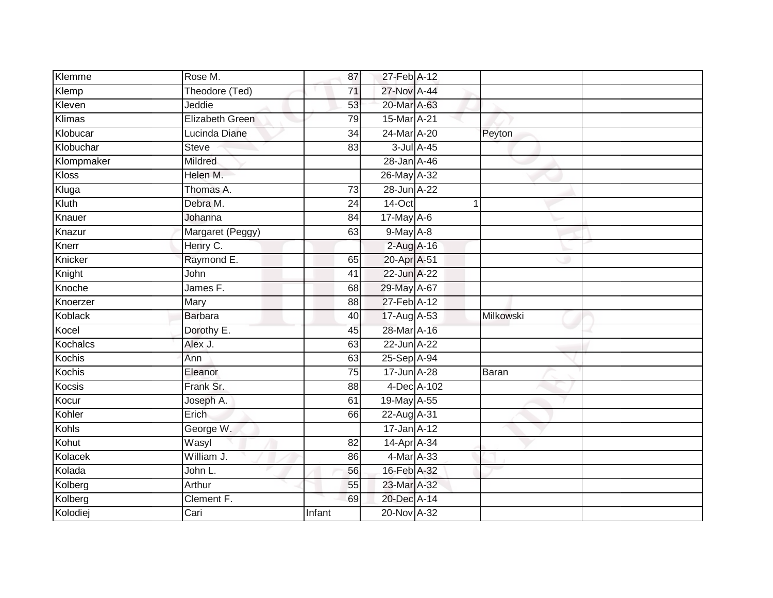| Klemme     | Rose M.                | 87              | 27-Feb A-12 |             |           |  |
|------------|------------------------|-----------------|-------------|-------------|-----------|--|
| Klemp      | Theodore (Ted)         | 71              | 27-Nov A-44 |             |           |  |
| Kleven     | Jeddie                 | 53              | 20-Mar A-63 |             |           |  |
| Klimas     | <b>Elizabeth Green</b> | 79              | 15-Mar A-21 |             |           |  |
| Klobucar   | Lucinda Diane          | $\overline{34}$ | 24-Mar A-20 |             | Peyton    |  |
| Klobuchar  | <b>Steve</b>           | 83              | 3-Jul A-45  |             |           |  |
| Klompmaker | Mildred                |                 | 28-Jan A-46 |             |           |  |
| Kloss      | Helen M.               |                 | 26-May A-32 |             |           |  |
| Kluga      | Thomas A.              | 73              | 28-Jun A-22 |             |           |  |
| Kluth      | Debra M.               | $\overline{24}$ | 14-Oct      |             | 1         |  |
| Knauer     | Johanna                | 84              | 17-May A-6  |             |           |  |
| Knazur     | Margaret (Peggy)       | 63              | 9-May A-8   |             |           |  |
| Knerr      | Henry C.               |                 | 2-Aug A-16  |             |           |  |
| Knicker    | Raymond E.             | 65              | 20-Apr A-51 |             |           |  |
| Knight     | John                   | 41              | 22-Jun A-22 |             |           |  |
| Knoche     | James F.               | 68              | 29-May A-67 |             |           |  |
| Knoerzer   | Mary                   | 88              | 27-Feb A-12 |             |           |  |
| Koblack    | <b>Barbara</b>         | 40              | 17-Aug A-53 |             | Milkowski |  |
| Kocel      | Dorothy E.             | 45              | 28-Mar A-16 |             |           |  |
| Kochalcs   | Alex J.                | 63              | 22-Jun A-22 |             |           |  |
| Kochis     | Ann                    | 63              | 25-Sep A-94 |             |           |  |
| Kochis     | Eleanor                | $\overline{75}$ | 17-Jun A-28 |             | Baran     |  |
| Kocsis     | Frank Sr.              | 88              |             | 4-Dec A-102 |           |  |
| Kocur      | Joseph A.              | 61              | 19-May A-55 |             |           |  |
| Kohler     | Erich                  | 66              | 22-Aug A-31 |             |           |  |
| Kohls      | George W.              |                 | 17-Jan A-12 |             |           |  |
| Kohut      | Wasyl                  | 82              | 14-Apr A-34 |             |           |  |
| Kolacek    | William J.             | 86              | 4-Mar A-33  |             |           |  |
| Kolada     | John L.                | 56              | 16-Feb A-32 |             |           |  |
| Kolberg    | Arthur                 | 55              | 23-Mar A-32 |             |           |  |
| Kolberg    | Clement F.             | 69              | 20-Dec A-14 |             |           |  |
| Kolodiej   | Cari                   | Infant          | 20-Nov A-32 |             |           |  |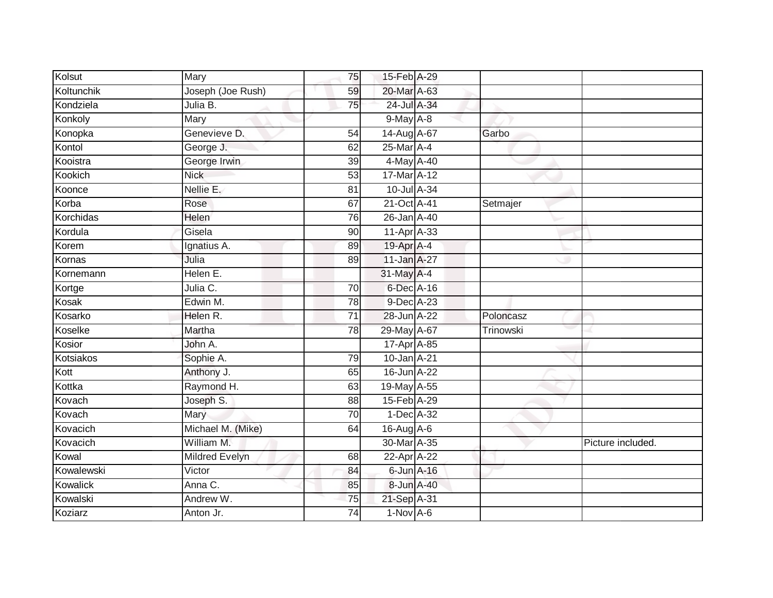| Kolsut     | Mary              | 75              | 15-Feb A-29      |           |                   |
|------------|-------------------|-----------------|------------------|-----------|-------------------|
| Koltunchik | Joseph (Joe Rush) | 59              | 20-Mar A-63      |           |                   |
| Kondziela  | Julia B.          | $\overline{75}$ | 24-Jul A-34      |           |                   |
| Konkoly    | Mary              |                 | $9$ -May $A - 8$ |           |                   |
| Konopka    | Genevieve D.      | $\overline{54}$ | 14-Aug A-67      | Garbo     |                   |
| Kontol     | George J.         | 62              | 25-Mar A-4       |           |                   |
| Kooistra   | George Irwin      | 39              | 4-May A-40       |           |                   |
| Kookich    | <b>Nick</b>       | 53              | 17-Mar A-12      |           |                   |
| Koonce     | Nellie E.         | 81              | 10-Jul A-34      |           |                   |
| Korba      | Rose              | 67              | 21-Oct A-41      | Setmajer  |                   |
| Korchidas  | Helen             | 76              | 26-Jan A-40      |           |                   |
| Kordula    | Gisela            | 90              | 11-Apr A-33      |           |                   |
| Korem      | Ignatius A.       | 89              | 19-Apr A-4       |           |                   |
| Kornas     | Julia             | 89              | 11-Jan A-27      |           |                   |
| Kornemann  | Helen E.          |                 | 31-May A-4       |           |                   |
| Kortge     | Julia C.          | 70              | 6-Dec A-16       |           |                   |
| Kosak      | Edwin M.          | 78              | 9-Dec A-23       |           |                   |
| Kosarko    | Helen R.          | $\overline{71}$ | 28-Jun A-22      | Poloncasz |                   |
| Koselke    | Martha            | 78              | 29-May A-67      | Trinowski |                   |
| Kosior     | John A.           |                 | 17-Apr A-85      |           |                   |
| Kotsiakos  | Sophie A.         | 79              | 10-Jan A-21      |           |                   |
| Kott       | Anthony J.        | 65              | 16-Jun A-22      |           |                   |
| Kottka     | Raymond H.        | 63              | 19-May A-55      |           |                   |
| Kovach     | Joseph S.         | 88              | 15-Feb A-29      |           |                   |
| Kovach     | Mary              | $\overline{70}$ | 1-Dec A-32       |           |                   |
| Kovacich   | Michael M. (Mike) | 64              | 16-Aug A-6       |           |                   |
| Kovacich   | William M.        |                 | 30-Mar A-35      |           | Picture included. |
| Kowal      | Mildred Evelyn    | 68              | 22-Apr A-22      |           |                   |
| Kowalewski | Victor            | 84              | $6$ -Jun $A$ -16 |           |                   |
| Kowalick   | Anna C.           | 85              | 8-Jun A-40       |           |                   |
| Kowalski   | Andrew W.         | 75              | 21-Sep A-31      |           |                   |
| Koziarz    | Anton Jr.         | $\overline{74}$ | $1-Nov$ A-6      |           |                   |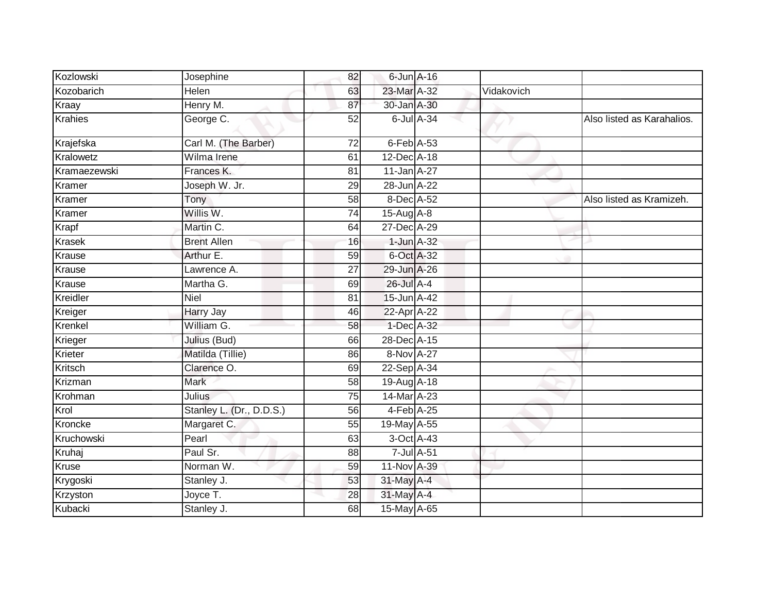| Kozlowski      | Josephine                | 82              | $6$ -Jun $A$ -16 |                  |            |                            |
|----------------|--------------------------|-----------------|------------------|------------------|------------|----------------------------|
| Kozobarich     | Helen                    | 63              | 23-Mar A-32      |                  | Vidakovich |                            |
| Kraay          | Henry M.                 | 87              | 30-Jan A-30      |                  |            |                            |
| <b>Krahies</b> | George C.                | 52              |                  | $6$ -Jul $A$ -34 |            | Also listed as Karahalios. |
| Krajefska      | Carl M. (The Barber)     | 72              | $6$ -Feb $A$ -53 |                  |            |                            |
| Kralowetz      | Wilma Irene              | 61              | 12-Dec A-18      |                  |            |                            |
| Kramaezewski   | Frances K.               | 81              | 11-Jan A-27      |                  |            |                            |
| Kramer         | Joseph W. Jr.            | 29              | 28-Jun A-22      |                  |            |                            |
| Kramer         | Tony                     | 58              | 8-Dec A-52       |                  |            | Also listed as Kramizeh.   |
| Kramer         | Willis W.                | 74              | $15$ -Aug $A$ -8 |                  |            |                            |
| Krapf          | Martin C.                | 64              | 27-Dec A-29      |                  |            |                            |
| <b>Krasek</b>  | <b>Brent Allen</b>       | 16              | $1$ -Jun $A-32$  |                  |            |                            |
| Krause         | Arthur E.                | 59              | 6-Oct A-32       |                  |            |                            |
| Krause         | Lawrence A.              | 27              | 29-Jun A-26      |                  |            |                            |
| Krause         | Martha G.                | 69              | 26-Jul A-4       |                  |            |                            |
| Kreidler       | Niel                     | 81              | 15-Jun A-42      |                  |            |                            |
| Kreiger        | Harry Jay                | 46              | 22-Apr A-22      |                  |            |                            |
| Krenkel        | William G.               | 58              | 1-Dec A-32       |                  |            |                            |
| Krieger        | Julius (Bud)             | 66              | 28-Dec A-15      |                  |            |                            |
| Krieter        | Matilda (Tillie)         | 86              | 8-Nov A-27       |                  |            |                            |
| Kritsch        | Clarence O.              | 69              | 22-Sep A-34      |                  |            |                            |
| Krizman        | <b>Mark</b>              | 58              | 19-Aug A-18      |                  |            |                            |
| Krohman        | <b>Julius</b>            | $\overline{75}$ | 14-Mar A-23      |                  |            |                            |
| Krol           | Stanley L. (Dr., D.D.S.) | 56              | $4$ -Feb $A$ -25 |                  |            |                            |
| Kroncke        | Margaret C.              | 55              | 19-May A-55      |                  |            |                            |
| Kruchowski     | Pearl                    | 63              | 3-Oct A-43       |                  |            |                            |
| Kruhaj         | Paul Sr.                 | 88              | $7$ -Jul $A$ -51 |                  |            |                            |
| <b>Kruse</b>   | Norman W.                | 59              | 11-Nov A-39      |                  |            |                            |
| Krygoski       | Stanley J.               | 53              | 31-May A-4       |                  |            |                            |
| Krzyston       | Joyce T.                 | 28              | 31-May A-4       |                  |            |                            |
| Kubacki        | Stanley J.               | 68              | 15-May A-65      |                  |            |                            |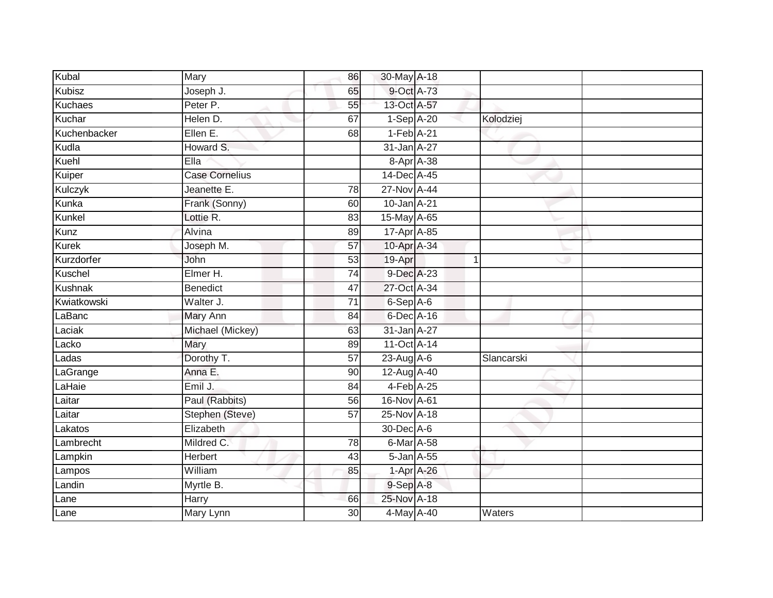| Kubal         | Mary                  | 86              | 30-May A-18                  |            |            |  |
|---------------|-----------------------|-----------------|------------------------------|------------|------------|--|
| <b>Kubisz</b> | Joseph J.             | 65              | 9-Oct A-73                   |            |            |  |
| Kuchaes       | Peter P.              | 55              | 13-Oct A-57                  |            |            |  |
| Kuchar        | Helen D.              | 67              | 1-Sep A-20                   |            | Kolodziej  |  |
| Kuchenbacker  | Ellen E.              | 68              | $1-Feb$ A-21                 |            |            |  |
| Kudla         | Howard S.             |                 | 31-Jan A-27                  |            |            |  |
| Kuehl         | Ella                  |                 |                              | 8-Apr A-38 |            |  |
| Kuiper        | <b>Case Cornelius</b> |                 | 14-Dec A-45                  |            |            |  |
| Kulczyk       | Jeanette E.           | 78              | 27-Nov A-44                  |            |            |  |
| Kunka         | Frank (Sonny)         | 60              | 10-Jan A-21                  |            |            |  |
| Kunkel        | Lottie R.             | 83              | 15-May A-65                  |            |            |  |
| Kunz          | Alvina                | 89              | $17$ -Apr $\overline{A}$ -85 |            |            |  |
| <b>Kurek</b>  | Joseph M.             | 57              | 10-Apr A-34                  |            |            |  |
| Kurzdorfer    | John                  | 53              | 19-Apr                       |            | 1          |  |
| Kuschel       | Elmer H.              | $\overline{74}$ | 9-Dec A-23                   |            |            |  |
| Kushnak       | Benedict              | 47              | 27-Oct A-34                  |            |            |  |
| Kwiatkowski   | Walter J.             | $\overline{71}$ | $6-$ Sep $A-6$               |            |            |  |
| LaBanc        | Mary Ann              | 84              | 6-Dec A-16                   |            |            |  |
| Laciak        | Michael (Mickey)      | 63              | 31-Jan A-27                  |            |            |  |
| Lacko         | Mary                  | 89              | 11-Oct A-14                  |            |            |  |
| Ladas         | Dorothy T.            | 57              | $23$ -Aug $A$ -6             |            | Slancarski |  |
| LaGrange      | Anna E.               | 90              | 12-Aug A-40                  |            |            |  |
| LaHaie        | Emil J.               | 84              | 4-Feb A-25                   |            |            |  |
| Laitar        | Paul (Rabbits)        | 56              | 16-Nov A-61                  |            |            |  |
| Laitar        | Stephen (Steve)       | 57              | 25-Nov A-18                  |            |            |  |
| Lakatos       | Elizabeth             |                 | 30-Dec A-6                   |            |            |  |
| Lambrecht     | Mildred C.            | 78              | 6-Mar A-58                   |            |            |  |
| Lampkin       | Herbert               | 43              | 5-Jan A-55                   |            |            |  |
| Lampos        | William               | 85              |                              | 1-Apr A-26 |            |  |
| Landin        | Myrtle B.             |                 | 9-Sep A-8                    |            |            |  |
| Lane          | Harry                 | 66              | 25-Nov A-18                  |            |            |  |
| Lane          | Mary Lynn             | 30 <sup>1</sup> | 4-May A-40                   |            | Waters     |  |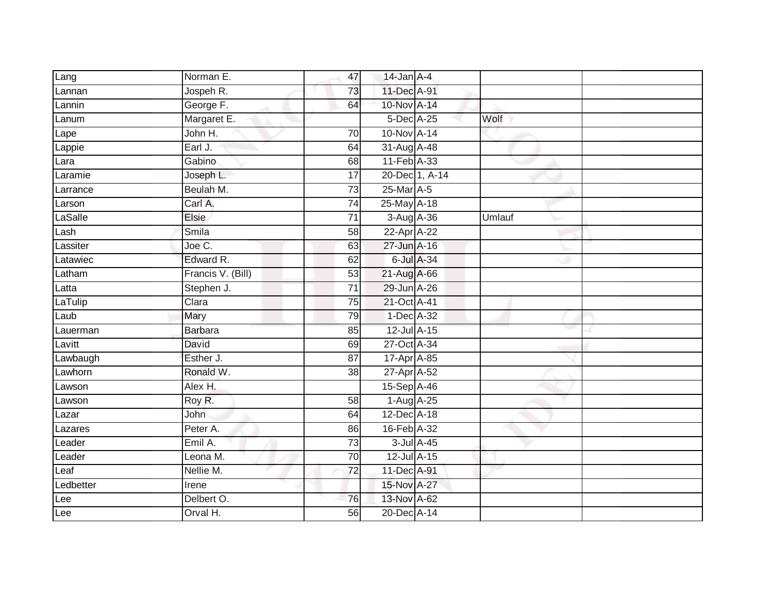| Lang      | Norman E.         | 47              | $14$ -Jan $A-4$  |        |  |
|-----------|-------------------|-----------------|------------------|--------|--|
| Lannan    | Jospeh R.         | 73              | 11-Dec A-91      |        |  |
| Lannin    | George F.         | 64              | 10-Nov A-14      |        |  |
| Lanum     | Margaret E.       |                 | 5-Dec A-25       | Wolf   |  |
| Lape      | John H.           | $\overline{70}$ | 10-Nov A-14      |        |  |
| Lappie    | Earl J.           | 64              | 31-Aug A-48      |        |  |
| Lara      | Gabino            | 68              | 11-Feb A-33      |        |  |
| Laramie   | Joseph L.         | $\overline{17}$ | 20-Dec 1, A-14   |        |  |
| Larrance  | Beulah M.         | 73              | 25-Mar A-5       |        |  |
| Larson    | Carl A.           | $\overline{74}$ | 25-May A-18      |        |  |
| LaSalle   | <b>Elsie</b>      | 71              | 3-Aug A-36       | Umlauf |  |
| Lash      | Smila             | 58              | 22-Apr A-22      |        |  |
| Lassiter  | Joe C.            | 63              | 27-Jun A-16      |        |  |
| Latawiec  | Edward R.         | 62              | 6-Jul A-34       |        |  |
| Latham    | Francis V. (Bill) | 53              | 21-Aug A-66      |        |  |
| Latta     | Stephen J.        | $\overline{71}$ | 29-Jun A-26      |        |  |
| LaTulip   | Clara             | $\overline{75}$ | 21-Oct A-41      |        |  |
| Laub      | Mary              | 79              | 1-Dec A-32       |        |  |
| Lauerman  | <b>Barbara</b>    | 85              | 12-Jul A-15      |        |  |
| Lavitt    | David             | 69              | 27-Oct A-34      |        |  |
| Lawbaugh  | Esther J.         | 87              | 17-Apr A-85      |        |  |
| Lawhorn   | Ronald W.         | 38              | 27-Apr A-52      |        |  |
| Lawson    | Alex H.           |                 | 15-Sep A-46      |        |  |
| Lawson    | Roy R.            | 58              | 1-Aug A-25       |        |  |
| Lazar     | John              | 64              | 12-Dec A-18      |        |  |
| Lazares   | Peter A.          | 86              | 16-Feb A-32      |        |  |
| Leader    | Emil A.           | 73              | $3$ -Jul $A$ -45 |        |  |
| Leader    | Leona M.          | $\overline{70}$ | 12-Jul A-15      |        |  |
| Leaf      | Nellie M.         | 72              | 11-Dec A-91      |        |  |
| Ledbetter | Irene             |                 | 15-Nov A-27      |        |  |
| Lee       | Delbert O.        | 76              | 13-Nov A-62      |        |  |
| Lee       | Orval H.          | $\overline{56}$ | 20-Dec A-14      |        |  |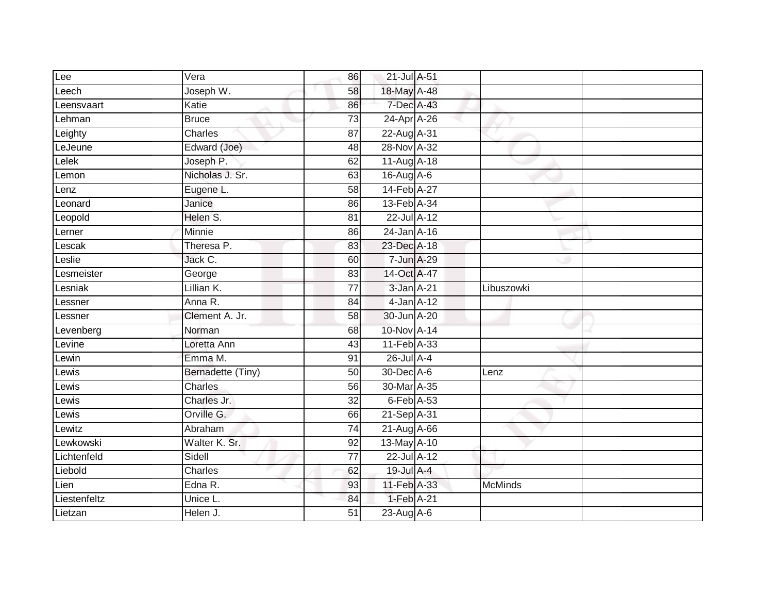| Lee          | Vera                  | 86              | 21-Jul A-51     |                |
|--------------|-----------------------|-----------------|-----------------|----------------|
| Leech        | Joseph W.             | 58              | 18-May A-48     |                |
| Leensvaart   | Katie                 | 86              | 7-Dec A-43      |                |
| Lehman       | <b>Bruce</b>          | $\overline{73}$ | 24-Apr A-26     |                |
| Leighty      | Charles               | 87              | 22-Aug A-31     |                |
| LeJeune      | Edward (Joe)          | 48              | 28-Nov A-32     |                |
| Lelek        | Joseph P.             | 62              | 11-Aug A-18     |                |
| Lemon        | Nicholas J. Sr.       | 63              | 16-Aug A-6      |                |
| Lenz         | Eugene L.             | 58              | 14-Feb A-27     |                |
| Leonard      | Janice                | 86              | 13-Feb A-34     |                |
| Leopold      | Helen S.              | 81              | 22-Jul A-12     |                |
| Lerner       | Minnie                | 86              | 24-Jan A-16     |                |
| Lescak       | Theresa P.            | 83              | 23-Dec A-18     |                |
| $L$ eslie    | Jack C.               | 60              | 7-Jun A-29      |                |
| Lesmeister   | George                | 83              | 14-Oct A-47     |                |
| _esniak      | Lillian K.            | $\overline{77}$ | 3-Jan A-21      | Libuszowki     |
| Lessner      | Anna R.               | $\overline{84}$ | $4$ -Jan $A-12$ |                |
| Lessner      | Clement A. Jr.        | 58              | 30-Jun A-20     |                |
| Levenberg    | Norman                | 68              | 10-Nov A-14     |                |
| Levine       | Loretta Ann           | 43              | 11-Feb A-33     |                |
| Lewin        | Emma M.               | 91              | 26-Jul A-4      |                |
| Lewis        | Bernadette (Tiny)     | $\overline{50}$ | 30-Dec A-6      | Lenz           |
| Lewis        | Charles               | 56              | 30-Mar A-35     |                |
| Lewis        | Charles Jr.           | $\overline{32}$ | 6-Feb A-53      |                |
| _ewis        | Orville G.            | 66              | 21-Sep A-31     |                |
| Lewitz       | Abraham               | 74              | $21-AugA-66$    |                |
| Lewkowski    | Walter K. Sr.         | 92              | 13-May A-10     |                |
| Lichtenfeld  | Sidell                | 77              | 22-Jul A-12     |                |
| Liebold      | Charles               | 62              | 19-Jul A-4      |                |
| Lien         | Edna $\overline{R}$ . | 93              | 11-Feb A-33     | <b>McMinds</b> |
| Liestenfeltz | Unice L.              | 84              | 1-Feb A-21      |                |
| Lietzan      | Helen J.              | $\overline{51}$ | $23$ -Aug A-6   |                |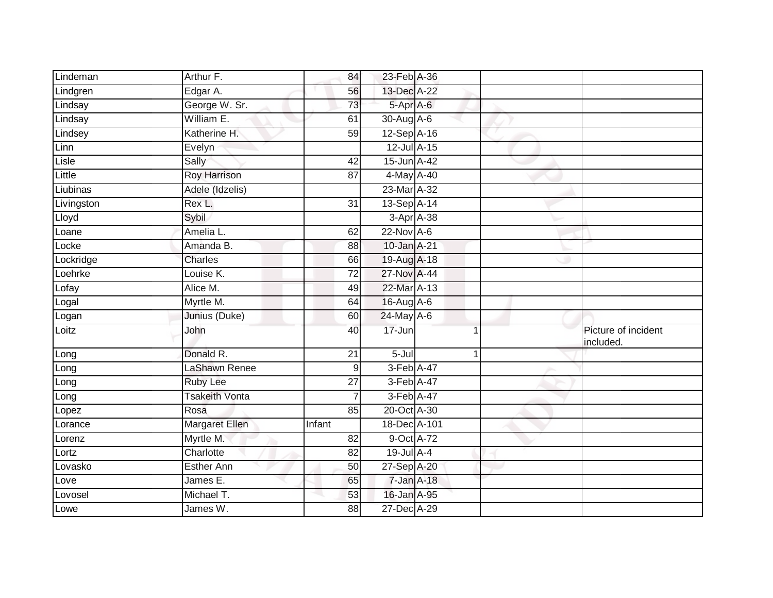| Lindeman   | Arthur F.             | 84              | 23-Feb A-36      |             |                                  |
|------------|-----------------------|-----------------|------------------|-------------|----------------------------------|
| Lindgren   | Edgar A.              | 56              | 13-Dec A-22      |             |                                  |
| Lindsay    | George W. Sr.         | 73              | 5-Apr A-6        |             |                                  |
| Lindsay    | William E.            | 61              | $30$ -Aug $A$ -6 |             |                                  |
| Lindsey    | Katherine H.          | $\overline{59}$ | 12-Sep A-16      |             |                                  |
| Linn       | Evelyn                |                 | 12-Jul A-15      |             |                                  |
| Lisle      | Sally                 | 42              | 15-Jun A-42      |             |                                  |
| Little     | <b>Roy Harrison</b>   | 87              | 4-May A-40       |             |                                  |
| Liubinas   | Adele (Idzelis)       |                 | 23-Mar A-32      |             |                                  |
| Livingston | Rex L.                | $\overline{31}$ | 13-Sep A-14      |             |                                  |
| Lloyd      | Sybil                 |                 | 3-Apr A-38       |             |                                  |
| Loane      | Amelia L.             | 62              | $22$ -Nov A-6    |             |                                  |
| Locke      | Amanda B.             | 88              | 10-Jan A-21      |             |                                  |
| Lockridge  | Charles               | 66              | 19-Aug A-18      |             |                                  |
| Loehrke    | Louise K.             | $\overline{72}$ | 27-Nov A-44      |             |                                  |
| Lofay      | Alice M.              | 49              | 22-Mar A-13      |             |                                  |
| Logal      | Myrtle M.             | 64              | 16-Aug A-6       |             |                                  |
| Logan      | Junius (Duke)         | 60              | 24-May A-6       |             |                                  |
| Loitz      | John                  | 40              | 17-Jun           |             | Picture of incident<br>included. |
| Long       | Donald R.             | 21              | 5-Jul            | $\mathbf 1$ |                                  |
| Long       | LaShawn Renee         | 9               | 3-Feb A-47       |             |                                  |
| Long       | <b>Ruby Lee</b>       | $\overline{27}$ | 3-Feb A-47       |             |                                  |
| Long       | <b>Tsakeith Vonta</b> | $\overline{7}$  | 3-Feb A-47       |             |                                  |
| Lopez      | Rosa                  | 85              | 20-Oct A-30      |             |                                  |
| Lorance    | <b>Margaret Ellen</b> | Infant          | 18-Dec A-101     |             |                                  |
| Lorenz     | Myrtle M.             | 82              | 9-Oct A-72       |             |                                  |
| Lortz      | Charlotte             | 82              | $19$ -Jul $A-4$  |             |                                  |
| Lovasko    | Esther Ann            | 50              | 27-Sep A-20      |             |                                  |
| Love       | James E.              | 65              | 7-Jan A-18       |             |                                  |
| Lovosel    | Michael T.            | 53              | 16-Jan A-95      |             |                                  |
| Lowe       | James W.              | 88              | 27-Dec A-29      |             |                                  |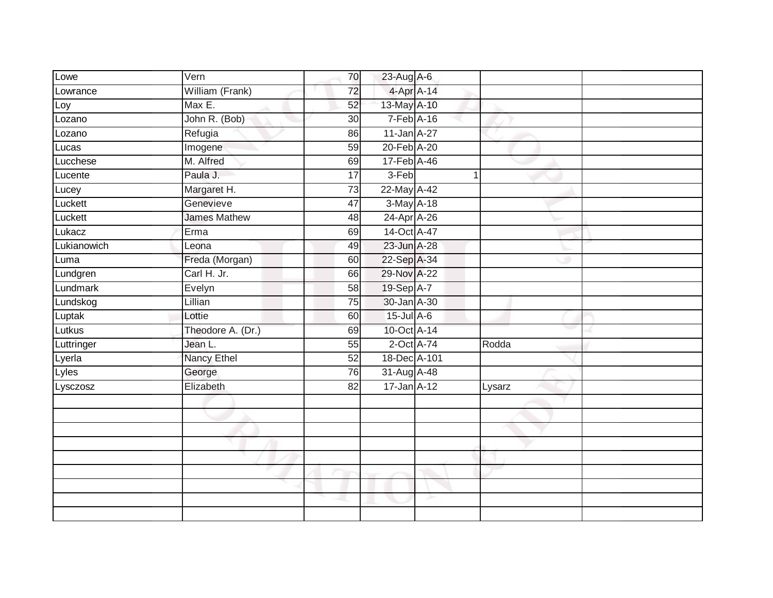| Lowe        | Vern                | 70              | 23-Aug A-6        |             |        |  |
|-------------|---------------------|-----------------|-------------------|-------------|--------|--|
| Lowrance    | William (Frank)     | 72              | 4-Apr A-14        |             |        |  |
| Loy         | Max E.              | 52              | 13-May A-10       |             |        |  |
| Lozano      | John R. (Bob)       | 30              | $7-Feb$ A-16      |             |        |  |
| Lozano      | Refugia             | 86              | 11-Jan A-27       |             |        |  |
| Lucas       | Imogene             | 59              | 20-Feb A-20       |             |        |  |
| Lucchese    | M. Alfred           | 69              | 17-Feb A-46       |             |        |  |
| Lucente     | Paula J.            | 17              | $3-Feb$           | $\mathbf 1$ |        |  |
| Lucey       | Margaret H.         | 73              | 22-May A-42       |             |        |  |
| Luckett     | Genevieve           | 47              | 3-May A-18        |             |        |  |
| Luckett     | <b>James Mathew</b> | 48              | 24-Apr A-26       |             |        |  |
| Lukacz      | Erma                | 69              | 14-Oct A-47       |             |        |  |
| Lukianowich | Leona               | 49              | 23-Jun A-28       |             |        |  |
| Luma        | Freda (Morgan)      | 60              | 22-Sep A-34       |             |        |  |
| Lundgren    | Carl H. Jr.         | 66              | 29-Nov A-22       |             |        |  |
| Lundmark    | Evelyn              | 58              | 19-Sep A-7        |             |        |  |
| Lundskog    | Lillian             | $\overline{75}$ | 30-Jan A-30       |             |        |  |
| Luptak      | Lottie              | 60              | $15$ -Jul A-6     |             |        |  |
| Lutkus      | Theodore A. (Dr.)   | 69              | 10-Oct A-14       |             |        |  |
| Luttringer  | Jean L.             | 55              | 2-Oct A-74        |             | Rodda  |  |
| Lyerla      | Nancy Ethel         | 52              | 18-Dec A-101      |             |        |  |
| Lyles       | George              | 76              | 31-Aug A-48       |             |        |  |
| Lysczosz    | Elizabeth           | 82              | $17 - Jan A - 12$ |             | Lysarz |  |
|             |                     |                 |                   |             |        |  |
|             |                     |                 |                   |             |        |  |
|             |                     |                 |                   |             |        |  |
|             |                     |                 |                   |             |        |  |
|             |                     |                 |                   |             |        |  |
|             |                     |                 |                   |             |        |  |
|             |                     |                 |                   |             |        |  |
|             |                     |                 |                   |             |        |  |
|             |                     |                 |                   |             |        |  |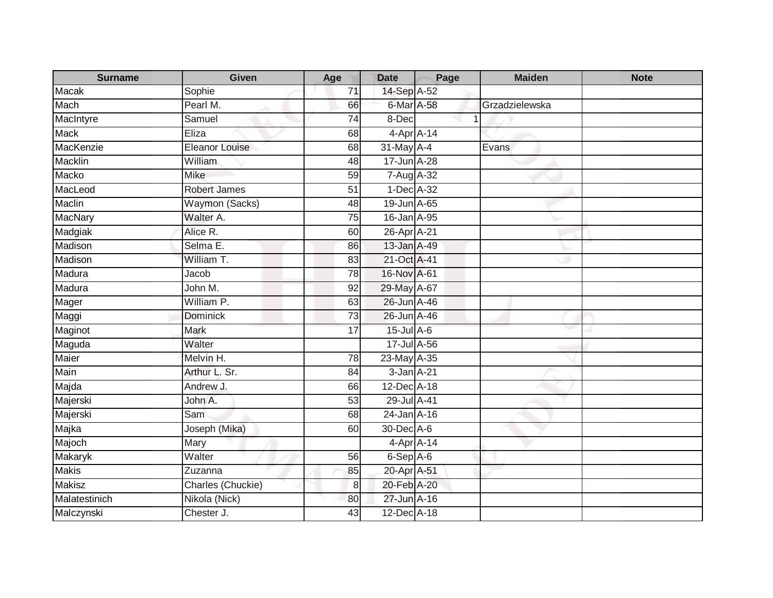| <b>Surname</b> | Given                 | Age             | <b>Date</b>       | Page | <b>Maiden</b>  | <b>Note</b> |
|----------------|-----------------------|-----------------|-------------------|------|----------------|-------------|
| Macak          | Sophie                | 71              | 14-Sep A-52       |      |                |             |
| Mach           | Pearl M.              | 66              | 6-Mar A-58        |      | Grzadzielewska |             |
| MacIntyre      | Samuel                | 74              | 8-Dec             |      |                |             |
| <b>Mack</b>    | Eliza                 | 68              | $4$ -Apr $A$ -14  |      |                |             |
| MacKenzie      | <b>Eleanor Louise</b> | 68              | 31-May A-4        |      | Evans          |             |
| Macklin        | William               | 48              | 17-Jun A-28       |      |                |             |
| <b>Macko</b>   | <b>Mike</b>           | 59              | 7-Aug A-32        |      |                |             |
| MacLeod        | Robert James          | 51              | 1-Dec A-32        |      |                |             |
| Maclin         | Waymon (Sacks)        | 48              | 19-Jun A-65       |      |                |             |
| MacNary        | Walter A.             | 75              | 16-Jan A-95       |      |                |             |
| Madgiak        | Alice R.              | 60              | 26-Apr A-21       |      |                |             |
| Madison        | Selma E.              | 86              | 13-Jan A-49       |      |                |             |
| Madison        | William T.            | 83              | 21-Oct A-41       |      |                |             |
| Madura         | Jacob                 | $\overline{78}$ | 16-Nov A-61       |      |                |             |
| Madura         | John M.               | 92              | 29-May A-67       |      |                |             |
| Mager          | William P.            | 63              | 26-Jun A-46       |      |                |             |
| Maggi          | <b>Dominick</b>       | $\overline{73}$ | 26-Jun A-46       |      |                |             |
| Maginot        | Mark                  | 17              | 15-Jul A-6        |      |                |             |
| Maguda         | Walter                |                 | 17-Jul A-56       |      |                |             |
| Maier          | Melvin H.             | 78              | 23-May A-35       |      |                |             |
| Main           | Arthur L. Sr.         | 84              | 3-Jan A-21        |      |                |             |
| Majda          | Andrew J.             | 66              | $12$ -Dec $A$ -18 |      |                |             |
| Majerski       | John A.               | 53              | 29-Jul A-41       |      |                |             |
| Majerski       | Sam                   | 68              | 24-Jan A-16       |      |                |             |
| Majka          | Joseph (Mika)         | 60              | 30-Dec A-6        |      |                |             |
| Majoch         | Mary                  |                 | 4-Apr A-14        |      |                |             |
| Makaryk        | Walter                | 56              | $6-Sep$ A-6       |      |                |             |
| <b>Makis</b>   | Zuzanna               | 85              | 20-Apr A-51       |      |                |             |
| <b>Makisz</b>  | Charles (Chuckie)     | 8               | 20-Feb A-20       |      |                |             |
| Malatestinich  | Nikola (Nick)         | 80              | 27-Jun A-16       |      |                |             |
| Malczynski     | Chester J.            | 43              | 12-Dec A-18       |      |                |             |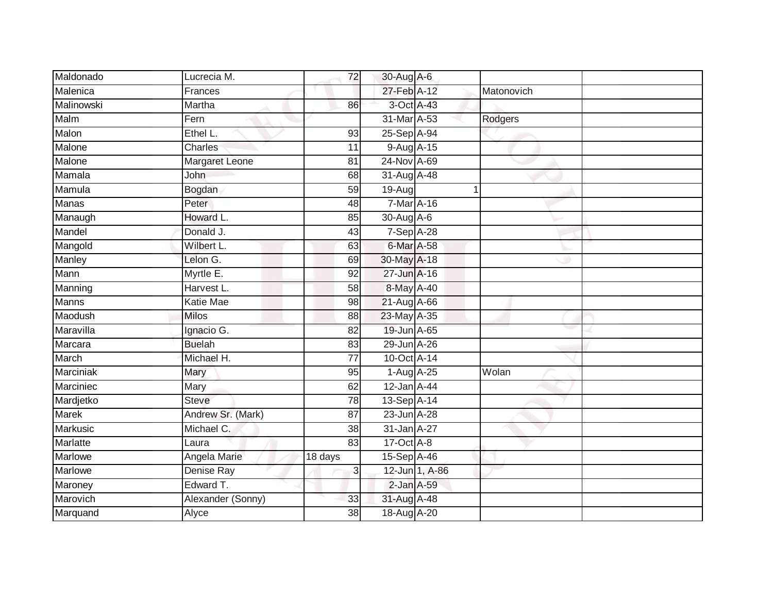| Maldonado       | Lucrecia M.       | 72              | 30-Aug A-6       |                |            |  |
|-----------------|-------------------|-----------------|------------------|----------------|------------|--|
| Malenica        | Frances           |                 | 27-Feb A-12      |                | Matonovich |  |
| Malinowski      | Martha            | 86              |                  | 3-Oct A-43     |            |  |
| Malm            | Fern              |                 | 31-Mar A-53      |                | Rodgers    |  |
| Malon           | Ethel L.          | 93              | 25-Sep A-94      |                |            |  |
| Malone          | Charles           | 11              | 9-Aug A-15       |                |            |  |
| Malone          | Margaret Leone    | 81              | 24-Nov A-69      |                |            |  |
| Mamala          | John              | 68              | 31-Aug A-48      |                |            |  |
| Mamula          | Bogdan            | 59              | 19-Aug           |                |            |  |
| <b>Manas</b>    | Peter             | 48              | 7-Mar A-16       |                |            |  |
| Manaugh         | Howard L.         | 85              | 30-Aug A-6       |                |            |  |
| Mandel          | Donald J.         | $\overline{43}$ | 7-Sep A-28       |                |            |  |
| Mangold         | Wilbert L.        | 63              | 6-Mar A-58       |                |            |  |
| Manley          | Lelon G.          | 69              | 30-May A-18      |                |            |  |
| Mann            | Myrtle E.         | $\overline{92}$ | 27-Jun A-16      |                |            |  |
| Manning         | Harvest L.        | 58              | 8-May A-40       |                |            |  |
| Manns           | <b>Katie Mae</b>  | 98              | 21-Aug A-66      |                |            |  |
| Maodush         | <b>Milos</b>      | 88              | 23-May A-35      |                |            |  |
| Maravilla       | Ignacio G.        | 82              | 19-Jun A-65      |                |            |  |
| Marcara         | <b>Buelah</b>     | 83              | 29-Jun A-26      |                |            |  |
| March           | Michael H.        | 77              | 10-Oct A-14      |                |            |  |
| Marciniak       | Mary              | $\overline{95}$ | 1-Aug A-25       |                | Wolan      |  |
| Marciniec       | Mary              | 62              | $12$ -Jan $A-44$ |                |            |  |
| Mardjetko       | <b>Steve</b>      | 78              | 13-Sep A-14      |                |            |  |
| <b>Marek</b>    | Andrew Sr. (Mark) | $\overline{87}$ | 23-Jun A-28      |                |            |  |
| <b>Markusic</b> | Michael C.        | $\overline{38}$ | 31-Jan A-27      |                |            |  |
| <b>Marlatte</b> | Laura             | 83              | 17-Oct A-8       |                |            |  |
| <b>Marlowe</b>  | Angela Marie      | 18 days         | 15-Sep A-46      |                |            |  |
| <b>Marlowe</b>  | Denise Ray        | 3               |                  | 12-Jun 1, A-86 |            |  |
| Maroney         | Edward T.         |                 | $2$ -Jan $A$ -59 |                |            |  |
| Marovich        | Alexander (Sonny) | 33              | 31-Aug A-48      |                |            |  |
| Marquand        | Alyce             | 38              | 18-Aug A-20      |                |            |  |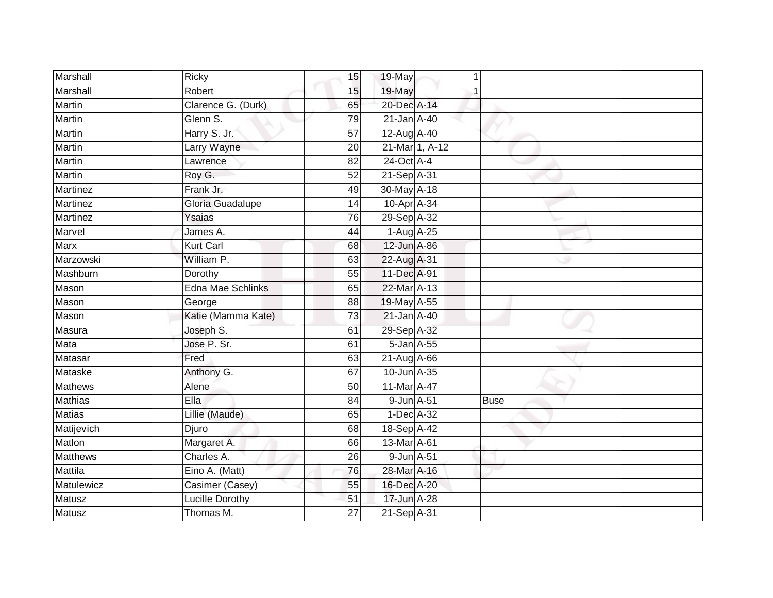| Marshall        | Ricky                  | 15              | 19-May      |                |             |  |
|-----------------|------------------------|-----------------|-------------|----------------|-------------|--|
| Marshall        | Robert                 | 15              | 19-May      |                |             |  |
| <b>Martin</b>   | Clarence G. (Durk)     | 65              | 20-Dec A-14 |                |             |  |
| Martin          | Glenn S.               | 79              | 21-Jan A-40 |                |             |  |
| <b>Martin</b>   | Harry S. Jr.           | $\overline{57}$ | 12-Aug A-40 |                |             |  |
| Martin          | Larry Wayne            | 20              |             | 21-Mar 1, A-12 |             |  |
| <b>Martin</b>   | Lawrence               | 82              | 24-Oct A-4  |                |             |  |
| Martin          | Roy G.                 | $\overline{52}$ | 21-Sep A-31 |                |             |  |
| <b>Martinez</b> | Frank Jr.              | 49              | 30-May A-18 |                |             |  |
| Martinez        | Gloria Guadalupe       | 14              | 10-Apr A-34 |                |             |  |
| Martinez        | Ysaias                 | 76              | 29-Sep A-32 |                |             |  |
| Marvel          | James A.               | 44              | 1-Aug A-25  |                |             |  |
| Marx            | Kurt Carl              | 68              | 12-Jun A-86 |                |             |  |
| Marzowski       | William P.             | 63              | 22-Aug A-31 |                |             |  |
| Mashburn        | Dorothy                | $\overline{55}$ | 11-Dec A-91 |                |             |  |
| Mason           | Edna Mae Schlinks      | 65              | 22-Mar A-13 |                |             |  |
| Mason           | George                 | 88              | 19-May A-55 |                |             |  |
| Mason           | Katie (Mamma Kate)     | 73              | 21-Jan A-40 |                |             |  |
| Masura          | Joseph S.              | 61              | 29-Sep A-32 |                |             |  |
| Mata            | Jose P. Sr.            | 61              | 5-Jan A-55  |                |             |  |
| Matasar         | Fred                   | 63              | 21-Aug A-66 |                |             |  |
| <b>Mataske</b>  | Anthony G.             | 67              | 10-Jun A-35 |                |             |  |
| <b>Mathews</b>  | Alene                  | 50              | 11-Mar A-47 |                |             |  |
| <b>Mathias</b>  | Ella                   | 84              | 9-Jun A-51  |                | <b>Buse</b> |  |
| <b>Matias</b>   | Lillie (Maude)         | 65              | 1-Dec A-32  |                |             |  |
| Matijevich      | Djuro                  | 68              | 18-Sep A-42 |                |             |  |
| Matlon          | Margaret A.            | 66              | 13-Mar A-61 |                |             |  |
| <b>Matthews</b> | Charles A.             | 26              | 9-Jun A-51  |                |             |  |
| <b>Mattila</b>  | Eino A. (Matt)         | 76              | 28-Mar A-16 |                |             |  |
| Matulewicz      | Casimer (Casey)        | 55              | 16-Dec A-20 |                |             |  |
| Matusz          | <b>Lucille Dorothy</b> | 51              | 17-Jun A-28 |                |             |  |
| Matusz          | Thomas M.              | 27              | 21-Sep A-31 |                |             |  |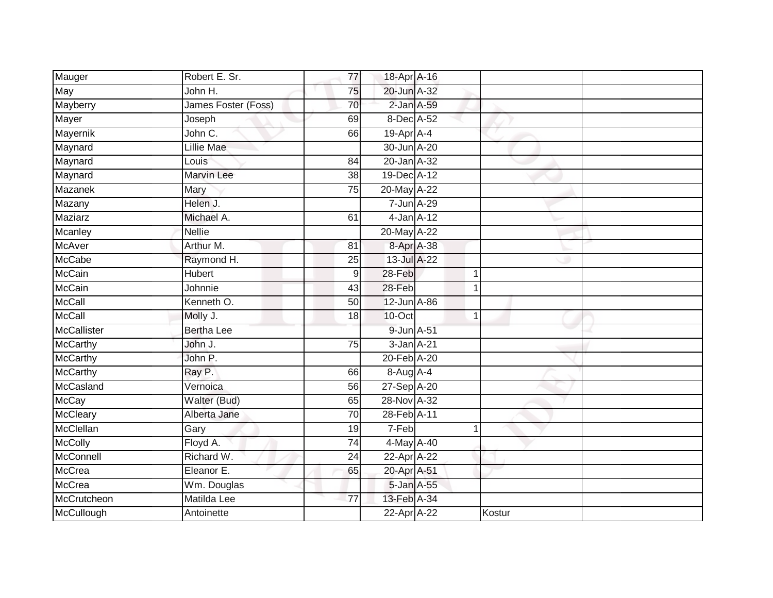| Mauger             | Robert E. Sr.       | 77    | 18-Apr A-16     |  |        |  |
|--------------------|---------------------|-------|-----------------|--|--------|--|
| May                | John H.             | 75    | 20-Jun A-32     |  |        |  |
| Mayberry           | James Foster (Foss) | 70    | 2-Jan A-59      |  |        |  |
| Mayer              | Joseph              | 69    | 8-Dec A-52      |  |        |  |
| Mayernik           | John C.             | 66    | 19-Apr A-4      |  |        |  |
| Maynard            | <b>Lillie Mae</b>   |       | 30-Jun A-20     |  |        |  |
| Maynard            | Louis               | 84    | 20-Jan A-32     |  |        |  |
| Maynard            | <b>Marvin Lee</b>   | 38    | 19-Dec A-12     |  |        |  |
| <b>Mazanek</b>     | Mary                | 75    | 20-May A-22     |  |        |  |
| Mazany             | Helen J.            |       | 7-Jun A-29      |  |        |  |
| Maziarz            | Michael A.          | 61    | $4$ -Jan $A-12$ |  |        |  |
| Mcanley            | <b>Nellie</b>       |       | 20-May A-22     |  |        |  |
| McAver             | Arthur M.           | 81    | 8-Apr A-38      |  |        |  |
| <b>McCabe</b>      | Raymond H.          | 25    | 13-Jul A-22     |  |        |  |
| McCain             | <b>Hubert</b>       | $9\,$ | 28-Feb          |  |        |  |
| <b>McCain</b>      | Johnnie             | 43    | 28-Feb          |  |        |  |
| McCall             | Kenneth O.          | 50    | 12-Jun A-86     |  |        |  |
| McCall             | Molly J.            | 18    | 10-Oct          |  |        |  |
| <b>McCallister</b> | <b>Bertha Lee</b>   |       | 9-Jun A-51      |  |        |  |
| McCarthy           | John J.             | 75    | 3-Jan A-21      |  |        |  |
| <b>McCarthy</b>    | John P.             |       | 20-Feb A-20     |  |        |  |
| <b>McCarthy</b>    | Ray P.              | 66    | 8-Aug A-4       |  |        |  |
| McCasland          | Vernoica            | 56    | 27-Sep A-20     |  |        |  |
| McCay              | Walter (Bud)        | 65    | 28-Nov A-32     |  |        |  |
| McCleary           | Alberta Jane        | 70    | 28-Feb A-11     |  |        |  |
| McClellan          | Gary                | 19    | 7-Feb           |  |        |  |
| <b>McColly</b>     | Floyd A.            | 74    | 4-May A-40      |  |        |  |
| McConnell          | Richard W.          | 24    | 22-Apr A-22     |  |        |  |
| McCrea             | Eleanor E.          | 65    | 20-Apr A-51     |  |        |  |
| McCrea             | Wm. Douglas         |       | 5-Jan A-55      |  |        |  |
| McCrutcheon        | Matilda Lee         | 77    | 13-Feb A-34     |  |        |  |
| McCullough         | Antoinette          |       | 22-Apr A-22     |  | Kostur |  |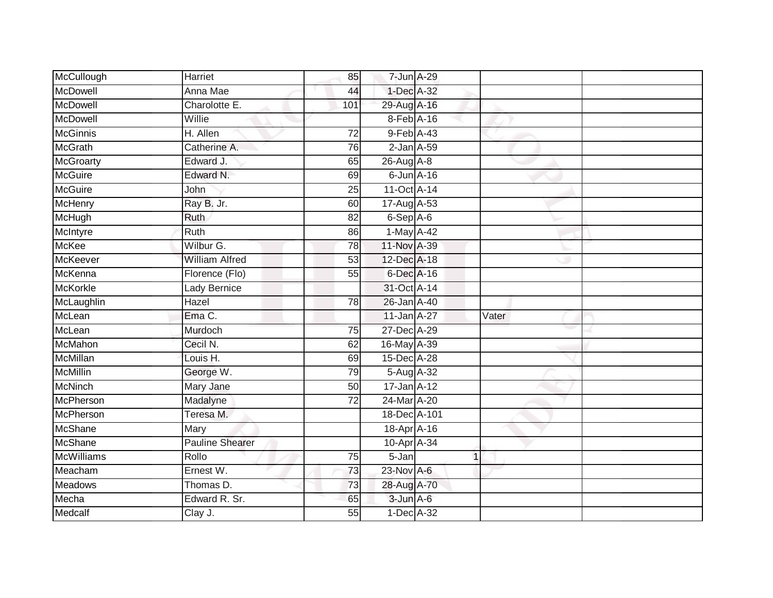| McCullough        | Harriet                | 85              | 7-Jun A-29          |             |       |  |
|-------------------|------------------------|-----------------|---------------------|-------------|-------|--|
| <b>McDowell</b>   | Anna Mae               | 44              | 1-Dec A-32          |             |       |  |
| McDowell          | Charolotte E.          | 101             | 29-Aug A-16         |             |       |  |
| McDowell          | Willie                 |                 | 8-Feb A-16          |             |       |  |
| <b>McGinnis</b>   | H. Allen               | $\overline{72}$ | 9-Feb A-43          |             |       |  |
| <b>McGrath</b>    | Catherine A.           | 76              | $2$ -Jan $A$ -59    |             |       |  |
| <b>McGroarty</b>  | Edward J.              | 65              | $26$ -Aug $A$ -8    |             |       |  |
| <b>McGuire</b>    | Edward N.              | 69              | $6$ -Jun $A$ -16    |             |       |  |
| <b>McGuire</b>    | John                   | 25              | 11-Oct A-14         |             |       |  |
| McHenry           | Ray B. Jr.             | 60              | 17-Aug A-53         |             |       |  |
| McHugh            | Ruth                   | 82              | 6-Sep A-6           |             |       |  |
| McIntyre          | Ruth                   | 86              | 1-May A-42          |             |       |  |
| <b>McKee</b>      | Wilbur G.              | 78              | 11-Nov A-39         |             |       |  |
| McKeever          | <b>William Alfred</b>  | 53              | 12-Dec A-18         |             |       |  |
| McKenna           | Florence (Flo)         | 55              | 6-Dec A-16          |             |       |  |
| <b>McKorkle</b>   | Lady Bernice           |                 | 31-Oct A-14         |             |       |  |
| McLaughlin        | Hazel                  | $\overline{78}$ | 26-Jan A-40         |             |       |  |
| McLean            | Ema C.                 |                 | 11-Jan A-27         |             | Vater |  |
| McLean            | Murdoch                | 75              | 27-Dec A-29         |             |       |  |
| <b>McMahon</b>    | Cecil N.               | 62              | 16-May A-39         |             |       |  |
| <b>McMillan</b>   | Louis H.               | 69              | 15-Dec A-28         |             |       |  |
| <b>McMillin</b>   | George W.              | 79              | 5-Aug A-32          |             |       |  |
| <b>McNinch</b>    | Mary Jane              | 50              | $17 - Jan A - 12$   |             |       |  |
| McPherson         | Madalyne               | 72              | 24-Mar A-20         |             |       |  |
| McPherson         | Teresa M.              |                 | 18-Dec A-101        |             |       |  |
| <b>McShane</b>    | Mary                   |                 | 18-Apr A-16         |             |       |  |
| <b>McShane</b>    | <b>Pauline Shearer</b> |                 | 10-Apr A-34         |             |       |  |
| <b>McWilliams</b> | Rollo                  | 75              | $\overline{5}$ -Jan | $\mathbf 1$ |       |  |
| Meacham           | Ernest W.              | 73              | 23-Nov A-6          |             |       |  |
| <b>Meadows</b>    | Thomas D.              | 73              | 28-Aug A-70         |             |       |  |
| Mecha             | Edward R. Sr.          | 65              | 3-Jun A-6           |             |       |  |
| Medcalf           | Clay J.                | $\overline{55}$ | 1-Dec A-32          |             |       |  |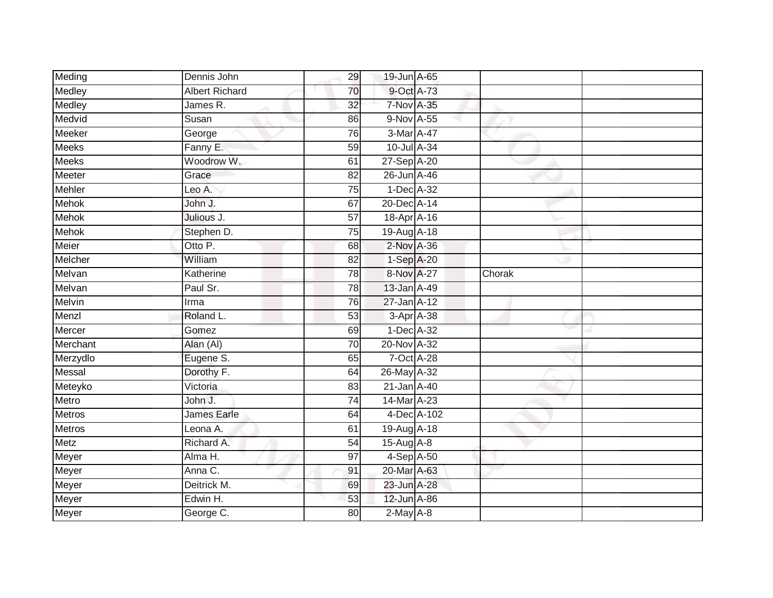| Meding        | Dennis John           | 29              | 19-Jun A-65       |        |  |
|---------------|-----------------------|-----------------|-------------------|--------|--|
| Medley        | <b>Albert Richard</b> | 70              | 9-Oct A-73        |        |  |
| Medley        | James R.              | $\overline{32}$ | 7-Nov A-35        |        |  |
| Medvid        | Susan                 | 86              | 9-Nov A-55        |        |  |
| Meeker        | George                | 76              | 3-Mar A-47        |        |  |
| <b>Meeks</b>  | Fanny E.              | 59              | 10-Jul A-34       |        |  |
| <b>Meeks</b>  | Woodrow W.            | 61              | 27-Sep A-20       |        |  |
| <b>Meeter</b> | Grace                 | 82              | 26-Jun A-46       |        |  |
| Mehler        | Leo A.                | $\overline{75}$ | 1-Dec A-32        |        |  |
| <b>Mehok</b>  | John J.               | 67              | 20-Dec A-14       |        |  |
| <b>Mehok</b>  | Julious J.            | 57              | 18-Apr A-16       |        |  |
| Mehok         | Stephen D.            | 75              | 19-Aug A-18       |        |  |
| Meier         | Otto P.               | 68              | 2-Nov A-36        |        |  |
| Melcher       | William               | 82              | 1-Sep A-20        |        |  |
| Melvan        | Katherine             | 78              | 8-Nov A-27        | Chorak |  |
| Melvan        | Paul Sr.              | 78              | 13-Jan A-49       |        |  |
| <b>Melvin</b> | Irma                  | 76              | $27 - Jan A - 12$ |        |  |
| Menzl         | Roland L.             | 53              | 3-Apr A-38        |        |  |
| Mercer        | Gomez                 | 69              | 1-Dec A-32        |        |  |
| Merchant      | Alan (AI)             | $\overline{70}$ | 20-Nov A-32       |        |  |
| Merzydlo      | Eugene S.             | 65              | 7-Oct A-28        |        |  |
| Messal        | Dorothy F.            | 64              | 26-May A-32       |        |  |
| Meteyko       | Victoria              | 83              | 21-Jan A-40       |        |  |
| Metro         | John J.               | 74              | 14-Mar A-23       |        |  |
| <b>Metros</b> | James Earle           | 64              | 4-Dec A-102       |        |  |
| <b>Metros</b> | Leona A.              | 61              | 19-Aug A-18       |        |  |
| <b>Metz</b>   | Richard A.            | 54              | 15-Aug A-8        |        |  |
| Meyer         | Alma H.               | 97              | 4-Sep A-50        |        |  |
| Meyer         | Anna C.               | 91              | 20-Mar A-63       |        |  |
| Meyer         | Deitrick M.           | 69              | 23-Jun A-28       |        |  |
| Meyer         | Edwin H.              | 53              | 12-Jun A-86       |        |  |
| Meyer         | George C.             | $\overline{80}$ | $2-May$ $A-8$     |        |  |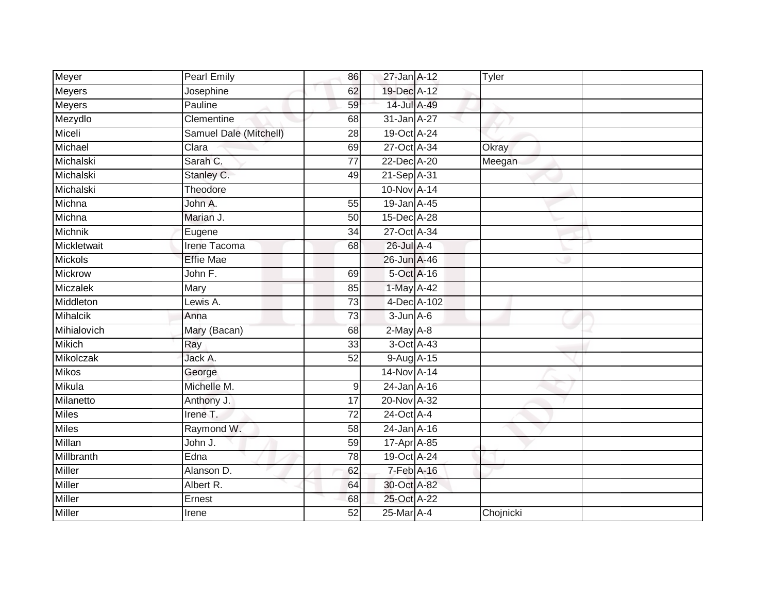| Meyer           | Pearl Emily            | 86              | $27$ -Jan $A-12$ |             | Tyler     |  |
|-----------------|------------------------|-----------------|------------------|-------------|-----------|--|
| Meyers          | Josephine              | 62              | 19-Dec A-12      |             |           |  |
| <b>Meyers</b>   | Pauline                | 59              | 14-Jul A-49      |             |           |  |
| Mezydlo         | Clementine             | 68              | 31-Jan A-27      |             |           |  |
| Miceli          | Samuel Dale (Mitchell) | $\overline{28}$ | 19-Oct A-24      |             |           |  |
| Michael         | Clara                  | 69              | 27-Oct A-34      |             | Okray     |  |
| Michalski       | Sarah C.               | 77              | 22-Dec A-20      |             | Meegan    |  |
| Michalski       | Stanley C.             | 49              | 21-Sep A-31      |             |           |  |
| Michalski       | Theodore               |                 | 10-Nov A-14      |             |           |  |
| Michna          | John A.                | 55              | 19-Jan A-45      |             |           |  |
| Michna          | Marian J.              | 50              | 15-Dec A-28      |             |           |  |
| Michnik         | Eugene                 | 34              | 27-Oct A-34      |             |           |  |
| Mickletwait     | Irene Tacoma           | 68              | 26-Jul A-4       |             |           |  |
| <b>Mickols</b>  | <b>Effie Mae</b>       |                 | 26-Jun A-46      |             |           |  |
| <b>Mickrow</b>  | John F.                | 69              | 5-Oct A-16       |             |           |  |
| Miczalek        | Mary                   | 85              | 1-May A-42       |             |           |  |
| Middleton       | Lewis A.               | $\overline{73}$ |                  | 4-Dec A-102 |           |  |
| <b>Mihalcik</b> | Anna                   | 73              | $3 - Jun A - 6$  |             |           |  |
| Mihialovich     | Mary (Bacan)           | 68              | $2$ -May $A-8$   |             |           |  |
| <b>Mikich</b>   | Ray                    | 33              | 3-Oct A-43       |             |           |  |
| Mikolczak       | Jack A.                | 52              | 9-Aug A-15       |             |           |  |
| <b>Mikos</b>    | George                 |                 | 14-Nov A-14      |             |           |  |
| Mikula          | Michelle M.            | 9               | $24$ -Jan $A-16$ |             |           |  |
| Milanetto       | Anthony J.             | 17              | 20-Nov A-32      |             |           |  |
| Miles           | Irene $T$ .            | 72              | 24-Oct A-4       |             |           |  |
| Miles           | Raymond W.             | $\overline{58}$ | $24$ -Jan $A-16$ |             |           |  |
| Millan          | John J.                | 59              | 17-Apr A-85      |             |           |  |
| Millbranth      | Edna                   | 78              | 19-Oct A-24      |             |           |  |
| Miller          | Alanson D.             | 62              | 7-Feb A-16       |             |           |  |
| Miller          | Albert R.              | 64              | 30-Oct A-82      |             |           |  |
| Miller          | Ernest                 | 68              | 25-Oct A-22      |             |           |  |
| Miller          | Irene                  | 52              | 25-Mar A-4       |             | Chojnicki |  |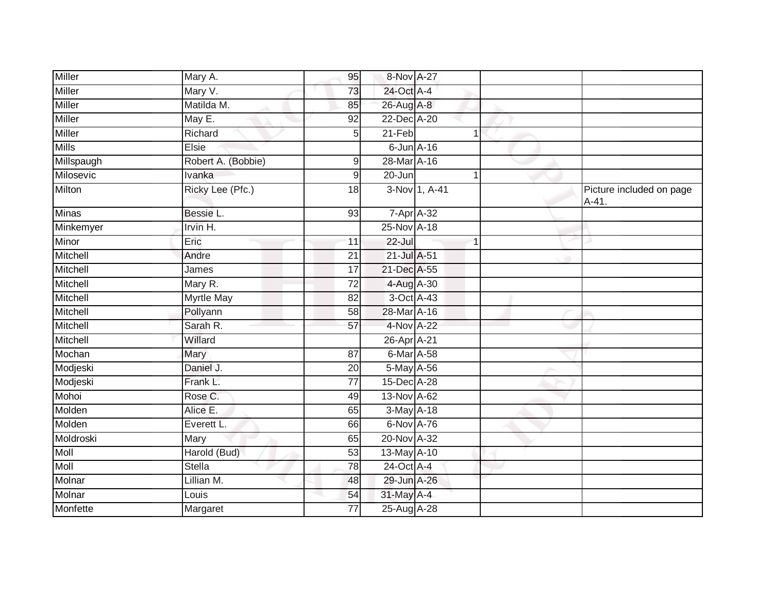| <b>Miller</b> | Mary A.            | 95              | 8-Nov A-27       |               |                                     |
|---------------|--------------------|-----------------|------------------|---------------|-------------------------------------|
| <b>Miller</b> | Mary V.            | 73              | 24-Oct A-4       |               |                                     |
| <b>Miller</b> | Matilda M.         | 85              | 26-Aug A-8       |               |                                     |
| <b>Miller</b> | May E.             | 92              | 22-Dec A-20      |               |                                     |
| Miller        | Richard            | 5               | $21-Feb$         | 1             |                                     |
| <b>Mills</b>  | Elsie              |                 | $6$ -Jun $A$ -16 |               |                                     |
| Millspaugh    | Robert A. (Bobbie) | 9               | 28-Mar A-16      |               |                                     |
| Milosevic     | Ivanka             | 9               | 20-Jun           |               |                                     |
| Milton        | Ricky Lee (Pfc.)   | 18              |                  | 3-Nov 1, A-41 | Picture included on page<br>$A-41.$ |
| <b>Minas</b>  | Bessie L.          | 93              | 7-Apr A-32       |               |                                     |
| Minkemyer     | Irvin H.           |                 | 25-Nov A-18      |               |                                     |
| Minor         | Eric               | 11              | $22 -$ Jul       |               |                                     |
| Mitchell      | Andre              | $\overline{21}$ | 21-Jul A-51      |               |                                     |
| Mitchell      | James              | 17              | 21-Dec A-55      |               |                                     |
| Mitchell      | Mary R.            | $\overline{72}$ | 4-Aug A-30       |               |                                     |
| Mitchell      | <b>Myrtle May</b>  | 82              | 3-Oct A-43       |               |                                     |
| Mitchell      | Pollyann           | 58              | 28-Mar A-16      |               |                                     |
| Mitchell      | Sarah R.           | 57              | 4-Nov A-22       |               |                                     |
| Mitchell      | Willard            |                 | 26-Apr A-21      |               |                                     |
| Mochan        | Mary               | 87              | 6-Mar A-58       |               |                                     |
| Modjeski      | Daniel J.          | 20              | 5-May A-56       |               |                                     |
| Modjeski      | Frank L.           | $\overline{77}$ | 15-Dec A-28      |               |                                     |
| Mohoi         | Rose C.            | 49              | 13-Nov A-62      |               |                                     |
| Molden        | Alice E.           | 65              | 3-May A-18       |               |                                     |
| Molden        | Everett L.         | 66              | 6-Nov A-76       |               |                                     |
| Moldroski     | Mary               | 65              | 20-Nov A-32      |               |                                     |
| Moll          | Harold (Bud)       | 53              | 13-May A-10      |               |                                     |
| <b>Moll</b>   | <b>Stella</b>      | 78              | 24-Oct A-4       |               |                                     |
| Molnar        | Lillian M.         | 48              | 29-Jun A-26      |               |                                     |
| Molnar        | Louis              | 54              | 31-May A-4       |               |                                     |
| Monfette      | Margaret           | 77              | 25-Aug A-28      |               |                                     |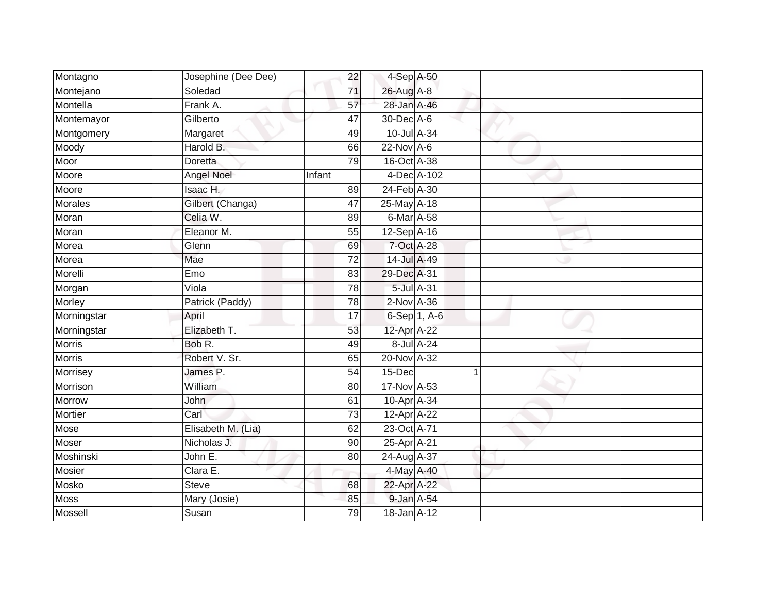| Montagno       | Josephine (Dee Dee) | 22              | 4-Sep A-50      |              |  |
|----------------|---------------------|-----------------|-----------------|--------------|--|
| Montejano      | Soledad             | 71              | 26-Aug A-8      |              |  |
| Montella       | Frank A.            | 57              | 28-Jan A-46     |              |  |
| Montemayor     | Gilberto            | 47              | 30-Dec A-6      |              |  |
| Montgomery     | Margaret            | 49              | 10-Jul A-34     |              |  |
| Moody          | Harold B.           | 66              | $22$ -Nov $A-6$ |              |  |
| Moor           | Doretta             | 79              | 16-Oct A-38     |              |  |
| Moore          | <b>Angel Noel</b>   | Infant          |                 | 4-Dec A-102  |  |
| Moore          | Isaac H.            | 89              | 24-Feb A-30     |              |  |
| <b>Morales</b> | Gilbert (Changa)    | 47              | 25-May A-18     |              |  |
| Moran          | Celia W.            | 89              | 6-Mar A-58      |              |  |
| Moran          | Eleanor M.          | 55              | $12-Sep$ A-16   |              |  |
| Morea          | Glenn               | 69              | 7-Oct A-28      |              |  |
| Morea          | Mae                 | 72              | 14-Jul A-49     |              |  |
| Morelli        | Emo                 | 83              | 29-Dec A-31     |              |  |
| Morgan         | Viola               | 78              | 5-Jul A-31      |              |  |
| <b>Morley</b>  | Patrick (Paddy)     | $\overline{78}$ | $2$ -Nov $A-36$ |              |  |
| Morningstar    | April               | 17              |                 | 6-Sep 1, A-6 |  |
| Morningstar    | Elizabeth T.        | 53              | 12-Apr A-22     |              |  |
| <b>Morris</b>  | Bob R.              | 49              |                 | 8-Jul A-24   |  |
| <b>Morris</b>  | Robert V. Sr.       | 65              | 20-Nov A-32     |              |  |
| Morrisey       | James P.            | 54              | 15-Dec          | 1            |  |
| Morrison       | William             | 80              | 17-Nov A-53     |              |  |
| Morrow         | <b>John</b>         | 61              | 10-Apr A-34     |              |  |
| Mortier        | Carl                | 73              | 12-Apr A-22     |              |  |
| Mose           | Elisabeth M. (Lia)  | 62              | 23-Oct A-71     |              |  |
| Moser          | Nicholas J.         | 90              | 25-Apr A-21     |              |  |
| Moshinski      | John E.             | 80              | 24-Aug A-37     |              |  |
| <b>Mosier</b>  | Clara E.            |                 | 4-May A-40      |              |  |
| Mosko          | <b>Steve</b>        | 68              | 22-Apr A-22     |              |  |
| <b>Moss</b>    | Mary (Josie)        | 85              | 9-Jan A-54      |              |  |
| Mossell        | Susan               | $\overline{79}$ | 18-Jan A-12     |              |  |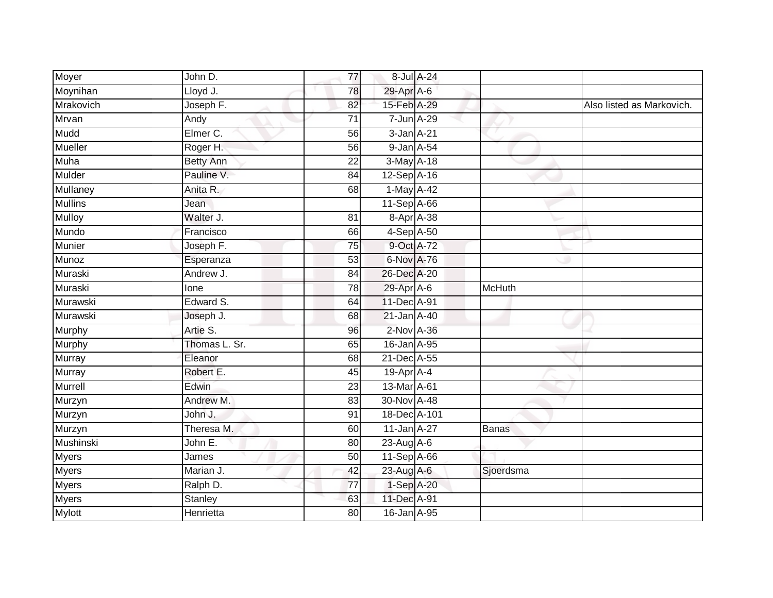| Moyer           | John D.          | 77              |                 | 8-Jul A-24 |           |                           |
|-----------------|------------------|-----------------|-----------------|------------|-----------|---------------------------|
| Moynihan        | Lloyd J.         | 78              | 29-Apr A-6      |            |           |                           |
| Mrakovich       | Joseph F.        | 82              | 15-Feb A-29     |            |           | Also listed as Markovich. |
| Mrvan           | Andy             | $\overline{71}$ | 7-Jun A-29      |            |           |                           |
| Mudd            | Elmer C.         | $\overline{56}$ | 3-Jan A-21      |            |           |                           |
| Mueller         | Roger H.         | 56              | 9-Jan A-54      |            |           |                           |
| Muha            | <b>Betty Ann</b> | $\overline{22}$ | 3-May A-18      |            |           |                           |
| <b>Mulder</b>   | Pauline V.       | 84              | 12-Sep A-16     |            |           |                           |
| <b>Mullaney</b> | Anita R.         | 68              | 1-May A-42      |            |           |                           |
| <b>Mullins</b>  | Jean             |                 | 11-Sep A-66     |            |           |                           |
| <b>Mulloy</b>   | Walter J.        | 81              |                 | 8-Apr A-38 |           |                           |
| Mundo           | Francisco        | 66              | 4-Sep A-50      |            |           |                           |
| <b>Munier</b>   | Joseph F.        | 75              | 9-Oct A-72      |            |           |                           |
| Munoz           | Esperanza        | 53              | 6-Nov A-76      |            |           |                           |
| Muraski         | Andrew J.        | $\overline{84}$ | 26-Dec A-20     |            |           |                           |
| Muraski         | lone             | 78              | 29-Apr A-6      |            | McHuth    |                           |
| Murawski        | Edward S.        | 64              | 11-Dec A-91     |            |           |                           |
| Murawski        | Joseph J.        | 68              | 21-Jan A-40     |            |           |                           |
| Murphy          | Artie S.         | 96              | $2$ -Nov $A-36$ |            |           |                           |
| Murphy          | Thomas L. Sr.    | 65              | 16-Jan A-95     |            |           |                           |
| Murray          | Eleanor          | 68              | 21-Dec A-55     |            |           |                           |
| Murray          | Robert E.        | 45              | 19-Apr A-4      |            |           |                           |
| Murrell         | Edwin            | 23              | 13-Mar A-61     |            |           |                           |
| Murzyn          | Andrew M.        | 83              | 30-Nov A-48     |            |           |                           |
| Murzyn          | John J.          | 91              | 18-Dec A-101    |            |           |                           |
| Murzyn          | Theresa M.       | 60              | 11-Jan A-27     |            | Banas     |                           |
| Mushinski       | John E.          | 80              | 23-Aug A-6      |            |           |                           |
| <b>Myers</b>    | James            | 50              | 11-Sep A-66     |            |           |                           |
| <b>Myers</b>    | Marian J.        | 42              | 23-Aug A-6      |            | Sjoerdsma |                           |
| Myers           | Ralph D.         | 77              | 1-Sep A-20      |            |           |                           |
| <b>Myers</b>    | Stanley          | 63              | 11-Dec A-91     |            |           |                           |
| <b>Mylott</b>   | Henrietta        | 80              | 16-Jan A-95     |            |           |                           |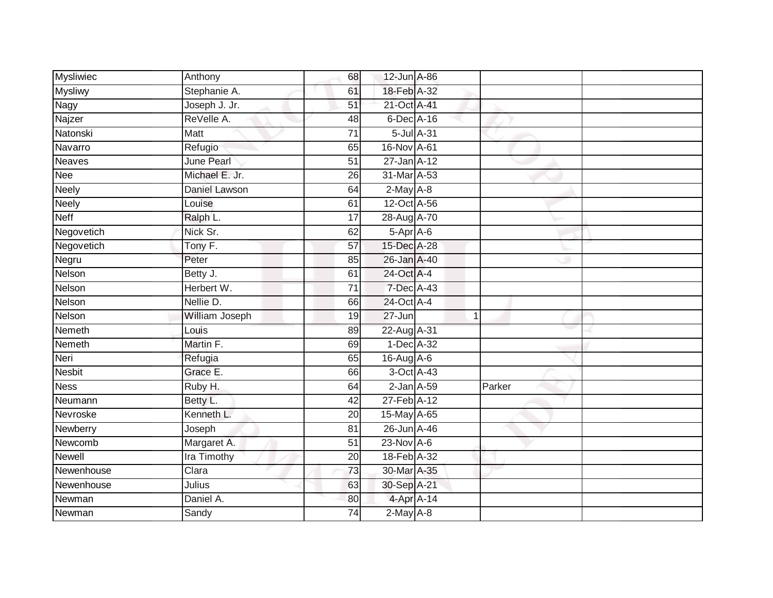| <b>Mysliwiec</b> | Anthony               | 68              | 12-Jun A-86      |                |        |  |
|------------------|-----------------------|-----------------|------------------|----------------|--------|--|
| <b>Mysliwy</b>   | Stephanie A.          | 61              | 18-Feb A-32      |                |        |  |
| <b>Nagy</b>      | Joseph J. Jr.         | 51              | 21-Oct A-41      |                |        |  |
| Najzer           | ReVelle A.            | 48              | 6-Dec A-16       |                |        |  |
| Natonski         | <b>Matt</b>           | $\overline{71}$ | 5-Jul A-31       |                |        |  |
| Navarro          | Refugio               | 65              | 16-Nov A-61      |                |        |  |
| <b>Neaves</b>    | June Pearl            | $\overline{51}$ | 27-Jan A-12      |                |        |  |
| Nee              | Michael E. Jr.        | 26              | 31-Mar A-53      |                |        |  |
| <b>Neely</b>     | Daniel Lawson         | 64              | $2-May$ A-8      |                |        |  |
| <b>Neely</b>     | Louise                | 61              | 12-Oct A-56      |                |        |  |
| <b>Neff</b>      | Ralph L.              | 17              | 28-Aug A-70      |                |        |  |
| Negovetich       | Nick Sr.              | 62              | 5-Apr A-6        |                |        |  |
| Negovetich       | Tony $\overline{F}$ . | 57              | 15-Dec A-28      |                |        |  |
| Negru            | Peter                 | 85              | 26-Jan A-40      |                |        |  |
| Nelson           | Betty J.              | 61              | 24-Oct A-4       |                |        |  |
| Nelson           | Herbert W.            | 71              | 7-Dec A-43       |                |        |  |
| Nelson           | Nellie D.             | 66              | 24-Oct A-4       |                |        |  |
| Nelson           | William Joseph        | 19              | $27 - Jun$       | $\overline{1}$ |        |  |
| Nemeth           | Louis                 | 89              | 22-Aug A-31      |                |        |  |
| Nemeth           | Martin F.             | 69              | $1-Dec$ $A-32$   |                |        |  |
| Neri             | Refugia               | 65              | 16-Aug A-6       |                |        |  |
| <b>Nesbit</b>    | Grace E.              | 66              | 3-Oct A-43       |                |        |  |
| <b>Ness</b>      | Ruby H.               | 64              | $2$ -Jan $A$ -59 |                | Parker |  |
| Neumann          | Betty L.              | 42              | 27-Feb A-12      |                |        |  |
| Nevroske         | Kenneth L.            | 20              | 15-May A-65      |                |        |  |
| Newberry         | Joseph                | 81              | 26-Jun A-46      |                |        |  |
| Newcomb          | Margaret A.           | $\overline{51}$ | $23$ -Nov $A-6$  |                |        |  |
| Newell           | Ira Timothy           | 20              | 18-Feb A-32      |                |        |  |
| Newenhouse       | Clara                 | 73              | 30-Mar A-35      |                |        |  |
| Newenhouse       | Julius                | 63              | 30-Sep A-21      |                |        |  |
| Newman           | Daniel A.             | 80              | 4-Apr A-14       |                |        |  |
| Newman           | Sandy                 | $\overline{74}$ | $2-May$ A-8      |                |        |  |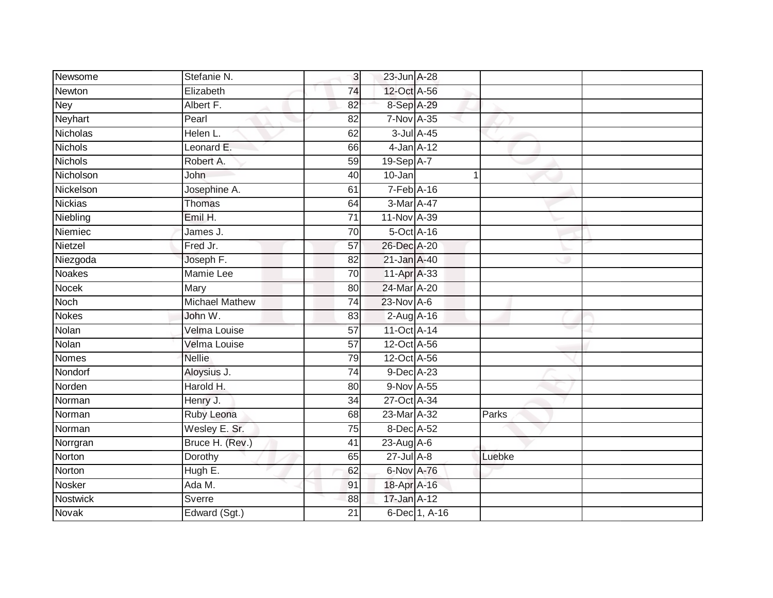| Newsome         | Stefanie N.           | 3               | 23-Jun A-28     |               |        |  |
|-----------------|-----------------------|-----------------|-----------------|---------------|--------|--|
| Newton          | Elizabeth             | 74              | 12-Oct A-56     |               |        |  |
| <b>Ney</b>      | Albert F.             | 82              | 8-Sep A-29      |               |        |  |
| Neyhart         | Pearl                 | 82              | 7-Nov A-35      |               |        |  |
| <b>Nicholas</b> | Helen L.              | 62              | 3-Jul A-45      |               |        |  |
| Nichols         | Leonard E.            | 66              | $4$ -Jan $A-12$ |               |        |  |
| <b>Nichols</b>  | Robert A.             | $\overline{59}$ | $19-Sep$ A-7    |               |        |  |
| Nicholson       | John                  | 40              | 10-Jan          |               | 1      |  |
| Nickelson       | Josephine A.          | 61              | 7-Feb A-16      |               |        |  |
| <b>Nickias</b>  | <b>Thomas</b>         | 64              | 3-Mar A-47      |               |        |  |
| Niebling        | Emil H.               | 71              | 11-Nov A-39     |               |        |  |
| Niemiec         | James J.              | 70              | 5-Oct A-16      |               |        |  |
| Nietzel         | Fred Jr.              | 57              | 26-Dec A-20     |               |        |  |
| Niezgoda        | Joseph F.             | 82              | 21-Jan A-40     |               |        |  |
| <b>Noakes</b>   | <b>Mamie Lee</b>      | 70              | 11-Apr A-33     |               |        |  |
| <b>Nocek</b>    | Mary                  | 80              | 24-Mar A-20     |               |        |  |
| <b>Noch</b>     | <b>Michael Mathew</b> | $\overline{74}$ | 23-Nov A-6      |               |        |  |
| Nokes           | John W.               | 83              | 2-Aug A-16      |               |        |  |
| Nolan           | Velma Louise          | 57              | 11-Oct A-14     |               |        |  |
| <b>Nolan</b>    | Velma Louise          | $\overline{57}$ | 12-Oct A-56     |               |        |  |
| Nomes           | <b>Nellie</b>         | 79              | 12-Oct A-56     |               |        |  |
| Nondorf         | Aloysius J.           | 74              | 9-Dec A-23      |               |        |  |
| Norden          | Harold H.             | 80              | 9-Nov A-55      |               |        |  |
| Norman          | Henry J.              | 34              | 27-Oct A-34     |               |        |  |
| Norman          | Ruby Leona            | 68              | 23-Mar A-32     |               | Parks  |  |
| Norman          | Wesley E. Sr.         | 75              | 8-Dec A-52      |               |        |  |
| Norrgran        | Bruce H. (Rev.)       | 41              | $23-AugA-6$     |               |        |  |
| Norton          | Dorothy               | 65              | $27$ -Jul $A-8$ |               | Luebke |  |
| Norton          | Hugh E.               | 62              | 6-Nov A-76      |               |        |  |
| Nosker          | Ada M.                | 91              | 18-Apr A-16     |               |        |  |
| <b>Nostwick</b> | <b>Sverre</b>         | 88              | 17-Jan A-12     |               |        |  |
| Novak           | Edward (Sgt.)         | $\overline{21}$ |                 | 6-Dec 1, A-16 |        |  |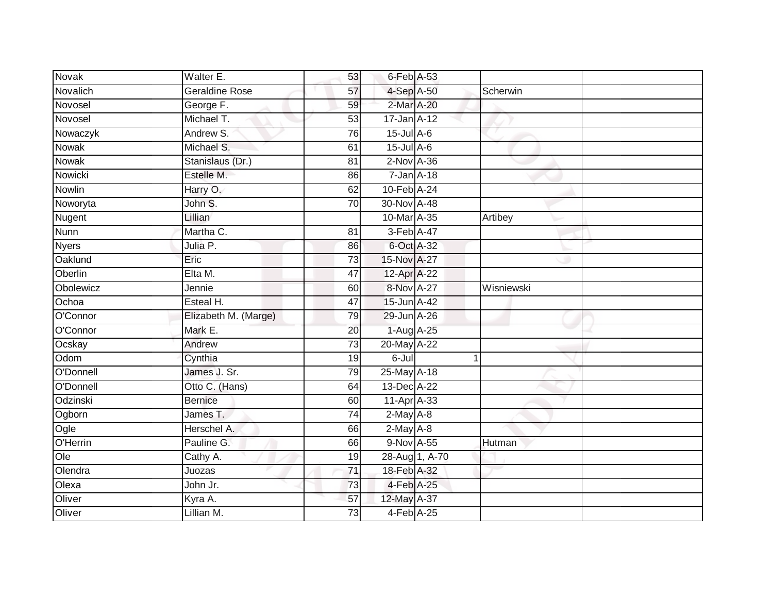| <b>Novak</b>      | Walter E.             | 53              | 6-Feb A-53       |                |            |  |
|-------------------|-----------------------|-----------------|------------------|----------------|------------|--|
| Novalich          | <b>Geraldine Rose</b> | 57              | 4-Sep A-50       |                | Scherwin   |  |
| Novosel           | George F.             | 59              | 2-Mar A-20       |                |            |  |
| Novosel           | Michael T.            | 53              | 17-Jan A-12      |                |            |  |
| Nowaczyk          | Andrew S.             | 76              | $15$ -Jul A-6    |                |            |  |
| Nowak             | Michael S.            | 61              | $15$ -Jul $A$ -6 |                |            |  |
| <b>Nowak</b>      | Stanislaus (Dr.)      | 81              | $2-Nov A-36$     |                |            |  |
| Nowicki           | Estelle M.            | 86              | $7 - Jan A - 18$ |                |            |  |
| Nowlin            | Harry O.              | 62              | 10-Feb A-24      |                |            |  |
| Noworyta          | John S.               | 70              | 30-Nov A-48      |                |            |  |
| Nugent            | Lillian               |                 | 10-Mar A-35      |                | Artibey    |  |
| Nunn              | Martha C.             | 81              | 3-Feb A-47       |                |            |  |
| <b>Nyers</b>      | Julia P.              | 86              | 6-Oct A-32       |                |            |  |
| Oaklund           | Eric                  | 73              | 15-Nov A-27      |                |            |  |
| Oberlin           | Elta M.               | $\overline{47}$ | 12-Apr A-22      |                |            |  |
| Obolewicz         | Jennie                | 60              | 8-Nov A-27       |                | Wisniewski |  |
| Ochoa             | Esteal H.             | $\overline{47}$ | 15-Jun A-42      |                |            |  |
| O'Connor          | Elizabeth M. (Marge)  | 79              | 29-Jun A-26      |                |            |  |
| O'Connor          | Mark E.               | 20              | 1-Aug A-25       |                |            |  |
| Ocskay            | Andrew                | 73              | 20-May A-22      |                |            |  |
| Odom              | Cynthia               | 19              | $6$ -Jul         |                |            |  |
| O'Donnell         | James J. Sr.          | 79              | 25-May A-18      |                |            |  |
| O'Donnell         | Otto C. (Hans)        | 64              | 13-Dec A-22      |                |            |  |
| Odzinski          | <b>Bernice</b>        | 60              | $11-AprA-33$     |                |            |  |
| Ogborn            | James T.              | 74              | $2-May$ A-8      |                |            |  |
| Ogle              | Herschel A.           | 66              | $2-May$ A-8      |                |            |  |
| O'Herrin          | Pauline G.            | 66              | 9-Nov A-55       |                | Hutman     |  |
| $\overline{O}$ le | Cathy A.              | 19              |                  | 28-Aug 1, A-70 |            |  |
| Olendra           | Juozas                | $\overline{71}$ | 18-Feb A-32      |                |            |  |
| Olexa             | John Jr.              | 73              | 4-Feb A-25       |                |            |  |
| Oliver            | Kyra A.               | 57              | 12-May A-37      |                |            |  |
| Oliver            | Lillian M.            | 73              | 4-Feb A-25       |                |            |  |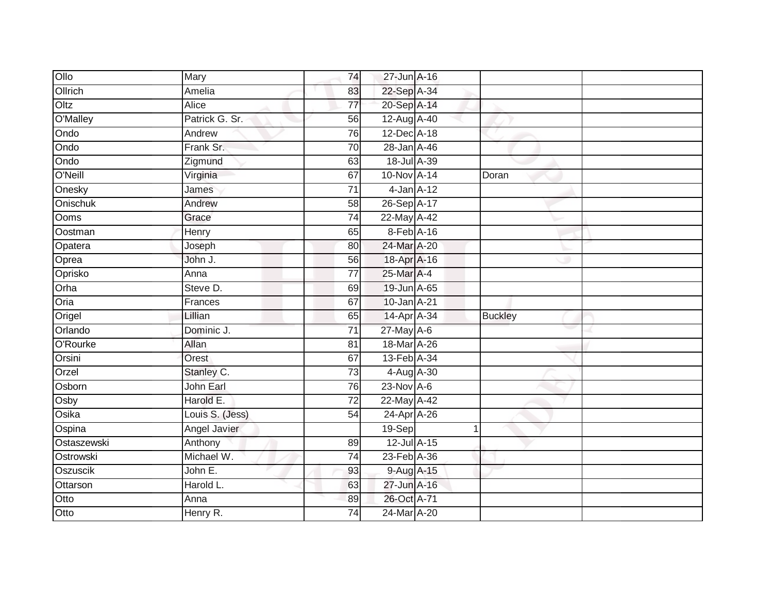| Ollo        | Mary            | 74              | 27-Jun A-16     |                |  |
|-------------|-----------------|-----------------|-----------------|----------------|--|
| Ollrich     | Amelia          | 83              | 22-Sep A-34     |                |  |
| Oltz        | Alice           | $\overline{77}$ | 20-Sep A-14     |                |  |
| O'Malley    | Patrick G. Sr.  | 56              | 12-Aug A-40     |                |  |
| Ondo        | Andrew          | 76              | 12-Dec A-18     |                |  |
| Ondo        | Frank Sr.       | 70              | 28-Jan A-46     |                |  |
| Ondo        | Zigmund         | 63              | 18-Jul A-39     |                |  |
| O'Neill     | Virginia        | 67              | 10-Nov A-14     | Doran          |  |
| Onesky      | James           | $\overline{71}$ | $4$ -Jan $A-12$ |                |  |
| Onischuk    | Andrew          | 58              | 26-Sep A-17     |                |  |
| Ooms        | Grace           | $\overline{74}$ | 22-May A-42     |                |  |
| Oostman     | Henry           | 65              | 8-Feb A-16      |                |  |
| Opatera     | Joseph          | 80              | 24-Mar A-20     |                |  |
| Oprea       | John J.         | 56              | 18-Apr A-16     |                |  |
| Oprisko     | Anna            | $\overline{77}$ | 25-Mar A-4      |                |  |
| Orha        | Steve D.        | 69              | 19-Jun A-65     |                |  |
| Oria        | Frances         | 67              | 10-Jan A-21     |                |  |
| Origel      | Lillian         | 65              | 14-Apr A-34     | <b>Buckley</b> |  |
| Orlando     | Dominic J.      | 71              | 27-May A-6      |                |  |
| O'Rourke    | Allan           | $\overline{81}$ | 18-Mar A-26     |                |  |
| Orsini      | Orest           | 67              | 13-Feb A-34     |                |  |
| Orzel       | Stanley C.      | 73              | 4-Aug A-30      |                |  |
| Osborn      | John Earl       | 76              | 23-Nov A-6      |                |  |
| Osby        | Harold E.       | $\overline{72}$ | 22-May A-42     |                |  |
| Osika       | Louis S. (Jess) | 54              | 24-Apr A-26     |                |  |
| Ospina      | Angel Javier    |                 | 19-Sep          | 1              |  |
| Ostaszewski | Anthony         | 89              | 12-Jul A-15     |                |  |
| Ostrowski   | Michael W.      | 74              | 23-Feb A-36     |                |  |
| Oszuscik    | John E.         | 93              | 9-Aug A-15      |                |  |
| Ottarson    | Harold L.       | 63              | 27-Jun A-16     |                |  |
| Otto        | Anna            | 89              | 26-Oct A-71     |                |  |
| Otto        | Henry R.        | 74              | 24-Mar A-20     |                |  |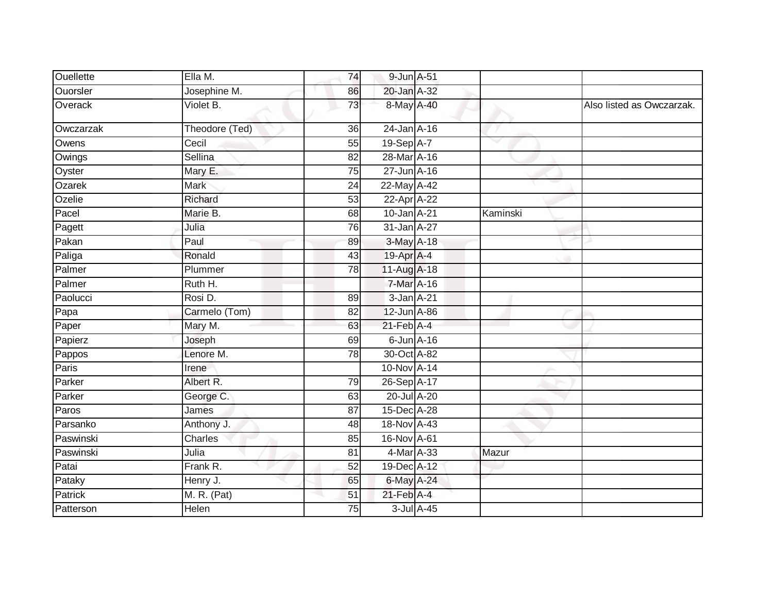| <b>Ouellette</b> | Ella M.        | 74 | 9-Jun A-51       |            |          |                           |
|------------------|----------------|----|------------------|------------|----------|---------------------------|
| <b>Ouorsler</b>  | Josephine M.   | 86 | 20-Jan A-32      |            |          |                           |
| Overack          | Violet B.      | 73 | 8-May A-40       |            |          | Also listed as Owczarzak. |
| Owczarzak        | Theodore (Ted) | 36 | 24-Jan A-16      |            |          |                           |
| Owens            | Cecil          | 55 | 19-Sep A-7       |            | ▽        |                           |
| Owings           | Sellina        | 82 | 28-Mar A-16      |            |          |                           |
| Oyster           | Mary E.        | 75 | 27-Jun A-16      |            |          |                           |
| Ozarek           | <b>Mark</b>    | 24 | 22-May A-42      |            |          |                           |
| Ozelie           | Richard        | 53 | 22-Apr A-22      |            |          |                           |
| Pacel            | Marie B.       | 68 | 10-Jan A-21      |            | Kaminski |                           |
| Pagett           | Julia          | 76 | $31$ -Jan $A-27$ |            |          |                           |
| Pakan            | Paul           | 89 | 3-May A-18       |            |          |                           |
| Paliga           | Ronald         | 43 | 19-Apr A-4       |            |          |                           |
| Palmer           | Plummer        | 78 | 11-Aug A-18      |            |          |                           |
| Palmer           | Ruth H.        |    | 7-Mar A-16       |            |          |                           |
| Paolucci         | Rosi D.        | 89 | $3-Jan$ $A-21$   |            |          |                           |
| Papa             | Carmelo (Tom)  | 82 | 12-Jun A-86      |            |          |                           |
| Paper            | Mary M.        | 63 | $21$ -Feb $A$ -4 |            |          |                           |
| Papierz          | Joseph         | 69 | $6$ -Jun $A$ -16 |            |          |                           |
| Pappos           | Lenore M.      | 78 | 30-Oct A-82      |            |          |                           |
| Paris            | Irene          |    | 10-Nov A-14      |            |          |                           |
| Parker           | Albert R.      | 79 | 26-Sep A-17      |            |          |                           |
| Parker           | George C.      | 63 | 20-Jul A-20      |            |          |                           |
| Paros            | James          | 87 | 15-Dec A-28      |            |          |                           |
| Parsanko         | Anthony J.     | 48 | 18-Nov A-43      |            |          |                           |
| Paswinski        | Charles        | 85 | 16-Nov A-61      |            |          |                           |
| Paswinski        | Julia          | 81 | 4-Mar A-33       |            | Mazur    |                           |
| Patai            | Frank R.       | 52 | 19-Dec A-12      |            |          |                           |
| Pataky           | Henry J.       | 65 | 6-May A-24       |            |          |                           |
| Patrick          | M. R. (Pat)    | 51 | $21$ -Feb $A$ -4 |            |          |                           |
| Patterson        | Helen          | 75 |                  | 3-Jul A-45 |          |                           |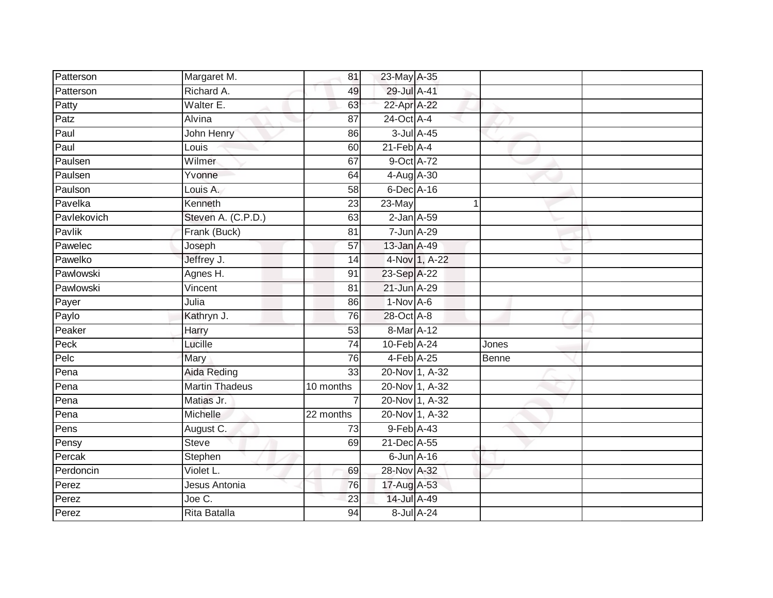| Patterson   | Margaret M.           | 81              | 23-May A-35                |                |       |  |
|-------------|-----------------------|-----------------|----------------------------|----------------|-------|--|
| Patterson   | Richard A.            | 49              | 29-Jul A-41                |                |       |  |
| Patty       | Walter E.             | 63              | 22-Apr A-22                |                |       |  |
| Patz        | Alvina                | 87              | 24-Oct A-4                 |                |       |  |
| Paul        | John Henry            | 86              |                            | 3-Jul A-45     |       |  |
| Paul        | Louis                 | 60              | $21$ -Feb $\overline{A-4}$ |                |       |  |
| Paulsen     | Wilmer                | 67              | 9-Oct A-72                 |                |       |  |
| Paulsen     | Yvonne                | 64              | 4-Aug A-30                 |                |       |  |
| Paulson     | Louis A.              | 58              | 6-Dec A-16                 |                |       |  |
| Pavelka     | Kenneth               | 23              | 23-May                     |                |       |  |
| Pavlekovich | Steven A. (C.P.D.)    | 63              | $2$ -Jan $A$ -59           |                |       |  |
| Pavlik      | Frank (Buck)          | 81              | 7-Jun A-29                 |                |       |  |
| Pawelec     | Joseph                | 57              | 13-Jan A-49                |                |       |  |
| Pawelko     | Jeffrey J.            | 14              |                            | 4-Nov 1, A-22  |       |  |
| Pawlowski   | Agnes H.              | 91              | 23-Sep A-22                |                |       |  |
| Pawlowski   | Vincent               | 81              | 21-Jun A-29                |                |       |  |
| Payer       | Julia                 | 86              | $1-Nov A-6$                |                |       |  |
| Paylo       | Kathryn J.            | 76              | 28-Oct A-8                 |                |       |  |
| Peaker      | Harry                 | 53              | 8-Mar A-12                 |                |       |  |
| Peck        | Lucille               | 74              | 10-Feb A-24                |                | Jones |  |
| Pelc        | Mary                  | 76              | $4-Feb$ A-25               |                | Benne |  |
| Pena        | Aida Reding           | 33              |                            | 20-Nov 1, A-32 |       |  |
| Pena        | <b>Martin Thadeus</b> | 10 months       |                            | 20-Nov 1, A-32 |       |  |
| Pena        | Matias Jr.            |                 |                            | 20-Nov 1, A-32 |       |  |
| Pena        | Michelle              | 22 months       |                            | 20-Nov 1, A-32 |       |  |
| Pens        | August C.             | 73              | 9-Feb A-43                 |                |       |  |
| Pensy       | Steve                 | 69              | 21-Dec A-55                |                |       |  |
| Percak      | Stephen               |                 | $6$ -Jun $A$ -16           |                |       |  |
| Perdoncin   | Violet L.             | 69              | 28-Nov A-32                |                |       |  |
| Perez       | Jesus Antonia         | 76              | 17-Aug A-53                |                |       |  |
| Perez       | Joe C.                | 23              | 14-Jul A-49                |                |       |  |
| Perez       | <b>Rita Batalla</b>   | $\overline{94}$ |                            | 8-Jul A-24     |       |  |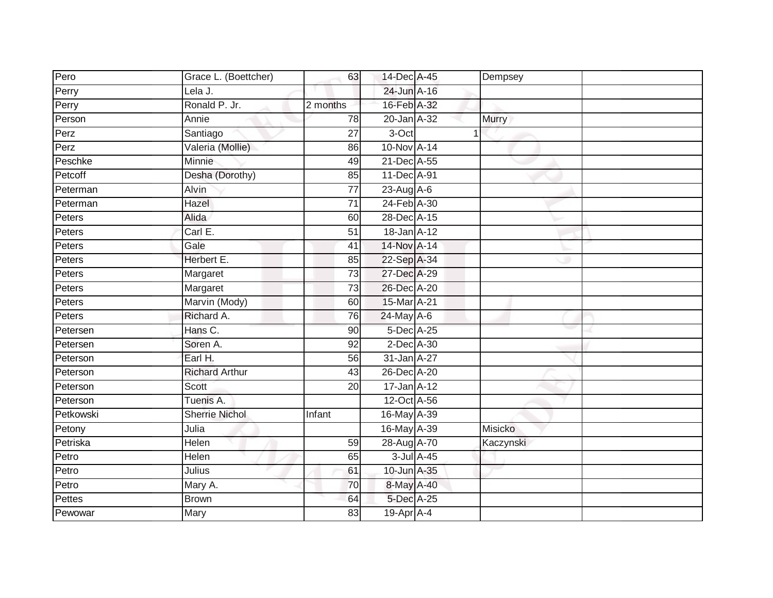| Pero      | Grace L. (Boettcher)  | 63              | 14-Dec A-45      |                  | Dempsey      |  |
|-----------|-----------------------|-----------------|------------------|------------------|--------------|--|
| Perry     | Lela J.               |                 | $24$ -Jun $A-16$ |                  |              |  |
| Perry     | Ronald P. Jr.         | 2 months        | 16-Feb A-32      |                  |              |  |
| Person    | Annie                 | 78              | 20-Jan A-32      |                  | <b>Murry</b> |  |
| Perz      | Santiago              | 27              | 3-Oct            |                  |              |  |
| Perz      | Valeria (Mollie)      | 86              | 10-Nov A-14      |                  |              |  |
| Peschke   | Minnie                | 49              | 21-Dec A-55      |                  |              |  |
| Petcoff   | Desha (Dorothy)       | 85              | 11-Dec A-91      |                  |              |  |
| Peterman  | Alvin                 | 77              | 23-Aug A-6       |                  |              |  |
| Peterman  | Hazel                 | $\overline{71}$ | 24-Feb A-30      |                  |              |  |
| Peters    | Alida                 | 60              | 28-Dec A-15      |                  |              |  |
| Peters    | Carl E.               | 51              | 18-Jan A-12      |                  |              |  |
| Peters    | Gale                  | 41              | 14-Nov A-14      |                  |              |  |
| Peters    | Herbert E.            | 85              | 22-Sep A-34      |                  |              |  |
| Peters    | Margaret              | 73              | 27-Dec A-29      |                  |              |  |
| Peters    | Margaret              | 73              | 26-Dec A-20      |                  |              |  |
| Peters    | Marvin (Mody)         | 60              | 15-Mar A-21      |                  |              |  |
| Peters    | Richard A.            | 76              | $24$ -May A-6    |                  |              |  |
| Petersen  | Hans C.               | 90              | 5-Dec A-25       |                  |              |  |
| Petersen  | Soren A.              | 92              | 2-Dec A-30       |                  |              |  |
| Peterson  | Earl H.               | 56              | 31-Jan A-27      |                  |              |  |
| Peterson  | <b>Richard Arthur</b> | 43              | 26-Dec A-20      |                  |              |  |
| Peterson  | Scott                 | 20              | 17-Jan A-12      |                  |              |  |
| Peterson  | Tuenis A.             |                 | 12-Oct A-56      |                  |              |  |
| Petkowski | <b>Sherrie Nichol</b> | Infant          | 16-May A-39      |                  |              |  |
| Petony    | Julia                 |                 | 16-May A-39      |                  | Misicko      |  |
| Petriska  | Helen                 | 59              | 28-Aug A-70      |                  | Kaczynski    |  |
| Petro     | Helen                 | 65              |                  | $3$ -Jul $A$ -45 |              |  |
| Petro     | Julius                | 61              | 10-Jun A-35      |                  |              |  |
| Petro     | Mary A.               | 70              | 8-May A-40       |                  |              |  |
| Pettes    | <b>Brown</b>          | 64              | 5-Dec A-25       |                  |              |  |
| Pewowar   | Mary                  | 83              | 19-Apr A-4       |                  |              |  |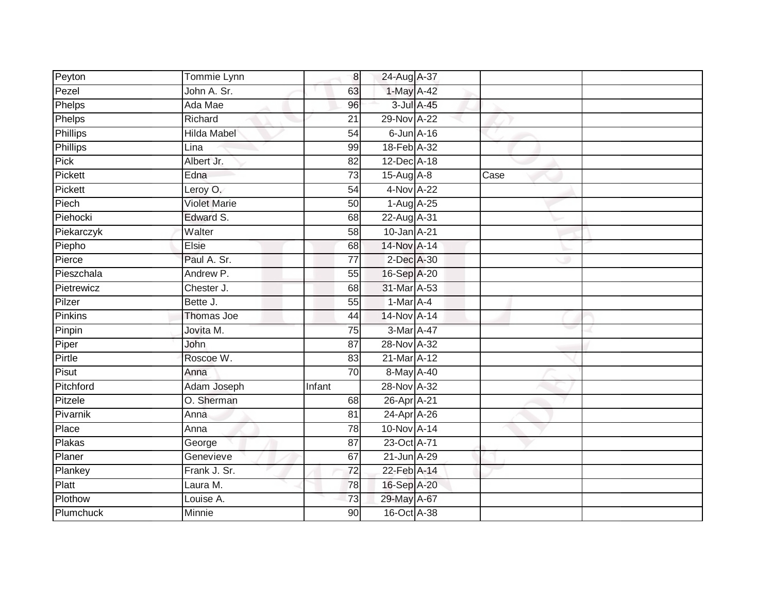| Peyton          | Tommie Lynn         | 8               | 24-Aug A-37      |            |      |  |
|-----------------|---------------------|-----------------|------------------|------------|------|--|
| Pezel           | John A. Sr.         | 63              | 1-May A-42       |            |      |  |
| Phelps          | Ada Mae             | $\overline{96}$ |                  | 3-Jul A-45 |      |  |
| Phelps          | Richard             | 21              | 29-Nov A-22      |            |      |  |
| <b>Phillips</b> | <b>Hilda Mabel</b>  | $\overline{54}$ | $6$ -Jun $A$ -16 |            |      |  |
| Phillips        | Lina                | 99              | 18-Feb A-32      |            |      |  |
| Pick            | Albert Jr.          | $\overline{82}$ | 12-Dec A-18      |            |      |  |
| Pickett         | Edna                | 73              | $15-Aug$ A-8     |            | Case |  |
| Pickett         | Leroy O.            | 54              | 4-Nov A-22       |            |      |  |
| Piech           | <b>Violet Marie</b> | 50              | 1-Aug A-25       |            |      |  |
| Piehocki        | Edward S.           | 68              | 22-Aug A-31      |            |      |  |
| Piekarczyk      | Walter              | 58              | 10-Jan A-21      |            |      |  |
| Piepho          | Elsie               | 68              | 14-Nov A-14      |            |      |  |
| Pierce          | Paul A. Sr.         | $\overline{77}$ | 2-Dec A-30       |            |      |  |
| Pieszchala      | Andrew P.           | $\overline{55}$ | 16-Sep A-20      |            |      |  |
| Pietrewicz      | Chester J.          | 68              | 31-Mar A-53      |            |      |  |
| Pilzer          | Bette J.            | 55              | $1-Mar A-4$      |            |      |  |
| Pinkins         | Thomas Joe          | 44              | 14-Nov A-14      |            |      |  |
| Pinpin          | Jovita M.           | 75              | 3-Mar A-47       |            |      |  |
| Piper           | <b>John</b>         | $\overline{87}$ | 28-Nov A-32      |            |      |  |
| Pirtle          | Roscoe W.           | 83              | 21-Mar A-12      |            |      |  |
| Pisut           | Anna                | 70              | 8-May A-40       |            |      |  |
| Pitchford       | Adam Joseph         | Infant          | 28-Nov A-32      |            |      |  |
| Pitzele         | O. Sherman          | 68              | 26-Apr A-21      |            |      |  |
| Pivarnik        | Anna                | 81              | 24-Apr A-26      |            |      |  |
| Place           | Anna                | 78              | 10-Nov A-14      |            |      |  |
| <b>Plakas</b>   | George              | $\overline{87}$ | 23-Oct A-71      |            |      |  |
| Planer          | Genevieve           | 67              | 21-Jun A-29      |            |      |  |
| Plankey         | Frank J. Sr.        | $\overline{72}$ | 22-Feb A-14      |            |      |  |
| Platt           | Laura M.            | 78              | 16-Sep A-20      |            |      |  |
| Plothow         | Louise A.           | 73              | 29-May A-67      |            |      |  |
| Plumchuck       | Minnie              | 90              | 16-Oct A-38      |            |      |  |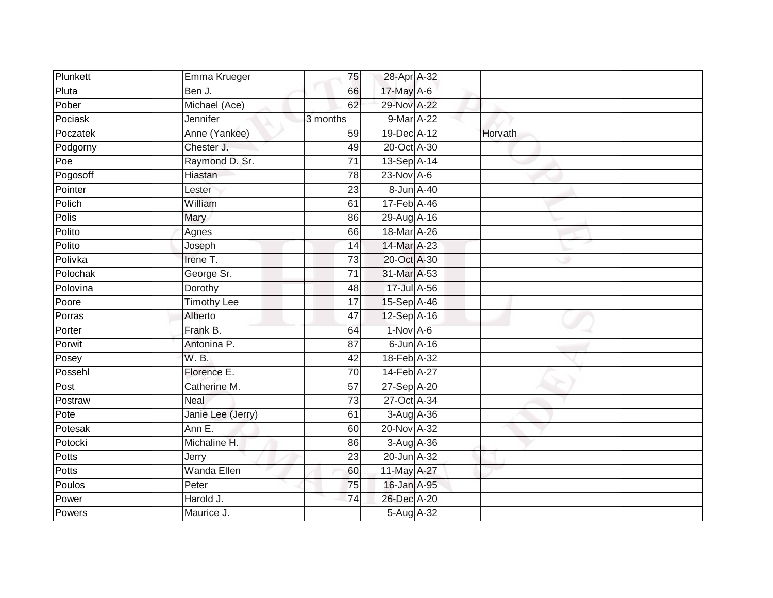| Plunkett     | Emma Krueger       | 75              | 28-Apr A-32                  |         |  |
|--------------|--------------------|-----------------|------------------------------|---------|--|
| Pluta        | Ben J.             | 66              | 17-May A-6                   |         |  |
| Pober        | Michael (Ace)      | 62              | 29-Nov A-22                  |         |  |
| Pociask      | Jennifer           | 3 months        | 9-Mar A-22                   |         |  |
| Poczatek     | Anne (Yankee)      | 59              | 19-Dec A-12                  | Horvath |  |
| Podgorny     | Chester J.         | 49              | 20-Oct A-30                  |         |  |
| Poe          | Raymond D. Sr.     | 71              | 13-Sep A-14                  |         |  |
| Pogosoff     | Hiastan            | 78              | $23$ -Nov $A-6$              |         |  |
| Pointer      | Lester             | 23              | 8-Jun A-40                   |         |  |
| Polich       | William            | 61              | $17 - \text{Feb}$ A-46       |         |  |
| <b>Polis</b> | Mary               | 86              | 29-Aug A-16                  |         |  |
| Polito       | Agnes              | 66              | 18-Mar A-26                  |         |  |
| Polito       | Joseph             | 14              | $14$ -Mar $\overline{A}$ -23 |         |  |
| Polivka      | Irene T.           | 73              | 20-Oct A-30                  |         |  |
| Polochak     | George Sr.         | $\overline{71}$ | 31-Mar A-53                  |         |  |
| Polovina     | Dorothy            | 48              | 17-Jul A-56                  |         |  |
| Poore        | <b>Timothy Lee</b> | $\overline{17}$ | 15-Sep A-46                  |         |  |
| Porras       | Alberto            | 47              | 12-Sep A-16                  |         |  |
| Porter       | Frank B.           | 64              | 1-Nov A-6                    |         |  |
| Porwit       | Antonina P.        | 87              | $6$ -Jun $A$ -16             |         |  |
| Posey        | W.B.               | 42              | 18-Feb A-32                  |         |  |
| Possehl      | Florence E.        | 70              | 14-Feb A-27                  |         |  |
| Post         | Catherine M.       | 57              | 27-Sep A-20                  |         |  |
| Postraw      | <b>Neal</b>        | $\overline{73}$ | 27-Oct A-34                  |         |  |
| Pote         | Janie Lee (Jerry)  | 61              | 3-Aug A-36                   |         |  |
| Potesak      | Ann E.             | 60              | 20-Nov A-32                  |         |  |
| Potocki      | Michaline H.       | 86              | 3-Aug A-36                   |         |  |
| Potts        | Jerry              | 23              | 20-Jun A-32                  |         |  |
| Potts        | Wanda Ellen        | 60              | 11-May A-27                  |         |  |
| Poulos       | Peter              | 75              | 16-Jan A-95                  |         |  |
| Power        | Harold J.          | 74              | 26-Dec A-20                  |         |  |
| Powers       | Maurice J.         |                 | 5-Aug A-32                   |         |  |
|              |                    |                 |                              |         |  |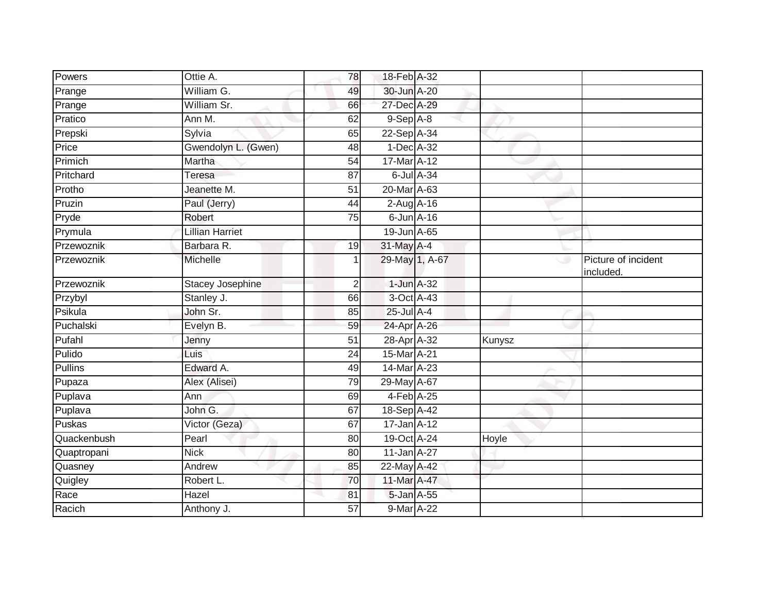| Powers         | Ottie A.                | 78 | 18-Feb A-32       |        |                                  |
|----------------|-------------------------|----|-------------------|--------|----------------------------------|
| Prange         | William G.              | 49 | 30-Jun A-20       |        |                                  |
| Prange         | William Sr.             | 66 | 27-Dec A-29       |        |                                  |
| Pratico        | Ann M.                  | 62 | $9-Sep$ A-8       |        |                                  |
| Prepski        | Sylvia                  | 65 | 22-Sep A-34       |        |                                  |
| Price          | Gwendolyn L. (Gwen)     | 48 | 1-Dec A-32        |        |                                  |
| Primich        | Martha                  | 54 | 17-Mar A-12       |        |                                  |
| Pritchard      | Teresa                  | 87 | 6-Jul A-34        |        |                                  |
| Protho         | Jeanette M.             | 51 | 20-Mar A-63       |        |                                  |
| Pruzin         | Paul (Jerry)            | 44 | $2$ -Aug $A$ -16  |        |                                  |
| Pryde          | Robert                  | 75 | $6$ -Jun $A-16$   |        |                                  |
| Prymula        | Lillian Harriet         |    | 19-Jun A-65       |        |                                  |
| Przewoznik     | Barbara R.              | 19 | 31-May A-4        |        |                                  |
| Przewoznik     | Michelle                |    | 29-May 1, A-67    | ی      | Picture of incident<br>included. |
| Przewoznik     | <b>Stacey Josephine</b> | 2  | 1-Jun A-32        |        |                                  |
| Przybyl        | Stanley J.              | 66 | 3-Oct A-43        |        |                                  |
| Psikula        | John Sr.                | 85 | 25-Jul A-4        |        |                                  |
| Puchalski      | Evelyn B.               | 59 | 24-Apr A-26       |        |                                  |
| Pufahl         | Jenny                   | 51 | 28-Apr A-32       | Kunysz |                                  |
| Pulido         | Luis                    | 24 | 15-Mar A-21       |        |                                  |
| <b>Pullins</b> | Edward A.               | 49 | 14-Mar A-23       |        |                                  |
| Pupaza         | Alex (Alisei)           | 79 | 29-May A-67       |        |                                  |
| Puplava        | Ann                     | 69 | 4-Feb A-25        |        |                                  |
| Puplava        | John G.                 | 67 | 18-Sep A-42       |        |                                  |
| Puskas         | Victor (Geza)           | 67 | $17 - Jan$ $A-12$ |        |                                  |
| Quackenbush    | Pearl                   | 80 | 19-Oct A-24       | Hoyle  |                                  |
| Quaptropani    | <b>Nick</b>             | 80 | 11-Jan A-27       |        |                                  |
| Quasney        | Andrew                  | 85 | 22-May A-42       |        |                                  |
| Quigley        | Robert L.               | 70 | 11-Mar A-47       |        |                                  |
| Race           | Hazel                   | 81 | 5-Jan A-55        |        |                                  |
| Racich         | Anthony J.              | 57 | 9-Mar A-22        |        |                                  |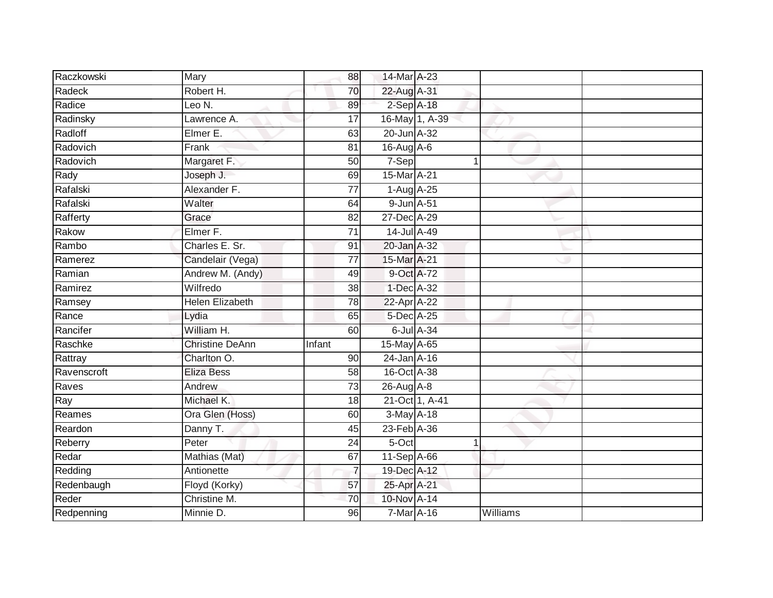| Raczkowski  | Mary                   | 88              | 14-Mar A-23    |                |          |  |
|-------------|------------------------|-----------------|----------------|----------------|----------|--|
| Radeck      | Robert H.              | 70              | 22-Aug A-31    |                |          |  |
| Radice      | Leo $N$ .              | 89              | $2-SepA-18$    |                |          |  |
| Radinsky    | Lawrence A.            | $\overline{17}$ |                | 16-May 1, A-39 |          |  |
| Radloff     | Elmer E.               | 63              | 20-Jun A-32    |                |          |  |
| Radovich    | Frank                  | 81              | 16-Aug A-6     |                |          |  |
| Radovich    | Margaret F.            | 50              | 7-Sep          | 1              |          |  |
| Rady        | Joseph J.              | 69              | 15-Mar A-21    |                |          |  |
| Rafalski    | Alexander F.           | $\overline{77}$ | 1-Aug A-25     |                |          |  |
| Rafalski    | Walter                 | 64              | 9-Jun A-51     |                |          |  |
| Rafferty    | Grace                  | 82              | 27-Dec A-29    |                |          |  |
| Rakow       | Elmer F.               | 71              | 14-Jul A-49    |                |          |  |
| Rambo       | Charles E. Sr.         | 91              | 20-Jan A-32    |                |          |  |
| Ramerez     | Candelair (Vega)       | $\overline{77}$ | 15-Mar A-21    |                |          |  |
| Ramian      | Andrew M. (Andy)       | 49              | 9-Oct A-72     |                |          |  |
| Ramirez     | Wilfredo               | 38              | 1-Dec A-32     |                |          |  |
| Ramsey      | <b>Helen Elizabeth</b> | 78              | 22-Apr A-22    |                |          |  |
| Rance       | Lydia                  | 65              | 5-Dec A-25     |                |          |  |
| Rancifer    | William H.             | 60              |                | 6-Jul A-34     |          |  |
| Raschke     | <b>Christine DeAnn</b> | Infant          | 15-May A-65    |                |          |  |
| Rattray     | Charlton O.            | 90              | $24$ -Jan A-16 |                |          |  |
| Ravenscroft | <b>Eliza Bess</b>      | 58              | 16-Oct A-38    |                |          |  |
| Raves       | Andrew                 | 73              | 26-Aug A-8     |                |          |  |
| Ray         | Michael K.             | 18              |                | 21-Oct 1, A-41 |          |  |
| Reames      | Ora Glen (Hoss)        | 60              | 3-May A-18     |                |          |  |
| Reardon     | Danny T.               | 45              | 23-Feb A-36    |                |          |  |
| Reberry     | Peter                  | $\overline{24}$ | 5-Oct          |                |          |  |
| Redar       | Mathias (Mat)          | 67              | 11-Sep A-66    |                |          |  |
| Redding     | Antionette             | $\overline{7}$  | 19-Dec A-12    |                |          |  |
| Redenbaugh  | Floyd (Korky)          | 57              | 25-Apr A-21    |                |          |  |
| Reder       | Christine M.           | 70              | 10-Nov A-14    |                |          |  |
| Redpenning  | Minnie D.              | 96              | 7-Mar A-16     |                | Williams |  |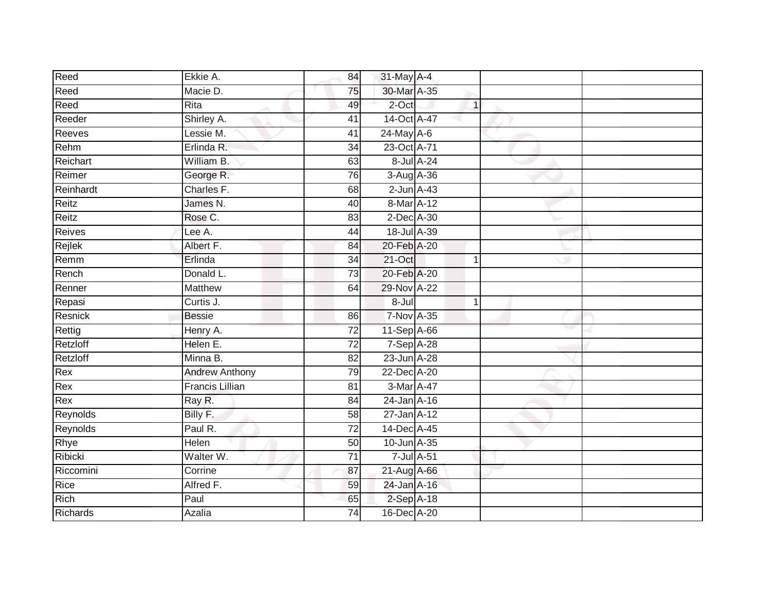| Reed          | Ekkie A.               | 84              | 31-May A-4        |              |  |
|---------------|------------------------|-----------------|-------------------|--------------|--|
| Reed          | Macie D.               | 75              | 30-Mar A-35       |              |  |
| Reed          | Rita                   | 49              | 2-Oct             | $\mathbf{1}$ |  |
| Reeder        | Shirley A.             | 41              | 14-Oct A-47       |              |  |
| Reeves        | Lessie M.              | $\overline{41}$ | $24$ -May A-6     |              |  |
| Rehm          | Erlinda R.             | 34              | 23-Oct A-71       |              |  |
| Reichart      | William B.             | 63              | 8-Jul A-24        |              |  |
| Reimer        | George R.              | 76              | 3-Aug A-36        |              |  |
| Reinhardt     | Charles F.             | 68              | $2$ -Jun $A-43$   |              |  |
| Reitz         | James N.               | 40              | 8-Mar A-12        |              |  |
| Reitz         | Rose C.                | 83              | 2-Dec A-30        |              |  |
| <b>Reives</b> | Lee A.                 | 44              | 18-Jul A-39       |              |  |
| Rejlek        | Albert F.              | 84              | 20-Feb A-20       |              |  |
| Remm          | Erlinda                | 34              | $21$ -Oct         | $\mathbf 1$  |  |
| Rench         | Donald L.              | $\overline{73}$ | 20-Feb A-20       |              |  |
| Renner        | Matthew                | 64              | 29-Nov A-22       |              |  |
| Repasi        | Curtis J.              |                 | $8 -$ Jul         | $\mathbf{1}$ |  |
| Resnick       | <b>Bessie</b>          | 86              | <b>7-Nov A-35</b> |              |  |
| Rettig        | Henry A.               | $\overline{72}$ | 11-Sep A-66       |              |  |
| Retzloff      | Helen E.               | 72              | 7-Sep A-28        |              |  |
| Retzloff      | Minna B.               | 82              | 23-Jun A-28       |              |  |
| Rex           | <b>Andrew Anthony</b>  | 79              | 22-Dec A-20       |              |  |
| Rex           | <b>Francis Lillian</b> | 81              | 3-Mar A-47        |              |  |
| Rex           | Ray R.                 | 84              | 24-Jan A-16       |              |  |
| Reynolds      | Billy F.               | 58              | 27-Jan A-12       |              |  |
| Reynolds      | Paul R.                | 72              | 14-Dec A-45       |              |  |
| Rhye          | Helen                  | 50              | 10-Jun A-35       |              |  |
| Ribicki       | Walter W.              | $\overline{71}$ | 7-Jul A-51        |              |  |
| Riccomini     | Corrine                | 87              | 21-Aug A-66       |              |  |
| Rice          | Alfred F.              | 59              | 24-Jan A-16       |              |  |
| Rich          | Paul                   | 65              | $2-Sep$ A-18      |              |  |
| Richards      | Azalia                 | $\overline{74}$ | 16-Dec A-20       |              |  |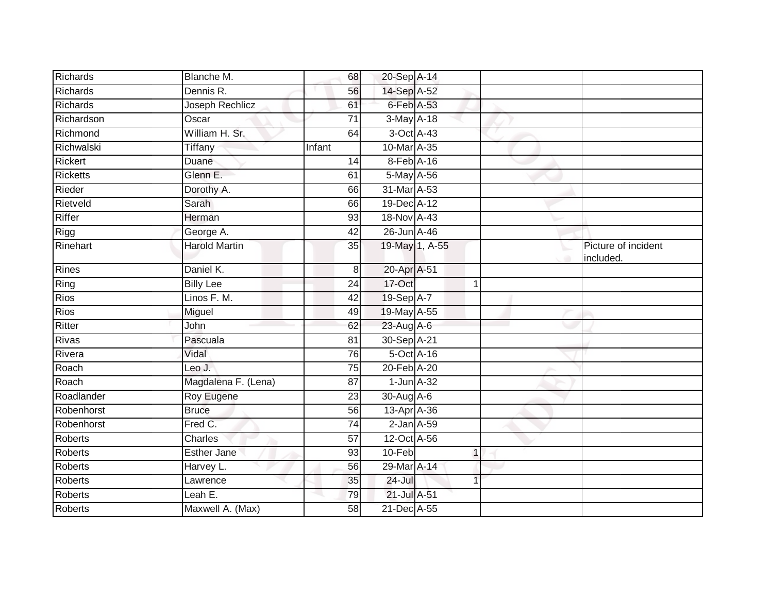| Richards   | Blanche M.           | 68              | 20-Sep A-14      |                |              |                                  |
|------------|----------------------|-----------------|------------------|----------------|--------------|----------------------------------|
| Richards   | Dennis R.            | 56              | 14-Sep A-52      |                |              |                                  |
| Richards   | Joseph Rechlicz      | 61              | 6-Feb A-53       |                |              |                                  |
| Richardson | Oscar                | 71              | 3-May A-18       |                |              |                                  |
| Richmond   | William H. Sr.       | 64              | 3-Oct A-43       |                |              |                                  |
| Richwalski | Tiffany              | Infant          | 10-Mar A-35      |                |              |                                  |
| Rickert    | Duane                | 14              | 8-Feb A-16       |                |              |                                  |
| Ricketts   | Glenn E.             | 61              | 5-May A-56       |                |              |                                  |
| Rieder     | Dorothy A.           | 66              | 31-Mar A-53      |                |              |                                  |
| Rietveld   | Sarah                | 66              | 19-Dec A-12      |                |              |                                  |
| Riffer     | Herman               | 93              | 18-Nov A-43      |                |              |                                  |
| Rigg       | George A.            | 42              | 26-Jun A-46      |                |              |                                  |
| Rinehart   | <b>Harold Martin</b> | 35              |                  | 19-May 1, A-55 |              | Picture of incident<br>included. |
| Rines      | Daniel K.            | 8               | 20-Apr A-51      |                |              |                                  |
| Ring       | <b>Billy Lee</b>     | 24              | 17-Oct           |                | 1            |                                  |
| Rios       | Linos F. M.          | 42              | 19-Sep A-7       |                |              |                                  |
| Rios       | Miguel               | 49              | 19-May A-55      |                |              |                                  |
| Ritter     | John                 | 62              | 23-Aug A-6       |                |              |                                  |
| Rivas      | Pascuala             | 81              | 30-Sep A-21      |                |              |                                  |
| Rivera     | Vidal                | 76              | 5-Oct A-16       |                |              |                                  |
| Roach      | Leo J.               | 75              | 20-Feb A-20      |                |              |                                  |
| Roach      | Magdalena F. (Lena)  | 87              | $1$ -Jun $A$ -32 |                |              |                                  |
| Roadlander | Roy Eugene           | 23              | $30$ -Aug $A$ -6 |                |              |                                  |
| Robenhorst | <b>Bruce</b>         | 56              | 13-Apr A-36      |                |              |                                  |
| Robenhorst | Fred C.              | $\overline{74}$ | $2$ -Jan $A$ -59 |                |              |                                  |
| Roberts    | Charles              | 57              | 12-Oct A-56      |                |              |                                  |
| Roberts    | <b>Esther Jane</b>   | 93              | $10-Feb$         |                | $\mathbf{1}$ |                                  |
| Roberts    | Harvey L.            | 56              | 29-Mar A-14      |                |              |                                  |
| Roberts    | Lawrence             | 35              | $24 -$ Jul       |                |              |                                  |
| Roberts    | Leah E.              | 79              | 21-Jul A-51      |                |              |                                  |
| Roberts    | Maxwell A. (Max)     | 58              | 21-Dec A-55      |                |              |                                  |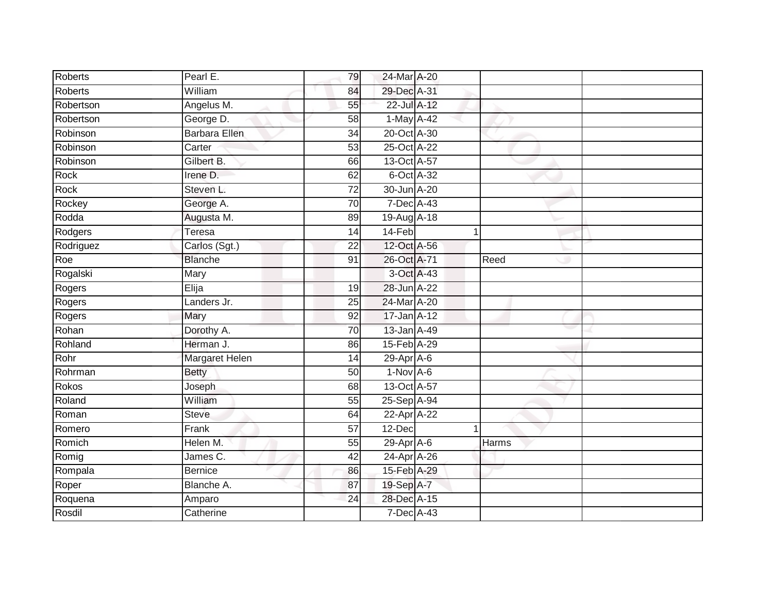| Roberts        | Pearl E.              | 79              | 24-Mar A-20      |              |              |  |
|----------------|-----------------------|-----------------|------------------|--------------|--------------|--|
| <b>Roberts</b> | William               | 84              | 29-Dec A-31      |              |              |  |
| Robertson      | Angelus M.            | 55              | 22-Jul A-12      |              |              |  |
| Robertson      | George D.             | 58              | 1-May A-42       |              |              |  |
| Robinson       | <b>Barbara Ellen</b>  | $\overline{34}$ | 20-Oct A-30      |              |              |  |
| Robinson       | Carter                | 53              | 25-Oct A-22      |              |              |  |
| Robinson       | Gilbert B.            | 66              | 13-Oct A-57      |              |              |  |
| Rock           | Irene D.              | 62              | 6-Oct A-32       |              |              |  |
| Rock           | Steven L.             | $\overline{72}$ | 30-Jun A-20      |              |              |  |
| Rockey         | George A.             | 70              | 7-Dec A-43       |              |              |  |
| Rodda          | Augusta M.            | 89              | 19-Aug A-18      |              |              |  |
| Rodgers        | Teresa                | 14              | 14-Feb           | $\mathbf{1}$ |              |  |
| Rodriguez      | Carlos (Sgt.)         | 22              | 12-Oct A-56      |              |              |  |
| Roe            | <b>Blanche</b>        | 91              | 26-Oct A-71      |              | Reed         |  |
| Rogalski       | Mary                  |                 | 3-Oct A-43       |              |              |  |
| Rogers         | Elija                 | 19              | 28-Jun A-22      |              |              |  |
| Rogers         | Landers Jr.           | $\overline{25}$ | 24-Mar A-20      |              |              |  |
| Rogers         | Mary                  | 92              | 17-Jan A-12      |              |              |  |
| Rohan          | Dorothy A.            | 70              | 13-Jan A-49      |              |              |  |
| Rohland        | Herman J.             | 86              | 15-Feb A-29      |              |              |  |
| Rohr           | <b>Margaret Helen</b> | 14              | 29-Apr A-6       |              |              |  |
| Rohrman        | <b>Betty</b>          | 50              | $1-Nov$ A-6      |              |              |  |
| Rokos          | Joseph                | 68              | 13-Oct A-57      |              |              |  |
| Roland         | William               | 55              | 25-Sep A-94      |              |              |  |
| Roman          | <b>Steve</b>          | 64              | 22-Apr A-22      |              |              |  |
| Romero         | Frank                 | 57              | 12-Dec           | 1            |              |  |
| Romich         | Helen M.              | 55              | $29$ -Apr $A$ -6 |              | <b>Harms</b> |  |
| Romig          | James C.              | 42              | 24-Apr A-26      |              |              |  |
| Rompala        | <b>Bernice</b>        | 86              | 15-Feb A-29      |              |              |  |
| Roper          | Blanche A.            | 87              | 19-Sep A-7       |              |              |  |
| Roquena        | Amparo                | 24              | 28-Dec A-15      |              |              |  |
| Rosdil         | Catherine             |                 | 7-Dec A-43       |              |              |  |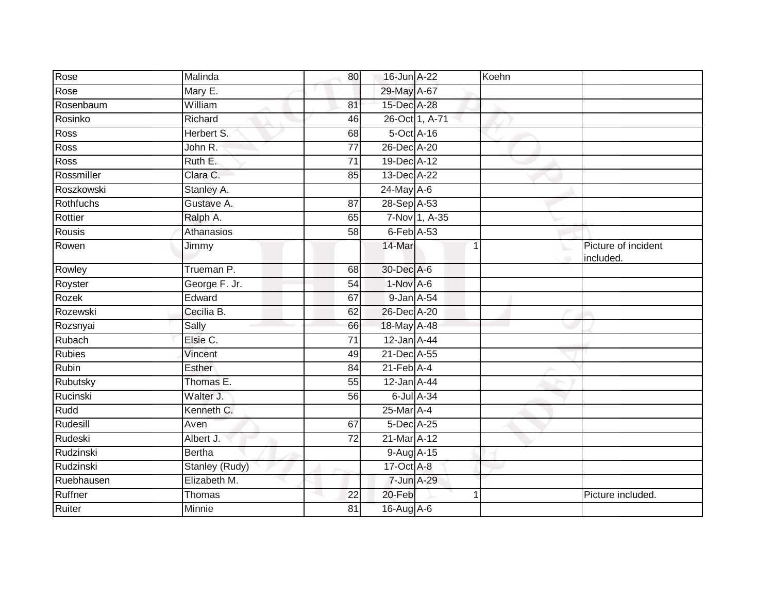| Rose             | Malinda        | 80              | 16-Jun A-22      |                | Koehn       |                                  |
|------------------|----------------|-----------------|------------------|----------------|-------------|----------------------------------|
| Rose             | Mary E.        |                 | 29-May A-67      |                |             |                                  |
| Rosenbaum        | William        | 81              | 15-Dec A-28      |                |             |                                  |
| Rosinko          | Richard        | 46              |                  | 26-Oct 1, A-71 |             |                                  |
| <b>Ross</b>      | Herbert S.     | 68              | $5$ -Oct $A$ -16 |                |             |                                  |
| Ross             | John R.        | 77              | 26-Dec A-20      |                |             |                                  |
| Ross             | Ruth E.        | $\overline{71}$ | 19-Dec A-12      |                |             |                                  |
| Rossmiller       | Clara C.       | 85              | 13-Dec A-22      |                |             |                                  |
| Roszkowski       | Stanley A.     |                 | 24-May A-6       |                |             |                                  |
| <b>Rothfuchs</b> | Gustave A.     | 87              | 28-Sep A-53      |                |             |                                  |
| Rottier          | Ralph A.       | 65              |                  | 7-Nov 1, A-35  |             |                                  |
| <b>Rousis</b>    | Athanasios     | 58              | $6$ -Feb $A$ -53 |                |             |                                  |
| Rowen            | Jimmy          |                 | 14-Mar           |                | $\triangle$ | Picture of incident<br>included. |
| Rowley           | Trueman P.     | 68              | 30-Dec A-6       |                |             |                                  |
| Royster          | George F. Jr.  | 54              | 1-Nov A-6        |                |             |                                  |
| Rozek            | Edward         | 67              | 9-Jan A-54       |                |             |                                  |
| Rozewski         | Cecilia B.     | 62              | 26-Dec A-20      |                |             |                                  |
| Rozsnyai         | Sally          | 66              | 18-May A-48      |                |             |                                  |
| Rubach           | Elsie C.       | 71              | $12$ -Jan A-44   |                |             |                                  |
| <b>Rubies</b>    | Vincent        | 49              | 21-Dec A-55      |                |             |                                  |
| Rubin            | Esther         | 84              | $21$ -Feb $A-4$  |                |             |                                  |
| Rubutsky         | Thomas E.      | 55              | 12-Jan A-44      |                |             |                                  |
| Rucinski         | Walter J.      | 56              |                  | 6-Jul A-34     |             |                                  |
| Rudd             | Kenneth C.     |                 | 25-Mar A-4       |                |             |                                  |
| Rudesill         | Aven           | 67              | 5-Dec A-25       |                |             |                                  |
| Rudeski          | Albert J.      | 72              | 21-Mar A-12      |                |             |                                  |
| Rudzinski        | <b>Bertha</b>  |                 | 9-Aug A-15       |                |             |                                  |
| Rudzinski        | Stanley (Rudy) |                 | $17-Oct$ A-8     |                |             |                                  |
| Ruebhausen       | Elizabeth M.   |                 | 7-Jun A-29       |                |             |                                  |
| Ruffner          | Thomas         | 22              | 20-Feb           |                |             | Picture included.                |
| Ruiter           | Minnie         | 81              | 16-Aug A-6       |                |             |                                  |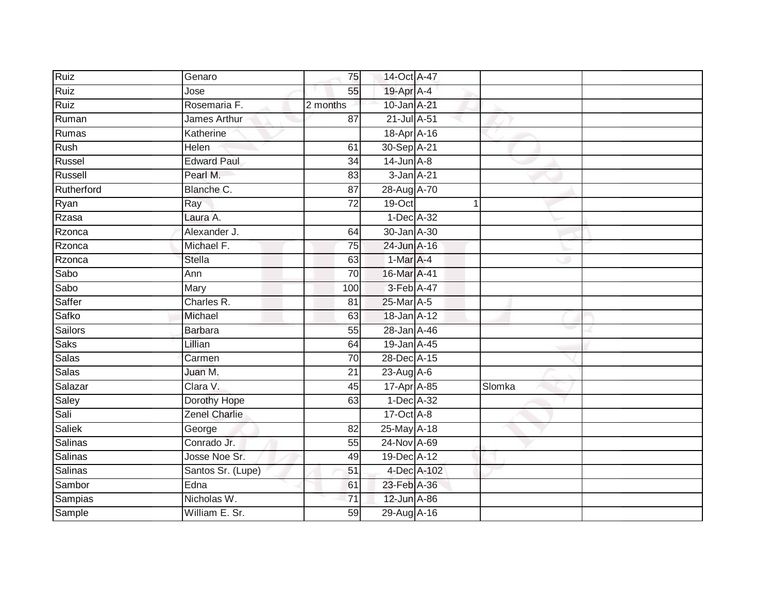| Ruiz           | Genaro               | 75              | 14-Oct A-47      |             |        |  |
|----------------|----------------------|-----------------|------------------|-------------|--------|--|
| Ruiz           | Jose                 | 55              | 19-Apr A-4       |             |        |  |
| Ruiz           | Rosemaria F.         | 2 months        | 10-Jan A-21      |             |        |  |
| Ruman          | James Arthur         | 87              | 21-Jul A-51      |             |        |  |
| Rumas          | Katherine            |                 | 18-Apr A-16      |             |        |  |
| Rush           | Helen                | 61              | 30-Sep A-21      |             |        |  |
| Russel         | <b>Edward Paul</b>   | 34              | $14$ -Jun $A$ -8 |             |        |  |
| Russell        | Pearl M.             | 83              | 3-Jan A-21       |             |        |  |
| Rutherford     | Blanche C.           | $\overline{87}$ | 28-Aug A-70      |             |        |  |
| Ryan           | Ray                  | $\overline{72}$ | $19-Cct$         |             |        |  |
| Rzasa          | Laura A.             |                 | 1-Dec A-32       |             |        |  |
| Rzonca         | Alexander J.         | 64              | 30-Jan A-30      |             |        |  |
| Rzonca         | Michael F.           | 75              | 24-Jun A-16      |             |        |  |
| Rzonca         | <b>Stella</b>        | 63              | 1-Mar A-4        |             |        |  |
| Sabo           | Ann                  | 70              | 16-Mar A-41      |             |        |  |
| Sabo           | Mary                 | 100             | 3-Feb A-47       |             |        |  |
| Saffer         | Charles R.           | $\overline{81}$ | 25-Mar A-5       |             |        |  |
| Safko          | Michael              | 63              | 18-Jan A-12      |             |        |  |
| <b>Sailors</b> | <b>Barbara</b>       | 55              | 28-Jan A-46      |             |        |  |
| Saks           | Lillian              | 64              | 19-Jan A-45      |             |        |  |
| Salas          | Carmen               | 70              | 28-Dec A-15      |             |        |  |
| Salas          | Juan M.              | $\overline{21}$ | $23$ -Aug A-6    |             |        |  |
| Salazar        | Clara V.             | 45              | 17-Apr A-85      |             | Slomka |  |
| Saley          | Dorothy Hope         | 63              | 1-Dec A-32       |             |        |  |
| Sali           | <b>Zenel Charlie</b> |                 | 17-Oct A-8       |             |        |  |
| Saliek         | George               | 82              | 25-May A-18      |             |        |  |
| Salinas        | Conrado Jr.          | 55              | 24-Nov A-69      |             |        |  |
| <b>Salinas</b> | Josse Noe Sr.        | 49              | 19-Dec A-12      |             |        |  |
| <b>Salinas</b> | Santos Sr. (Lupe)    | 51              |                  | 4-Dec A-102 |        |  |
| Sambor         | Edna                 | 61              | 23-Feb A-36      |             |        |  |
| Sampias        | Nicholas W.          | 71              | 12-Jun A-86      |             |        |  |
| Sample         | William E. Sr.       | 59              | 29-Aug A-16      |             |        |  |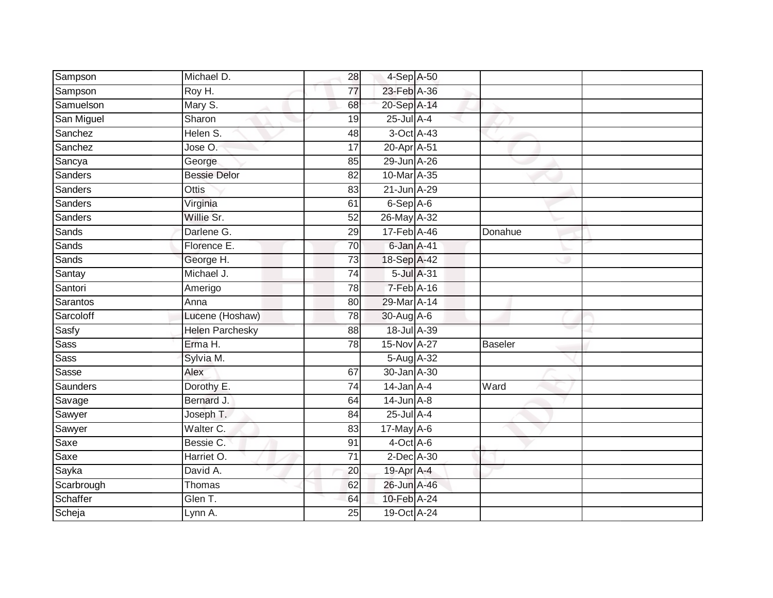| Sampson     | Michael D.             | 28              | 4-Sep A-50       |                |         |  |
|-------------|------------------------|-----------------|------------------|----------------|---------|--|
| Sampson     | Roy H.                 | 77              | 23-Feb A-36      |                |         |  |
| Samuelson   | Mary S.                | 68              | 20-Sep A-14      |                |         |  |
| San Miguel  | Sharon                 | 19              | 25-Jul A-4       |                |         |  |
| Sanchez     | Helen S.               | 48              | 3-Oct A-43       |                |         |  |
| Sanchez     | Jose O.                | 17              | 20-Apr A-51      |                |         |  |
| Sancya      | George                 | 85              | 29-Jun A-26      |                |         |  |
| Sanders     | <b>Bessie Delor</b>    | 82              | 10-Mar A-35      |                |         |  |
| Sanders     | Ottis                  | 83              | 21-Jun A-29      |                |         |  |
| Sanders     | Virginia               | 61              | 6-Sep A-6        |                |         |  |
| Sanders     | Willie Sr.             | 52              | 26-May A-32      |                |         |  |
| Sands       | Darlene G.             | 29              | 17-Feb A-46      |                | Donahue |  |
| Sands       | Florence E.            | 70              | 6-Jan A-41       |                |         |  |
| Sands       | George H.              | 73              | 18-Sep A-42      |                |         |  |
| Santay      | Michael J.             | $\overline{74}$ | 5-Jul A-31       |                |         |  |
| Santori     | Amerigo                | 78              | 7-Feb A-16       |                |         |  |
| Sarantos    | Anna                   | $\overline{80}$ | 29-Mar A-14      |                |         |  |
| Sarcoloff   | Lucene (Hoshaw)        | 78              | 30-Aug A-6       |                |         |  |
| Sasfy       | <b>Helen Parchesky</b> | 88              | 18-Jul A-39      |                |         |  |
| Sass        | Erma H.                | $\overline{78}$ | 15-Nov A-27      | <b>Baseler</b> |         |  |
| <b>Sass</b> | Sylvia M.              |                 | 5-Aug A-32       |                |         |  |
| Sasse       | Alex                   | 67              | 30-Jan A-30      |                |         |  |
| Saunders    | Dorothy E.             | 74              | $14$ -Jan $A$ -4 | Ward           |         |  |
| Savage      | Bernard J.             | 64              | $14$ -Jun $A-8$  |                |         |  |
| Sawyer      | Joseph T.              | 84              | 25-Jul A-4       |                |         |  |
| Sawyer      | Walter C.              | 83              | 17-May A-6       |                |         |  |
| Saxe        | Bessie C.              | 91              | $4$ -Oct $A$ -6  |                |         |  |
| Saxe        | Harriet O.             | $\overline{71}$ | $2$ -Dec $A$ -30 |                |         |  |
| Sayka       | David A.               | 20              | 19-Apr A-4       |                |         |  |
| Scarbrough  | Thomas                 | 62              | 26-Jun A-46      |                |         |  |
| Schaffer    | Glen T.                | 64              | 10-Feb A-24      |                |         |  |
| Scheja      | Lynn A.                | $\overline{25}$ | 19-Oct A-24      |                |         |  |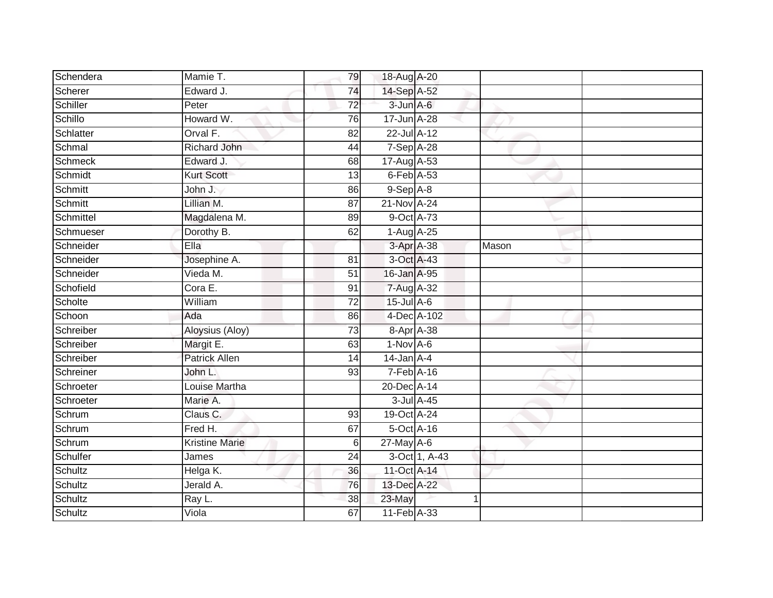| Schendera      | Mamie T.              | 79              | 18-Aug A-20       |               |       |  |
|----------------|-----------------------|-----------------|-------------------|---------------|-------|--|
| Scherer        | Edward J.             | 74              | 14-Sep A-52       |               |       |  |
| Schiller       | Peter                 | $\overline{72}$ | $3$ -Jun $A$ -6   |               |       |  |
| Schillo        | Howard W.             | 76              | $17$ -Jun $A$ -28 |               |       |  |
| Schlatter      | Orval F.              | $\overline{82}$ | 22-Jul A-12       |               |       |  |
| Schmal         | Richard John          | 44              | 7-Sep A-28        |               |       |  |
| <b>Schmeck</b> | Edward J.             | 68              | 17-Aug A-53       |               |       |  |
| Schmidt        | <b>Kurt Scott</b>     | 13              | $6$ -Feb $A$ -53  |               |       |  |
| Schmitt        | John J.               | 86              | $9-$ Sep $A-8$    |               |       |  |
| Schmitt        | Lillian M.            | 87              | 21-Nov A-24       |               |       |  |
| Schmittel      | Magdalena M.          | 89              | 9-Oct A-73        |               |       |  |
| Schmueser      | Dorothy B.            | 62              | $1-Aug$ A-25      |               |       |  |
| Schneider      | Ella                  |                 | 3-Apr A-38        |               | Mason |  |
| Schneider      | Josephine A.          | 81              | 3-Oct A-43        |               |       |  |
| Schneider      | Vieda M.              | 51              | 16-Jan A-95       |               |       |  |
| Schofield      | Cora E.               | 91              | 7-Aug A-32        |               |       |  |
| Scholte        | William               | $\overline{72}$ | $15$ -Jul $A$ -6  |               |       |  |
| Schoon         | Ada                   | 86              | 4-Dec A-102       |               |       |  |
| Schreiber      | Aloysius (Aloy)       | 73              | 8-Apr A-38        |               |       |  |
| Schreiber      | Margit E.             | 63              | $1-Nov$ A-6       |               |       |  |
| Schreiber      | Patrick Allen         | 14              | $14$ -Jan $A$ -4  |               |       |  |
| Schreiner      | John L.               | 93              | $7-Feb$ A-16      |               |       |  |
| Schroeter      | Louise Martha         |                 | 20-Dec A-14       |               |       |  |
| Schroeter      | Marie A.              |                 | 3-Jul A-45        |               |       |  |
| Schrum         | Claus C.              | 93              | 19-Oct A-24       |               |       |  |
| Schrum         | Fred H.               | 67              | 5-Oct A-16        |               |       |  |
| Schrum         | <b>Kristine Marie</b> | 6               | 27-May A-6        |               |       |  |
| Schulfer       | James                 | 24              |                   | 3-Oct 1, A-43 |       |  |
| Schultz        | Helga K.              | 36              | 11-Oct A-14       |               |       |  |
| Schultz        | Jerald A.             | 76              | 13-Dec A-22       |               |       |  |
| Schultz        | Ray L.                | 38              | 23-May            |               |       |  |
| Schultz        | Viola                 | 67              | 11-Feb A-33       |               |       |  |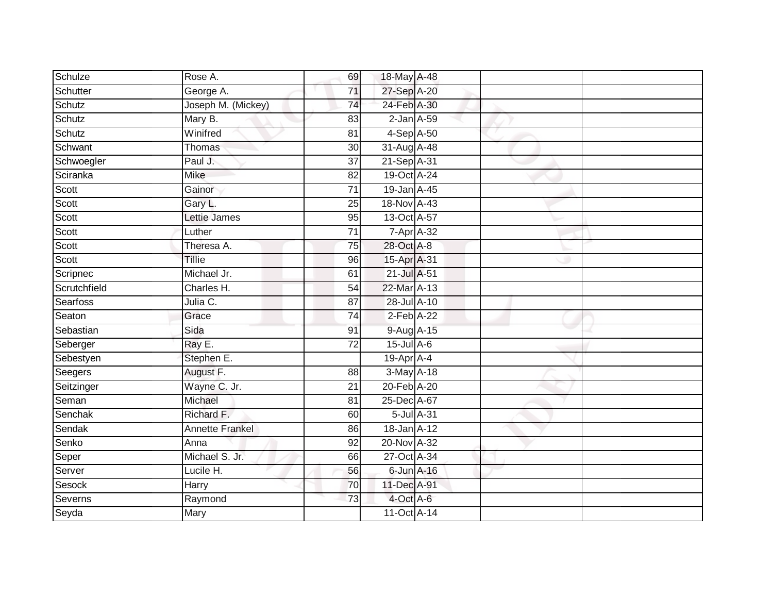| Schulze      | Rose A.                | 69              | 18-May A-48         |  |
|--------------|------------------------|-----------------|---------------------|--|
| Schutter     | George A.              | 71              | 27-Sep A-20         |  |
| Schutz       | Joseph M. (Mickey)     | 74              | 24-Feb A-30         |  |
| Schutz       | Mary B.                | 83              | $2$ -Jan $A$ -59    |  |
| Schutz       | Winifred               | $\overline{81}$ | 4-Sep A-50          |  |
| Schwant      | Thomas                 | 30              | 31-Aug A-48         |  |
| Schwoegler   | Paul J.                | $\overline{37}$ | 21-Sep A-31         |  |
| Sciranka     | Mike                   | 82              | 19-Oct A-24         |  |
| Scott        | Gainor                 | $\overline{71}$ | 19-Jan A-45         |  |
| Scott        | Gary L.                | 25              | 18-Nov A-43         |  |
| Scott        | <b>Lettie James</b>    | 95              | $13-Oct$ A-57       |  |
| Scott        | Luther                 | 71              | $7 - Apr$ $A - 32$  |  |
| Scott        | Theresa A.             | 75              | 28-Oct A-8          |  |
| Scott        | Tillie                 | 96              | 15-Apr A-31         |  |
| Scripnec     | Michael Jr.            | 61              | 21-Jul A-51         |  |
| Scrutchfield | Charles H.             | 54              | 22-Mar A-13         |  |
| Searfoss     | Julia C.               | $\overline{87}$ | $28 -$ Jul $A - 10$ |  |
| Seaton       | Grace                  | 74              | $2$ -Feb $A-22$     |  |
| Sebastian    | Sida                   | 91              | 9-Aug A-15          |  |
| Seberger     | Ray E.                 | $\overline{72}$ | $15$ -Jul $A$ -6    |  |
| Sebestyen    | Stephen E.             |                 | 19-Apr A-4          |  |
| Seegers      | August F.              | 88              | 3-May A-18          |  |
| Seitzinger   | Wayne C. Jr.           | 21              | 20-Feb A-20         |  |
| Seman        | Michael                | 81              | 25-Dec A-67         |  |
| Senchak      | Richard F.             | 60              | 5-Jul A-31          |  |
| Sendak       | <b>Annette Frankel</b> | 86              | 18-Jan A-12         |  |
| Senko        | Anna                   | 92              | 20-Nov A-32         |  |
| Seper        | Michael S. Jr.         | 66              | 27-Oct A-34         |  |
| Server       | Lucile H.              | 56              | $6$ -Jun $A$ -16    |  |
| Sesock       | Harry                  | 70              | 11-Dec A-91         |  |
| Severns      | Raymond                | $\overline{73}$ | 4-Oct A-6           |  |
| Seyda        | Mary                   |                 | 11-Oct A-14         |  |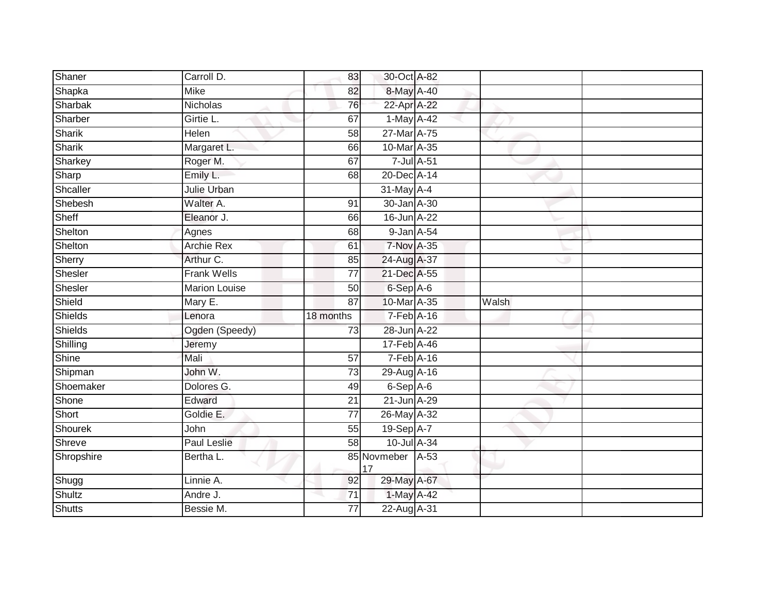| Shaner        | Carroll D.           | 83              | 30-Oct A-82            |       |  |
|---------------|----------------------|-----------------|------------------------|-------|--|
| Shapka        | <b>Mike</b>          | 82              | 8-May A-40             |       |  |
| Sharbak       | Nicholas             | 76              | 22-Apr A-22            |       |  |
| Sharber       | Girtie L.            | 67              | 1-May A-42             |       |  |
| Sharik        | <b>Helen</b>         | 58              | 27-Mar A-75            |       |  |
| Sharik        | Margaret L.          | 66              | 10-Mar A-35            |       |  |
| Sharkey       | Roger M.             | 67              | 7-Jul A-51             |       |  |
| Sharp         | Emily L.             | 68              | 20-Dec A-14            |       |  |
| Shcaller      | Julie Urban          |                 | 31-May A-4             |       |  |
| Shebesh       | Walter A.            | 91              | 30-Jan A-30            |       |  |
| Sheff         | Eleanor J.           | 66              | 16-Jun A-22            |       |  |
| Shelton       | Agnes                | 68              | 9-Jan A-54             |       |  |
| Shelton       | <b>Archie Rex</b>    | 61              | 7-Nov A-35             |       |  |
| Sherry        | Arthur C.            | 85              | 24-Aug A-37            |       |  |
| Shesler       | <b>Frank Wells</b>   | $\overline{77}$ | 21-Dec A-55            |       |  |
| Shesler       | <b>Marion Louise</b> | 50              | 6-Sep A-6              |       |  |
| Shield        | Mary E.              | 87              | 10-Mar A-35            | Walsh |  |
| Shields       | Lenora               | 18 months       | 7-Feb A-16             |       |  |
| Shields       | Ogden (Speedy)       | 73              | 28-Jun A-22            |       |  |
| Shilling      | Jeremy               |                 | 17-Feb A-46            |       |  |
| Shine         | Mali                 | 57              | $7-Feb$ A-16           |       |  |
| Shipman       | John W.              | $\overline{73}$ | 29-Aug A-16            |       |  |
| Shoemaker     | Dolores G.           | 49              | $6-Sep$ A-6            |       |  |
| Shone         | Edward               | 21              | 21-Jun A-29            |       |  |
| Short         | Goldie E.            | 77              | 26-May A-32            |       |  |
| Shourek       | John                 | 55              | 19-Sep A-7             |       |  |
| Shreve        | Paul Leslie          | $\overline{58}$ | $10$ -Jul $A-34$       |       |  |
| Shropshire    | Bertha L.            |                 | 85 Novmeber A-53<br>17 |       |  |
| Shugg         | Linnie A.            | 92              | 29-May A-67            |       |  |
| Shultz        | Andre J.             | 71              | 1-May A-42             |       |  |
| <b>Shutts</b> | Bessie M.            | 77              | 22-Aug A-31            |       |  |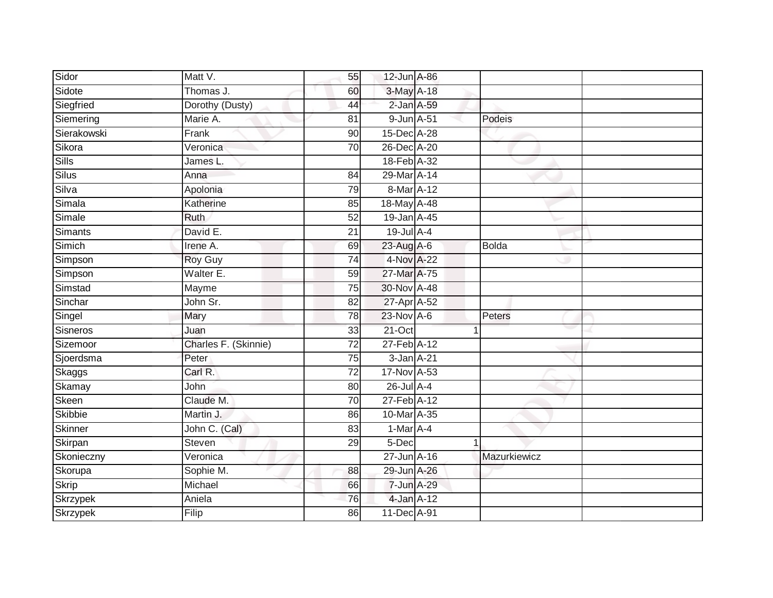| Marie A.             | 81                                      |                |   | Podeis                                                                                                                                                                                                                                                                                                                                                                                                                                                                                            |
|----------------------|-----------------------------------------|----------------|---|---------------------------------------------------------------------------------------------------------------------------------------------------------------------------------------------------------------------------------------------------------------------------------------------------------------------------------------------------------------------------------------------------------------------------------------------------------------------------------------------------|
| Frank                | $\overline{90}$                         |                |   |                                                                                                                                                                                                                                                                                                                                                                                                                                                                                                   |
| Veronica             | 70                                      |                |   |                                                                                                                                                                                                                                                                                                                                                                                                                                                                                                   |
| James L.             |                                         |                |   |                                                                                                                                                                                                                                                                                                                                                                                                                                                                                                   |
| Anna                 | 84                                      |                |   |                                                                                                                                                                                                                                                                                                                                                                                                                                                                                                   |
| Apolonia             | 79                                      |                |   |                                                                                                                                                                                                                                                                                                                                                                                                                                                                                                   |
| Katherine            | $\overline{85}$                         |                |   |                                                                                                                                                                                                                                                                                                                                                                                                                                                                                                   |
| Ruth                 | 52                                      |                |   |                                                                                                                                                                                                                                                                                                                                                                                                                                                                                                   |
| David E.             | 21                                      |                |   |                                                                                                                                                                                                                                                                                                                                                                                                                                                                                                   |
| Irene A.             | 69                                      |                |   | <b>Bolda</b>                                                                                                                                                                                                                                                                                                                                                                                                                                                                                      |
| Roy Guy              | 74                                      |                |   |                                                                                                                                                                                                                                                                                                                                                                                                                                                                                                   |
| Walter E.            | 59                                      |                |   |                                                                                                                                                                                                                                                                                                                                                                                                                                                                                                   |
| Mayme                | 75                                      |                |   |                                                                                                                                                                                                                                                                                                                                                                                                                                                                                                   |
| John Sr.             | $\overline{82}$                         |                |   |                                                                                                                                                                                                                                                                                                                                                                                                                                                                                                   |
| Mary                 | 78                                      |                |   | Peters                                                                                                                                                                                                                                                                                                                                                                                                                                                                                            |
| Juan                 | 33                                      |                |   |                                                                                                                                                                                                                                                                                                                                                                                                                                                                                                   |
| Charles F. (Skinnie) | 72                                      |                |   |                                                                                                                                                                                                                                                                                                                                                                                                                                                                                                   |
| Peter                | 75                                      |                |   |                                                                                                                                                                                                                                                                                                                                                                                                                                                                                                   |
| Carl R.              | $\overline{72}$                         |                |   |                                                                                                                                                                                                                                                                                                                                                                                                                                                                                                   |
| John                 | 80                                      |                |   |                                                                                                                                                                                                                                                                                                                                                                                                                                                                                                   |
| Claude M.            | 70                                      |                |   |                                                                                                                                                                                                                                                                                                                                                                                                                                                                                                   |
| Martin J.            | 86                                      |                |   |                                                                                                                                                                                                                                                                                                                                                                                                                                                                                                   |
| John C. (Cal)        | 83                                      |                |   |                                                                                                                                                                                                                                                                                                                                                                                                                                                                                                   |
| Steven               | 29                                      |                | 1 |                                                                                                                                                                                                                                                                                                                                                                                                                                                                                                   |
| Veronica             |                                         |                |   | Mazurkiewicz                                                                                                                                                                                                                                                                                                                                                                                                                                                                                      |
| Sophie M.            | 88                                      |                |   |                                                                                                                                                                                                                                                                                                                                                                                                                                                                                                   |
| Michael              | 66                                      |                |   |                                                                                                                                                                                                                                                                                                                                                                                                                                                                                                   |
| Aniela               | 76                                      |                |   |                                                                                                                                                                                                                                                                                                                                                                                                                                                                                                   |
| Filip                | 86                                      |                |   |                                                                                                                                                                                                                                                                                                                                                                                                                                                                                                   |
|                      | Matt V.<br>Thomas J.<br>Dorothy (Dusty) | 55<br>60<br>44 |   | 12-Jun A-86<br>3-May A-18<br>$2$ -Jan $A$ -59<br>9-Jun A-51<br>15-Dec A-28<br>26-Dec A-20<br>18-Feb A-32<br>29-Mar A-14<br>8-Mar A-12<br>18-May A-48<br>19-Jan A-45<br>$19$ -Jul $A-4$<br>23-Aug A-6<br>4-Nov A-22<br>27-Mar A-75<br>30-Nov A-48<br>27-Apr A-52<br>23-Nov A-6<br>21-Oct<br>27-Feb A-12<br>$3$ -Jan $A-21$<br>17-Nov A-53<br>26-Jul A-4<br>27-Feb A-12<br>10-Mar A-35<br>$1-Mar \overline{A} -4$<br>5-Dec<br>27-Jun A-16<br>29-Jun A-26<br>7-Jun A-29<br>4-Jan A-12<br>11-Dec A-91 |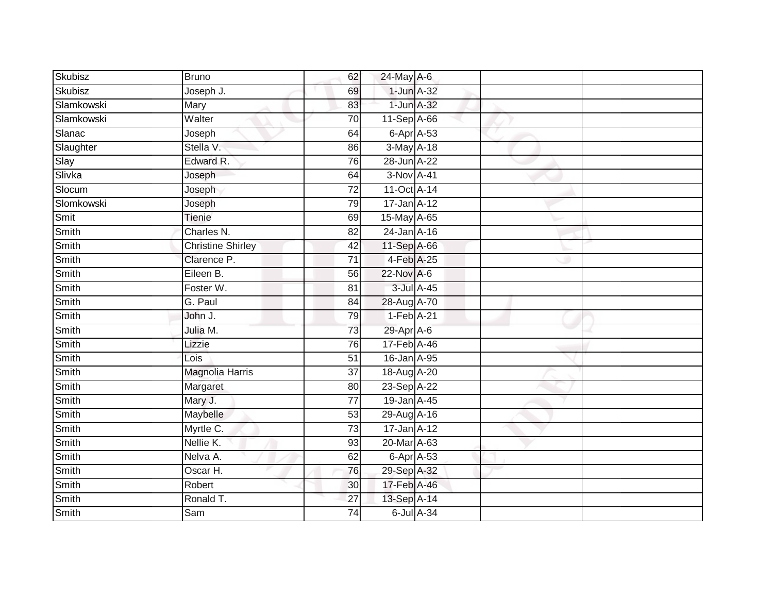| Skubisz    | <b>Bruno</b>             | 62              | 24-May A-6         |  |  |
|------------|--------------------------|-----------------|--------------------|--|--|
| Skubisz    | Joseph J.                | 69              | $1$ -Jun $A-32$    |  |  |
| Slamkowski | Mary                     | 83              | 1-Jun A-32         |  |  |
| Slamkowski | Walter                   | 70              | $11-Sep$ A-66      |  |  |
| Slanac     | Joseph                   | 64              | $6 - Apr$ $A - 53$ |  |  |
| Slaughter  | Stella V.                | 86              | 3-May A-18         |  |  |
| Slay       | Edward R.                | 76              | 28-Jun A-22        |  |  |
| Slivka     | Joseph                   | 64              | 3-Nov A-41         |  |  |
| Slocum     | Joseph                   | $\overline{72}$ | 11-Oct A-14        |  |  |
| Slomkowski | Joseph                   | 79              | 17-Jan A-12        |  |  |
| Smit       | Tienie                   | 69              | 15-May A-65        |  |  |
| Smith      | Charles N.               | 82              | 24-Jan A-16        |  |  |
| Smith      | <b>Christine Shirley</b> | 42              | 11-Sep A-66        |  |  |
| Smith      | Clarence P.              | 71              | 4-Feb A-25         |  |  |
| Smith      | Eileen B.                | 56              | 22-Nov A-6         |  |  |
| Smith      | Foster W.                | 81              | 3-Jul A-45         |  |  |
| Smith      | G. Paul                  | $\overline{84}$ | 28-Aug A-70        |  |  |
| Smith      | John J.                  | 79              | $1-Feb$ A-21       |  |  |
| Smith      | Julia M.                 | 73              | $29$ -Apr $A$ -6   |  |  |
| Smith      | Lizzie                   | 76              | 17-Feb A-46        |  |  |
| Smith      | Lois                     | $\overline{51}$ | 16-Jan A-95        |  |  |
| Smith      | <b>Magnolia Harris</b>   | 37              | 18-Aug A-20        |  |  |
| Smith      | Margaret                 | 80              | 23-Sep A-22        |  |  |
| Smith      | Mary J.                  | 77              | 19-Jan A-45        |  |  |
| Smith      | Maybelle                 | 53              | 29-Aug A-16        |  |  |
| Smith      | Myrtle C.                | 73              | 17-Jan A-12        |  |  |
| Smith      | Nellie K.                | 93              | 20-Mar A-63        |  |  |
| Smith      | Nelva A.                 | 62              | $6$ -Apr $A$ -53   |  |  |
| Smith      | Oscar H.                 | 76              | 29-Sep A-32        |  |  |
| Smith      | Robert                   | 30              | 17-Feb A-46        |  |  |
| Smith      | Ronald T.                | $\overline{27}$ | 13-Sep A-14        |  |  |
| Smith      | Sam                      | $\overline{74}$ | 6-Jul A-34         |  |  |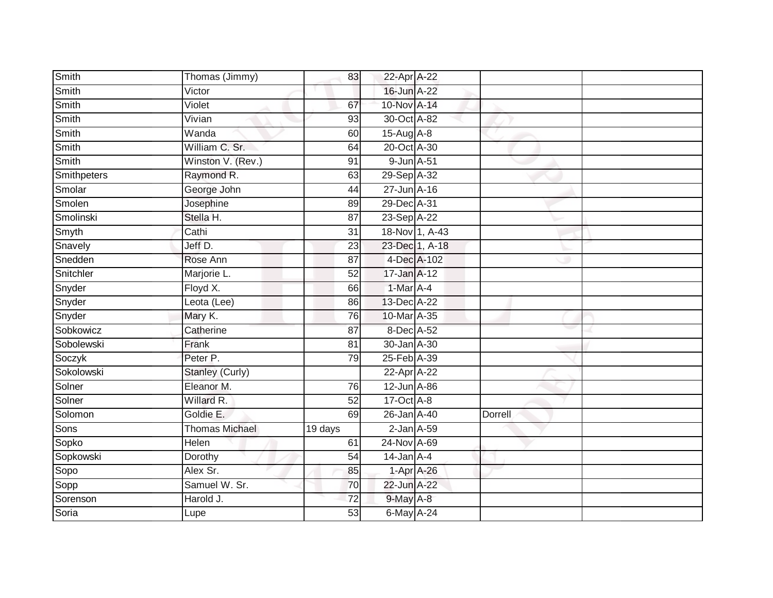| Smith        | Thomas (Jimmy)         | 83              | 22-Apr A-22       |                  |         |  |
|--------------|------------------------|-----------------|-------------------|------------------|---------|--|
| Smith        | Victor                 |                 | 16-Jun A-22       |                  |         |  |
| <b>Smith</b> | Violet                 | 67              | 10-Nov A-14       |                  |         |  |
| Smith        | Vivian                 | 93              | 30-Oct A-82       |                  |         |  |
| Smith        | Wanda                  | 60              | 15-Aug A-8        |                  |         |  |
| Smith        | William C. Sr.         | 64              | 20-Oct A-30       |                  |         |  |
| Smith        | Winston V. (Rev.)      | 91              | 9-Jun A-51        |                  |         |  |
| Smithpeters  | Raymond R.             | 63              | 29-Sep A-32       |                  |         |  |
| Smolar       | George John            | 44              | $27 - Jun$ A-16   |                  |         |  |
| Smolen       | Josephine              | 89              | 29-Dec A-31       |                  |         |  |
| Smolinski    | Stella H.              | 87              | 23-Sep A-22       |                  |         |  |
| Smyth        | Cathi                  | $\overline{31}$ |                   | $18-Nov$ 1, A-43 |         |  |
| Snavely      | Jeff D.                | 23              |                   | 23-Dec 1, A-18   |         |  |
| Snedden      | Rose Ann               | 87              |                   | 4-Dec A-102      |         |  |
| Snitchler    | Marjorie L.            | $\overline{52}$ | $17 - Jan$ $A-12$ |                  |         |  |
| Snyder       | Floyd X.               | 66              | 1-Mar A-4         |                  |         |  |
| Snyder       | Leota (Lee)            | 86              | 13-Dec A-22       |                  |         |  |
| Snyder       | Mary K.                | 76              | 10-Mar A-35       |                  |         |  |
| Sobkowicz    | Catherine              | 87              | 8-Dec A-52        |                  |         |  |
| Sobolewski   | Frank                  | $\overline{81}$ | 30-Jan A-30       |                  |         |  |
| Soczyk       | Peter P.               | 79              | 25-Feb A-39       |                  |         |  |
| Sokolowski   | <b>Stanley (Curly)</b> |                 | 22-Apr A-22       |                  |         |  |
| Solner       | Eleanor M.             | 76              | 12-Jun A-86       |                  |         |  |
| Solner       | Willard R.             | 52              | 17-Oct A-8        |                  |         |  |
| Solomon      | Goldie E.              | 69              | 26-Jan A-40       |                  | Dorrell |  |
| Sons         | <b>Thomas Michael</b>  | 19 days         | $2$ -Jan $A$ -59  |                  |         |  |
| Sopko        | Helen                  | 61              | 24-Nov A-69       |                  |         |  |
| Sopkowski    | Dorothy                | 54              | $14$ -Jan $A-4$   |                  |         |  |
| Sopo         | Alex Sr.               | 85              |                   | $1-Apr$ $A-26$   |         |  |
| Sopp         | Samuel W. Sr.          | 70              | 22-Jun A-22       |                  |         |  |
| Sorenson     | Harold J.              | 72              | $9$ -May $A-8$    |                  |         |  |
| Soria        | Lupe                   | 53              | 6-May A-24        |                  |         |  |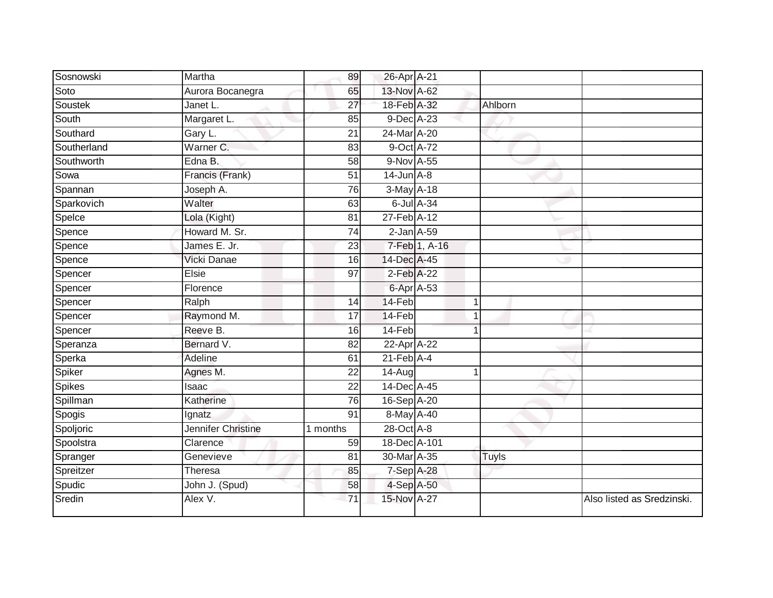| Sosnowski     | Martha             | 89              | 26-Apr A-21      |               |                |                            |
|---------------|--------------------|-----------------|------------------|---------------|----------------|----------------------------|
| Soto          | Aurora Bocanegra   | 65              | 13-Nov A-62      |               |                |                            |
| Soustek       | Janet L.           | 27              | 18-Feb A-32      |               | Ahlborn        |                            |
| South         | Margaret L.        | 85              | 9-Dec A-23       |               |                |                            |
| Southard      | Gary L.            | 21              | 24-Mar A-20      |               |                |                            |
| Southerland   | Warner C.          | 83              | 9-Oct A-72       |               |                |                            |
| Southworth    | Edna B.            | 58              | 9-Nov A-55       |               |                |                            |
| Sowa          | Francis (Frank)    | 51              | $14$ -Jun $A-8$  |               |                |                            |
| Spannan       | Joseph A.          | $\overline{76}$ | 3-May A-18       |               |                |                            |
| Sparkovich    | Walter             | 63              | $6$ -Jul $A$ -34 |               |                |                            |
| Spelce        | Lola (Kight)       | 81              | 27-Feb A-12      |               |                |                            |
| Spence        | Howard M. Sr.      | 74              | $2$ -Jan $A$ -59 |               |                |                            |
| Spence        | James E. Jr.       | 23              |                  | 7-Feb 1, A-16 |                |                            |
| Spence        | Vicki Danae        | 16              | 14-Dec A-45      |               |                |                            |
| Spencer       | Elsie              | 97              | 2-Feb A-22       |               |                |                            |
| Spencer       | Florence           |                 | 6-Apr A-53       |               |                |                            |
| Spencer       | Ralph              | $\overline{14}$ | 14-Feb           |               | $\mathbf 1$    |                            |
| Spencer       | Raymond M.         | 17              | 14-Feb           |               |                |                            |
| Spencer       | Reeve B.           | 16              | 14-Feb           |               |                |                            |
| Speranza      | Bernard V.         | 82              | 22-Apr A-22      |               |                |                            |
| Sperka        | Adeline            | 61              | $21$ -Feb $A$ -4 |               |                |                            |
| Spiker        | Agnes M.           | $\overline{22}$ | $14 - Aug$       |               | $\overline{1}$ |                            |
| <b>Spikes</b> | Isaac              | 22              | 14-Dec A-45      |               |                |                            |
| Spillman      | Katherine          | 76              | 16-Sep A-20      |               |                |                            |
| Spogis        | Ignatz             | 91              | 8-May A-40       |               |                |                            |
| Spoljoric     | Jennifer Christine | 1 months        | 28-Oct A-8       |               |                |                            |
| Spoolstra     | Clarence           | 59              | 18-Dec A-101     |               |                |                            |
| Spranger      | Genevieve          | 81              | 30-Mar A-35      |               | Tuyls          |                            |
| Spreitzer     | Theresa            | 85              | 7-Sep A-28       |               |                |                            |
| Spudic        | John J. (Spud)     | 58              | 4-Sep A-50       |               |                |                            |
| Sredin        | Alex V.            | $\overline{71}$ | 15-Nov A-27      |               |                | Also listed as Sredzinski. |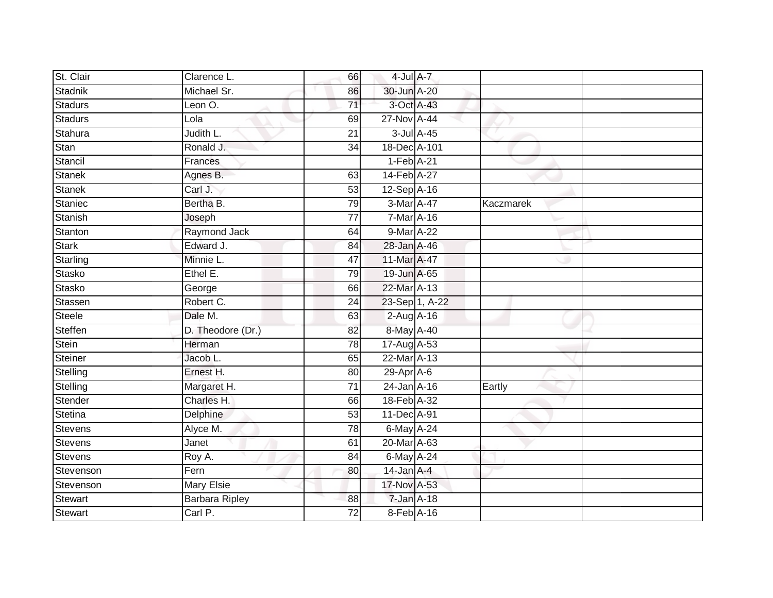| St. Clair      | Clarence L.           | 66              | $4$ -Jul $A$ -7  |                |           |  |
|----------------|-----------------------|-----------------|------------------|----------------|-----------|--|
| Stadnik        | Michael Sr.           | 86              | 30-Jun A-20      |                |           |  |
| <b>Stadurs</b> | Leon O.               | $\overline{71}$ | 3-Oct A-43       |                |           |  |
| <b>Stadurs</b> | Lola                  | 69              | 27-Nov A-44      |                |           |  |
| Stahura        | Judith L.             | $\overline{21}$ |                  | 3-Jul A-45     |           |  |
| Stan           | Ronald J.             | 34              | 18-Dec A-101     |                |           |  |
| Stancil        | Frances               |                 | $1-Feb$ A-21     |                |           |  |
| <b>Stanek</b>  | Agnes B.              | 63              | 14-Feb A-27      |                |           |  |
| <b>Stanek</b>  | Carl J.               | 53              | 12-Sep A-16      |                |           |  |
| Staniec        | Bertha B.             | 79              | 3-Mar A-47       |                | Kaczmarek |  |
| Stanish        | Joseph                | $\overline{77}$ | 7-Mar A-16       |                |           |  |
| Stanton        | Raymond Jack          | 64              | 9-Mar A-22       |                |           |  |
| <b>Stark</b>   | Edward J.             | 84              | 28-Jan A-46      |                |           |  |
| Starling       | Minnie L.             | 47              | 11-Mar A-47      |                |           |  |
| <b>Stasko</b>  | Ethel E.              | 79              | 19-Jun A-65      |                |           |  |
| Stasko         | George                | 66              | 22-Mar A-13      |                |           |  |
| Stassen        | Robert C.             | 24              |                  | 23-Sep 1, A-22 |           |  |
| <b>Steele</b>  | Dale M.               | 63              | $2$ -Aug A-16    |                |           |  |
| Steffen        | D. Theodore (Dr.)     | 82              | 8-May A-40       |                |           |  |
| Stein          | Herman                | 78              | 17-Aug A-53      |                |           |  |
| <b>Steiner</b> | Jacob L.              | 65              | 22-Mar A-13      |                |           |  |
| Stelling       | Ernest H.             | 80              | 29-Apr A-6       |                |           |  |
| Stelling       | Margaret H.           | 71              | $24$ -Jan $A-16$ |                | Eartly    |  |
| Stender        | Charles H.            | 66              | 18-Feb A-32      |                |           |  |
| Stetina        | Delphine              | 53              | 11-Dec A-91      |                |           |  |
| <b>Stevens</b> | Alyce M.              | $\overline{78}$ | $6$ -May $A-24$  |                |           |  |
| <b>Stevens</b> | Janet                 | 61              | 20-Mar A-63      |                |           |  |
| <b>Stevens</b> | Roy A.                | 84              | $6$ -May $A$ -24 |                |           |  |
| Stevenson      | Fern                  | 80              | $14$ -Jan $A-4$  |                |           |  |
| Stevenson      | <b>Mary Elsie</b>     |                 | 17-Nov A-53      |                |           |  |
| <b>Stewart</b> | <b>Barbara Ripley</b> | 88              | 7-Jan A-18       |                |           |  |
| <b>Stewart</b> | Carl P.               | $\overline{72}$ | $8-Feb$ A-16     |                |           |  |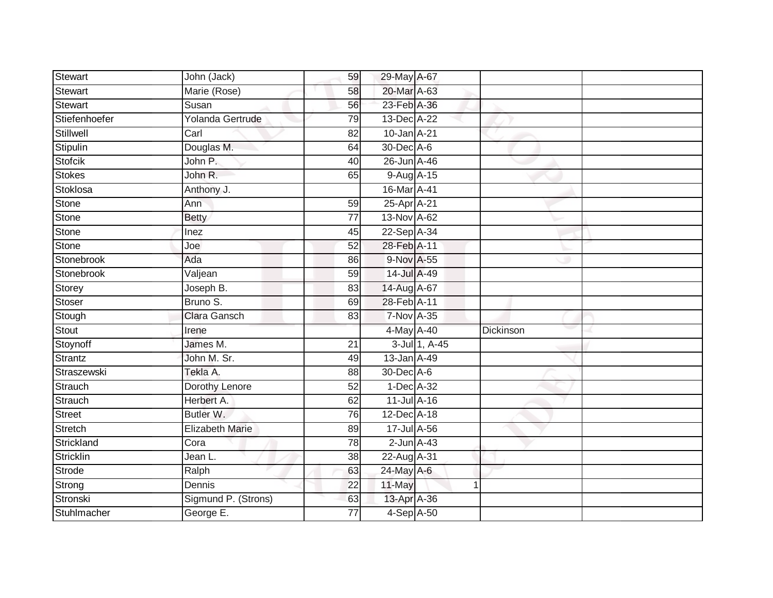| <b>Stewart</b> | John (Jack)            | 59              | 29-May A-67     |               |           |  |
|----------------|------------------------|-----------------|-----------------|---------------|-----------|--|
| Stewart        | Marie (Rose)           | 58              | 20-Mar A-63     |               |           |  |
| Stewart        | Susan                  | 56              | 23-Feb A-36     |               |           |  |
| Stiefenhoefer  | Yolanda Gertrude       | 79              | 13-Dec A-22     |               |           |  |
| Stillwell      | Carl                   | $\overline{82}$ | 10-Jan A-21     |               |           |  |
| Stipulin       | Douglas M.             | 64              | 30-Dec A-6      |               |           |  |
| <b>Stofcik</b> | John P.                | 40              | 26-Jun A-46     |               |           |  |
| <b>Stokes</b>  | John R.                | 65              | 9-Aug A-15      |               |           |  |
| Stoklosa       | Anthony J.             |                 | 16-Mar A-41     |               |           |  |
| <b>Stone</b>   | Ann                    | 59              | 25-Apr A-21     |               |           |  |
| Stone          | <b>Betty</b>           | $\overline{77}$ | 13-Nov A-62     |               |           |  |
| Stone          | Inez                   | 45              | 22-Sep A-34     |               |           |  |
| Stone          | Joe                    | 52              | 28-Feb A-11     |               |           |  |
| Stonebrook     | Ada                    | 86              | 9-Nov A-55      |               |           |  |
| Stonebrook     | Valjean                | 59              | 14-Jul A-49     |               |           |  |
| Storey         | Joseph B.              | 83              | 14-Aug A-67     |               |           |  |
| Stoser         | Bruno S.               | 69              | 28-Feb A-11     |               |           |  |
| Stough         | <b>Clara Gansch</b>    | 83              | 7-Nov A-35      |               |           |  |
| Stout          | Irene                  |                 | 4-May A-40      |               | Dickinson |  |
| Stoynoff       | James M.               | 21              |                 | 3-Jul 1, A-45 |           |  |
| Strantz        | John M. Sr.            | 49              | 13-Jan A-49     |               |           |  |
| Straszewski    | Tekla A.               | 88              | 30-Dec A-6      |               |           |  |
| Strauch        | Dorothy Lenore         | 52              | $1-Dec$ A-32    |               |           |  |
| Strauch        | Herbert A.             | 62              | 11-Jul A-16     |               |           |  |
| Street         | Butler W.              | 76              | 12-Dec A-18     |               |           |  |
| Stretch        | <b>Elizabeth Marie</b> | 89              | 17-Jul A-56     |               |           |  |
| Strickland     | Cora                   | 78              | $2$ -Jun $A-43$ |               |           |  |
| Stricklin      | Jean L.                | 38              | 22-Aug A-31     |               |           |  |
| Strode         | Ralph                  | 63              | 24-May A-6      |               |           |  |
| Strong         | Dennis                 | $\overline{22}$ | 11-May          |               | 1         |  |
| Stronski       | Sigmund P. (Strons)    | 63              | 13-Apr A-36     |               |           |  |
| Stuhlmacher    | George E.              | $\overline{77}$ | $4-Sep$ $A-50$  |               |           |  |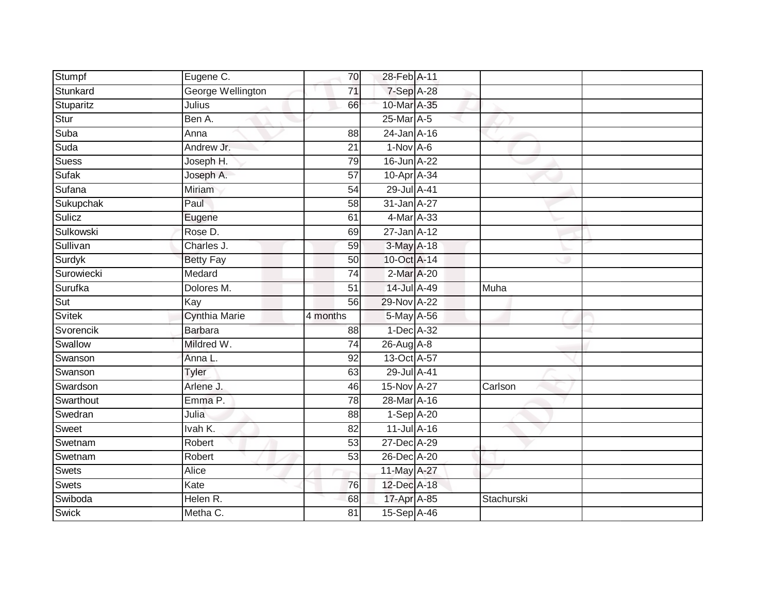| Stumpf                  | Eugene C.            | 70                    | 28-Feb A-11                |            |  |
|-------------------------|----------------------|-----------------------|----------------------------|------------|--|
| Stunkard                | George Wellington    | 71                    | 7-Sep A-28                 |            |  |
| Stuparitz               | Julius               | 66                    | 10-Mar A-35                |            |  |
| Stur                    | Ben A.               |                       | 25-Mar A-5                 |            |  |
| Suba                    | Anna                 | $\overline{88}$       | $24$ -Jan $A-16$           |            |  |
| Suda                    | Andrew Jr.           | $\overline{21}$       | $1-Nov$ A-6                |            |  |
| <b>Suess</b>            | Joseph H.            | 79                    | 16-Jun A-22                |            |  |
| Sufak                   | Joseph A.            | 57                    | 10-Apr A-34                |            |  |
| Sufana                  | Miriam               | 54                    | 29-Jul A-41                |            |  |
| Sukupchak               | Paul                 | $\overline{58}$       | 31-Jan A-27                |            |  |
| Sulicz                  | Eugene               | 61                    | 4-Mar A-33                 |            |  |
| Sulkowski               | Rose D.              | 69                    | 27-Jan A-12                |            |  |
| Sullivan                | Charles J.           | 59                    | 3-May A-18                 |            |  |
| Surdyk                  | <b>Betty Fay</b>     | 50                    | 10-Oct A-14                |            |  |
| Surowiecki              | Medard               | $\overline{74}$       | 2-Mar A-20                 |            |  |
| Surufka                 | Dolores M.           | 51                    | 14-Jul A-49                | Muha       |  |
|                         | Kay                  | 56                    | 29-Nov A-22                |            |  |
| Sut                     |                      |                       |                            |            |  |
| <b>Svitek</b>           | <b>Cynthia Marie</b> | 4 months              | 5-May A-56                 |            |  |
| Svorencik               | <b>Barbara</b>       | 88                    | 1-Dec A-32                 |            |  |
| Swallow                 | Mildred W.           | $\overline{74}$       | 26-Aug A-8                 |            |  |
| Swanson                 | Anna L.              | 92                    | 13-Oct A-57                |            |  |
| Swanson                 | <b>Tyler</b>         | 63                    | 29-Jul A-41                |            |  |
| Swardson                | Arlene J.            | 46                    | 15-Nov A-27                | Carlson    |  |
| Swarthout               | Emma P.              | $\overline{78}$       | 28-Mar A-16                |            |  |
| Swedran                 | Julia                | 88                    | $1-Sep$ A-20               |            |  |
| Sweet                   | Ivah K.              | 82                    | 11-Jul A-16                |            |  |
| Swetnam                 | Robert               | 53                    | 27-Dec A-29                |            |  |
| Swetnam                 | Robert               | 53                    | 26-Dec A-20                |            |  |
| Swets                   | Alice                |                       | 11-May A-27                |            |  |
| <b>Swets</b>            | Kate                 | 76                    | 12-Dec A-18                |            |  |
| Swiboda<br><b>Swick</b> | Helen R.<br>Metha C. | 68<br>$\overline{81}$ | 17-Apr A-85<br>15-Sep A-46 | Stachurski |  |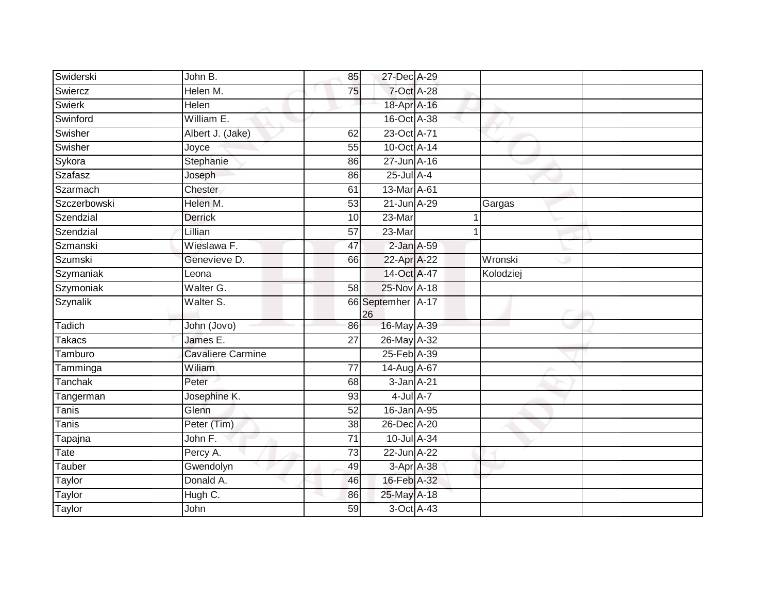| Swiderski     | John B.                  | 85 | 27-Dec A-29             |   |           |
|---------------|--------------------------|----|-------------------------|---|-----------|
| Swiercz       | Helen M.                 | 75 | 7-Oct A-28              |   |           |
| <b>Swierk</b> | Helen                    |    | 18-Apr A-16             |   |           |
| Swinford      | William E.               |    | 16-Oct A-38             |   |           |
| Swisher       | Albert J. (Jake)         | 62 | 23-Oct A-71             |   |           |
| Swisher       | Joyce                    | 55 | 10-Oct A-14             |   |           |
| Sykora        | Stephanie                | 86 | 27-Jun A-16             |   |           |
| Szafasz       | Joseph                   | 86 | $25$ -Jul $A-4$         |   |           |
| Szarmach      | Chester                  | 61 | 13-Mar A-61             |   |           |
| Szczerbowski  | Helen M.                 | 53 | 21-Jun A-29             |   | Gargas    |
| Szendzial     | <b>Derrick</b>           | 10 | 23-Mar                  | 1 |           |
| Szendzial     | Lillian                  | 57 | 23-Mar                  |   |           |
| Szmanski      | Wieslawa F.              | 47 | $2$ -Jan $A$ -59        |   |           |
| Szumski       | Genevieve D.             | 66 | 22-Apr A-22             |   | Wronski   |
| Szymaniak     | Leona                    |    | 14-Oct A-47             |   | Kolodziej |
| Szymoniak     | Walter G.                | 58 | 25-Nov A-18             |   |           |
| Szynalik      | Walter S.                |    | 66 Septemher A-17<br>26 |   |           |
| Tadich        | John (Jovo)              | 86 | 16-May A-39             |   |           |
| <b>Takacs</b> | James E.                 | 27 | 26-May A-32             |   |           |
| Tamburo       | <b>Cavaliere Carmine</b> |    | 25-Feb A-39             |   |           |
| Tamminga      | Wiliam                   | 77 | 14-Aug A-67             |   |           |
| Tanchak       | Peter                    | 68 | 3-Jan A-21              |   |           |
| Tangerman     | Josephine K.             | 93 | $4$ -Jul $A-7$          |   |           |
| Tanis         | Glenn                    | 52 | 16-Jan A-95             |   |           |
| <b>Tanis</b>  | Peter (Tim)              | 38 | 26-Dec A-20             |   |           |
| Tapajna       | John F.                  | 71 | 10-Jul A-34             |   |           |
| Tate          | Percy A.                 | 73 | 22-Jun A-22             |   |           |
| Tauber        | Gwendolyn                | 49 | 3-Apr A-38              |   |           |
| Taylor        | Donald A.                | 46 | 16-Feb A-32             |   |           |
| Taylor        | Hugh C.                  | 86 | 25-May A-18             |   |           |
| <b>Taylor</b> | John                     | 59 | 3-Oct A-43              |   |           |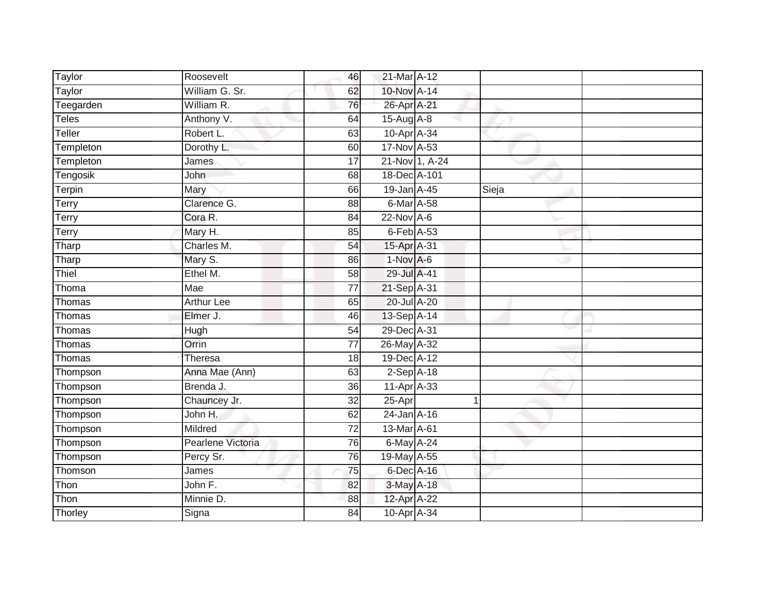| Taylor       | Roosevelt         | 46              | 21-Mar A-12      |                |       |  |
|--------------|-------------------|-----------------|------------------|----------------|-------|--|
| Taylor       | William G. Sr.    | 62              | 10-Nov A-14      |                |       |  |
| Teegarden    | William R.        | 76              | 26-Apr A-21      |                |       |  |
| <b>Teles</b> | Anthony V.        | 64              | $15$ -Aug $A$ -8 |                |       |  |
| Teller       | Robert L.         | 63              | 10-Apr A-34      |                |       |  |
| Templeton    | Dorothy L.        | 60              | 17-Nov A-53      |                |       |  |
| Templeton    | James             | $\overline{17}$ |                  | 21-Nov 1, A-24 |       |  |
| Tengosik     | John              | 68              | 18-Dec A-101     |                |       |  |
| Terpin       | Mary              | 66              | 19-Jan A-45      |                | Sieja |  |
| <b>Terry</b> | Clarence G.       | 88              | $6$ -Mar $A$ -58 |                |       |  |
| Terry        | Cora R.           | 84              | 22-Nov A-6       |                |       |  |
| Terry        | Mary H.           | 85              | $6$ -Feb $A$ -53 |                |       |  |
| Tharp        | Charles M.        | 54              | 15-Apr A-31      |                |       |  |
| Tharp        | Mary S.           | 86              | $1-Nov$ A-6      |                |       |  |
| Thiel        | Ethel M.          | 58              | 29-Jul A-41      |                |       |  |
| Thoma        | Mae               | 77              | 21-Sep A-31      |                |       |  |
| Thomas       | <b>Arthur Lee</b> | 65              | 20-Jul A-20      |                |       |  |
| Thomas       | Elmer J.          | 46              | 13-Sep A-14      |                |       |  |
| Thomas       | Hugh              | 54              | 29-Dec A-31      |                |       |  |
| Thomas       | Orrin             | 77              | 26-May A-32      |                |       |  |
| Thomas       | Theresa           | 18              | 19-Dec A-12      |                |       |  |
| Thompson     | Anna Mae (Ann)    | 63              | $2-Sep$ A-18     |                |       |  |
| Thompson     | Brenda J.         | 36              | 11-Apr A-33      |                |       |  |
| Thompson     | Chauncey Jr.      | 32              | 25-Apr           | $\mathbf{1}$   |       |  |
| Thompson     | John H.           | 62              | 24-Jan A-16      |                |       |  |
| Thompson     | Mildred           | 72              | 13-Mar A-61      |                |       |  |
| Thompson     | Pearlene Victoria | 76              | 6-May A-24       |                |       |  |
| Thompson     | Percy Sr.         | 76              | 19-May A-55      |                |       |  |
| Thomson      | James             | 75              | 6-Dec A-16       |                |       |  |
| Thon         | John F.           | 82              | 3-May A-18       |                |       |  |
| Thon         | Minnie D.         | 88              | 12-Apr A-22      |                |       |  |
| Thorley      | Signa             | $\overline{84}$ | 10-Apr A-34      |                |       |  |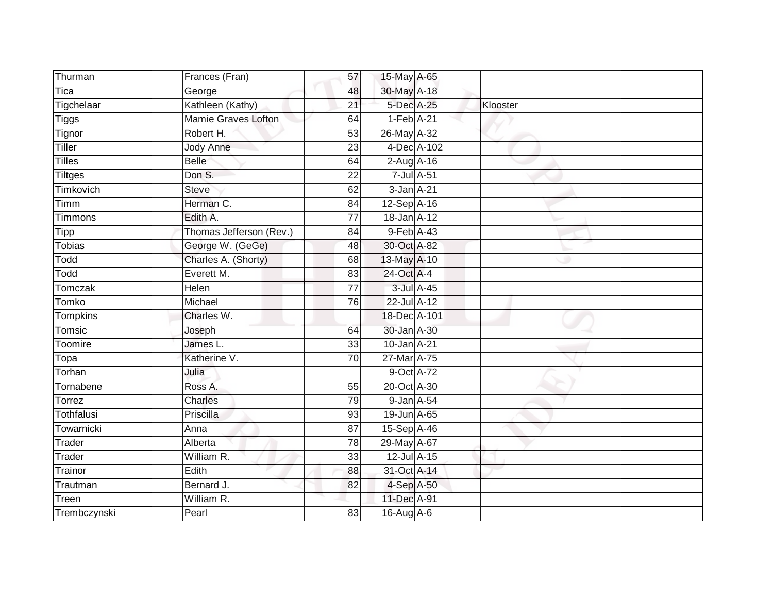| Thurman        | Frances (Fran)          | 57              | 15-May A-65      |          |  |
|----------------|-------------------------|-----------------|------------------|----------|--|
| Tica           | George                  | 48              | 30-May A-18      |          |  |
| Tigchelaar     | Kathleen (Kathy)        | $\overline{21}$ | 5-Dec A-25       | Klooster |  |
| <b>Tiggs</b>   | Mamie Graves Lofton     | 64              | $1-Feb$ A-21     |          |  |
| Tignor         | Robert H.               | 53              | 26-May A-32      |          |  |
| Tiller         | <b>Jody Anne</b>        | 23              | 4-Dec A-102      |          |  |
| Tilles         | <b>Belle</b>            | 64              | $2$ -Aug $A$ -16 |          |  |
| <b>Tiltges</b> | Don S.                  | 22              | 7-Jul A-51       |          |  |
| Timkovich      | <b>Steve</b>            | 62              | $3$ -Jan $A-21$  |          |  |
| Timm           | Herman C.               | 84              | 12-Sep A-16      |          |  |
| Timmons        | Edith A.                | 77              | 18-Jan A-12      |          |  |
| Tipp           | Thomas Jefferson (Rev.) | 84              | 9-Feb A-43       |          |  |
| Tobias         | George W. (GeGe)        | 48              | 30-Oct A-82      |          |  |
| Todd           | Charles A. (Shorty)     | 68              | 13-May A-10      |          |  |
| Todd           | Everett M.              | 83              | 24-Oct A-4       |          |  |
| Tomczak        | Helen                   | 77              | 3-Jul A-45       |          |  |
| <b>Tomko</b>   | Michael                 | 76              | 22-Jul A-12      |          |  |
| Tompkins       | Charles W.              |                 | 18-Dec A-101     |          |  |
| Tomsic         | Joseph                  | 64              | 30-Jan A-30      |          |  |
| Toomire        | James L.                | 33              | 10-Jan A-21      |          |  |
| Topa           | Katherine V.            | 70              | 27-Mar A-75      |          |  |
| Torhan         | Julia                   |                 | 9-Oct A-72       |          |  |
| Tornabene      | Ross A.                 | 55              | 20-Oct A-30      |          |  |
| Torrez         | Charles                 | 79              | 9-Jan A-54       |          |  |
| Tothfalusi     | Priscilla               | 93              | 19-Jun A-65      |          |  |
| Towarnicki     | Anna                    | 87              | 15-Sep A-46      |          |  |
| Trader         | Alberta                 | 78              | 29-May A-67      |          |  |
| Trader         | William R.              | 33              | 12-Jul A-15      |          |  |
| Trainor        | Edith                   | 88              | 31-Oct A-14      |          |  |
| Trautman       | Bernard J.              | 82              | 4-Sep A-50       |          |  |
| Treen          | William R.              |                 | 11-Dec A-91      |          |  |
| Trembczynski   | Pearl                   | 83              | 16-Aug A-6       |          |  |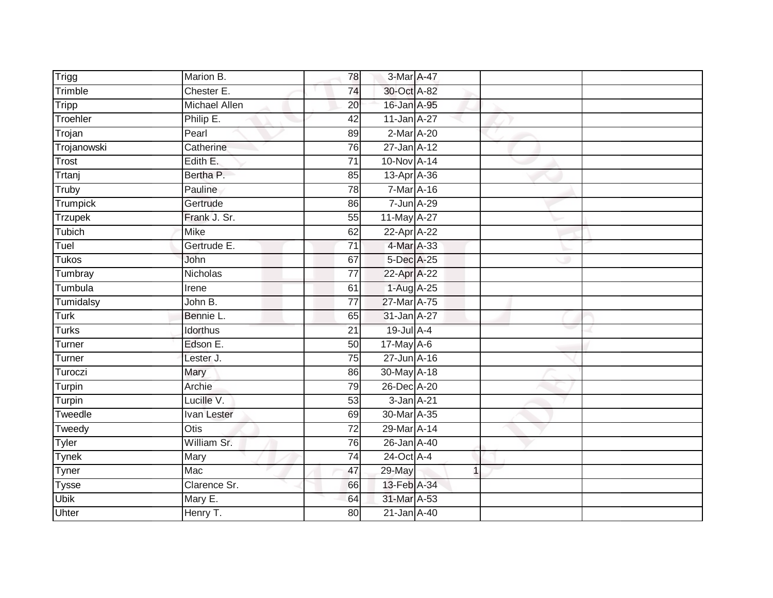| Trigg          | Marion B.            | 78              | 3-Mar A-47      |                |  |
|----------------|----------------------|-----------------|-----------------|----------------|--|
| Trimble        | Chester E.           | 74              | 30-Oct A-82     |                |  |
| Tripp          | <b>Michael Allen</b> | 20              | 16-Jan A-95     |                |  |
| Troehler       | Philip E.            | 42              | 11-Jan A-27     |                |  |
| Trojan         | Pearl                | 89              | $2$ -Mar $A-20$ |                |  |
| Trojanowski    | Catherine            | 76              | 27-Jan A-12     |                |  |
| Trost          | Edith E.             | $\overline{71}$ | 10-Nov A-14     |                |  |
| Trtanj         | Bertha P.            | 85              | 13-Apr A-36     |                |  |
| Truby          | Pauline              | 78              | 7-Mar A-16      |                |  |
| Trumpick       | Gertrude             | 86              | 7-Jun A-29      |                |  |
| <b>Trzupek</b> | Frank J. Sr.         | 55              | 11-May A-27     |                |  |
| Tubich         | <b>Mike</b>          | 62              | 22-Apr A-22     |                |  |
| Tuel           | Gertrude E.          | 71              | 4-Mar A-33      |                |  |
| <b>Tukos</b>   | John                 | 67              | 5-Dec A-25      |                |  |
| Tumbray        | Nicholas             | $\overline{77}$ | 22-Apr A-22     |                |  |
| Tumbula        | Irene                | 61              | 1-Aug A-25      |                |  |
| Tumidalsy      | John B.              | $\overline{77}$ | 27-Mar A-75     |                |  |
| Turk           | Bennie L.            | 65              | 31-Jan A-27     |                |  |
| <b>Turks</b>   | Idorthus             | 21              | 19-Jul A-4      |                |  |
| Turner         | Edson E.             | $\overline{50}$ | 17-May A-6      |                |  |
| Turner         | Lester J.            | 75              | 27-Jun A-16     |                |  |
| Turoczi        | Mary                 | 86              | 30-May A-18     |                |  |
| Turpin         | <b>Archie</b>        | 79              | 26-Dec A-20     |                |  |
| Turpin         | Lucille V.           | 53              | 3-Jan A-21      |                |  |
| Tweedle        | Ivan Lester          | 69              | 30-Mar A-35     |                |  |
| Tweedy         | <b>Otis</b>          | 72              | 29-Mar A-14     |                |  |
| Tyler          | William Sr.          | 76              | 26-Jan A-40     |                |  |
| <b>Tynek</b>   | Mary                 | $\overline{74}$ | $24$ -Oct A-4   |                |  |
| Tyner          | Mac                  | 47              | 29-May          | $\overline{1}$ |  |
| <b>Tysse</b>   | Clarence Sr.         | 66              | 13-Feb A-34     |                |  |
| <b>Ubik</b>    | Mary E.              | 64              | 31-Mar A-53     |                |  |
| Uhter          | Henry T.             | $\overline{80}$ | 21-Jan A-40     |                |  |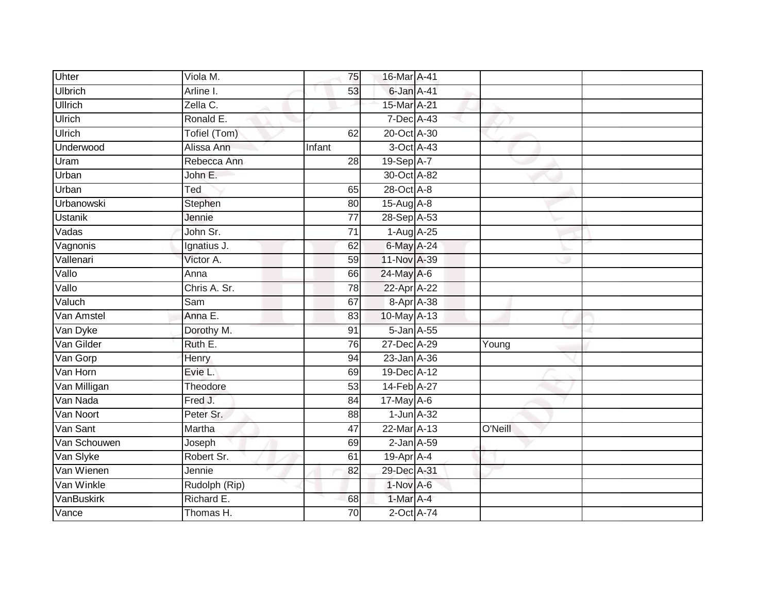| Uhter             | Viola M.      | 75              | 16-Mar A-41      |         |  |
|-------------------|---------------|-----------------|------------------|---------|--|
| <b>Ulbrich</b>    | Arline I.     | 53              | 6-Jan A-41       |         |  |
| <b>Ullrich</b>    | Zella C.      |                 | 15-Mar A-21      |         |  |
| Ulrich            | Ronald E.     |                 | 7-Dec A-43       |         |  |
| Ulrich            | Tofiel (Tom)  | 62              | 20-Oct A-30      |         |  |
| Underwood         | Alissa Ann    | Infant          | 3-Oct A-43       |         |  |
| Uram              | Rebecca Ann   | 28              | 19-Sep A-7       |         |  |
| Urban             | John E.       |                 | 30-Oct A-82      |         |  |
| Urban             | Ted           | 65              | 28-Oct A-8       |         |  |
| <b>Urbanowski</b> | Stephen       | 80              | 15-Aug A-8       |         |  |
| <b>Ustanik</b>    | Jennie        | $\overline{77}$ | 28-Sep A-53      |         |  |
| Vadas             | John Sr.      | $\overline{71}$ | 1-Aug A-25       |         |  |
| Vagnonis          | Ignatius J.   | 62              | 6-May A-24       |         |  |
| Vallenari         | Victor A.     | 59              | 11-Nov A-39      |         |  |
| Vallo             | Anna          | 66              | 24-May A-6       |         |  |
| Vallo             | Chris A. Sr.  | 78              | 22-Apr A-22      |         |  |
| Valuch            | Sam           | 67              | 8-Apr A-38       |         |  |
| Van Amstel        | Anna E.       | 83              | 10-May A-13      |         |  |
| Van Dyke          | Dorothy M.    | 91              | 5-Jan A-55       |         |  |
| Van Gilder        | Ruth E.       | 76              | 27-Dec A-29      | Young   |  |
| Van Gorp          | Henry         | 94              | 23-Jan A-36      |         |  |
| Van Horn          | Evie L.       | 69              | 19-Dec A-12      |         |  |
| Van Milligan      | Theodore      | 53              | 14-Feb A-27      |         |  |
| Van Nada          | Fred J.       | 84              | $17$ -May $A-6$  |         |  |
| Van Noort         | Peter Sr.     | 88              | $1$ -Jun $A-32$  |         |  |
| Van Sant          | Martha        | $\overline{47}$ | 22-Mar A-13      | O'Neill |  |
| Van Schouwen      | Joseph        | 69              | $2$ -Jan $A$ -59 |         |  |
| Van Slyke         | Robert Sr.    | 61              | 19-Apr A-4       |         |  |
| Van Wienen        | Jennie        | 82              | 29-Dec A-31      |         |  |
| Van Winkle        | Rudolph (Rip) |                 | $1-Nov$ A-6      |         |  |
| VanBuskirk        | Richard E.    | 68              | 1-Mar A-4        |         |  |
| Vance             | Thomas H.     | 70              | 2-Oct A-74       |         |  |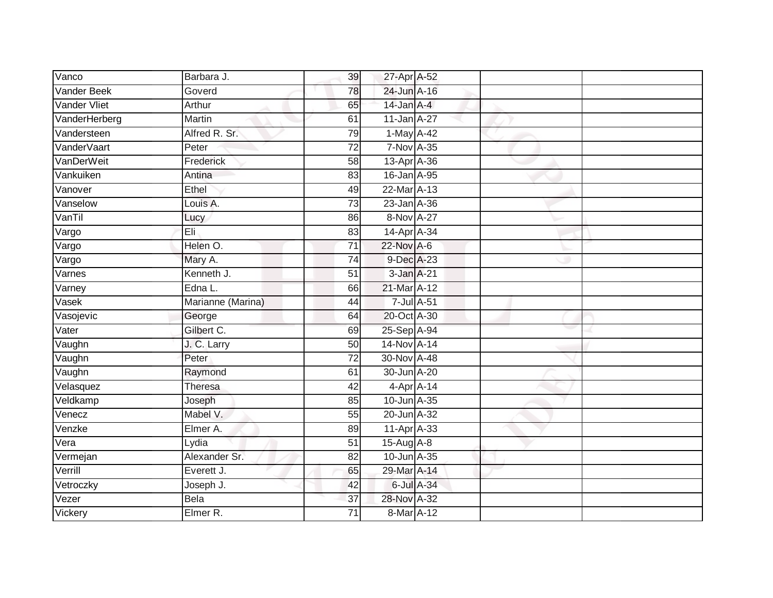| Vanco              | Barbara J.        | 39              | 27-Apr A-52      |            |  |
|--------------------|-------------------|-----------------|------------------|------------|--|
| <b>Vander Beek</b> | Goverd            | 78              | 24-Jun A-16      |            |  |
| Vander Vliet       | Arthur            | 65              | 14-Jan A-4       |            |  |
| VanderHerberg      | Martin            | 61              | 11-Jan A-27      |            |  |
| Vandersteen        | Alfred R. Sr.     | 79              | 1-May A-42       |            |  |
| VanderVaart        | Peter             | $\overline{72}$ | 7-Nov A-35       |            |  |
| VanDerWeit         | Frederick         | 58              | 13-Apr A-36      |            |  |
| Vankuiken          | Antina            | 83              | 16-Jan A-95      |            |  |
| Vanover            | Ethel             | 49              | 22-Mar A-13      |            |  |
| Vanselow           | Louis A.          | 73              | 23-Jan A-36      |            |  |
| VanTil             | Lucy              | 86              | 8-Nov A-27       |            |  |
| Vargo              | Eli               | 83              | 14-Apr A-34      |            |  |
| Vargo              | Helen O.          | $\overline{71}$ | 22-Nov A-6       |            |  |
| Vargo              | Mary A.           | $\overline{74}$ | 9-Dec A-23       |            |  |
| Varnes             | Kenneth J.        | $\overline{51}$ | 3-Jan A-21       |            |  |
| Varney             | Edna L.           | 66              | 21-Mar A-12      |            |  |
| Vasek              | Marianne (Marina) | 44              | 7-Jul A-51       |            |  |
| Vasojevic          | George            | 64              | 20-Oct A-30      |            |  |
| Vater              | Gilbert C.        | 69              | 25-Sep A-94      |            |  |
| Vaughn             | J. C. Larry       | 50              | 14-Nov A-14      |            |  |
| Vaughn             | Peter             | 72              | 30-Nov A-48      |            |  |
| Vaughn             | Raymond           | 61              | 30-Jun A-20      |            |  |
| Velasquez          | <b>Theresa</b>    | 42              | $4$ -Apr $A$ -14 |            |  |
| Veldkamp           | Joseph            | 85              | 10-Jun A-35      |            |  |
| Venecz             | Mabel V.          | 55              | 20-Jun A-32      |            |  |
| Venzke             | Elmer A.          | 89              | $11-AprA-33$     |            |  |
| Vera               | Lydia             | $\overline{51}$ | 15-Aug A-8       |            |  |
| Vermejan           | Alexander Sr.     | 82              | 10-Jun A-35      |            |  |
| Verrill            | Everett J.        | 65              | 29-Mar A-14      |            |  |
| Vetroczky          | Joseph J.         | 42              |                  | 6-Jul A-34 |  |
| Vezer              | Bela              | 37              | 28-Nov A-32      |            |  |
| Vickery            | Elmer R.          | $\overline{71}$ | 8-Mar A-12       |            |  |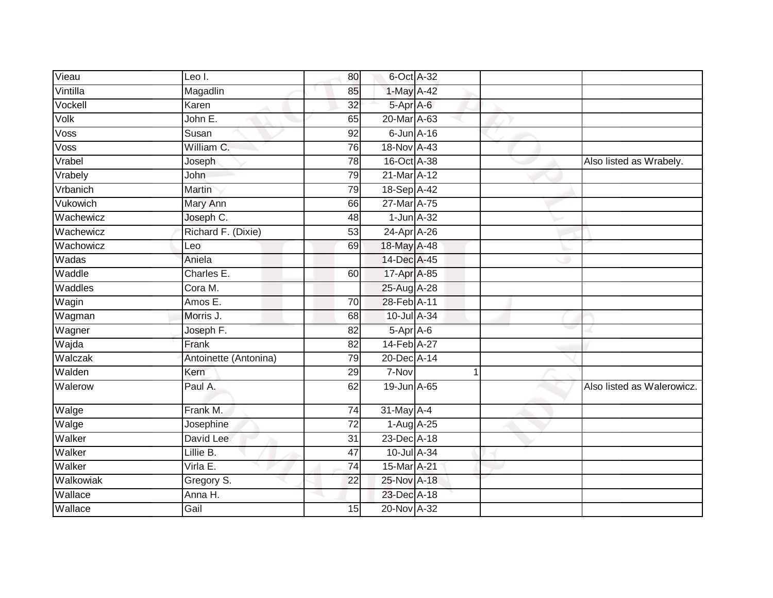| Vieau     | Leo I.                | 80              | 6-Oct A-32       |             |                            |
|-----------|-----------------------|-----------------|------------------|-------------|----------------------------|
| Vintilla  | Magadlin              | 85              | $1$ -May A-42    |             |                            |
| Vockell   | Karen                 | 32              | 5-Apr A-6        |             |                            |
| Volk      | John E.               | 65              | 20-Mar A-63      |             |                            |
| Voss      | Susan                 | $\overline{92}$ | $6$ -Jun $A$ -16 |             |                            |
| Voss      | William C.            | 76              | 18-Nov A-43      |             |                            |
| Vrabel    | Joseph                | 78              | 16-Oct A-38      |             | Also listed as Wrabely.    |
| Vrabely   | John                  | 79              | 21-Mar A-12      |             |                            |
| Vrbanich  | Martin                | 79              | 18-Sep A-42      |             |                            |
| Vukowich  | Mary Ann              | 66              | 27-Mar A-75      |             |                            |
| Wachewicz | Joseph C.             | 48              | $1$ -Jun $A-32$  |             |                            |
| Wachewicz | Richard F. (Dixie)    | 53              | 24-Apr A-26      |             |                            |
| Wachowicz | Leo                   | 69              | 18-May A-48      |             |                            |
| Wadas     | Aniela                |                 | 14-Dec A-45      |             |                            |
| Waddle    | Charles E.            | 60              | 17-Apr A-85      |             |                            |
| Waddles   | Cora M.               |                 | 25-Aug A-28      |             |                            |
| Wagin     | Amos E.               | $\overline{70}$ | 28-Feb A-11      |             |                            |
| Wagman    | Morris J.             | 68              | 10-Jul A-34      |             |                            |
| Wagner    | Joseph F.             | 82              | 5-Apr A-6        |             |                            |
| Wajda     | Frank                 | 82              | 14-Feb A-27      |             |                            |
| Walczak   | Antoinette (Antonina) | 79              | 20-Dec A-14      |             |                            |
| Walden    | Kern                  | 29              | 7-Nov            | $\mathbf 1$ |                            |
| Walerow   | Paul A.               | 62              | 19-Jun A-65      |             | Also listed as Walerowicz. |
| Walge     | Frank M.              | 74              | 31-May A-4       |             |                            |
| Walge     | Josephine             | $\overline{72}$ | 1-Aug A-25       |             |                            |
| Walker    | David Lee             | 31              | 23-Dec A-18      |             |                            |
| Walker    | Lillie B.             | 47              | 10-Jul A-34      |             |                            |
| Walker    | Virla E.              | $\overline{74}$ | 15-Mar A-21      |             |                            |
| Walkowiak | Gregory S.            | 22              | 25-Nov A-18      |             |                            |
| Wallace   | Anna H.               |                 | 23-Dec A-18      |             |                            |
| Wallace   | Gail                  | 15              | 20-Nov A-32      |             |                            |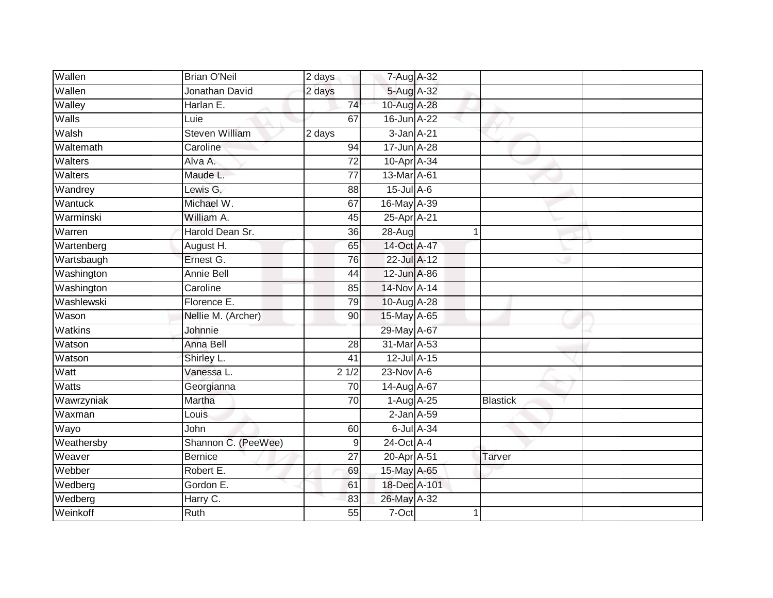| Wallen       | <b>Brian O'Neil</b>   | 2 days          | 7-Aug A-32       |             |                 |  |
|--------------|-----------------------|-----------------|------------------|-------------|-----------------|--|
| Wallen       | Jonathan David        | 2 days          | 5-Aug A-32       |             |                 |  |
| Walley       | Harlan E.             | 74              | 10-Aug A-28      |             |                 |  |
| Walls        | Luie                  | 67              | 16-Jun A-22      |             |                 |  |
| Walsh        | <b>Steven William</b> | 2 days          | 3-Jan A-21       |             |                 |  |
| Waltemath    | Caroline              | 94              | 17-Jun A-28      |             |                 |  |
| Walters      | Alva A.               | $\overline{72}$ | 10-Apr A-34      |             |                 |  |
| Walters      | Maude L.              | 77              | 13-Mar A-61      |             |                 |  |
| Wandrey      | Lewis G.              | 88              | $15$ -Jul $A$ -6 |             |                 |  |
| Wantuck      | Michael W.            | 67              | 16-May A-39      |             |                 |  |
| Warminski    | William A.            | 45              | 25-Apr A-21      |             |                 |  |
| Warren       | Harold Dean Sr.       | 36              | 28-Aug           | $\mathbf 1$ |                 |  |
| Wartenberg   | August H.             | 65              | 14-Oct A-47      |             |                 |  |
| Wartsbaugh   | Ernest G.             | 76              | 22-Jul A-12      |             |                 |  |
| Washington   | <b>Annie Bell</b>     | 44              | 12-Jun A-86      |             |                 |  |
| Washington   | Caroline              | 85              | 14-Nov A-14      |             |                 |  |
| Washlewski   | Florence E.           | 79              | 10-Aug A-28      |             |                 |  |
| Wason        | Nellie M. (Archer)    | 90              | 15-May A-65      |             |                 |  |
| Watkins      | Johnnie               |                 | 29-May A-67      |             |                 |  |
| Watson       | <b>Anna Bell</b>      | 28              | 31-Mar A-53      |             |                 |  |
| Watson       | Shirley L.            | 41              | 12-Jul A-15      |             |                 |  |
| Watt         | Vanessa L.            | 21/2            | $23-Nov$ A-6     |             |                 |  |
| <b>Watts</b> | Georgianna            | 70              | 14-Aug A-67      |             |                 |  |
| Wawrzyniak   | Martha                | 70              | 1-Aug A-25       |             | <b>Blastick</b> |  |
| Waxman       | Louis                 |                 | $2$ -Jan $A$ -59 |             |                 |  |
| Wayo         | John                  | 60              |                  | 6-Jul A-34  |                 |  |
| Weathersby   | Shannon C. (PeeWee)   | $\mathsf 9$     | $24$ -Oct $A$ -4 |             |                 |  |
| Weaver       | <b>Bernice</b>        | 27              | 20-Apr A-51      |             | Tarver          |  |
| Webber       | Robert E.             | 69              | 15-May A-65      |             |                 |  |
| Wedberg      | Gordon E.             | 61              | 18-Dec A-101     |             |                 |  |
| Wedberg      | Harry C.              | 83              | 26-May A-32      |             |                 |  |
| Weinkoff     | <b>Ruth</b>           | $\overline{55}$ | $7-Oct$          | 1           |                 |  |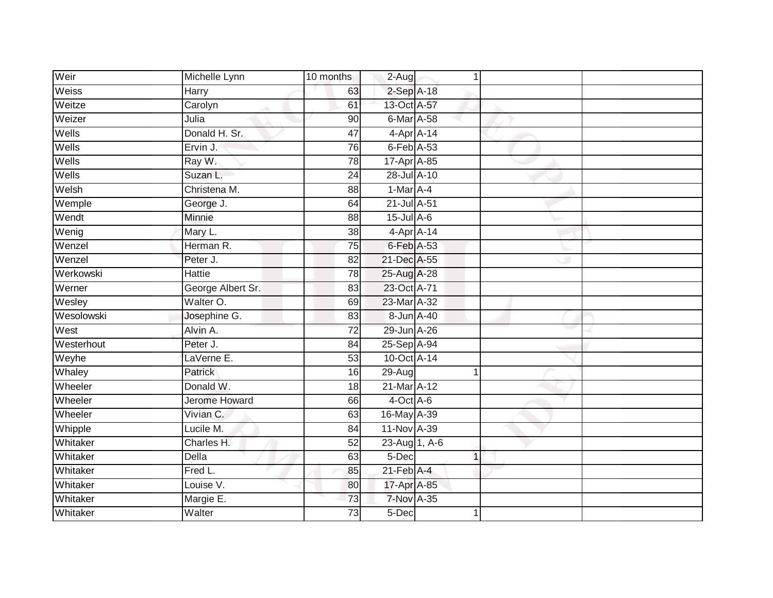| Weir       | Michelle Lynn        | 10 months       | 2-Aug             | 1           |  |
|------------|----------------------|-----------------|-------------------|-------------|--|
| Weiss      | Harry                | 63              | $2-SepA-18$       |             |  |
| Weitze     | Carolyn              | 61              | 13-Oct A-57       |             |  |
| Weizer     | Julia                | 90              | 6-Mar A-58        |             |  |
| Wells      | Donald H. Sr.        | 47              | $4$ -Apr $A$ -14  |             |  |
| Wells      | Ervin J.             | 76              | $6$ -Feb $A$ -53  |             |  |
| Wells      | Ray W.               | $\overline{78}$ | 17-Apr A-85       |             |  |
| Wells      | Suzan L.             | 24              | 28-Jul A-10       |             |  |
| Welsh      | Christena M.         | 88              | $1-Mar A-4$       |             |  |
| Wemple     | George J.            | 64              | 21-Jul A-51       |             |  |
| Wendt      | Minnie               | 88              | 15-Jul A-6        |             |  |
| Wenig      | Mary L.              | 38              | 4-Apr A-14        |             |  |
| Wenzel     | Herman R.            | 75              | 6-Feb A-53        |             |  |
| Wenzel     | Peter J.             | 82              | 21-Dec A-55       |             |  |
| Werkowski  | <b>Hattie</b>        | 78              | 25-Aug A-28       |             |  |
| Werner     | George Albert Sr.    | 83              | 23-Oct A-71       |             |  |
| Wesley     | Walter O.            | 69              | 23-Mar A-32       |             |  |
| Wesolowski | Josephine G.         | 83              | 8-Jun A-40        |             |  |
| West       | Alvin A.             | $\overline{72}$ | 29-Jun A-26       |             |  |
| Westerhout | Peter J.             | 84              | 25-Sep A-94       |             |  |
| Weyhe      | LaVerne E.           | 53              | 10-Oct A-14       |             |  |
| Whaley     | Patrick              | 16              | $29-Aug$          | 1           |  |
| Wheeler    | Donald W.            | 18              | 21-Mar A-12       |             |  |
| Wheeler    | <b>Jerome Howard</b> | 66              | $4$ -Oct $A$ -6   |             |  |
| Wheeler    | Vivian C.            | 63              | 16-May A-39       |             |  |
| Whipple    | Lucile M.            | 84              | 11-Nov A-39       |             |  |
| Whitaker   | Charles H.           | 52              | 23-Aug 1, A-6     |             |  |
| Whitaker   | Della                | 63              | 5-Dec             | $\mathbf 1$ |  |
| Whitaker   | Fred L.              | 85              | $21$ -Feb $A$ -4  |             |  |
| Whitaker   | Louise V.            | 80              | 17-Apr A-85       |             |  |
| Whitaker   | Margie E.            | $\overline{73}$ | <b>7-Nov A-35</b> |             |  |
| Whitaker   | Walter               | $\overline{73}$ | 5-Dec             | 1           |  |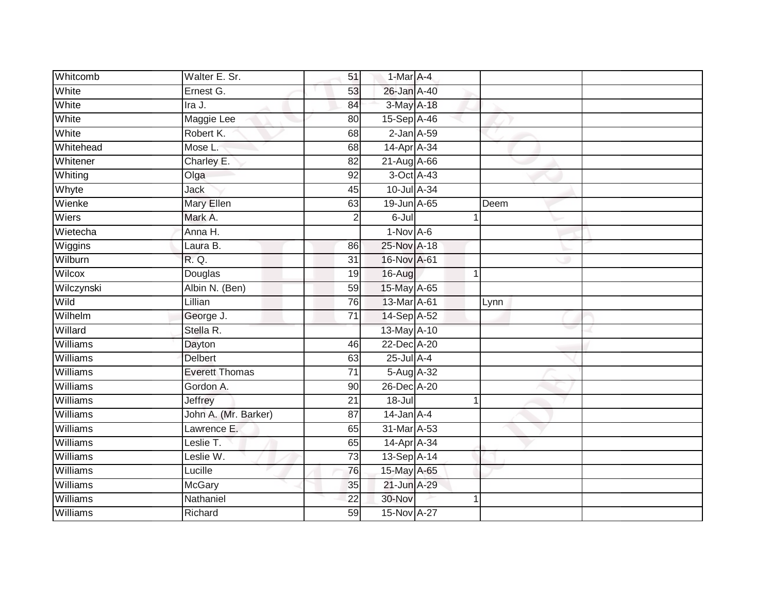| Whitcomb        | Walter E. Sr.         | 51              | 1-Mar A-4        |             |      |
|-----------------|-----------------------|-----------------|------------------|-------------|------|
| White           | Ernest G.             | 53              | 26-Jan A-40      |             |      |
| White           | Ira J.                | 84              | 3-May A-18       |             |      |
| White           | Maggie Lee            | 80              | 15-Sep A-46      |             |      |
| White           | Robert K.             | 68              | $2$ -Jan $A$ -59 |             |      |
| Whitehead       | Mose L.               | 68              | 14-Apr A-34      |             |      |
| Whitener        | Charley E.            | 82              | 21-Aug A-66      |             |      |
| Whiting         | Olga                  | 92              | 3-Oct A-43       |             |      |
| Whyte           | Jack                  | 45              | 10-Jul A-34      |             |      |
| Wienke          | Mary Ellen            | 63              | 19-Jun A-65      |             | Deem |
| Wiers           | Mark A.               | $\overline{2}$  | $6 -$ Jul        |             |      |
| Wietecha        | Anna H.               |                 | $1-Nov$ A-6      |             |      |
| Wiggins         | Laura B.              | 86              | 25-Nov A-18      |             |      |
| Wilburn         | R. Q.                 | 31              | 16-Nov A-61      |             |      |
| Wilcox          | Douglas               | 19              | 16-Aug           | $\mathbf 1$ |      |
| Wilczynski      | Albin N. (Ben)        | 59              | 15-May A-65      |             |      |
| Wild            | Lillian               | 76              | 13-Mar A-61      |             | Lynn |
| Wilhelm         | George J.             | 71              | 14-Sep A-52      |             |      |
| Willard         | Stella R.             |                 | 13-May A-10      |             |      |
| Williams        | Dayton                | 46              | 22-Dec A-20      |             |      |
| Williams        | <b>Delbert</b>        | 63              | $25$ -Jul $A-4$  |             |      |
| <b>Williams</b> | <b>Everett Thomas</b> | $\overline{71}$ | 5-Aug A-32       |             |      |
| <b>Williams</b> | Gordon A.             | 90              | 26-Dec A-20      |             |      |
| Williams        | Jeffrey               | $\overline{21}$ | $18 -$ Jul       | 1           |      |
| Williams        | John A. (Mr. Barker)  | 87              | $14$ -Jan $A$ -4 |             |      |
| Williams        | Lawrence E.           | 65              | 31-Mar A-53      |             |      |
| Williams        | Leslie T.             | 65              | 14-Apr A-34      |             |      |
| Williams        | Leslie W.             | 73              | 13-Sep A-14      |             |      |
| Williams        | Lucille               | 76              | 15-May A-65      |             |      |
| Williams        | <b>McGary</b>         | 35              | 21-Jun A-29      |             |      |
| Williams        | Nathaniel             | 22              | 30-Nov           |             |      |
| Williams        | Richard               | 59              | 15-Nov A-27      |             |      |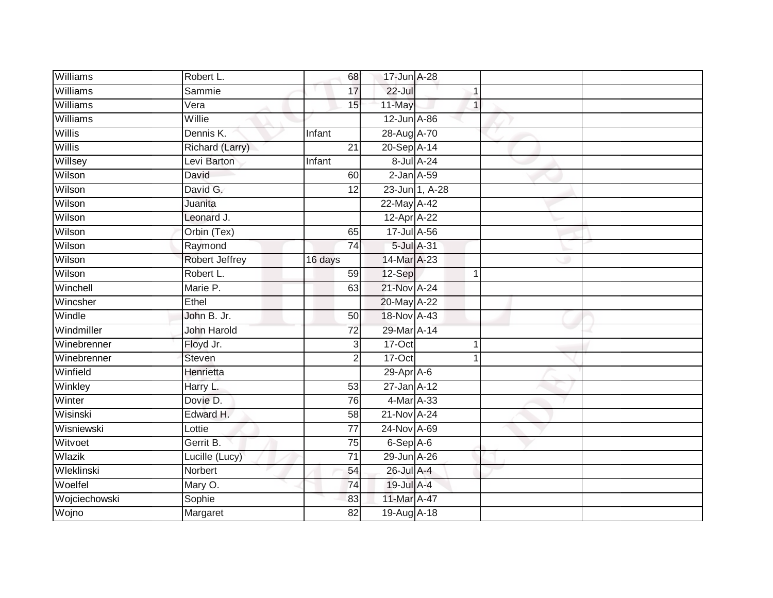| Williams        | Robert L.             | 68              | 17-Jun A-28       |                |  |
|-----------------|-----------------------|-----------------|-------------------|----------------|--|
| Williams        | Sammie                | 17              | $22 -$ Jul        |                |  |
| <b>Williams</b> | Vera                  | 15              | 11-May            | $\mathbf{1}$   |  |
| Williams        | Willie                |                 | 12-Jun A-86       |                |  |
| Willis          | Dennis K.             | Infant          | 28-Aug A-70       |                |  |
| Willis          | Richard (Larry)       | 21              | 20-Sep A-14       |                |  |
| Willsey         | Levi Barton           | <b>Infant</b>   |                   | 8-Jul A-24     |  |
| Wilson          | David                 | 60              | $2$ -Jan $A$ -59  |                |  |
| Wilson          | David G.              | 12              |                   | 23-Jun 1, A-28 |  |
| Wilson          | Juanita               |                 | 22-May A-42       |                |  |
| Wilson          | Leonard J.            |                 | 12-Apr A-22       |                |  |
| Wilson          | Orbin (Tex)           | 65              | 17-Jul A-56       |                |  |
| Wilson          | Raymond               | 74              |                   | 5-Jul A-31     |  |
| Wilson          | <b>Robert Jeffrey</b> | 16 days         | 14-Mar A-23       |                |  |
| Wilson          | Robert L.             | 59              | 12-Sep            | $\mathbf 1$    |  |
| Winchell        | Marie P.              | 63              | 21-Nov A-24       |                |  |
| Wincsher        | Ethel                 |                 | 20-May A-22       |                |  |
| Windle          | John B. Jr.           | 50              | 18-Nov A-43       |                |  |
| Windmiller      | <b>John Harold</b>    | $\overline{72}$ | 29-Mar A-14       |                |  |
| Winebrenner     | Floyd Jr.             | 3               | $17-Oct$          | 1              |  |
| Winebrenner     | <b>Steven</b>         | $\overline{2}$  | $17-Oct$          | 1              |  |
| Winfield        | Henrietta             |                 | 29-Apr A-6        |                |  |
| Winkley         | Harry L.              | 53              | $27 - Jan A - 12$ |                |  |
| Winter          | Dovie D.              | 76              | 4-Mar A-33        |                |  |
| Wisinski        | Edward H.             | 58              | 21-Nov A-24       |                |  |
| Wisniewski      | Lottie                | 77              | 24-Nov A-69       |                |  |
| Witvoet         | Gerrit B.             | $\overline{75}$ | $6-Sep$ A-6       |                |  |
| Wlazik          | Lucille (Lucy)        | $\overline{71}$ | 29-Jun A-26       |                |  |
| Wleklinski      | Norbert               | 54              | 26-Jul A-4        |                |  |
| Woelfel         | Mary O.               | 74              | 19-Jul A-4        |                |  |
| Wojciechowski   | Sophie                | 83              | 11-Mar A-47       |                |  |
| Wojno           | Margaret              | $\overline{82}$ | 19-Aug A-18       |                |  |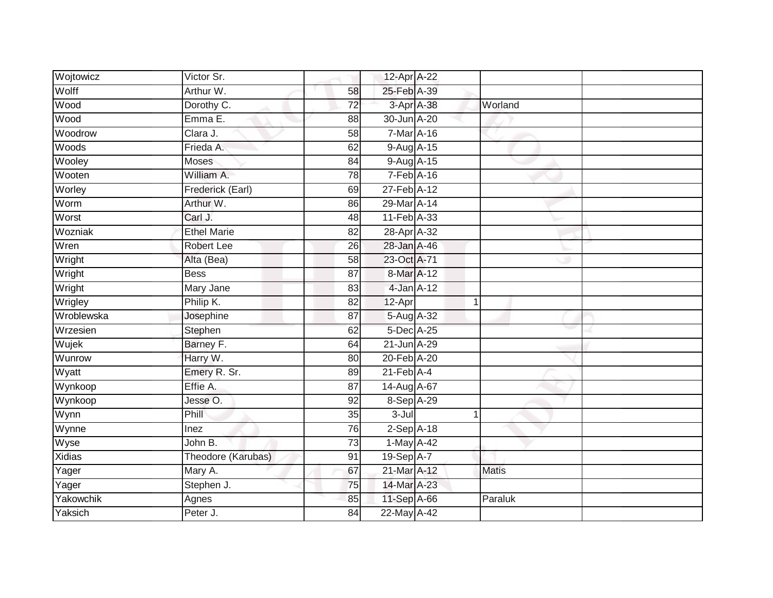| Wojtowicz     | Victor Sr.         |                 | 12-Apr A-22      |            |              |  |
|---------------|--------------------|-----------------|------------------|------------|--------------|--|
| Wolff         | Arthur W.          | 58              | 25-Feb A-39      |            |              |  |
|               |                    |                 |                  |            |              |  |
| Wood          | Dorothy C.         | $\overline{72}$ |                  | 3-Apr A-38 | Worland      |  |
| Wood          | Emma E.            | 88              | 30-Jun A-20      |            |              |  |
| Woodrow       | Clara J.           | $\overline{58}$ | 7-Mar A-16       |            |              |  |
| Woods         | Frieda A.          | 62              | 9-Aug A-15       |            |              |  |
| Wooley        | Moses              | 84              | $9-Aug$ $A-15$   |            |              |  |
| Wooten        | William A.         | 78              | 7-Feb A-16       |            |              |  |
| Worley        | Frederick (Earl)   | 69              | 27-Feb A-12      |            |              |  |
| Worm          | Arthur W.          | 86              | 29-Mar A-14      |            |              |  |
| Worst         | Carl J.            | 48              | 11-Feb A-33      |            |              |  |
| Wozniak       | <b>Ethel Marie</b> | 82              | 28-Apr A-32      |            |              |  |
| Wren          | <b>Robert Lee</b>  | 26              | 28-Jan A-46      |            |              |  |
| Wright        | Alta (Bea)         | 58              | 23-Oct A-71      |            |              |  |
| Wright        | <b>Bess</b>        | $\overline{87}$ | 8-Mar A-12       |            |              |  |
| Wright        | Mary Jane          | 83              | 4-Jan A-12       |            |              |  |
| Wrigley       | Philip K.          | $\overline{82}$ | 12-Apr           | 1          |              |  |
| Wroblewska    | Josephine          | 87              | 5-Aug A-32       |            |              |  |
| Wrzesien      | Stephen            | 62              | 5-Dec A-25       |            |              |  |
| Wujek         | Barney F.          | 64              | 21-Jun A-29      |            |              |  |
| Wunrow        | Harry W.           | 80              | 20-Feb A-20      |            |              |  |
| Wyatt         | Emery R. Sr.       | 89              | $21$ -Feb $A$ -4 |            |              |  |
| Wynkoop       | Effie A.           | 87              | 14-Aug A-67      |            |              |  |
| Wynkoop       | Jesse O.           | 92              | 8-Sep A-29       |            |              |  |
| Wynn          | Phill              | 35              | 3-Jul            | 1          |              |  |
| Wynne         | Inez               | 76              | $2-Sep$ A-18     |            |              |  |
| Wyse          | John B.            | 73              | 1-May A-42       |            |              |  |
| <b>Xidias</b> | Theodore (Karubas) | 91              | 19-Sep A-7       |            |              |  |
| Yager         | Mary A.            | 67              | 21-Mar A-12      |            | <b>Matis</b> |  |
| Yager         | Stephen J.         | 75              | 14-Mar A-23      |            |              |  |
| Yakowchik     | Agnes              | 85              | 11-Sep A-66      |            | Paraluk      |  |
| Yaksich       | Peter J.           | 84              | 22-May A-42      |            |              |  |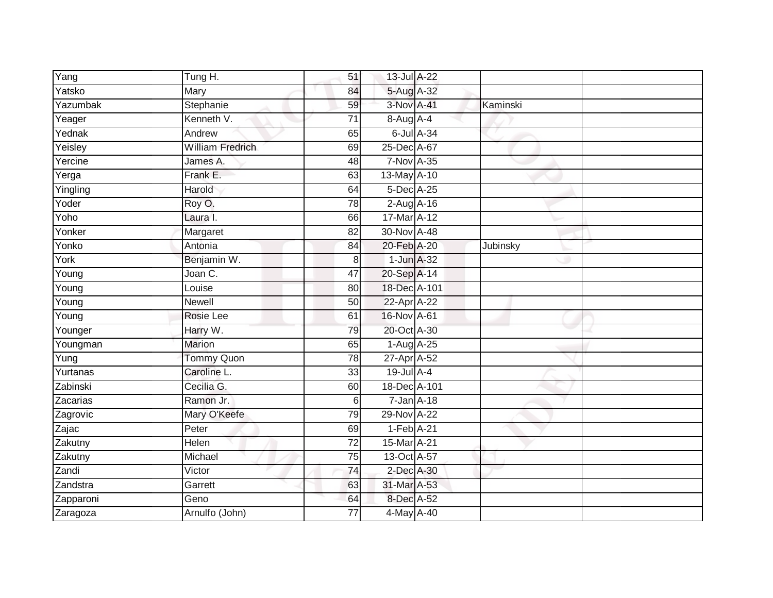| Yang                | Tung H.                 | 51              | 13-Jul A-22       |                  |          |  |
|---------------------|-------------------------|-----------------|-------------------|------------------|----------|--|
| Yatsko              | Mary                    | 84              | 5-Aug A-32        |                  |          |  |
| Yazumbak            | Stephanie               | 59              | 3-Nov A-41        |                  | Kaminski |  |
| Yeager              | Kenneth V.              | 71              | $8-Aug$ $A-4$     |                  |          |  |
| Yednak              | Andrew                  | 65              |                   | $6$ -Jul $A$ -34 |          |  |
| Yeisley             | <b>William Fredrich</b> | 69              | 25-Dec A-67       |                  |          |  |
| Yercine             | James A.                | 48              | <b>7-Nov A-35</b> |                  |          |  |
| Yerga               | Frank E.                | 63              | 13-May A-10       |                  |          |  |
| Yingling            | Harold                  | 64              | 5-Dec A-25        |                  |          |  |
| Yoder               | Roy O.                  | 78              | 2-Aug A-16        |                  |          |  |
| Yoho                | Laura I.                | 66              | $17-Mar A-12$     |                  |          |  |
| Yonker              | Margaret                | 82              | 30-Nov A-48       |                  |          |  |
| Yonko               | Antonia                 | 84              | 20-Feb A-20       |                  | Jubinsky |  |
| York                | Benjamin W.             | 8               | $1$ -Jun $A$ -32  |                  |          |  |
| Young               | Joan C.                 | 47              | 20-Sep A-14       |                  |          |  |
| Young               | Louise                  | 80              | 18-Dec A-101      |                  |          |  |
| $\overline{Y}$ oung | Newell                  | 50              | 22-Apr A-22       |                  |          |  |
| $\overline{Y}$ oung | Rosie Lee               | 61              | 16-Nov A-61       |                  |          |  |
| Younger             | Harry W.                | 79              | 20-Oct A-30       |                  |          |  |
| Youngman            | <b>Marion</b>           | 65              | $1-Aug$ $A-25$    |                  |          |  |
| $\overline{Y}$ ung  | Tommy Quon              | 78              | 27-Apr A-52       |                  |          |  |
| Yurtanas            | Caroline L.             | $\overline{33}$ | 19-Jul A-4        |                  |          |  |
| Zabinski            | Cecilia G.              | 60              | 18-Dec A-101      |                  |          |  |
| Zacarias            | Ramon Jr.               | 6               | $7 - Jan A - 18$  |                  |          |  |
| Zagrovic            | Mary O'Keefe            | 79              | 29-Nov A-22       |                  |          |  |
| Zajac               | Peter                   | 69              | $1-Feb$ A-21      |                  |          |  |
| Zakutny             | Helen                   | $\overline{72}$ | 15-Mar A-21       |                  |          |  |
| Zakutny             | Michael                 | 75              | 13-Oct A-57       |                  |          |  |
| Zandi               | Victor                  | 74              | 2-Dec A-30        |                  |          |  |
| Zandstra            | Garrett                 | 63              | 31-Mar A-53       |                  |          |  |
| Zapparoni           | Geno                    | 64              | 8-Dec A-52        |                  |          |  |
| Zaragoza            | Arnulfo (John)          | $\overline{77}$ | 4-May A-40        |                  |          |  |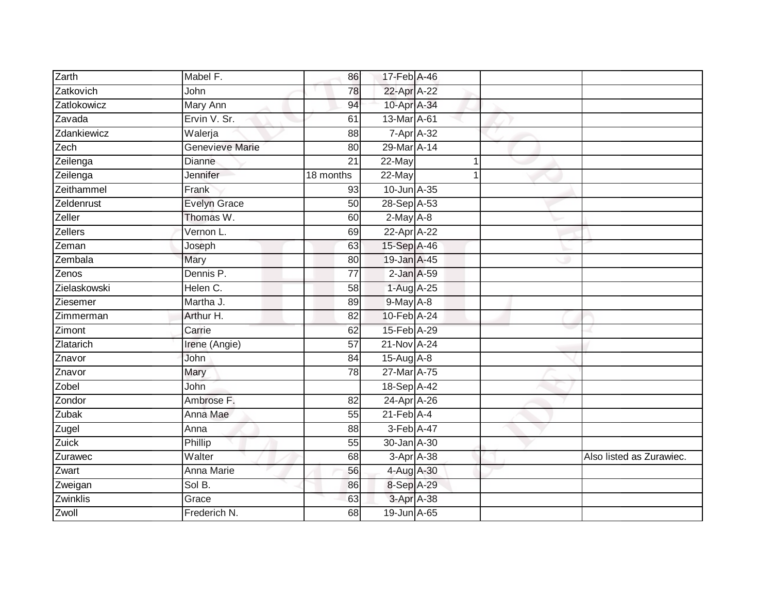| Zarth               | Mabel F.            | 86              | 17-Feb A-46      |                    |                          |
|---------------------|---------------------|-----------------|------------------|--------------------|--------------------------|
| Zatkovich           | John                | 78              | 22-Apr A-22      |                    |                          |
| Zatlokowicz         | <b>Mary Ann</b>     | 94              | 10-Apr A-34      |                    |                          |
| Zavada              | Ervin V. Sr.        | 61              | 13-Mar A-61      |                    |                          |
| Zdankiewicz         | Walerja             | 88              |                  | $7 - Apr$ $A - 32$ |                          |
| Zech                | Genevieve Marie     | 80              | 29-Mar A-14      |                    |                          |
| Zeilenga            | <b>Dianne</b>       | 21              | 22-May           |                    |                          |
| Zeilenga            | Jennifer            | 18 months       | 22-May           |                    |                          |
| Zeithammel          | Frank               | 93              | 10-Jun A-35      |                    |                          |
| Zeldenrust          | <b>Evelyn Grace</b> | 50              | 28-Sep A-53      |                    |                          |
| Zeller              | Thomas W.           | 60              | $2-May$ A-8      |                    |                          |
| Zellers             | Vernon L.           | 69              | 22-Apr A-22      |                    |                          |
| Zeman               | Joseph              | 63              | 15-Sep A-46      |                    |                          |
| Zembala             | Mary                | 80              | 19-Jan A-45      |                    |                          |
| Zenos               | Dennis P.           | $\overline{77}$ | 2-Jan A-59       |                    |                          |
| Zielaskowski        | Helen C.            | 58              | 1-Aug A-25       |                    |                          |
| Ziesemer            | Martha J.           | 89              | 9-May A-8        |                    |                          |
| Zimmerman           | Arthur H.           | 82              | 10-Feb A-24      |                    |                          |
| Zimont              | Carrie              | 62              | 15-Feb A-29      |                    |                          |
| Zlatarich           | Irene (Angie)       | 57              | 21-Nov A-24      |                    |                          |
| Znavor              | John                | 84              | 15-Aug A-8       |                    |                          |
| Znavor              | Mary                | 78              | 27-Mar A-75      |                    |                          |
| Zobel               | John                |                 | 18-Sep A-42      |                    |                          |
| Zondor              | Ambrose F.          | 82              | 24-Apr A-26      |                    |                          |
| Zubak               | Anna Mae            | 55              | $21$ -Feb $A$ -4 |                    |                          |
| Zugel               | Anna                | 88              | 3-Feb A-47       |                    |                          |
| <b>Zuick</b>        | Phillip             | 55              | 30-Jan A-30      |                    |                          |
| Zurawec             | Walter              | 68              |                  | 3-Apr A-38         | Also listed as Zurawiec. |
| $\overline{Z}$ wart | Anna Marie          | 56              | 4-Aug A-30       |                    |                          |
| Zweigan             | Sol B.              | 86              | 8-Sep A-29       |                    |                          |
| Zwinklis            | Grace               | 63              |                  | 3-Apr A-38         |                          |
| Zwoll               | Frederich N.        | 68              | 19-Jun A-65      |                    |                          |
|                     |                     |                 |                  |                    |                          |